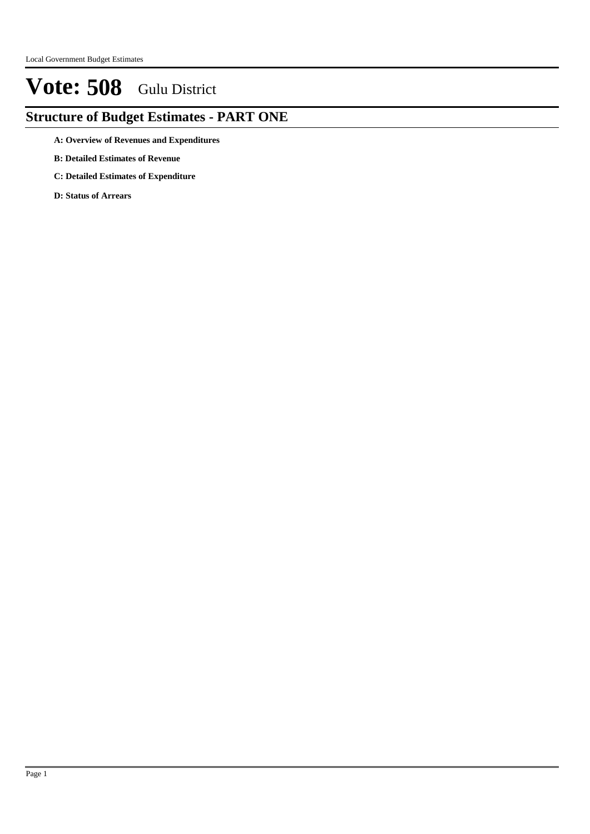### **Structure of Budget Estimates - PART ONE**

- **A: Overview of Revenues and Expenditures**
- **B: Detailed Estimates of Revenue**
- **C: Detailed Estimates of Expenditure**
- **D: Status of Arrears**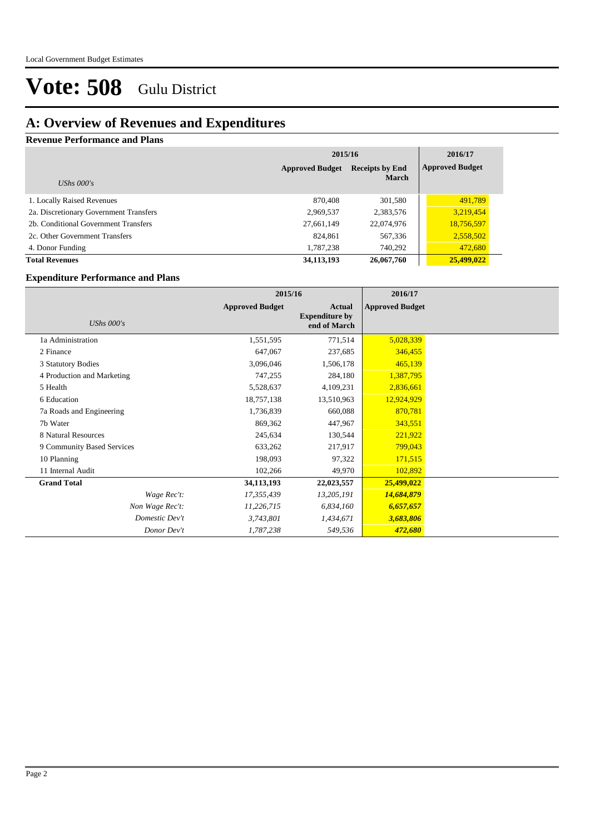### **A: Overview of Revenues and Expenditures**

### **Revenue Performance and Plans**

|                                        | 2015/16                                          | 2016/17      |                        |
|----------------------------------------|--------------------------------------------------|--------------|------------------------|
|                                        | <b>Receipts by End</b><br><b>Approved Budget</b> |              | <b>Approved Budget</b> |
| UShs $000's$                           |                                                  | <b>March</b> |                        |
| 1. Locally Raised Revenues             | 870,408                                          | 301,580      | 491,789                |
| 2a. Discretionary Government Transfers | 2,969,537                                        | 2,383,576    | 3,219,454              |
| 2b. Conditional Government Transfers   | 27,661,149                                       | 22,074,976   | 18,756,597             |
| 2c. Other Government Transfers         | 824.861                                          | 567,336      | 2,558,502              |
| 4. Donor Funding                       | 1,787,238                                        | 740,292      | 472,680                |
| <b>Total Revenues</b>                  | 34,113,193                                       | 26,067,760   | 25,499,022             |

### **Expenditure Performance and Plans**

|                            | 2015/16                |                                                 | 2016/17                |  |
|----------------------------|------------------------|-------------------------------------------------|------------------------|--|
| UShs $000's$               | <b>Approved Budget</b> | Actual<br><b>Expenditure by</b><br>end of March | <b>Approved Budget</b> |  |
| 1a Administration          | 1,551,595              | 771,514                                         | 5,028,339              |  |
| 2 Finance                  | 647,067                | 237,685                                         | 346,455                |  |
| 3 Statutory Bodies         | 3,096,046              | 1,506,178                                       | 465,139                |  |
| 4 Production and Marketing | 747,255                | 284,180                                         | 1,387,795              |  |
| 5 Health                   | 5,528,637              | 4,109,231                                       | 2,836,661              |  |
| 6 Education                | 18,757,138             | 13,510,963                                      | 12,924,929             |  |
| 7a Roads and Engineering   | 1,736,839              | 660,088                                         | 870,781                |  |
| 7b Water                   | 869,362                | 447,967                                         | 343,551                |  |
| 8 Natural Resources        | 245,634                | 130,544                                         | 221,922                |  |
| 9 Community Based Services | 633,262                | 217,917                                         | 799,043                |  |
| 10 Planning                | 198,093                | 97,322                                          | 171,515                |  |
| 11 Internal Audit          | 102,266                | 49,970                                          | 102,892                |  |
| <b>Grand Total</b>         | 34,113,193             | 22,023,557                                      | 25,499,022             |  |
| Wage Rec't:                | 17,355,439             | 13,205,191                                      | 14,684,879             |  |
| Non Wage Rec't:            | 11,226,715             | 6,834,160                                       | 6,657,657              |  |
| Domestic Dev't             | 3,743,801              | 1,434,671                                       | 3,683,806              |  |
| Donor Dev't                | 1,787,238              | 549,536                                         | 472,680                |  |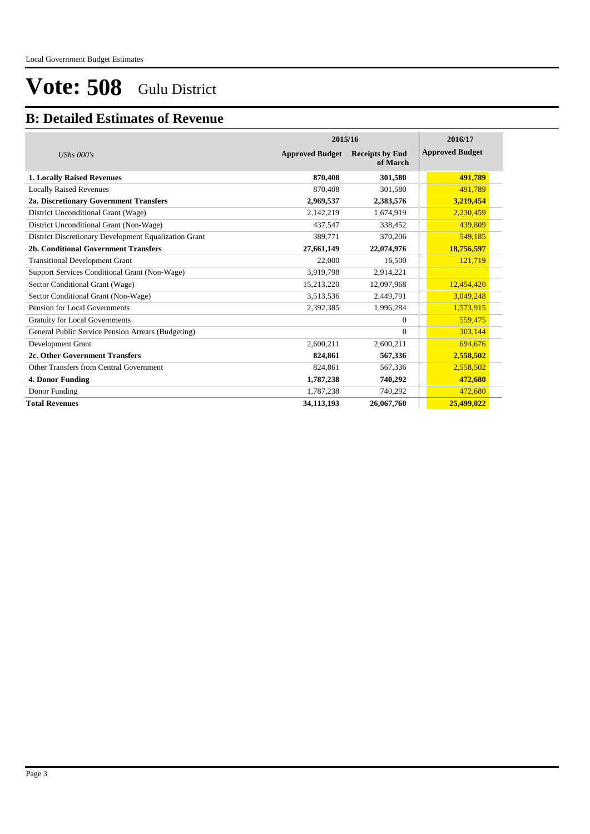### **B: Detailed Estimates of Revenue**

|                                                       |                        | 2015/16                            |                        |  |  |
|-------------------------------------------------------|------------------------|------------------------------------|------------------------|--|--|
| UShs $000's$                                          | <b>Approved Budget</b> | <b>Receipts by End</b><br>of March | <b>Approved Budget</b> |  |  |
| <b>1. Locally Raised Revenues</b>                     | 870,408                | 301,580                            | 491,789                |  |  |
| <b>Locally Raised Revenues</b>                        | 870,408                | 301.580                            | 491.789                |  |  |
| 2a. Discretionary Government Transfers                | 2,969,537              | 2,383,576                          | 3,219,454              |  |  |
| District Unconditional Grant (Wage)                   | 2,142,219              | 1,674,919                          | 2,230,459              |  |  |
| District Unconditional Grant (Non-Wage)               | 437,547                | 338,452                            | 439,809                |  |  |
| District Discretionary Development Equalization Grant | 389,771                | 370,206                            | 549,185                |  |  |
| 2b. Conditional Government Transfers                  | 27,661,149             | 22,074,976                         | 18,756,597             |  |  |
| <b>Transitional Development Grant</b>                 | 22,000                 | 16,500                             | 121,719                |  |  |
| Support Services Conditional Grant (Non-Wage)         | 3,919,798              | 2,914,221                          |                        |  |  |
| Sector Conditional Grant (Wage)                       | 15,213,220             | 12,097,968                         | 12,454,420             |  |  |
| Sector Conditional Grant (Non-Wage)                   | 3,513,536              | 2,449,791                          | 3,049,248              |  |  |
| Pension for Local Governments                         | 2,392,385              | 1,996,284                          | 1,573,915              |  |  |
| <b>Gratuity for Local Governments</b>                 |                        | $\Omega$                           | 559,475                |  |  |
| General Public Service Pension Arrears (Budgeting)    |                        | $\Omega$                           | 303,144                |  |  |
| Development Grant                                     | 2,600,211              | 2,600,211                          | 694,676                |  |  |
| 2c. Other Government Transfers                        | 824,861                | 567,336                            | 2,558,502              |  |  |
| Other Transfers from Central Government               | 824,861                | 567,336                            | 2,558,502              |  |  |
| 4. Donor Funding                                      | 1,787,238              | 740,292                            | 472,680                |  |  |
| Donor Funding                                         | 1,787,238              | 740,292                            | 472,680                |  |  |
| <b>Total Revenues</b>                                 | 34,113,193             | 26,067,760                         | 25,499,022             |  |  |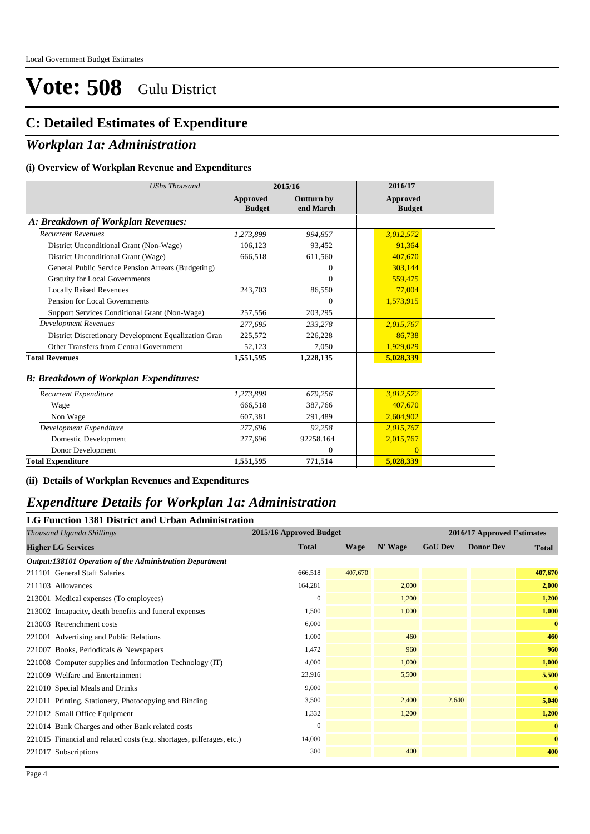### **C: Detailed Estimates of Expenditure**

### *Workplan 1a: Administration*

#### **(i) Overview of Workplan Revenue and Expenditures**

| <b>UShs Thousand</b>                                 | 2015/16                   |                                | 2016/17                          |
|------------------------------------------------------|---------------------------|--------------------------------|----------------------------------|
|                                                      | Approved<br><b>Budget</b> | <b>Outturn by</b><br>end March | <b>Approved</b><br><b>Budget</b> |
| A: Breakdown of Workplan Revenues:                   |                           |                                |                                  |
| <b>Recurrent Revenues</b>                            | 1,273,899                 | 994,857                        | 3,012,572                        |
| District Unconditional Grant (Non-Wage)              | 106,123                   | 93,452                         | 91,364                           |
| District Unconditional Grant (Wage)                  | 666,518                   | 611,560                        | 407,670                          |
| General Public Service Pension Arrears (Budgeting)   |                           | $\Omega$                       | 303,144                          |
| <b>Gratuity for Local Governments</b>                |                           | $\Omega$                       | 559,475                          |
| <b>Locally Raised Revenues</b>                       | 243,703                   | 86,550                         | 77,004                           |
| Pension for Local Governments                        |                           | $\Omega$                       | 1,573,915                        |
| Support Services Conditional Grant (Non-Wage)        | 257,556                   | 203,295                        |                                  |
| Development Revenues                                 | 277,695                   | 233,278                        | 2,015,767                        |
| District Discretionary Development Equalization Gran | 225,572                   | 226,228                        | 86,738                           |
| Other Transfers from Central Government              | 52,123                    | 7,050                          | 1,929,029                        |
| <b>Total Revenues</b>                                | 1,551,595                 | 1,228,135                      | 5,028,339                        |
| <b>B: Breakdown of Workplan Expenditures:</b>        |                           |                                |                                  |
| Recurrent Expenditure                                | 1,273,899                 | 679,256                        | 3,012,572                        |
| Wage                                                 | 666,518                   | 387,766                        | 407,670                          |
| Non Wage                                             | 607,381                   | 291,489                        | 2,604,902                        |
| Development Expenditure                              | 277.696                   | 92,258                         | 2,015,767                        |
| Domestic Development                                 | 277,696                   | 92258.164                      | 2,015,767                        |
| Donor Development                                    |                           | $\mathbf{0}$                   | $\overline{0}$                   |
| <b>Total Expenditure</b>                             | 1,551,595                 | 771,514                        | 5,028,339                        |

#### **(ii) Details of Workplan Revenues and Expenditures**

### *Expenditure Details for Workplan 1a: Administration*

### **LG Function 1381 District and Urban Administration**

| Thousand Uganda Shillings                                             |              | 2015/16 Approved Budget |         |                | 2016/17 Approved Estimates |              |  |  |
|-----------------------------------------------------------------------|--------------|-------------------------|---------|----------------|----------------------------|--------------|--|--|
| <b>Higher LG Services</b>                                             | <b>Total</b> | <b>Wage</b>             | N' Wage | <b>GoU Dev</b> | <b>Donor Dev</b>           | <b>Total</b> |  |  |
| Output:138101 Operation of the Administration Department              |              |                         |         |                |                            |              |  |  |
| 211101 General Staff Salaries                                         | 666,518      | 407,670                 |         |                |                            | 407,670      |  |  |
| 211103 Allowances                                                     | 164,281      |                         | 2,000   |                |                            | 2,000        |  |  |
| 213001 Medical expenses (To employees)                                | $\left($     |                         | 1,200   |                |                            | 1,200        |  |  |
| 213002 Incapacity, death benefits and funeral expenses                | 1,500        |                         | 1,000   |                |                            | 1,000        |  |  |
| 213003 Retrenchment costs                                             | 6,000        |                         |         |                |                            | $\bf{0}$     |  |  |
| 221001 Advertising and Public Relations                               | 1,000        |                         | 460     |                |                            | 460          |  |  |
| 221007 Books, Periodicals & Newspapers                                | 1,472        |                         | 960     |                |                            | 960          |  |  |
| 221008 Computer supplies and Information Technology (IT)              | 4,000        |                         | 1,000   |                |                            | 1,000        |  |  |
| 221009 Welfare and Entertainment                                      | 23,916       |                         | 5,500   |                |                            | 5,500        |  |  |
| 221010 Special Meals and Drinks                                       | 9,000        |                         |         |                |                            | $\bf{0}$     |  |  |
| 221011 Printing, Stationery, Photocopying and Binding                 | 3,500        |                         | 2,400   | 2,640          |                            | 5,040        |  |  |
| 221012 Small Office Equipment                                         | 1,332        |                         | 1,200   |                |                            | 1,200        |  |  |
| 221014 Bank Charges and other Bank related costs                      | $\left($     |                         |         |                |                            | $\bf{0}$     |  |  |
| 221015 Financial and related costs (e.g. shortages, pilferages, etc.) | 14,000       |                         |         |                |                            | $\bf{0}$     |  |  |
| 221017 Subscriptions                                                  | 300          |                         | 400     |                |                            | 400          |  |  |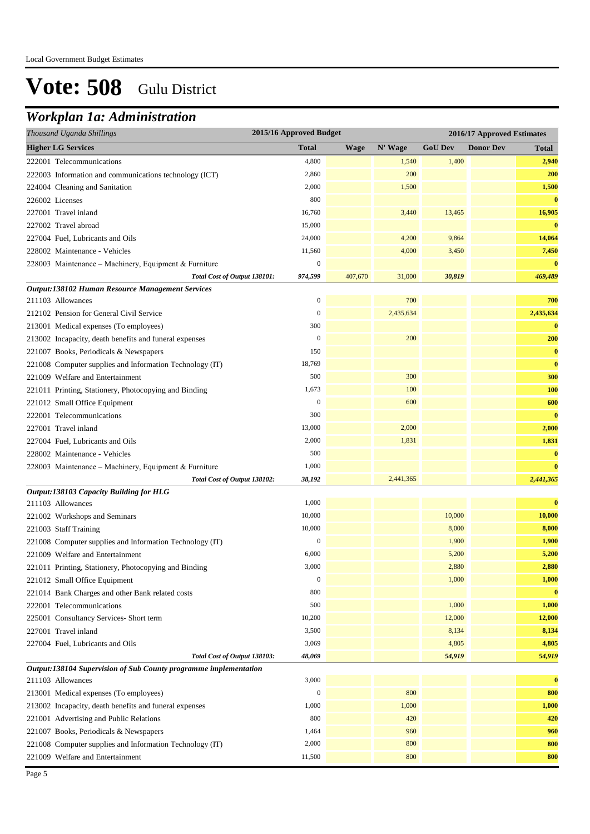### *Workplan 1a: Administration*

| Thousand Uganda Shillings                                        | 2015/16 Approved Budget<br>2016/17 Approved Estimates |             |           |                |                  |           |
|------------------------------------------------------------------|-------------------------------------------------------|-------------|-----------|----------------|------------------|-----------|
| <b>Higher LG Services</b>                                        | <b>Total</b>                                          | <b>Wage</b> | N' Wage   | <b>GoU</b> Dev | <b>Donor Dev</b> | Total     |
| 222001 Telecommunications                                        | 4,800                                                 |             | 1,540     | 1,400          |                  | 2,940     |
| 222003 Information and communications technology (ICT)           | 2,860                                                 |             | 200       |                |                  | 200       |
| 224004 Cleaning and Sanitation                                   | 2,000                                                 |             | 1,500     |                |                  | 1,500     |
| 226002 Licenses                                                  | 800                                                   |             |           |                |                  | $\bf{0}$  |
| 227001 Travel inland                                             | 16,760                                                |             | 3,440     | 13,465         |                  | 16,905    |
| 227002 Travel abroad                                             | 15,000                                                |             |           |                |                  | $\bf{0}$  |
| 227004 Fuel, Lubricants and Oils                                 | 24,000                                                |             | 4,200     | 9,864          |                  | 14,064    |
| 228002 Maintenance - Vehicles                                    | 11,560                                                |             | 4,000     | 3,450          |                  | 7,450     |
| 228003 Maintenance - Machinery, Equipment & Furniture            | $\mathbf{0}$                                          |             |           |                |                  | $\bf{0}$  |
| Total Cost of Output 138101:                                     | 974,599                                               | 407,670     | 31,000    | 30,819         |                  | 469,489   |
| Output:138102 Human Resource Management Services                 |                                                       |             |           |                |                  |           |
| 211103 Allowances                                                | $\mathbf{0}$                                          |             | 700       |                |                  | 700       |
| 212102 Pension for General Civil Service                         | $\mathbf{0}$                                          |             | 2,435,634 |                |                  | 2,435,634 |
| 213001 Medical expenses (To employees)                           | 300                                                   |             |           |                |                  | $\bf{0}$  |
| 213002 Incapacity, death benefits and funeral expenses           | $\boldsymbol{0}$                                      |             | 200       |                |                  | 200       |
| 221007 Books, Periodicals & Newspapers                           | 150                                                   |             |           |                |                  | $\bf{0}$  |
| 221008 Computer supplies and Information Technology (IT)         | 18,769                                                |             |           |                |                  | $\bf{0}$  |
| 221009 Welfare and Entertainment                                 | 500                                                   |             | 300       |                |                  | 300       |
| 221011 Printing, Stationery, Photocopying and Binding            | 1,673                                                 |             | 100       |                |                  | 100       |
| 221012 Small Office Equipment                                    | $\mathbf{0}$                                          |             | 600       |                |                  | 600       |
| 222001 Telecommunications                                        | 300                                                   |             |           |                |                  | $\bf{0}$  |
| 227001 Travel inland                                             | 13,000                                                |             | 2,000     |                |                  | 2,000     |
| 227004 Fuel, Lubricants and Oils                                 | 2,000                                                 |             | 1,831     |                |                  | 1,831     |
| 228002 Maintenance - Vehicles                                    | 500                                                   |             |           |                |                  | $\bf{0}$  |
| 228003 Maintenance - Machinery, Equipment & Furniture            | 1,000                                                 |             |           |                |                  | $\bf{0}$  |
| Total Cost of Output 138102:                                     | 38,192                                                |             | 2,441,365 |                |                  | 2,441,365 |
| Output:138103 Capacity Building for HLG                          |                                                       |             |           |                |                  |           |
| 211103 Allowances                                                | 1,000                                                 |             |           |                |                  | $\bf{0}$  |
| 221002 Workshops and Seminars                                    | 10,000                                                |             |           | 10,000         |                  | 10,000    |
| 221003 Staff Training                                            | 10,000                                                |             |           | 8,000          |                  | 8,000     |
| 221008 Computer supplies and Information Technology (IT)         | $\boldsymbol{0}$                                      |             |           | 1,900          |                  | 1,900     |
| 221009 Welfare and Entertainment                                 | 6,000                                                 |             |           | 5,200          |                  | 5,200     |
| 221011 Printing, Stationery, Photocopying and Binding            | 3,000                                                 |             |           | 2,880          |                  | 2,880     |
| 221012 Small Office Equipment                                    | $\boldsymbol{0}$                                      |             |           | 1,000          |                  | 1,000     |
| 221014 Bank Charges and other Bank related costs                 | 800                                                   |             |           |                |                  | $\bf{0}$  |
| 222001 Telecommunications                                        | 500                                                   |             |           | 1,000          |                  | 1,000     |
| 225001 Consultancy Services- Short term                          | 10,200                                                |             |           | 12,000         |                  | 12,000    |
| 227001 Travel inland                                             | 3,500                                                 |             |           | 8,134          |                  | 8,134     |
| 227004 Fuel, Lubricants and Oils                                 | 3,069                                                 |             |           | 4,805          |                  | 4,805     |
| Total Cost of Output 138103:                                     | 48,069                                                |             |           | 54,919         |                  | 54,919    |
| Output:138104 Supervision of Sub County programme implementation |                                                       |             |           |                |                  |           |
| 211103 Allowances                                                | 3,000                                                 |             |           |                |                  | $\bf{0}$  |
| 213001 Medical expenses (To employees)                           | $\boldsymbol{0}$                                      |             | 800       |                |                  | 800       |
| 213002 Incapacity, death benefits and funeral expenses           | 1,000                                                 |             | 1,000     |                |                  | 1,000     |
| 221001 Advertising and Public Relations                          | 800                                                   |             | 420       |                |                  | 420       |
| 221007 Books, Periodicals & Newspapers                           | 1,464                                                 |             | 960       |                |                  | 960       |
| 221008 Computer supplies and Information Technology (IT)         | 2,000                                                 |             | 800       |                |                  | 800       |
| 221009 Welfare and Entertainment                                 | 11,500                                                |             | 800       |                |                  | 800       |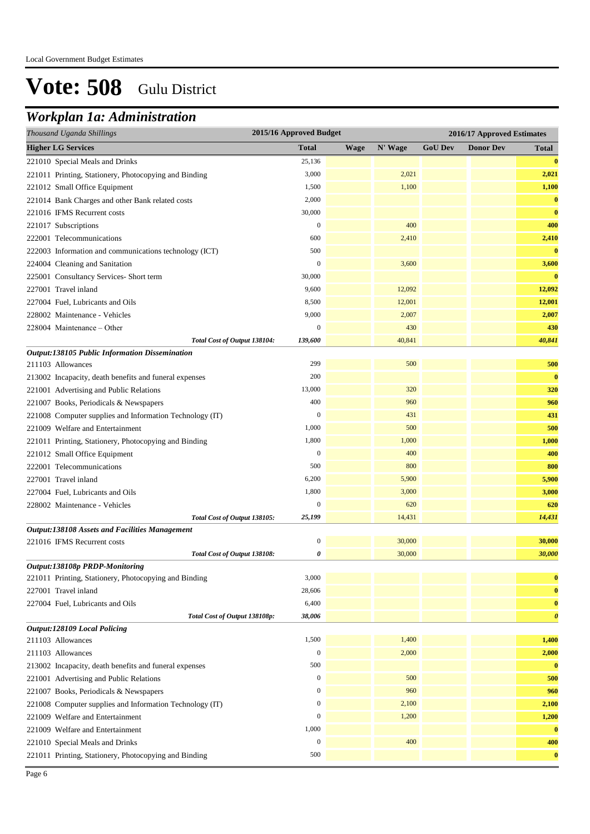## *Workplan 1a: Administration*

| Thousand Uganda Shillings                                | 2015/16 Approved Budget |             |         |                | 2016/17 Approved Estimates |                       |
|----------------------------------------------------------|-------------------------|-------------|---------|----------------|----------------------------|-----------------------|
| <b>Higher LG Services</b>                                | <b>Total</b>            | <b>Wage</b> | N' Wage | <b>GoU Dev</b> | <b>Donor Dev</b>           | Total                 |
| 221010 Special Meals and Drinks                          | 25,136                  |             |         |                |                            | $\bf{0}$              |
| 221011 Printing, Stationery, Photocopying and Binding    | 3,000                   |             | 2,021   |                |                            | 2,021                 |
| 221012 Small Office Equipment                            | 1,500                   |             | 1,100   |                |                            | 1,100                 |
| 221014 Bank Charges and other Bank related costs         | 2,000                   |             |         |                |                            | $\bf{0}$              |
| 221016 IFMS Recurrent costs                              | 30,000                  |             |         |                |                            | $\bf{0}$              |
| 221017 Subscriptions                                     | $\boldsymbol{0}$        |             | 400     |                |                            | 400                   |
| 222001 Telecommunications                                | 600                     |             | 2,410   |                |                            | 2,410                 |
| 222003 Information and communications technology (ICT)   | 500                     |             |         |                |                            | $\bf{0}$              |
| 224004 Cleaning and Sanitation                           | $\boldsymbol{0}$        |             | 3,600   |                |                            | 3,600                 |
| 225001 Consultancy Services- Short term                  | 30,000                  |             |         |                |                            | $\bf{0}$              |
| 227001 Travel inland                                     | 9,600                   |             | 12,092  |                |                            | 12,092                |
| 227004 Fuel, Lubricants and Oils                         | 8,500                   |             | 12,001  |                |                            | 12,001                |
| 228002 Maintenance - Vehicles                            | 9,000                   |             | 2,007   |                |                            | 2,007                 |
| 228004 Maintenance – Other                               | $\boldsymbol{0}$        |             | 430     |                |                            | 430                   |
| Total Cost of Output 138104:                             | 139,600                 |             | 40,841  |                |                            | 40,841                |
| Output:138105 Public Information Dissemination           |                         |             |         |                |                            |                       |
| 211103 Allowances                                        | 299                     |             | 500     |                |                            | 500                   |
| 213002 Incapacity, death benefits and funeral expenses   | 200                     |             |         |                |                            | $\bf{0}$              |
| 221001 Advertising and Public Relations                  | 13,000                  |             | 320     |                |                            | 320                   |
| 221007 Books, Periodicals & Newspapers                   | 400                     |             | 960     |                |                            | 960                   |
| 221008 Computer supplies and Information Technology (IT) | $\boldsymbol{0}$        |             | 431     |                |                            | 431                   |
| 221009 Welfare and Entertainment                         | 1,000                   |             | 500     |                |                            | 500                   |
| 221011 Printing, Stationery, Photocopying and Binding    | 1,800                   |             | 1,000   |                |                            | 1,000                 |
| 221012 Small Office Equipment                            | $\boldsymbol{0}$        |             | 400     |                |                            | 400                   |
| 222001 Telecommunications                                | 500                     |             | 800     |                |                            | 800                   |
| 227001 Travel inland                                     | 6,200                   |             | 5,900   |                |                            | 5,900                 |
| 227004 Fuel, Lubricants and Oils                         | 1,800                   |             | 3,000   |                |                            | 3,000                 |
| 228002 Maintenance - Vehicles                            | $\boldsymbol{0}$        |             | 620     |                |                            | 620                   |
| Total Cost of Output 138105:                             | 25,199                  |             | 14,431  |                |                            | 14,431                |
| <b>Output:138108 Assets and Facilities Management</b>    |                         |             |         |                |                            |                       |
| 221016 IFMS Recurrent costs                              | $\boldsymbol{0}$        |             | 30,000  |                |                            | 30,000                |
| Total Cost of Output 138108:                             | 0                       |             | 30,000  |                |                            | 30,000                |
| Output:138108p PRDP-Monitoring                           |                         |             |         |                |                            |                       |
| 221011 Printing, Stationery, Photocopying and Binding    | 3,000                   |             |         |                |                            | $\bf{0}$              |
| 227001 Travel inland                                     | 28,606                  |             |         |                |                            | $\bf{0}$              |
| 227004 Fuel, Lubricants and Oils                         | 6,400                   |             |         |                |                            | $\bf{0}$              |
| Total Cost of Output 138108p:                            | 38,006                  |             |         |                |                            | $\boldsymbol{\theta}$ |
| <b>Output:128109 Local Policing</b>                      |                         |             |         |                |                            |                       |
| 211103 Allowances                                        | 1,500                   |             | 1,400   |                |                            | 1,400                 |
| 211103 Allowances                                        | $\boldsymbol{0}$        |             | 2,000   |                |                            | 2,000                 |
| 213002 Incapacity, death benefits and funeral expenses   | 500                     |             |         |                |                            | $\bf{0}$              |
| 221001 Advertising and Public Relations                  | $\boldsymbol{0}$        |             | 500     |                |                            | 500                   |
| 221007 Books, Periodicals & Newspapers                   | $\boldsymbol{0}$        |             | 960     |                |                            | 960                   |
| 221008 Computer supplies and Information Technology (IT) | $\boldsymbol{0}$        |             | 2,100   |                |                            | 2,100                 |
| 221009 Welfare and Entertainment                         | $\boldsymbol{0}$        |             | 1,200   |                |                            | 1,200                 |
| 221009 Welfare and Entertainment                         | 1,000                   |             |         |                |                            | $\bf{0}$              |
| 221010 Special Meals and Drinks                          | $\boldsymbol{0}$        |             | 400     |                |                            | 400                   |
| 221011 Printing, Stationery, Photocopying and Binding    | 500                     |             |         |                |                            | $\bf{0}$              |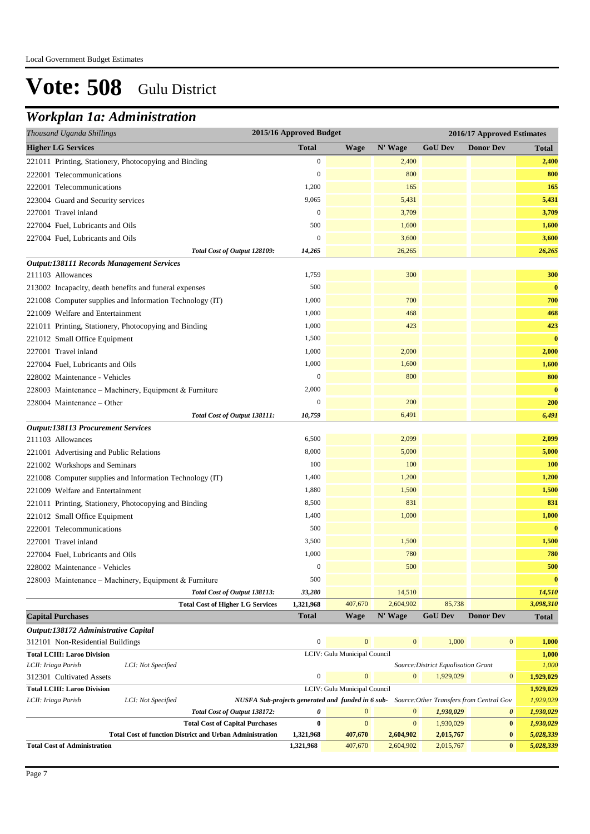## *Workplan 1a: Administration*

| Thousand Uganda Shillings                                                 | 2015/16 Approved Budget                                                                         |                              |              |                                     | 2016/17 Approved Estimates |                        |
|---------------------------------------------------------------------------|-------------------------------------------------------------------------------------------------|------------------------------|--------------|-------------------------------------|----------------------------|------------------------|
| <b>Higher LG Services</b>                                                 | <b>Total</b>                                                                                    | <b>Wage</b>                  | N' Wage      | <b>GoU Dev</b>                      | <b>Donor Dev</b>           | Total                  |
| 221011 Printing, Stationery, Photocopying and Binding                     | $\boldsymbol{0}$                                                                                |                              | 2,400        |                                     |                            | 2,400                  |
| 222001 Telecommunications                                                 | 0                                                                                               |                              | 800          |                                     |                            | 800                    |
| 222001 Telecommunications                                                 | 1,200                                                                                           |                              | 165          |                                     |                            | 165                    |
| 223004 Guard and Security services                                        | 9,065                                                                                           |                              | 5,431        |                                     |                            | 5,431                  |
| 227001 Travel inland                                                      | $\boldsymbol{0}$                                                                                |                              | 3,709        |                                     |                            | 3,709                  |
| 227004 Fuel, Lubricants and Oils                                          | 500                                                                                             |                              | 1,600        |                                     |                            | 1,600                  |
| 227004 Fuel, Lubricants and Oils                                          | $\mathbf{0}$                                                                                    |                              | 3,600        |                                     |                            | 3,600                  |
| Total Cost of Output 128109:                                              | 14,265                                                                                          |                              | 26,265       |                                     |                            | 26,265                 |
| <b>Output:138111 Records Management Services</b>                          |                                                                                                 |                              |              |                                     |                            |                        |
| 211103 Allowances                                                         | 1,759                                                                                           |                              | 300          |                                     |                            | 300                    |
| 213002 Incapacity, death benefits and funeral expenses                    | 500                                                                                             |                              |              |                                     |                            | $\bf{0}$               |
| 221008 Computer supplies and Information Technology (IT)                  | 1,000                                                                                           |                              | 700          |                                     |                            | 700                    |
| 221009 Welfare and Entertainment                                          | 1,000                                                                                           |                              | 468          |                                     |                            | 468                    |
| 221011 Printing, Stationery, Photocopying and Binding                     | 1,000                                                                                           |                              | 423          |                                     |                            | 423                    |
| 221012 Small Office Equipment                                             | 1,500                                                                                           |                              |              |                                     |                            | $\bf{0}$               |
| 227001 Travel inland                                                      | 1,000                                                                                           |                              | 2,000        |                                     |                            | 2,000                  |
| 227004 Fuel, Lubricants and Oils                                          | 1,000                                                                                           |                              | 1,600        |                                     |                            | 1,600                  |
| 228002 Maintenance - Vehicles                                             | $\boldsymbol{0}$                                                                                |                              | 800          |                                     |                            | 800                    |
| 228003 Maintenance - Machinery, Equipment & Furniture                     | 2,000                                                                                           |                              |              |                                     |                            | $\bf{0}$               |
| 228004 Maintenance - Other                                                | $\boldsymbol{0}$                                                                                |                              | 200          |                                     |                            | 200                    |
| Total Cost of Output 138111:                                              | 10,759                                                                                          |                              | 6,491        |                                     |                            | 6,491                  |
| <b>Output:138113 Procurement Services</b>                                 |                                                                                                 |                              |              |                                     |                            |                        |
| 211103 Allowances                                                         | 6,500                                                                                           |                              | 2,099        |                                     |                            | 2,099                  |
| 221001 Advertising and Public Relations                                   | 8,000                                                                                           |                              | 5,000        |                                     |                            | 5,000                  |
| 221002 Workshops and Seminars                                             | 100                                                                                             |                              | 100          |                                     |                            | 100                    |
| 221008 Computer supplies and Information Technology (IT)                  | 1,400                                                                                           |                              | 1,200        |                                     |                            | 1,200                  |
| 221009 Welfare and Entertainment                                          | 1,880                                                                                           |                              | 1,500        |                                     |                            | 1,500                  |
| 221011 Printing, Stationery, Photocopying and Binding                     | 8,500                                                                                           |                              | 831          |                                     |                            | 831                    |
| 221012 Small Office Equipment                                             | 1,400                                                                                           |                              | 1,000        |                                     |                            | 1,000                  |
| 222001 Telecommunications                                                 | 500                                                                                             |                              |              |                                     |                            | $\bf{0}$               |
| 227001 Travel inland                                                      | 3,500                                                                                           |                              | 1,500        |                                     |                            | 1,500                  |
| 227004 Fuel, Lubricants and Oils                                          | 1,000                                                                                           |                              | 780          |                                     |                            | 780                    |
| 228002 Maintenance - Vehicles                                             | $\bf{0}$                                                                                        |                              | 500          |                                     |                            | 500                    |
| 228003 Maintenance – Machinery, Equipment & Furniture                     | 500                                                                                             |                              |              |                                     |                            | $\bf{0}$               |
| Total Cost of Output 138113:                                              | 33,280                                                                                          |                              | 14,510       |                                     |                            | 14,510                 |
| <b>Total Cost of Higher LG Services</b>                                   | 1,321,968                                                                                       | 407,670                      | 2,604,902    | 85,738                              |                            | 3,098,310              |
| <b>Capital Purchases</b>                                                  | <b>Total</b>                                                                                    | <b>Wage</b>                  | N' Wage      | <b>GoU Dev</b>                      | <b>Donor Dev</b>           | <b>Total</b>           |
| Output:138172 Administrative Capital                                      |                                                                                                 |                              |              |                                     |                            |                        |
| 312101 Non-Residential Buildings                                          | $\boldsymbol{0}$                                                                                | $\mathbf{0}$                 | $\mathbf{0}$ | 1,000                               | $\boldsymbol{0}$           | 1,000                  |
| <b>Total LCIII: Laroo Division</b>                                        |                                                                                                 | LCIV: Gulu Municipal Council |              |                                     |                            | 1,000                  |
| LCII: Iriaga Parish<br>LCI: Not Specified                                 |                                                                                                 |                              |              | Source: District Equalisation Grant |                            | 1,000                  |
| 312301 Cultivated Assets                                                  | $\boldsymbol{0}$                                                                                | $\mathbf{0}$                 | $\mathbf{0}$ | 1,929,029                           | $\boldsymbol{0}$           | 1,929,029              |
| <b>Total LCIII: Laroo Division</b>                                        |                                                                                                 | LCIV: Gulu Municipal Council |              |                                     |                            | 1,929,029              |
| LCI: Not Specified<br>LCII: Iriaga Parish<br>Total Cost of Output 138172: | NUSFA Sub-projects generated and funded in 6 sub- Source: Other Transfers from Central Gov<br>0 | $\mathbf{0}$                 | $\mathbf{0}$ | 1,930,029                           | $\pmb{\theta}$             | 1,929,029<br>1,930,029 |
| <b>Total Cost of Capital Purchases</b>                                    | $\bf{0}$                                                                                        | $\mathbf{0}$                 | $\mathbf{0}$ | 1,930,029                           | $\bf{0}$                   | 1,930,029              |
| <b>Total Cost of function District and Urban Administration</b>           | 1,321,968                                                                                       | 407,670                      | 2,604,902    | 2,015,767                           | $\bf{0}$                   | 5,028,339              |

**Total Cost of Administration 1,321,968** 407,670 2,604,902 2,015,767 **0** *5,028,339*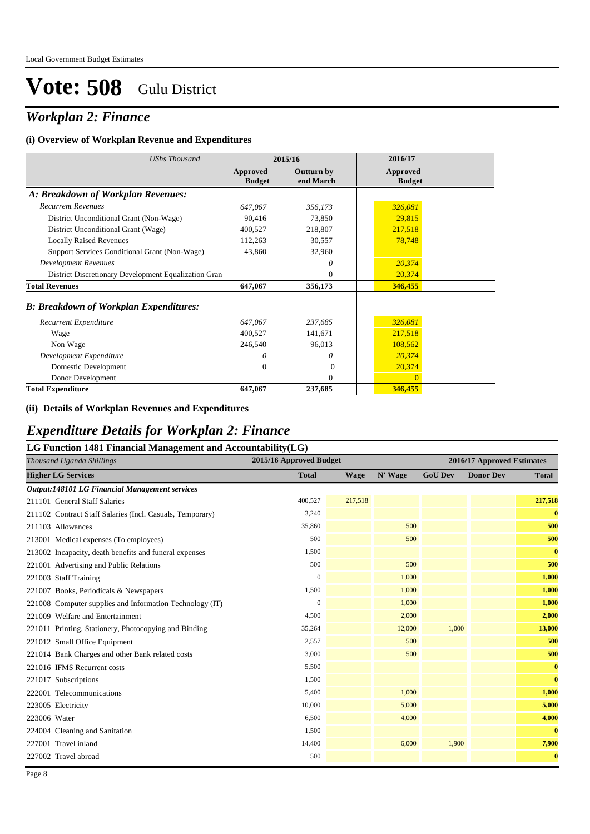## *Workplan 2: Finance*

#### **(i) Overview of Workplan Revenue and Expenditures**

| <b>UShs Thousand</b>                                 |                           | 2015/16                        | 2016/17                   |
|------------------------------------------------------|---------------------------|--------------------------------|---------------------------|
|                                                      | Approved<br><b>Budget</b> | <b>Outturn by</b><br>end March | Approved<br><b>Budget</b> |
| A: Breakdown of Workplan Revenues:                   |                           |                                |                           |
| <b>Recurrent Revenues</b>                            | 647,067                   | 356,173                        | 326,081                   |
| District Unconditional Grant (Non-Wage)              | 90,416                    | 73,850                         | 29,815                    |
| District Unconditional Grant (Wage)                  | 400,527                   | 218,807                        | 217,518                   |
| <b>Locally Raised Revenues</b>                       | 112,263                   | 30,557                         | 78,748                    |
| Support Services Conditional Grant (Non-Wage)        | 43,860                    | 32,960                         |                           |
| <b>Development Revenues</b>                          |                           | 0                              | 20,374                    |
| District Discretionary Development Equalization Gran |                           | $\theta$                       | 20,374                    |
| <b>Total Revenues</b>                                | 647,067                   | 356,173                        | 346,455                   |
| <b>B: Breakdown of Workplan Expenditures:</b>        |                           |                                |                           |
| Recurrent Expenditure                                | 647,067                   | 237,685                        | 326,081                   |
| Wage                                                 | 400,527                   | 141,671                        | 217,518                   |
| Non Wage                                             | 246,540                   | 96,013                         | 108,562                   |
| Development Expenditure                              | 0                         | 0                              | 20,374                    |
| Domestic Development                                 | $\Omega$                  | $\Omega$                       | 20,374                    |
| Donor Development                                    |                           | 0                              | $\mathbf{0}$              |
| <b>Total Expenditure</b>                             | 647,067                   | 237,685                        | 346,455                   |

#### **(ii) Details of Workplan Revenues and Expenditures**

### *Expenditure Details for Workplan 2: Finance*

| LG Function 1481 Financial Management and Accountability(LG) |                         |             |         |                |                            |              |  |  |
|--------------------------------------------------------------|-------------------------|-------------|---------|----------------|----------------------------|--------------|--|--|
| Thousand Uganda Shillings                                    | 2015/16 Approved Budget |             |         |                | 2016/17 Approved Estimates |              |  |  |
| <b>Higher LG Services</b>                                    | <b>Total</b>            | <b>Wage</b> | N' Wage | <b>GoU Dev</b> | <b>Donor Dev</b>           | Total        |  |  |
| <b>Output:148101 LG Financial Management services</b>        |                         |             |         |                |                            |              |  |  |
| 211101 General Staff Salaries                                | 400,527                 | 217,518     |         |                |                            | 217,518      |  |  |
| 211102 Contract Staff Salaries (Incl. Casuals, Temporary)    | 3,240                   |             |         |                |                            | $\bf{0}$     |  |  |
| 211103 Allowances                                            | 35,860                  |             | 500     |                |                            | 500          |  |  |
| 213001 Medical expenses (To employees)                       | 500                     |             | 500     |                |                            | 500          |  |  |
| 213002 Incapacity, death benefits and funeral expenses       | 1,500                   |             |         |                |                            | $\bf{0}$     |  |  |
| 221001 Advertising and Public Relations                      | 500                     |             | 500     |                |                            | 500          |  |  |
| 221003 Staff Training                                        | $\mathbf{0}$            |             | 1,000   |                |                            | 1,000        |  |  |
| 221007 Books, Periodicals & Newspapers                       | 1,500                   |             | 1,000   |                |                            | 1,000        |  |  |
| 221008 Computer supplies and Information Technology (IT)     | $\mathbf{0}$            |             | 1,000   |                |                            | 1,000        |  |  |
| 221009 Welfare and Entertainment                             | 4,500                   |             | 2,000   |                |                            | 2,000        |  |  |
| 221011 Printing, Stationery, Photocopying and Binding        | 35,264                  |             | 12,000  | 1,000          |                            | 13,000       |  |  |
| 221012 Small Office Equipment                                | 2,557                   |             | 500     |                |                            | 500          |  |  |
| 221014 Bank Charges and other Bank related costs             | 3,000                   |             | 500     |                |                            | 500          |  |  |
| 221016 IFMS Recurrent costs                                  | 5,500                   |             |         |                |                            | $\mathbf{0}$ |  |  |
| 221017 Subscriptions                                         | 1,500                   |             |         |                |                            | $\bf{0}$     |  |  |
| 222001 Telecommunications                                    | 5,400                   |             | 1,000   |                |                            | 1,000        |  |  |
| 223005 Electricity                                           | 10,000                  |             | 5,000   |                |                            | 5,000        |  |  |
| 223006 Water                                                 | 6,500                   |             | 4,000   |                |                            | 4,000        |  |  |
| 224004 Cleaning and Sanitation                               | 1,500                   |             |         |                |                            | $\bf{0}$     |  |  |
| 227001 Travel inland                                         | 14,400                  |             | 6,000   | 1,900          |                            | 7,900        |  |  |
| 227002 Travel abroad                                         | 500                     |             |         |                |                            | $\bf{0}$     |  |  |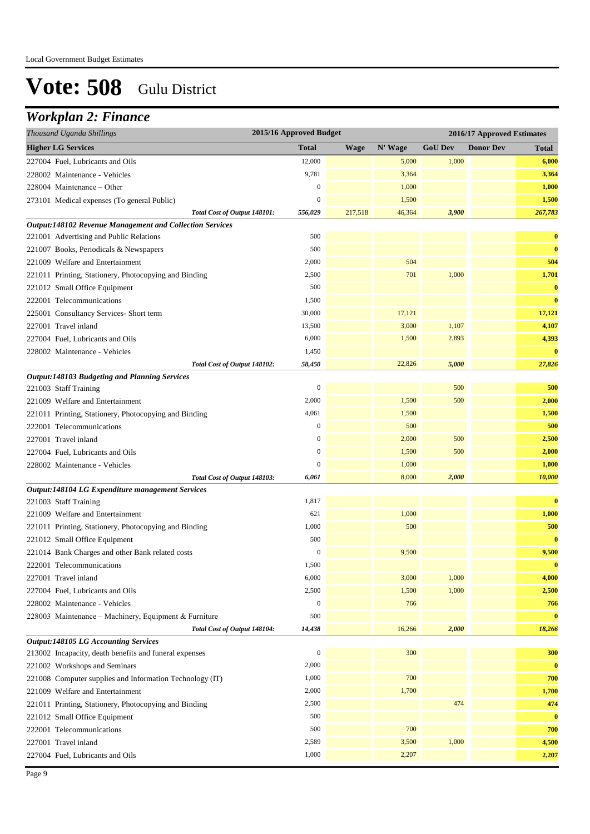## *Workplan 2: Finance*

| Thousand Uganda Shillings                                       | 2015/16 Approved Budget<br>2016/17 Approved Estimates |             |         |                |                  |              |
|-----------------------------------------------------------------|-------------------------------------------------------|-------------|---------|----------------|------------------|--------------|
| <b>Higher LG Services</b>                                       | <b>Total</b>                                          | <b>Wage</b> | N' Wage | <b>GoU Dev</b> | <b>Donor Dev</b> | <b>Total</b> |
| 227004 Fuel, Lubricants and Oils                                | 12,000                                                |             | 5,000   | 1,000          |                  | 6,000        |
| 228002 Maintenance - Vehicles                                   | 9,781                                                 |             | 3,364   |                |                  | 3,364        |
| $228004$ Maintenance – Other                                    | $\boldsymbol{0}$                                      |             | 1,000   |                |                  | 1,000        |
| 273101 Medical expenses (To general Public)                     | $\boldsymbol{0}$                                      |             | 1,500   |                |                  | 1,500        |
| Total Cost of Output 148101:                                    | 556,029                                               | 217,518     | 46,364  | 3,900          |                  | 267,783      |
| <b>Output:148102 Revenue Management and Collection Services</b> |                                                       |             |         |                |                  |              |
| 221001 Advertising and Public Relations                         | 500                                                   |             |         |                |                  | $\bf{0}$     |
| 221007 Books, Periodicals & Newspapers                          | 500                                                   |             |         |                |                  | $\bf{0}$     |
| 221009 Welfare and Entertainment                                | 2,000                                                 |             | 504     |                |                  | 504          |
| 221011 Printing, Stationery, Photocopying and Binding           | 2,500                                                 |             | 701     | 1,000          |                  | 1,701        |
| 221012 Small Office Equipment                                   | 500                                                   |             |         |                |                  | $\bf{0}$     |
| 222001 Telecommunications                                       | 1,500                                                 |             |         |                |                  | $\bf{0}$     |
| 225001 Consultancy Services- Short term                         | 30,000                                                |             | 17,121  |                |                  | 17,121       |
| 227001 Travel inland                                            | 13,500                                                |             | 3,000   | 1,107          |                  | 4,107        |
| 227004 Fuel, Lubricants and Oils                                | 6,000                                                 |             | 1,500   | 2,893          |                  | 4,393        |
| 228002 Maintenance - Vehicles                                   | 1,450                                                 |             |         |                |                  | $\bf{0}$     |
| Total Cost of Output 148102:                                    | 58,450                                                |             | 22,826  | 5,000          |                  | 27,826       |
| <b>Output:148103 Budgeting and Planning Services</b>            |                                                       |             |         |                |                  |              |
| 221003 Staff Training                                           | $\boldsymbol{0}$                                      |             |         | 500            |                  | 500          |
| 221009 Welfare and Entertainment                                | 2,000                                                 |             | 1,500   | 500            |                  | 2,000        |
| 221011 Printing, Stationery, Photocopying and Binding           | 4,061                                                 |             | 1,500   |                |                  | 1,500        |
| 222001 Telecommunications                                       | $\mathbf{0}$                                          |             | 500     |                |                  | 500          |
| 227001 Travel inland                                            | $\mathbf{0}$                                          |             | 2,000   | 500            |                  | 2,500        |
| 227004 Fuel, Lubricants and Oils                                | $\mathbf{0}$                                          |             | 1,500   | 500            |                  | 2,000        |
| 228002 Maintenance - Vehicles                                   | $\mathbf{0}$                                          |             | 1,000   |                |                  | 1,000        |
| Total Cost of Output 148103:                                    | 6,061                                                 |             | 8,000   | 2,000          |                  | 10,000       |
| Output:148104 LG Expenditure management Services                |                                                       |             |         |                |                  |              |
| 221003 Staff Training                                           | 1,817                                                 |             |         |                |                  | $\bf{0}$     |
| 221009 Welfare and Entertainment                                | 621                                                   |             | 1,000   |                |                  | 1,000        |
| 221011 Printing, Stationery, Photocopying and Binding           | 1,000                                                 |             | 500     |                |                  | 500          |
| 221012 Small Office Equipment                                   | 500                                                   |             |         |                |                  | $\bf{0}$     |
| 221014 Bank Charges and other Bank related costs                | $\mathbf{0}$                                          |             | 9,500   |                |                  | 9,500        |
| 222001 Telecommunications                                       | 1,500                                                 |             |         |                |                  | $\bf{0}$     |
| 227001 Travel inland                                            | 6,000                                                 |             | 3,000   | 1,000          |                  | 4,000        |
| 227004 Fuel, Lubricants and Oils                                | 2,500                                                 |             | 1,500   | 1,000          |                  | 2,500        |
| 228002 Maintenance - Vehicles                                   | $\mathbf{0}$                                          |             | 766     |                |                  | 766          |
| 228003 Maintenance - Machinery, Equipment & Furniture           | 500                                                   |             |         |                |                  | $\bf{0}$     |
| Total Cost of Output 148104:                                    | 14,438                                                |             | 16,266  | 2,000          |                  | 18,266       |
| <b>Output:148105 LG Accounting Services</b>                     |                                                       |             |         |                |                  |              |
| 213002 Incapacity, death benefits and funeral expenses          | $\boldsymbol{0}$                                      |             | 300     |                |                  | 300          |
| 221002 Workshops and Seminars                                   | 2,000                                                 |             |         |                |                  | $\bf{0}$     |
| 221008 Computer supplies and Information Technology (IT)        | 1,000                                                 |             | 700     |                |                  | 700          |
| 221009 Welfare and Entertainment                                | 2,000                                                 |             | 1,700   |                |                  | 1,700        |
| 221011 Printing, Stationery, Photocopying and Binding           | 2,500                                                 |             |         | 474            |                  | 474          |
| 221012 Small Office Equipment                                   | 500                                                   |             |         |                |                  | $\bf{0}$     |
| 222001 Telecommunications                                       | 500                                                   |             | 700     |                |                  | 700          |
| 227001 Travel inland                                            | 2,589                                                 |             | 3,500   | 1,000          |                  | 4,500        |
| 227004 Fuel, Lubricants and Oils                                | 1,000                                                 |             | 2,207   |                |                  | 2,207        |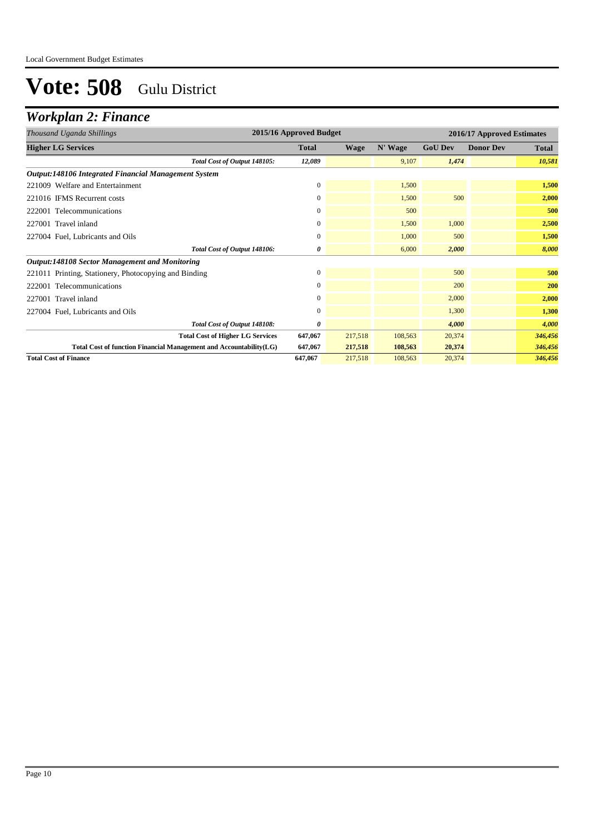## *Workplan 2: Finance*

| Thousand Uganda Shillings                                          | 2015/16 Approved Budget |             |         |                | 2016/17 Approved Estimates |              |  |
|--------------------------------------------------------------------|-------------------------|-------------|---------|----------------|----------------------------|--------------|--|
| <b>Higher LG Services</b>                                          | <b>Total</b>            | <b>Wage</b> | N' Wage | <b>GoU Dev</b> | <b>Donor Dev</b>           | <b>Total</b> |  |
| Total Cost of Output 148105:                                       | 12,089                  |             | 9.107   | 1,474          |                            | 10,581       |  |
| Output:148106 Integrated Financial Management System               |                         |             |         |                |                            |              |  |
| 221009 Welfare and Entertainment                                   | $\mathbf{0}$            |             | 1,500   |                |                            | 1,500        |  |
| 221016 IFMS Recurrent costs                                        | 0                       |             | 1,500   | 500            |                            | 2,000        |  |
| 222001 Telecommunications                                          | $\mathbf{0}$            |             | 500     |                |                            | 500          |  |
| 227001 Travel inland                                               | $\mathbf{0}$            |             | 1,500   | 1.000          |                            | 2,500        |  |
| 227004 Fuel, Lubricants and Oils                                   | 0                       |             | 1.000   | 500            |                            | 1,500        |  |
| Total Cost of Output 148106:                                       | 0                       |             | 6,000   | 2,000          |                            | 8,000        |  |
| <b>Output:148108 Sector Management and Monitoring</b>              |                         |             |         |                |                            |              |  |
| 221011 Printing, Stationery, Photocopying and Binding              | $\mathbf{0}$            |             |         | 500            |                            | 500          |  |
| 222001 Telecommunications                                          | $\mathbf{0}$            |             |         | 200            |                            | 200          |  |
| 227001 Travel inland                                               | $\mathbf{0}$            |             |         | 2,000          |                            | 2,000        |  |
| 227004 Fuel, Lubricants and Oils                                   | $\mathbf{0}$            |             |         | 1,300          |                            | 1,300        |  |
| Total Cost of Output 148108:                                       | 0                       |             |         | 4.000          |                            | 4,000        |  |
| <b>Total Cost of Higher LG Services</b>                            | 647,067                 | 217,518     | 108,563 | 20,374         |                            | 346,456      |  |
| Total Cost of function Financial Management and Accountability(LG) | 647,067                 | 217,518     | 108,563 | 20,374         |                            | 346,456      |  |
| <b>Total Cost of Finance</b>                                       | 647,067                 | 217,518     | 108,563 | 20,374         |                            | 346,456      |  |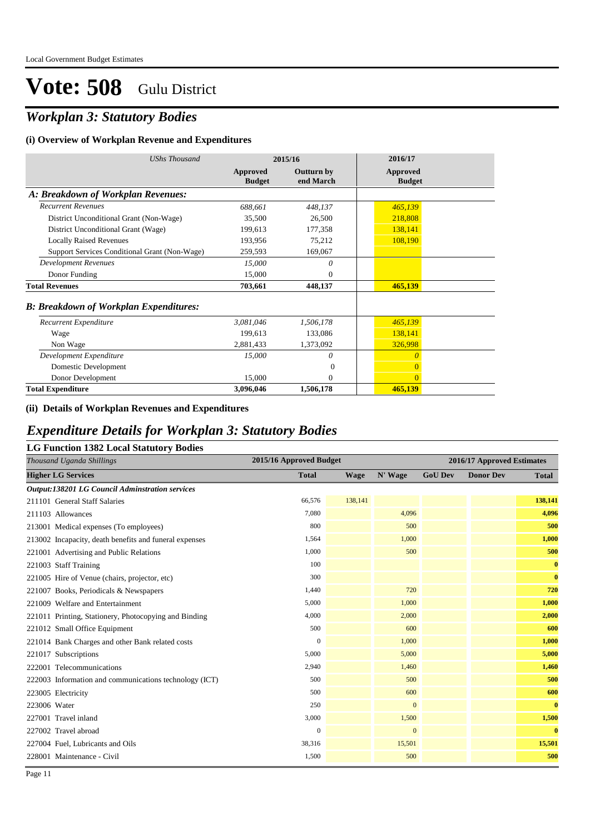### *Workplan 3: Statutory Bodies*

#### **(i) Overview of Workplan Revenue and Expenditures**

| <b>UShs Thousand</b>                          | 2015/16                   |                                | 2016/17                   |
|-----------------------------------------------|---------------------------|--------------------------------|---------------------------|
|                                               | Approved<br><b>Budget</b> | <b>Outturn by</b><br>end March | Approved<br><b>Budget</b> |
| A: Breakdown of Workplan Revenues:            |                           |                                |                           |
| <b>Recurrent Revenues</b>                     | 688,661                   | 448,137                        | 465,139                   |
| District Unconditional Grant (Non-Wage)       | 35,500                    | 26,500                         | 218,808                   |
| District Unconditional Grant (Wage)           | 199,613                   | 177,358                        | 138,141                   |
| <b>Locally Raised Revenues</b>                | 193,956                   | 75,212                         | 108,190                   |
| Support Services Conditional Grant (Non-Wage) | 259,593                   | 169,067                        |                           |
| <b>Development Revenues</b>                   | 15,000                    | $\theta$                       |                           |
| Donor Funding                                 | 15,000                    | $\Omega$                       |                           |
| <b>Total Revenues</b>                         | 703,661                   | 448,137                        | 465,139                   |
| <b>B: Breakdown of Workplan Expenditures:</b> |                           |                                |                           |
| Recurrent Expenditure                         | 3,081,046                 | 1,506,178                      | 465,139                   |
| Wage                                          | 199,613                   | 133,086                        | 138,141                   |
| Non Wage                                      | 2,881,433                 | 1,373,092                      | 326,998                   |
| Development Expenditure                       | 15,000                    | 0                              | $\theta$                  |
| Domestic Development                          |                           | $\overline{0}$                 | $\overline{0}$            |
| Donor Development                             | 15,000                    | $\mathbf{0}$                   | $\overline{0}$            |
| <b>Total Expenditure</b>                      | 3,096,046                 | 1,506,178                      | 465,139                   |

#### **(ii) Details of Workplan Revenues and Expenditures**

### *Expenditure Details for Workplan 3: Statutory Bodies*

| <b>LG Function 1382 Local Statutory Bodies</b>         |                         |             |              |                            |                  |          |  |  |  |
|--------------------------------------------------------|-------------------------|-------------|--------------|----------------------------|------------------|----------|--|--|--|
| Thousand Uganda Shillings                              | 2015/16 Approved Budget |             |              | 2016/17 Approved Estimates |                  |          |  |  |  |
| <b>Higher LG Services</b>                              | <b>Total</b>            | <b>Wage</b> | N' Wage      | <b>GoU Dev</b>             | <b>Donor Dev</b> | Total    |  |  |  |
| <b>Output:138201 LG Council Adminstration services</b> |                         |             |              |                            |                  |          |  |  |  |
| 211101 General Staff Salaries                          | 66,576                  | 138,141     |              |                            |                  | 138,141  |  |  |  |
| 211103 Allowances                                      | 7.080                   |             | 4.096        |                            |                  | 4,096    |  |  |  |
| 213001 Medical expenses (To employees)                 | 800                     |             | 500          |                            |                  | 500      |  |  |  |
| 213002 Incapacity, death benefits and funeral expenses | 1,564                   |             | 1.000        |                            |                  | 1,000    |  |  |  |
| 221001 Advertising and Public Relations                | 1,000                   |             | 500          |                            |                  | 500      |  |  |  |
| 221003 Staff Training                                  | 100                     |             |              |                            |                  | $\bf{0}$ |  |  |  |
| 221005 Hire of Venue (chairs, projector, etc)          | 300                     |             |              |                            |                  | $\bf{0}$ |  |  |  |
| 221007 Books, Periodicals & Newspapers                 | 1,440                   |             | 720          |                            |                  | 720      |  |  |  |
| 221009 Welfare and Entertainment                       | 5,000                   |             | 1,000        |                            |                  | 1,000    |  |  |  |
| 221011 Printing, Stationery, Photocopying and Binding  | 4,000                   |             | 2,000        |                            |                  | 2,000    |  |  |  |
| 221012 Small Office Equipment                          | 500                     |             | 600          |                            |                  | 600      |  |  |  |
| 221014 Bank Charges and other Bank related costs       | $\overline{0}$          |             | 1,000        |                            |                  | 1,000    |  |  |  |
| 221017 Subscriptions                                   | 5,000                   |             | 5,000        |                            |                  | 5,000    |  |  |  |
| 222001 Telecommunications                              | 2.940                   |             | 1.460        |                            |                  | 1,460    |  |  |  |
| 222003 Information and communications technology (ICT) | 500                     |             | 500          |                            |                  | 500      |  |  |  |
| 223005 Electricity                                     | 500                     |             | 600          |                            |                  | 600      |  |  |  |
| 223006 Water                                           | 250                     |             | $\mathbf{0}$ |                            |                  | $\bf{0}$ |  |  |  |
| 227001 Travel inland                                   | 3,000                   |             | 1,500        |                            |                  | 1,500    |  |  |  |
| 227002 Travel abroad                                   | $\mathbf{0}$            |             | $\mathbf{0}$ |                            |                  | $\bf{0}$ |  |  |  |
| 227004 Fuel, Lubricants and Oils                       | 38,316                  |             | 15,501       |                            |                  | 15,501   |  |  |  |
| 228001 Maintenance - Civil                             | 1,500                   |             | 500          |                            |                  | 500      |  |  |  |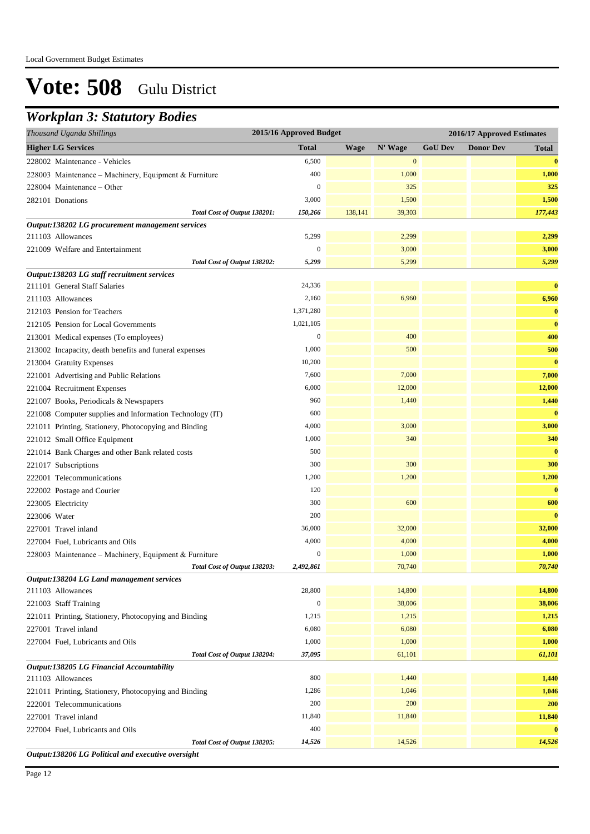### *Workplan 3: Statutory Bodies*

| Thousand Uganda Shillings                                        | 2015/16 Approved Budget |             |                  |                | 2016/17 Approved Estimates |                         |
|------------------------------------------------------------------|-------------------------|-------------|------------------|----------------|----------------------------|-------------------------|
| <b>Higher LG Services</b>                                        | <b>Total</b>            | <b>Wage</b> | N' Wage          | <b>GoU Dev</b> | <b>Donor Dev</b>           | <b>Total</b>            |
| 228002 Maintenance - Vehicles                                    | 6,500                   |             | $\boldsymbol{0}$ |                |                            | $\bf{0}$                |
| 228003 Maintenance - Machinery, Equipment & Furniture            | 400                     |             | 1,000            |                |                            | 1,000                   |
| 228004 Maintenance - Other                                       | $\boldsymbol{0}$        |             | 325              |                |                            | 325                     |
| 282101 Donations                                                 | 3,000                   |             | 1,500            |                |                            | 1,500                   |
| Total Cost of Output 138201:                                     | 150,266                 | 138,141     | 39,303           |                |                            | 177,443                 |
| Output:138202 LG procurement management services                 |                         |             |                  |                |                            |                         |
| 211103 Allowances                                                | 5,299                   |             | 2,299            |                |                            | 2,299                   |
| 221009 Welfare and Entertainment                                 | $\boldsymbol{0}$        |             | 3,000            |                |                            | 3,000                   |
| Total Cost of Output 138202:                                     | 5,299                   |             | 5,299            |                |                            | 5,299                   |
| Output:138203 LG staff recruitment services                      |                         |             |                  |                |                            |                         |
| 211101 General Staff Salaries                                    | 24,336                  |             |                  |                |                            | $\bf{0}$                |
| 211103 Allowances                                                | 2,160                   |             | 6,960            |                |                            | 6,960                   |
| 212103 Pension for Teachers                                      | 1,371,280               |             |                  |                |                            | $\bf{0}$                |
| 212105 Pension for Local Governments                             | 1,021,105               |             |                  |                |                            | $\bf{0}$                |
| 213001 Medical expenses (To employees)                           | $\boldsymbol{0}$        |             | 400              |                |                            | 400                     |
| 213002 Incapacity, death benefits and funeral expenses           | 1,000                   |             | 500              |                |                            | 500                     |
| 213004 Gratuity Expenses                                         | 10,200                  |             |                  |                |                            | $\bf{0}$                |
| 221001 Advertising and Public Relations                          | 7,600                   |             | 7,000            |                |                            | 7,000                   |
| 221004 Recruitment Expenses                                      | 6,000                   |             | 12,000           |                |                            | 12,000                  |
| 221007 Books, Periodicals & Newspapers                           | 960                     |             | 1,440            |                |                            | 1,440                   |
| 221008 Computer supplies and Information Technology (IT)         | 600                     |             |                  |                |                            | $\bf{0}$                |
| 221011 Printing, Stationery, Photocopying and Binding            | 4,000                   |             | 3,000            |                |                            | 3,000                   |
| 221012 Small Office Equipment                                    | 1,000                   |             | 340              |                |                            | 340                     |
| 221014 Bank Charges and other Bank related costs                 | 500                     |             |                  |                |                            | $\bf{0}$                |
| 221017 Subscriptions                                             | 300                     |             | 300              |                |                            | 300                     |
| 222001 Telecommunications                                        | 1,200                   |             | 1,200            |                |                            | 1,200                   |
| 222002 Postage and Courier                                       | 120                     |             |                  |                |                            | $\bf{0}$                |
| 223005 Electricity                                               | 300                     |             | 600              |                |                            | 600                     |
| 223006 Water                                                     | 200                     |             |                  |                |                            | $\bf{0}$                |
| 227001 Travel inland                                             | 36,000                  |             | 32,000           |                |                            | 32,000                  |
| 227004 Fuel, Lubricants and Oils                                 | 4,000                   |             | 4,000            |                |                            | 4,000                   |
| 228003 Maintenance - Machinery, Equipment & Furniture            | $\boldsymbol{0}$        |             | 1,000            |                |                            | 1,000                   |
| Total Cost of Output 138203:                                     | 2,492,861               |             | 70,740           |                |                            | 70,740                  |
| Output:138204 LG Land management services                        |                         |             |                  |                |                            |                         |
| 211103 Allowances                                                | 28,800                  |             | 14,800           |                |                            | 14,800                  |
| 221003 Staff Training                                            | $\mathbf{0}$            |             | 38,006           |                |                            | 38,006                  |
| 221011 Printing, Stationery, Photocopying and Binding            | 1,215                   |             | 1,215            |                |                            | 1,215                   |
| 227001 Travel inland                                             | 6,080                   |             | 6,080            |                |                            | 6,080                   |
| 227004 Fuel, Lubricants and Oils                                 | 1,000                   |             | 1,000            |                |                            | 1,000                   |
| Total Cost of Output 138204:                                     | 37,095                  |             | 61,101           |                |                            | 61,101                  |
| Output:138205 LG Financial Accountability<br>211103 Allowances   | 800                     |             | 1,440            |                |                            | 1,440                   |
| 221011 Printing, Stationery, Photocopying and Binding            | 1,286                   |             | 1,046            |                |                            | 1,046                   |
|                                                                  | 200                     |             | 200              |                |                            | 200                     |
| 222001 Telecommunications<br>227001 Travel inland                | 11,840                  |             | 11,840           |                |                            | 11,840                  |
|                                                                  | 400                     |             |                  |                |                            | $\overline{\mathbf{0}}$ |
| 227004 Fuel, Lubricants and Oils<br>Total Cost of Output 138205: | 14,526                  |             | 14,526           |                |                            | 14,526                  |
| Output:138206 LG Political and executive oversight               |                         |             |                  |                |                            |                         |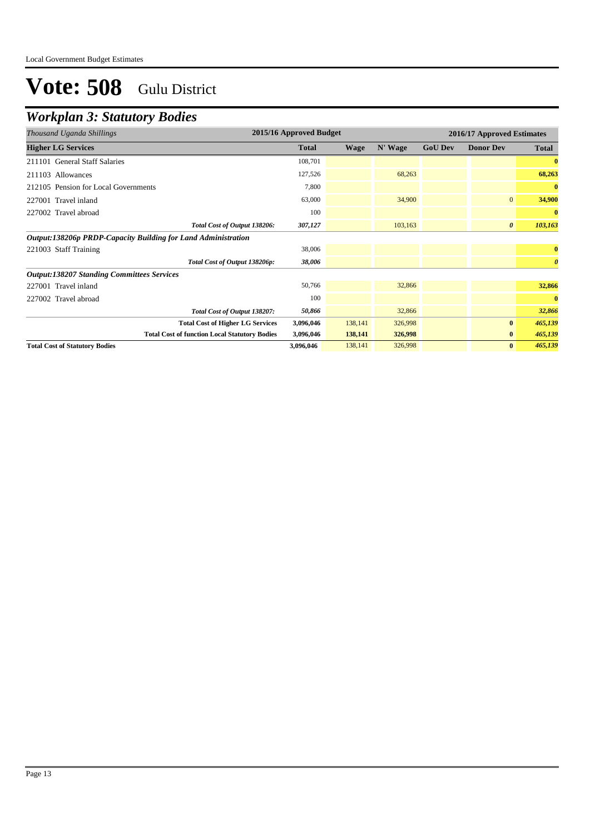## *Workplan 3: Statutory Bodies*

| Thousand Uganda Shillings                                     | 2015/16 Approved Budget | 2016/17 Approved Estimates |         |                |                       |                       |
|---------------------------------------------------------------|-------------------------|----------------------------|---------|----------------|-----------------------|-----------------------|
| <b>Higher LG Services</b>                                     | <b>Total</b>            | <b>Wage</b>                | N' Wage | <b>GoU Dev</b> | <b>Donor Dev</b>      | <b>Total</b>          |
| 211101 General Staff Salaries                                 | 108,701                 |                            |         |                |                       |                       |
| 211103 Allowances                                             | 127,526                 |                            | 68,263  |                |                       | 68,263                |
| 212105 Pension for Local Governments                          | 7,800                   |                            |         |                |                       | $\bf{0}$              |
| 227001 Travel inland                                          | 63,000                  |                            | 34,900  |                | $\overline{0}$        | 34,900                |
| 227002 Travel abroad                                          | 100                     |                            |         |                |                       | $\bf{0}$              |
| Total Cost of Output 138206:                                  | 307,127                 |                            | 103,163 |                | $\boldsymbol{\theta}$ | 103,163               |
| Output:138206p PRDP-Capacity Building for Land Administration |                         |                            |         |                |                       |                       |
| 221003 Staff Training                                         | 38,006                  |                            |         |                |                       | $\bf{0}$              |
| Total Cost of Output 138206p:                                 | 38,006                  |                            |         |                |                       | $\boldsymbol{\theta}$ |
| <b>Output:138207 Standing Committees Services</b>             |                         |                            |         |                |                       |                       |
| 227001 Travel inland                                          | 50,766                  |                            | 32,866  |                |                       | 32,866                |
| 227002 Travel abroad                                          | 100                     |                            |         |                |                       | $\bf{0}$              |
| Total Cost of Output 138207:                                  | 50,866                  |                            | 32,866  |                |                       | 32,866                |
| <b>Total Cost of Higher LG Services</b>                       | 3,096,046               | 138,141                    | 326,998 |                | $\bf{0}$              | 465,139               |
| <b>Total Cost of function Local Statutory Bodies</b>          | 3,096,046               | 138,141                    | 326,998 |                | $\bf{0}$              | 465,139               |
| <b>Total Cost of Statutory Bodies</b>                         | 3,096,046               | 138,141                    | 326,998 |                | $\bf{0}$              | 465,139               |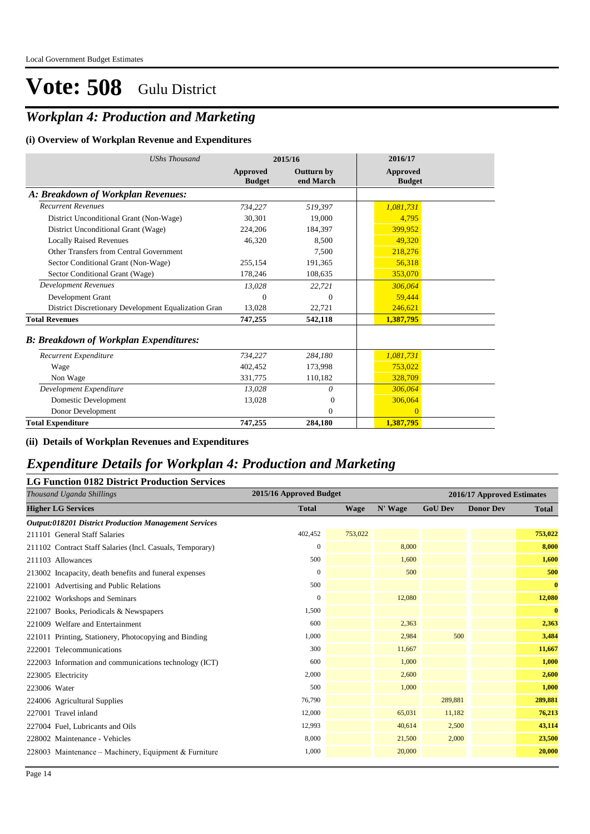## *Workplan 4: Production and Marketing*

#### **(i) Overview of Workplan Revenue and Expenditures**

| <b>UShs Thousand</b>                                 | 2015/16                   |                                | 2016/17                   |
|------------------------------------------------------|---------------------------|--------------------------------|---------------------------|
|                                                      | Approved<br><b>Budget</b> | <b>Outturn by</b><br>end March | Approved<br><b>Budget</b> |
| A: Breakdown of Workplan Revenues:                   |                           |                                |                           |
| <b>Recurrent Revenues</b>                            | 734,227                   | 519,397                        | 1,081,731                 |
| District Unconditional Grant (Non-Wage)              | 30,301                    | 19,000                         | 4,795                     |
| District Unconditional Grant (Wage)                  | 224,206                   | 184,397                        | 399,952                   |
| <b>Locally Raised Revenues</b>                       | 46,320                    | 8,500                          | 49,320                    |
| Other Transfers from Central Government              |                           | 7,500                          | 218,276                   |
| Sector Conditional Grant (Non-Wage)                  | 255,154                   | 191,365                        | 56,318                    |
| Sector Conditional Grant (Wage)                      | 178,246                   | 108,635                        | 353,070                   |
| <b>Development Revenues</b>                          | 13,028                    | 22,721                         | 306,064                   |
| Development Grant                                    | 0                         | $\theta$                       | 59,444                    |
| District Discretionary Development Equalization Gran | 13,028                    | 22,721                         | 246,621                   |
| <b>Total Revenues</b>                                | 747,255                   | 542,118                        | 1,387,795                 |
| <b>B: Breakdown of Workplan Expenditures:</b>        |                           |                                |                           |
| Recurrent Expenditure                                | 734,227                   | 284,180                        | 1,081,731                 |
| Wage                                                 | 402.452                   | 173,998                        | 753,022                   |
| Non Wage                                             | 331,775                   | 110,182                        | 328,709                   |
| Development Expenditure                              | 13,028                    | 0                              | 306,064                   |
| Domestic Development                                 | 13,028                    | $\Omega$                       | 306,064                   |
| Donor Development                                    |                           | $\mathbf{0}$                   | $\overline{0}$            |
| <b>Total Expenditure</b>                             | 747,255                   | 284,180                        | 1,387,795                 |

**(ii) Details of Workplan Revenues and Expenditures**

### *Expenditure Details for Workplan 4: Production and Marketing*

### **LG Function 0182 District Production Services**

| Thousand Uganda Shillings                                    | 2015/16 Approved Budget<br>2016/17 Approved Estimates |         |         |                |                  |              |
|--------------------------------------------------------------|-------------------------------------------------------|---------|---------|----------------|------------------|--------------|
| <b>Higher LG Services</b>                                    | <b>Total</b>                                          | Wage    | N' Wage | <b>GoU Dev</b> | <b>Donor Dev</b> | Total        |
| <b>Output:018201 District Production Management Services</b> |                                                       |         |         |                |                  |              |
| 211101 General Staff Salaries                                | 402,452                                               | 753,022 |         |                |                  | 753,022      |
| 211102 Contract Staff Salaries (Incl. Casuals, Temporary)    | $\mathbf{0}$                                          |         | 8,000   |                |                  | 8,000        |
| 211103 Allowances                                            | 500                                                   |         | 1,600   |                |                  | 1,600        |
| 213002 Incapacity, death benefits and funeral expenses       | $\Omega$                                              |         | 500     |                |                  | 500          |
| 221001 Advertising and Public Relations                      | 500                                                   |         |         |                |                  | $\bf{0}$     |
| 221002 Workshops and Seminars                                | $\mathbf{0}$                                          |         | 12,080  |                |                  | 12,080       |
| 221007 Books, Periodicals & Newspapers                       | 1,500                                                 |         |         |                |                  | $\mathbf{0}$ |
| 221009 Welfare and Entertainment                             | 600                                                   |         | 2,363   |                |                  | 2,363        |
| 221011 Printing, Stationery, Photocopying and Binding        | 1,000                                                 |         | 2,984   | 500            |                  | 3,484        |
| 222001 Telecommunications                                    | 300                                                   |         | 11,667  |                |                  | 11,667       |
| 222003 Information and communications technology (ICT)       | 600                                                   |         | 1,000   |                |                  | 1,000        |
| 223005 Electricity                                           | 2,000                                                 |         | 2,600   |                |                  | 2,600        |
| 223006 Water                                                 | 500                                                   |         | 1,000   |                |                  | 1,000        |
| 224006 Agricultural Supplies                                 | 76,790                                                |         |         | 289,881        |                  | 289,881      |
| 227001 Travel inland                                         | 12,000                                                |         | 65,031  | 11,182         |                  | 76,213       |
| 227004 Fuel, Lubricants and Oils                             | 12,993                                                |         | 40,614  | 2,500          |                  | 43,114       |
| 228002 Maintenance - Vehicles                                | 8,000                                                 |         | 21,500  | 2,000          |                  | 23,500       |
| 228003 Maintenance – Machinery, Equipment & Furniture        | 1,000                                                 |         | 20,000  |                |                  | 20,000       |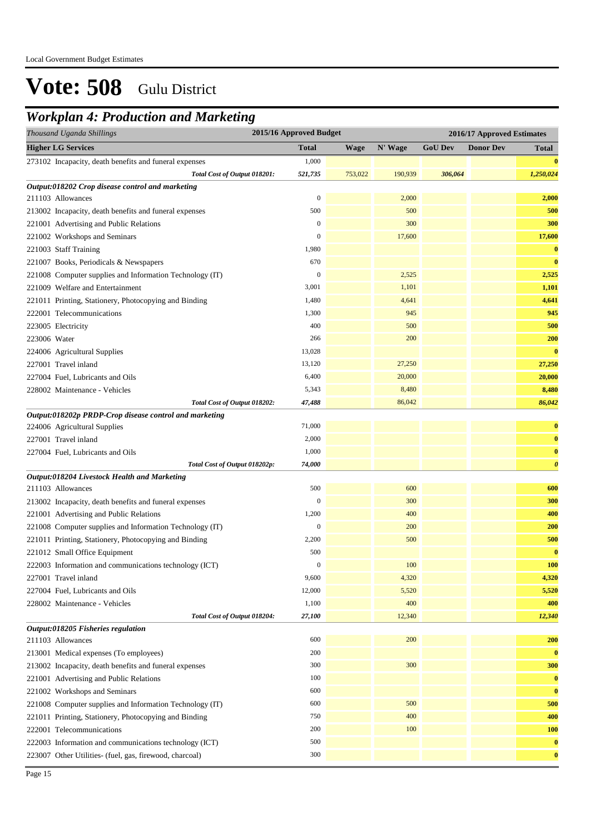### *Workplan 4: Production and Marketing*

| <b>Higher LG Services</b><br><b>Total</b><br>N' Wage<br><b>GoU Dev</b><br><b>Donor Dev</b><br><b>Wage</b><br><b>Total</b><br>1,000<br>273102 Incapacity, death benefits and funeral expenses<br>$\bf{0}$<br>521,735<br>753,022<br>190,939<br>306,064<br>1,250,024<br>Total Cost of Output 018201:<br>Output:018202 Crop disease control and marketing<br>$\boldsymbol{0}$<br>2,000<br>2,000<br>211103 Allowances<br>500<br>500<br>500<br>213002 Incapacity, death benefits and funeral expenses<br>$\boldsymbol{0}$<br>300<br>300<br>221001 Advertising and Public Relations<br>$\boldsymbol{0}$<br>17,600<br>17,600<br>221002 Workshops and Seminars<br>1,980<br>$\bf{0}$<br>221003 Staff Training<br>670<br>$\bf{0}$<br>221007 Books, Periodicals & Newspapers<br>$\mathbf{0}$<br>2,525<br>2,525<br>221008 Computer supplies and Information Technology (IT)<br>3,001<br>1,101<br>1,101<br>221009 Welfare and Entertainment<br>4,641<br>221011 Printing, Stationery, Photocopying and Binding<br>1,480<br>4,641<br>945<br>1,300<br>945<br>222001 Telecommunications<br>400<br>500<br>223005 Electricity<br>500<br>200<br>200<br>266<br>223006 Water<br>13,028<br>$\bf{0}$<br>224006 Agricultural Supplies<br>27,250<br>227001 Travel inland<br>13,120<br>27,250<br>6,400<br>20,000<br>20,000<br>227004 Fuel, Lubricants and Oils<br>5,343<br>8,480<br>8,480<br>228002 Maintenance - Vehicles<br>86,042<br>86,042<br>47,488<br>Total Cost of Output 018202:<br>Output:018202p PRDP-Crop disease control and marketing<br>224006 Agricultural Supplies<br>71,000<br>$\bf{0}$<br>2,000<br>$\bf{0}$<br>227001 Travel inland<br>1,000<br>227004 Fuel, Lubricants and Oils<br>$\bf{0}$<br>74,000<br>$\boldsymbol{\theta}$<br>Total Cost of Output 018202p:<br>Output:018204 Livestock Health and Marketing<br>500<br>600<br>600<br>211103 Allowances<br>300<br>213002 Incapacity, death benefits and funeral expenses<br>$\boldsymbol{0}$<br>300<br>1,200<br>400<br>400<br>221001 Advertising and Public Relations<br>$\boldsymbol{0}$<br>200<br>200<br>221008 Computer supplies and Information Technology (IT)<br>500<br>221011 Printing, Stationery, Photocopying and Binding<br>2,200<br>500<br>500<br>$\bf{0}$<br>221012 Small Office Equipment<br>$\bf{0}$<br>100<br><b>100</b><br>222003 Information and communications technology (ICT)<br>9,600<br>4,320<br>4,320<br>227001 Travel inland<br>12,000<br>5,520<br>5,520<br>227004 Fuel, Lubricants and Oils<br>400<br>1,100<br>400<br>228002 Maintenance - Vehicles<br>12,340<br>Total Cost of Output 018204:<br>27,100<br>12,340<br>Output:018205 Fisheries regulation<br>600<br>200<br>200<br>211103 Allowances<br>200<br>$\bf{0}$<br>213001 Medical expenses (To employees)<br>300<br>300<br>300<br>213002 Incapacity, death benefits and funeral expenses<br>$\bf{0}$<br>221001 Advertising and Public Relations<br>100<br>221002 Workshops and Seminars<br>600<br>$\bf{0}$<br>600<br>500<br>500<br>221008 Computer supplies and Information Technology (IT)<br>221011 Printing, Stationery, Photocopying and Binding<br>750<br>400<br>400<br>200<br>100<br>222001 Telecommunications<br><b>100</b><br>500<br>$\bf{0}$<br>222003 Information and communications technology (ICT)<br>300<br>223007 Other Utilities- (fuel, gas, firewood, charcoal)<br>$\bf{0}$ | 2015/16 Approved Budget<br>Thousand Uganda Shillings<br>2016/17 Approved Estimates |  |  |  |  |  |  |
|-----------------------------------------------------------------------------------------------------------------------------------------------------------------------------------------------------------------------------------------------------------------------------------------------------------------------------------------------------------------------------------------------------------------------------------------------------------------------------------------------------------------------------------------------------------------------------------------------------------------------------------------------------------------------------------------------------------------------------------------------------------------------------------------------------------------------------------------------------------------------------------------------------------------------------------------------------------------------------------------------------------------------------------------------------------------------------------------------------------------------------------------------------------------------------------------------------------------------------------------------------------------------------------------------------------------------------------------------------------------------------------------------------------------------------------------------------------------------------------------------------------------------------------------------------------------------------------------------------------------------------------------------------------------------------------------------------------------------------------------------------------------------------------------------------------------------------------------------------------------------------------------------------------------------------------------------------------------------------------------------------------------------------------------------------------------------------------------------------------------------------------------------------------------------------------------------------------------------------------------------------------------------------------------------------------------------------------------------------------------------------------------------------------------------------------------------------------------------------------------------------------------------------------------------------------------------------------------------------------------------------------------------------------------------------------------------------------------------------------------------------------------------------------------------------------------------------------------------------------------------------------------------------------------------------------------------------------------------------------------------------------------------------------------------------------------------------------------------------------------------------------------------------------------------------------------------------------------------------------------------------------------------------------------------------------------------|------------------------------------------------------------------------------------|--|--|--|--|--|--|
|                                                                                                                                                                                                                                                                                                                                                                                                                                                                                                                                                                                                                                                                                                                                                                                                                                                                                                                                                                                                                                                                                                                                                                                                                                                                                                                                                                                                                                                                                                                                                                                                                                                                                                                                                                                                                                                                                                                                                                                                                                                                                                                                                                                                                                                                                                                                                                                                                                                                                                                                                                                                                                                                                                                                                                                                                                                                                                                                                                                                                                                                                                                                                                                                                                                                                                                       |                                                                                    |  |  |  |  |  |  |
|                                                                                                                                                                                                                                                                                                                                                                                                                                                                                                                                                                                                                                                                                                                                                                                                                                                                                                                                                                                                                                                                                                                                                                                                                                                                                                                                                                                                                                                                                                                                                                                                                                                                                                                                                                                                                                                                                                                                                                                                                                                                                                                                                                                                                                                                                                                                                                                                                                                                                                                                                                                                                                                                                                                                                                                                                                                                                                                                                                                                                                                                                                                                                                                                                                                                                                                       |                                                                                    |  |  |  |  |  |  |
|                                                                                                                                                                                                                                                                                                                                                                                                                                                                                                                                                                                                                                                                                                                                                                                                                                                                                                                                                                                                                                                                                                                                                                                                                                                                                                                                                                                                                                                                                                                                                                                                                                                                                                                                                                                                                                                                                                                                                                                                                                                                                                                                                                                                                                                                                                                                                                                                                                                                                                                                                                                                                                                                                                                                                                                                                                                                                                                                                                                                                                                                                                                                                                                                                                                                                                                       |                                                                                    |  |  |  |  |  |  |
|                                                                                                                                                                                                                                                                                                                                                                                                                                                                                                                                                                                                                                                                                                                                                                                                                                                                                                                                                                                                                                                                                                                                                                                                                                                                                                                                                                                                                                                                                                                                                                                                                                                                                                                                                                                                                                                                                                                                                                                                                                                                                                                                                                                                                                                                                                                                                                                                                                                                                                                                                                                                                                                                                                                                                                                                                                                                                                                                                                                                                                                                                                                                                                                                                                                                                                                       |                                                                                    |  |  |  |  |  |  |
|                                                                                                                                                                                                                                                                                                                                                                                                                                                                                                                                                                                                                                                                                                                                                                                                                                                                                                                                                                                                                                                                                                                                                                                                                                                                                                                                                                                                                                                                                                                                                                                                                                                                                                                                                                                                                                                                                                                                                                                                                                                                                                                                                                                                                                                                                                                                                                                                                                                                                                                                                                                                                                                                                                                                                                                                                                                                                                                                                                                                                                                                                                                                                                                                                                                                                                                       |                                                                                    |  |  |  |  |  |  |
|                                                                                                                                                                                                                                                                                                                                                                                                                                                                                                                                                                                                                                                                                                                                                                                                                                                                                                                                                                                                                                                                                                                                                                                                                                                                                                                                                                                                                                                                                                                                                                                                                                                                                                                                                                                                                                                                                                                                                                                                                                                                                                                                                                                                                                                                                                                                                                                                                                                                                                                                                                                                                                                                                                                                                                                                                                                                                                                                                                                                                                                                                                                                                                                                                                                                                                                       |                                                                                    |  |  |  |  |  |  |
|                                                                                                                                                                                                                                                                                                                                                                                                                                                                                                                                                                                                                                                                                                                                                                                                                                                                                                                                                                                                                                                                                                                                                                                                                                                                                                                                                                                                                                                                                                                                                                                                                                                                                                                                                                                                                                                                                                                                                                                                                                                                                                                                                                                                                                                                                                                                                                                                                                                                                                                                                                                                                                                                                                                                                                                                                                                                                                                                                                                                                                                                                                                                                                                                                                                                                                                       |                                                                                    |  |  |  |  |  |  |
|                                                                                                                                                                                                                                                                                                                                                                                                                                                                                                                                                                                                                                                                                                                                                                                                                                                                                                                                                                                                                                                                                                                                                                                                                                                                                                                                                                                                                                                                                                                                                                                                                                                                                                                                                                                                                                                                                                                                                                                                                                                                                                                                                                                                                                                                                                                                                                                                                                                                                                                                                                                                                                                                                                                                                                                                                                                                                                                                                                                                                                                                                                                                                                                                                                                                                                                       |                                                                                    |  |  |  |  |  |  |
|                                                                                                                                                                                                                                                                                                                                                                                                                                                                                                                                                                                                                                                                                                                                                                                                                                                                                                                                                                                                                                                                                                                                                                                                                                                                                                                                                                                                                                                                                                                                                                                                                                                                                                                                                                                                                                                                                                                                                                                                                                                                                                                                                                                                                                                                                                                                                                                                                                                                                                                                                                                                                                                                                                                                                                                                                                                                                                                                                                                                                                                                                                                                                                                                                                                                                                                       |                                                                                    |  |  |  |  |  |  |
|                                                                                                                                                                                                                                                                                                                                                                                                                                                                                                                                                                                                                                                                                                                                                                                                                                                                                                                                                                                                                                                                                                                                                                                                                                                                                                                                                                                                                                                                                                                                                                                                                                                                                                                                                                                                                                                                                                                                                                                                                                                                                                                                                                                                                                                                                                                                                                                                                                                                                                                                                                                                                                                                                                                                                                                                                                                                                                                                                                                                                                                                                                                                                                                                                                                                                                                       |                                                                                    |  |  |  |  |  |  |
|                                                                                                                                                                                                                                                                                                                                                                                                                                                                                                                                                                                                                                                                                                                                                                                                                                                                                                                                                                                                                                                                                                                                                                                                                                                                                                                                                                                                                                                                                                                                                                                                                                                                                                                                                                                                                                                                                                                                                                                                                                                                                                                                                                                                                                                                                                                                                                                                                                                                                                                                                                                                                                                                                                                                                                                                                                                                                                                                                                                                                                                                                                                                                                                                                                                                                                                       |                                                                                    |  |  |  |  |  |  |
|                                                                                                                                                                                                                                                                                                                                                                                                                                                                                                                                                                                                                                                                                                                                                                                                                                                                                                                                                                                                                                                                                                                                                                                                                                                                                                                                                                                                                                                                                                                                                                                                                                                                                                                                                                                                                                                                                                                                                                                                                                                                                                                                                                                                                                                                                                                                                                                                                                                                                                                                                                                                                                                                                                                                                                                                                                                                                                                                                                                                                                                                                                                                                                                                                                                                                                                       |                                                                                    |  |  |  |  |  |  |
|                                                                                                                                                                                                                                                                                                                                                                                                                                                                                                                                                                                                                                                                                                                                                                                                                                                                                                                                                                                                                                                                                                                                                                                                                                                                                                                                                                                                                                                                                                                                                                                                                                                                                                                                                                                                                                                                                                                                                                                                                                                                                                                                                                                                                                                                                                                                                                                                                                                                                                                                                                                                                                                                                                                                                                                                                                                                                                                                                                                                                                                                                                                                                                                                                                                                                                                       |                                                                                    |  |  |  |  |  |  |
|                                                                                                                                                                                                                                                                                                                                                                                                                                                                                                                                                                                                                                                                                                                                                                                                                                                                                                                                                                                                                                                                                                                                                                                                                                                                                                                                                                                                                                                                                                                                                                                                                                                                                                                                                                                                                                                                                                                                                                                                                                                                                                                                                                                                                                                                                                                                                                                                                                                                                                                                                                                                                                                                                                                                                                                                                                                                                                                                                                                                                                                                                                                                                                                                                                                                                                                       |                                                                                    |  |  |  |  |  |  |
|                                                                                                                                                                                                                                                                                                                                                                                                                                                                                                                                                                                                                                                                                                                                                                                                                                                                                                                                                                                                                                                                                                                                                                                                                                                                                                                                                                                                                                                                                                                                                                                                                                                                                                                                                                                                                                                                                                                                                                                                                                                                                                                                                                                                                                                                                                                                                                                                                                                                                                                                                                                                                                                                                                                                                                                                                                                                                                                                                                                                                                                                                                                                                                                                                                                                                                                       |                                                                                    |  |  |  |  |  |  |
|                                                                                                                                                                                                                                                                                                                                                                                                                                                                                                                                                                                                                                                                                                                                                                                                                                                                                                                                                                                                                                                                                                                                                                                                                                                                                                                                                                                                                                                                                                                                                                                                                                                                                                                                                                                                                                                                                                                                                                                                                                                                                                                                                                                                                                                                                                                                                                                                                                                                                                                                                                                                                                                                                                                                                                                                                                                                                                                                                                                                                                                                                                                                                                                                                                                                                                                       |                                                                                    |  |  |  |  |  |  |
|                                                                                                                                                                                                                                                                                                                                                                                                                                                                                                                                                                                                                                                                                                                                                                                                                                                                                                                                                                                                                                                                                                                                                                                                                                                                                                                                                                                                                                                                                                                                                                                                                                                                                                                                                                                                                                                                                                                                                                                                                                                                                                                                                                                                                                                                                                                                                                                                                                                                                                                                                                                                                                                                                                                                                                                                                                                                                                                                                                                                                                                                                                                                                                                                                                                                                                                       |                                                                                    |  |  |  |  |  |  |
|                                                                                                                                                                                                                                                                                                                                                                                                                                                                                                                                                                                                                                                                                                                                                                                                                                                                                                                                                                                                                                                                                                                                                                                                                                                                                                                                                                                                                                                                                                                                                                                                                                                                                                                                                                                                                                                                                                                                                                                                                                                                                                                                                                                                                                                                                                                                                                                                                                                                                                                                                                                                                                                                                                                                                                                                                                                                                                                                                                                                                                                                                                                                                                                                                                                                                                                       |                                                                                    |  |  |  |  |  |  |
|                                                                                                                                                                                                                                                                                                                                                                                                                                                                                                                                                                                                                                                                                                                                                                                                                                                                                                                                                                                                                                                                                                                                                                                                                                                                                                                                                                                                                                                                                                                                                                                                                                                                                                                                                                                                                                                                                                                                                                                                                                                                                                                                                                                                                                                                                                                                                                                                                                                                                                                                                                                                                                                                                                                                                                                                                                                                                                                                                                                                                                                                                                                                                                                                                                                                                                                       |                                                                                    |  |  |  |  |  |  |
|                                                                                                                                                                                                                                                                                                                                                                                                                                                                                                                                                                                                                                                                                                                                                                                                                                                                                                                                                                                                                                                                                                                                                                                                                                                                                                                                                                                                                                                                                                                                                                                                                                                                                                                                                                                                                                                                                                                                                                                                                                                                                                                                                                                                                                                                                                                                                                                                                                                                                                                                                                                                                                                                                                                                                                                                                                                                                                                                                                                                                                                                                                                                                                                                                                                                                                                       |                                                                                    |  |  |  |  |  |  |
|                                                                                                                                                                                                                                                                                                                                                                                                                                                                                                                                                                                                                                                                                                                                                                                                                                                                                                                                                                                                                                                                                                                                                                                                                                                                                                                                                                                                                                                                                                                                                                                                                                                                                                                                                                                                                                                                                                                                                                                                                                                                                                                                                                                                                                                                                                                                                                                                                                                                                                                                                                                                                                                                                                                                                                                                                                                                                                                                                                                                                                                                                                                                                                                                                                                                                                                       |                                                                                    |  |  |  |  |  |  |
|                                                                                                                                                                                                                                                                                                                                                                                                                                                                                                                                                                                                                                                                                                                                                                                                                                                                                                                                                                                                                                                                                                                                                                                                                                                                                                                                                                                                                                                                                                                                                                                                                                                                                                                                                                                                                                                                                                                                                                                                                                                                                                                                                                                                                                                                                                                                                                                                                                                                                                                                                                                                                                                                                                                                                                                                                                                                                                                                                                                                                                                                                                                                                                                                                                                                                                                       |                                                                                    |  |  |  |  |  |  |
|                                                                                                                                                                                                                                                                                                                                                                                                                                                                                                                                                                                                                                                                                                                                                                                                                                                                                                                                                                                                                                                                                                                                                                                                                                                                                                                                                                                                                                                                                                                                                                                                                                                                                                                                                                                                                                                                                                                                                                                                                                                                                                                                                                                                                                                                                                                                                                                                                                                                                                                                                                                                                                                                                                                                                                                                                                                                                                                                                                                                                                                                                                                                                                                                                                                                                                                       |                                                                                    |  |  |  |  |  |  |
|                                                                                                                                                                                                                                                                                                                                                                                                                                                                                                                                                                                                                                                                                                                                                                                                                                                                                                                                                                                                                                                                                                                                                                                                                                                                                                                                                                                                                                                                                                                                                                                                                                                                                                                                                                                                                                                                                                                                                                                                                                                                                                                                                                                                                                                                                                                                                                                                                                                                                                                                                                                                                                                                                                                                                                                                                                                                                                                                                                                                                                                                                                                                                                                                                                                                                                                       |                                                                                    |  |  |  |  |  |  |
|                                                                                                                                                                                                                                                                                                                                                                                                                                                                                                                                                                                                                                                                                                                                                                                                                                                                                                                                                                                                                                                                                                                                                                                                                                                                                                                                                                                                                                                                                                                                                                                                                                                                                                                                                                                                                                                                                                                                                                                                                                                                                                                                                                                                                                                                                                                                                                                                                                                                                                                                                                                                                                                                                                                                                                                                                                                                                                                                                                                                                                                                                                                                                                                                                                                                                                                       |                                                                                    |  |  |  |  |  |  |
|                                                                                                                                                                                                                                                                                                                                                                                                                                                                                                                                                                                                                                                                                                                                                                                                                                                                                                                                                                                                                                                                                                                                                                                                                                                                                                                                                                                                                                                                                                                                                                                                                                                                                                                                                                                                                                                                                                                                                                                                                                                                                                                                                                                                                                                                                                                                                                                                                                                                                                                                                                                                                                                                                                                                                                                                                                                                                                                                                                                                                                                                                                                                                                                                                                                                                                                       |                                                                                    |  |  |  |  |  |  |
|                                                                                                                                                                                                                                                                                                                                                                                                                                                                                                                                                                                                                                                                                                                                                                                                                                                                                                                                                                                                                                                                                                                                                                                                                                                                                                                                                                                                                                                                                                                                                                                                                                                                                                                                                                                                                                                                                                                                                                                                                                                                                                                                                                                                                                                                                                                                                                                                                                                                                                                                                                                                                                                                                                                                                                                                                                                                                                                                                                                                                                                                                                                                                                                                                                                                                                                       |                                                                                    |  |  |  |  |  |  |
|                                                                                                                                                                                                                                                                                                                                                                                                                                                                                                                                                                                                                                                                                                                                                                                                                                                                                                                                                                                                                                                                                                                                                                                                                                                                                                                                                                                                                                                                                                                                                                                                                                                                                                                                                                                                                                                                                                                                                                                                                                                                                                                                                                                                                                                                                                                                                                                                                                                                                                                                                                                                                                                                                                                                                                                                                                                                                                                                                                                                                                                                                                                                                                                                                                                                                                                       |                                                                                    |  |  |  |  |  |  |
|                                                                                                                                                                                                                                                                                                                                                                                                                                                                                                                                                                                                                                                                                                                                                                                                                                                                                                                                                                                                                                                                                                                                                                                                                                                                                                                                                                                                                                                                                                                                                                                                                                                                                                                                                                                                                                                                                                                                                                                                                                                                                                                                                                                                                                                                                                                                                                                                                                                                                                                                                                                                                                                                                                                                                                                                                                                                                                                                                                                                                                                                                                                                                                                                                                                                                                                       |                                                                                    |  |  |  |  |  |  |
|                                                                                                                                                                                                                                                                                                                                                                                                                                                                                                                                                                                                                                                                                                                                                                                                                                                                                                                                                                                                                                                                                                                                                                                                                                                                                                                                                                                                                                                                                                                                                                                                                                                                                                                                                                                                                                                                                                                                                                                                                                                                                                                                                                                                                                                                                                                                                                                                                                                                                                                                                                                                                                                                                                                                                                                                                                                                                                                                                                                                                                                                                                                                                                                                                                                                                                                       |                                                                                    |  |  |  |  |  |  |
|                                                                                                                                                                                                                                                                                                                                                                                                                                                                                                                                                                                                                                                                                                                                                                                                                                                                                                                                                                                                                                                                                                                                                                                                                                                                                                                                                                                                                                                                                                                                                                                                                                                                                                                                                                                                                                                                                                                                                                                                                                                                                                                                                                                                                                                                                                                                                                                                                                                                                                                                                                                                                                                                                                                                                                                                                                                                                                                                                                                                                                                                                                                                                                                                                                                                                                                       |                                                                                    |  |  |  |  |  |  |
|                                                                                                                                                                                                                                                                                                                                                                                                                                                                                                                                                                                                                                                                                                                                                                                                                                                                                                                                                                                                                                                                                                                                                                                                                                                                                                                                                                                                                                                                                                                                                                                                                                                                                                                                                                                                                                                                                                                                                                                                                                                                                                                                                                                                                                                                                                                                                                                                                                                                                                                                                                                                                                                                                                                                                                                                                                                                                                                                                                                                                                                                                                                                                                                                                                                                                                                       |                                                                                    |  |  |  |  |  |  |
|                                                                                                                                                                                                                                                                                                                                                                                                                                                                                                                                                                                                                                                                                                                                                                                                                                                                                                                                                                                                                                                                                                                                                                                                                                                                                                                                                                                                                                                                                                                                                                                                                                                                                                                                                                                                                                                                                                                                                                                                                                                                                                                                                                                                                                                                                                                                                                                                                                                                                                                                                                                                                                                                                                                                                                                                                                                                                                                                                                                                                                                                                                                                                                                                                                                                                                                       |                                                                                    |  |  |  |  |  |  |
|                                                                                                                                                                                                                                                                                                                                                                                                                                                                                                                                                                                                                                                                                                                                                                                                                                                                                                                                                                                                                                                                                                                                                                                                                                                                                                                                                                                                                                                                                                                                                                                                                                                                                                                                                                                                                                                                                                                                                                                                                                                                                                                                                                                                                                                                                                                                                                                                                                                                                                                                                                                                                                                                                                                                                                                                                                                                                                                                                                                                                                                                                                                                                                                                                                                                                                                       |                                                                                    |  |  |  |  |  |  |
|                                                                                                                                                                                                                                                                                                                                                                                                                                                                                                                                                                                                                                                                                                                                                                                                                                                                                                                                                                                                                                                                                                                                                                                                                                                                                                                                                                                                                                                                                                                                                                                                                                                                                                                                                                                                                                                                                                                                                                                                                                                                                                                                                                                                                                                                                                                                                                                                                                                                                                                                                                                                                                                                                                                                                                                                                                                                                                                                                                                                                                                                                                                                                                                                                                                                                                                       |                                                                                    |  |  |  |  |  |  |
|                                                                                                                                                                                                                                                                                                                                                                                                                                                                                                                                                                                                                                                                                                                                                                                                                                                                                                                                                                                                                                                                                                                                                                                                                                                                                                                                                                                                                                                                                                                                                                                                                                                                                                                                                                                                                                                                                                                                                                                                                                                                                                                                                                                                                                                                                                                                                                                                                                                                                                                                                                                                                                                                                                                                                                                                                                                                                                                                                                                                                                                                                                                                                                                                                                                                                                                       |                                                                                    |  |  |  |  |  |  |
|                                                                                                                                                                                                                                                                                                                                                                                                                                                                                                                                                                                                                                                                                                                                                                                                                                                                                                                                                                                                                                                                                                                                                                                                                                                                                                                                                                                                                                                                                                                                                                                                                                                                                                                                                                                                                                                                                                                                                                                                                                                                                                                                                                                                                                                                                                                                                                                                                                                                                                                                                                                                                                                                                                                                                                                                                                                                                                                                                                                                                                                                                                                                                                                                                                                                                                                       |                                                                                    |  |  |  |  |  |  |
|                                                                                                                                                                                                                                                                                                                                                                                                                                                                                                                                                                                                                                                                                                                                                                                                                                                                                                                                                                                                                                                                                                                                                                                                                                                                                                                                                                                                                                                                                                                                                                                                                                                                                                                                                                                                                                                                                                                                                                                                                                                                                                                                                                                                                                                                                                                                                                                                                                                                                                                                                                                                                                                                                                                                                                                                                                                                                                                                                                                                                                                                                                                                                                                                                                                                                                                       |                                                                                    |  |  |  |  |  |  |
|                                                                                                                                                                                                                                                                                                                                                                                                                                                                                                                                                                                                                                                                                                                                                                                                                                                                                                                                                                                                                                                                                                                                                                                                                                                                                                                                                                                                                                                                                                                                                                                                                                                                                                                                                                                                                                                                                                                                                                                                                                                                                                                                                                                                                                                                                                                                                                                                                                                                                                                                                                                                                                                                                                                                                                                                                                                                                                                                                                                                                                                                                                                                                                                                                                                                                                                       |                                                                                    |  |  |  |  |  |  |
|                                                                                                                                                                                                                                                                                                                                                                                                                                                                                                                                                                                                                                                                                                                                                                                                                                                                                                                                                                                                                                                                                                                                                                                                                                                                                                                                                                                                                                                                                                                                                                                                                                                                                                                                                                                                                                                                                                                                                                                                                                                                                                                                                                                                                                                                                                                                                                                                                                                                                                                                                                                                                                                                                                                                                                                                                                                                                                                                                                                                                                                                                                                                                                                                                                                                                                                       |                                                                                    |  |  |  |  |  |  |
|                                                                                                                                                                                                                                                                                                                                                                                                                                                                                                                                                                                                                                                                                                                                                                                                                                                                                                                                                                                                                                                                                                                                                                                                                                                                                                                                                                                                                                                                                                                                                                                                                                                                                                                                                                                                                                                                                                                                                                                                                                                                                                                                                                                                                                                                                                                                                                                                                                                                                                                                                                                                                                                                                                                                                                                                                                                                                                                                                                                                                                                                                                                                                                                                                                                                                                                       |                                                                                    |  |  |  |  |  |  |
|                                                                                                                                                                                                                                                                                                                                                                                                                                                                                                                                                                                                                                                                                                                                                                                                                                                                                                                                                                                                                                                                                                                                                                                                                                                                                                                                                                                                                                                                                                                                                                                                                                                                                                                                                                                                                                                                                                                                                                                                                                                                                                                                                                                                                                                                                                                                                                                                                                                                                                                                                                                                                                                                                                                                                                                                                                                                                                                                                                                                                                                                                                                                                                                                                                                                                                                       |                                                                                    |  |  |  |  |  |  |
|                                                                                                                                                                                                                                                                                                                                                                                                                                                                                                                                                                                                                                                                                                                                                                                                                                                                                                                                                                                                                                                                                                                                                                                                                                                                                                                                                                                                                                                                                                                                                                                                                                                                                                                                                                                                                                                                                                                                                                                                                                                                                                                                                                                                                                                                                                                                                                                                                                                                                                                                                                                                                                                                                                                                                                                                                                                                                                                                                                                                                                                                                                                                                                                                                                                                                                                       |                                                                                    |  |  |  |  |  |  |
|                                                                                                                                                                                                                                                                                                                                                                                                                                                                                                                                                                                                                                                                                                                                                                                                                                                                                                                                                                                                                                                                                                                                                                                                                                                                                                                                                                                                                                                                                                                                                                                                                                                                                                                                                                                                                                                                                                                                                                                                                                                                                                                                                                                                                                                                                                                                                                                                                                                                                                                                                                                                                                                                                                                                                                                                                                                                                                                                                                                                                                                                                                                                                                                                                                                                                                                       |                                                                                    |  |  |  |  |  |  |
|                                                                                                                                                                                                                                                                                                                                                                                                                                                                                                                                                                                                                                                                                                                                                                                                                                                                                                                                                                                                                                                                                                                                                                                                                                                                                                                                                                                                                                                                                                                                                                                                                                                                                                                                                                                                                                                                                                                                                                                                                                                                                                                                                                                                                                                                                                                                                                                                                                                                                                                                                                                                                                                                                                                                                                                                                                                                                                                                                                                                                                                                                                                                                                                                                                                                                                                       |                                                                                    |  |  |  |  |  |  |
|                                                                                                                                                                                                                                                                                                                                                                                                                                                                                                                                                                                                                                                                                                                                                                                                                                                                                                                                                                                                                                                                                                                                                                                                                                                                                                                                                                                                                                                                                                                                                                                                                                                                                                                                                                                                                                                                                                                                                                                                                                                                                                                                                                                                                                                                                                                                                                                                                                                                                                                                                                                                                                                                                                                                                                                                                                                                                                                                                                                                                                                                                                                                                                                                                                                                                                                       |                                                                                    |  |  |  |  |  |  |
|                                                                                                                                                                                                                                                                                                                                                                                                                                                                                                                                                                                                                                                                                                                                                                                                                                                                                                                                                                                                                                                                                                                                                                                                                                                                                                                                                                                                                                                                                                                                                                                                                                                                                                                                                                                                                                                                                                                                                                                                                                                                                                                                                                                                                                                                                                                                                                                                                                                                                                                                                                                                                                                                                                                                                                                                                                                                                                                                                                                                                                                                                                                                                                                                                                                                                                                       |                                                                                    |  |  |  |  |  |  |
|                                                                                                                                                                                                                                                                                                                                                                                                                                                                                                                                                                                                                                                                                                                                                                                                                                                                                                                                                                                                                                                                                                                                                                                                                                                                                                                                                                                                                                                                                                                                                                                                                                                                                                                                                                                                                                                                                                                                                                                                                                                                                                                                                                                                                                                                                                                                                                                                                                                                                                                                                                                                                                                                                                                                                                                                                                                                                                                                                                                                                                                                                                                                                                                                                                                                                                                       |                                                                                    |  |  |  |  |  |  |
|                                                                                                                                                                                                                                                                                                                                                                                                                                                                                                                                                                                                                                                                                                                                                                                                                                                                                                                                                                                                                                                                                                                                                                                                                                                                                                                                                                                                                                                                                                                                                                                                                                                                                                                                                                                                                                                                                                                                                                                                                                                                                                                                                                                                                                                                                                                                                                                                                                                                                                                                                                                                                                                                                                                                                                                                                                                                                                                                                                                                                                                                                                                                                                                                                                                                                                                       |                                                                                    |  |  |  |  |  |  |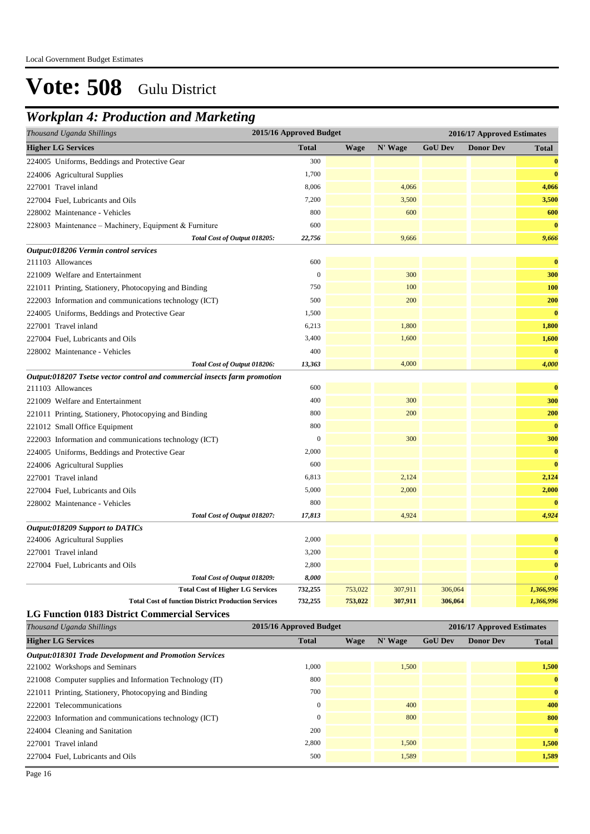### *Workplan 4: Production and Marketing*

| Thousand Uganda Shillings                                                 | 2015/16 Approved Budget |             | 2016/17 Approved Estimates |                |                            |                       |
|---------------------------------------------------------------------------|-------------------------|-------------|----------------------------|----------------|----------------------------|-----------------------|
| <b>Higher LG Services</b>                                                 | <b>Total</b>            | <b>Wage</b> | N' Wage                    | <b>GoU Dev</b> | <b>Donor Dev</b>           | <b>Total</b>          |
| 224005 Uniforms, Beddings and Protective Gear                             | 300                     |             |                            |                |                            | $\bf{0}$              |
| 224006 Agricultural Supplies                                              | 1,700                   |             |                            |                |                            | $\bf{0}$              |
| 227001 Travel inland                                                      | 8,006                   |             | 4,066                      |                |                            | 4,066                 |
| 227004 Fuel, Lubricants and Oils                                          | 7,200                   |             | 3,500                      |                |                            | 3,500                 |
| 228002 Maintenance - Vehicles                                             | 800                     |             | 600                        |                |                            | 600                   |
| 228003 Maintenance - Machinery, Equipment & Furniture                     | 600                     |             |                            |                |                            | $\bf{0}$              |
| Total Cost of Output 018205:                                              | 22,756                  |             | 9,666                      |                |                            | 9,666                 |
| Output:018206 Vermin control services                                     |                         |             |                            |                |                            |                       |
| 211103 Allowances                                                         | 600                     |             |                            |                |                            | $\bf{0}$              |
| 221009 Welfare and Entertainment                                          | $\mathbf{0}$            |             | 300                        |                |                            | 300                   |
| 221011 Printing, Stationery, Photocopying and Binding                     | 750                     |             | 100                        |                |                            | <b>100</b>            |
| 222003 Information and communications technology (ICT)                    | 500                     |             | 200                        |                |                            | 200                   |
| 224005 Uniforms, Beddings and Protective Gear                             | 1,500                   |             |                            |                |                            | $\bf{0}$              |
| 227001 Travel inland                                                      | 6,213                   |             | 1,800                      |                |                            | 1,800                 |
| 227004 Fuel, Lubricants and Oils                                          | 3,400                   |             | 1,600                      |                |                            | 1,600                 |
| 228002 Maintenance - Vehicles                                             | 400                     |             |                            |                |                            | $\bf{0}$              |
| Total Cost of Output 018206:                                              | 13,363                  |             | 4,000                      |                |                            | 4,000                 |
| Output:018207 Tsetse vector control and commercial insects farm promotion |                         |             |                            |                |                            |                       |
| 211103 Allowances                                                         | 600                     |             |                            |                |                            | $\bf{0}$              |
| 221009 Welfare and Entertainment                                          | 400                     |             | 300                        |                |                            | 300                   |
| 221011 Printing, Stationery, Photocopying and Binding                     | 800                     |             | 200                        |                |                            | 200                   |
| 221012 Small Office Equipment                                             | 800                     |             |                            |                |                            | $\bf{0}$              |
| 222003 Information and communications technology (ICT)                    | $\mathbf{0}$            |             | 300                        |                |                            | 300                   |
| 224005 Uniforms, Beddings and Protective Gear                             | 2,000                   |             |                            |                |                            | $\bf{0}$              |
| 224006 Agricultural Supplies                                              | 600                     |             |                            |                |                            | $\bf{0}$              |
| 227001 Travel inland                                                      | 6,813                   |             | 2,124                      |                |                            | 2,124                 |
| 227004 Fuel, Lubricants and Oils                                          | 5,000                   |             | 2,000                      |                |                            | 2,000                 |
| 228002 Maintenance - Vehicles                                             | 800                     |             |                            |                |                            | $\bf{0}$              |
| Total Cost of Output 018207:<br><b>Output:018209 Support to DATICs</b>    | 17,813                  |             | 4,924                      |                |                            | 4,924                 |
| 224006 Agricultural Supplies                                              | 2,000                   |             |                            |                |                            | $\bf{0}$              |
| 227001 Travel inland                                                      | 3,200                   |             |                            |                |                            | $\bf{0}$              |
| 227004 Fuel, Lubricants and Oils                                          | 2,800                   |             |                            |                |                            | $\bf{0}$              |
| Total Cost of Output 018209:                                              | 8,000                   |             |                            |                |                            | $\boldsymbol{\theta}$ |
| <b>Total Cost of Higher LG Services</b>                                   | 732,255                 | 753,022     | 307,911                    | 306,064        |                            | 1,366,996             |
| <b>Total Cost of function District Production Services</b>                | 732,255                 | 753,022     | 307,911                    | 306,064        |                            | 1,366,996             |
| <b>LG Function 0183 District Commercial Services</b>                      |                         |             |                            |                |                            |                       |
| Thousand Uganda Shillings                                                 | 2015/16 Approved Budget |             |                            |                | 2016/17 Approved Estimates |                       |
| <b>Higher LG Services</b>                                                 | <b>Total</b>            | Wage        | N' Wage                    | <b>GoU Dev</b> | <b>Donor Dev</b>           | <b>Total</b>          |
| <b>Output:018301 Trade Development and Promotion Services</b>             |                         |             |                            |                |                            |                       |
| 221002 Workshops and Seminars                                             | 1,000                   |             | 1,500                      |                |                            | 1,500                 |
| 221008 Computer supplies and Information Technology (IT)                  | 800                     |             |                            |                |                            | $\bf{0}$              |
| 221011 Printing, Stationery, Photocopying and Binding                     | 700                     |             |                            |                |                            | $\bf{0}$              |
|                                                                           |                         |             |                            |                |                            | 400                   |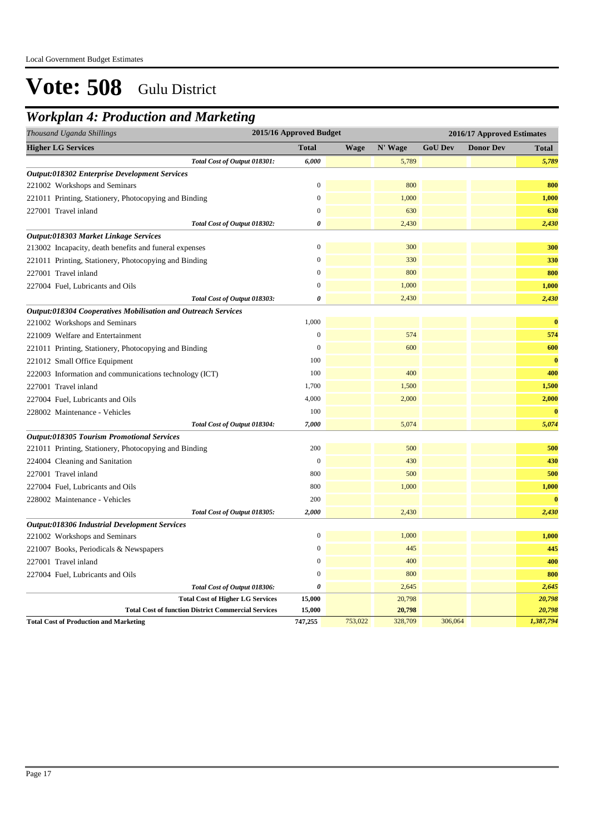### *Workplan 4: Production and Marketing*

| Thousand Uganda Shillings                                            | 2015/16 Approved Budget |             |         |                | 2016/17 Approved Estimates |              |  |
|----------------------------------------------------------------------|-------------------------|-------------|---------|----------------|----------------------------|--------------|--|
| <b>Higher LG Services</b>                                            | <b>Total</b>            | <b>Wage</b> | N' Wage | <b>GoU Dev</b> | <b>Donor Dev</b>           | <b>Total</b> |  |
| Total Cost of Output 018301:                                         | 6,000                   |             | 5,789   |                |                            | 5,789        |  |
| <b>Output:018302 Enterprise Development Services</b>                 |                         |             |         |                |                            |              |  |
| 221002 Workshops and Seminars                                        | $\mathbf{0}$            |             | 800     |                |                            | 800          |  |
| 221011 Printing, Stationery, Photocopying and Binding                | $\boldsymbol{0}$        |             | 1,000   |                |                            | 1,000        |  |
| 227001 Travel inland                                                 | $\boldsymbol{0}$        |             | 630     |                |                            | 630          |  |
| Total Cost of Output 018302:                                         | $\boldsymbol{\theta}$   |             | 2,430   |                |                            | 2,430        |  |
| Output:018303 Market Linkage Services                                |                         |             |         |                |                            |              |  |
| 213002 Incapacity, death benefits and funeral expenses               | $\mathbf{0}$            |             | 300     |                |                            | 300          |  |
| 221011 Printing, Stationery, Photocopying and Binding                | $\mathbf{0}$            |             | 330     |                |                            | 330          |  |
| 227001 Travel inland                                                 | $\boldsymbol{0}$        |             | 800     |                |                            | 800          |  |
| 227004 Fuel, Lubricants and Oils                                     | $\boldsymbol{0}$        |             | 1,000   |                |                            | 1,000        |  |
| Total Cost of Output 018303:                                         | $\boldsymbol{\theta}$   |             | 2,430   |                |                            | 2,430        |  |
| <b>Output:018304 Cooperatives Mobilisation and Outreach Services</b> |                         |             |         |                |                            |              |  |
| 221002 Workshops and Seminars                                        | 1,000                   |             |         |                |                            | $\bf{0}$     |  |
| 221009 Welfare and Entertainment                                     | $\overline{0}$          |             | 574     |                |                            | 574          |  |
| 221011 Printing, Stationery, Photocopying and Binding                | $\mathbf{0}$            |             | 600     |                |                            | 600          |  |
| 221012 Small Office Equipment                                        | 100                     |             |         |                |                            | $\bf{0}$     |  |
| 222003 Information and communications technology (ICT)               | 100                     |             | 400     |                |                            | 400          |  |
| 227001 Travel inland                                                 | 1,700                   |             | 1,500   |                |                            | 1,500        |  |
| 227004 Fuel, Lubricants and Oils                                     | 4,000                   |             | 2,000   |                |                            | 2,000        |  |
| 228002 Maintenance - Vehicles                                        | 100                     |             |         |                |                            | $\bf{0}$     |  |
| Total Cost of Output 018304:                                         | 7,000                   |             | 5,074   |                |                            | 5,074        |  |
| <b>Output:018305 Tourism Promotional Services</b>                    |                         |             |         |                |                            |              |  |
| 221011 Printing, Stationery, Photocopying and Binding                | 200                     |             | 500     |                |                            | 500          |  |
| 224004 Cleaning and Sanitation                                       | $\mathbf{0}$            |             | 430     |                |                            | 430          |  |
| 227001 Travel inland                                                 | 800                     |             | 500     |                |                            | 500          |  |
| 227004 Fuel, Lubricants and Oils                                     | 800                     |             | 1,000   |                |                            | 1,000        |  |
| 228002 Maintenance - Vehicles                                        | 200                     |             |         |                |                            | $\bf{0}$     |  |
| Total Cost of Output 018305:                                         | 2,000                   |             | 2,430   |                |                            | 2,430        |  |
| Output:018306 Industrial Development Services                        |                         |             |         |                |                            |              |  |
| 221002 Workshops and Seminars                                        | $\mathbf{0}$            |             | 1,000   |                |                            | 1,000        |  |
| 221007 Books, Periodicals & Newspapers                               | $\boldsymbol{0}$        |             | 445     |                |                            | 445          |  |
| 227001 Travel inland                                                 | $\boldsymbol{0}$        |             | 400     |                |                            | 400          |  |
| 227004 Fuel, Lubricants and Oils                                     | $\boldsymbol{0}$        |             | 800     |                |                            | 800          |  |
| Total Cost of Output 018306:                                         | 0                       |             | 2,645   |                |                            | 2,645        |  |
| <b>Total Cost of Higher LG Services</b>                              | 15,000                  |             | 20,798  |                |                            | 20,798       |  |
| <b>Total Cost of function District Commercial Services</b>           | 15,000                  |             | 20,798  |                |                            | 20,798       |  |
| <b>Total Cost of Production and Marketing</b>                        | 747,255                 | 753,022     | 328,709 | 306,064        |                            | 1,387,794    |  |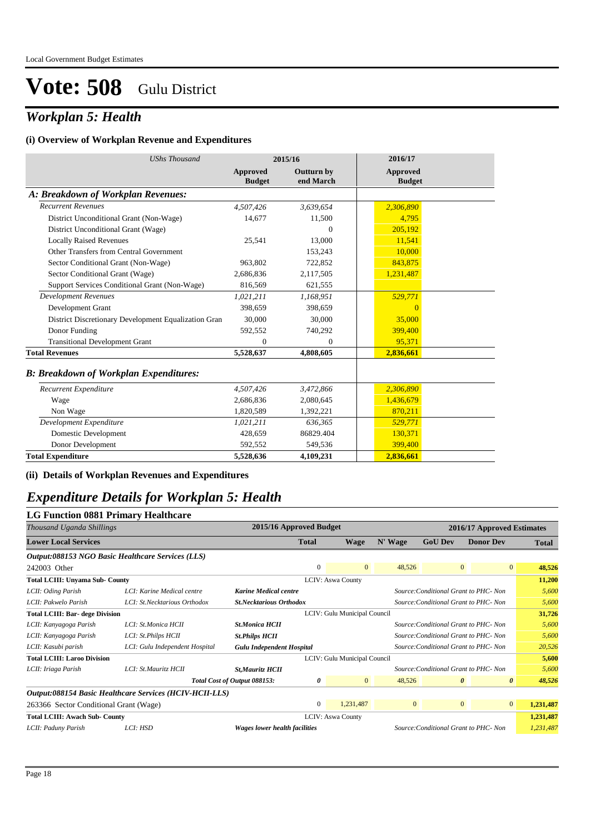### *Workplan 5: Health*

#### **(i) Overview of Workplan Revenue and Expenditures**

| <b>UShs Thousand</b>                                 |                                  | 2015/16                        | 2016/17                          |
|------------------------------------------------------|----------------------------------|--------------------------------|----------------------------------|
|                                                      | <b>Approved</b><br><b>Budget</b> | <b>Outturn by</b><br>end March | <b>Approved</b><br><b>Budget</b> |
| A: Breakdown of Workplan Revenues:                   |                                  |                                |                                  |
| <b>Recurrent Revenues</b>                            | 4,507,426                        | 3,639,654                      | 2,306,890                        |
| District Unconditional Grant (Non-Wage)              | 14,677                           | 11,500                         | 4,795                            |
| District Unconditional Grant (Wage)                  |                                  | $\Omega$                       | 205.192                          |
| <b>Locally Raised Revenues</b>                       | 25,541                           | 13,000                         | 11.541                           |
| Other Transfers from Central Government              |                                  | 153,243                        | 10.000                           |
| Sector Conditional Grant (Non-Wage)                  | 963,802                          | 722,852                        | 843,875                          |
| Sector Conditional Grant (Wage)                      | 2,686,836                        | 2,117,505                      | 1,231,487                        |
| Support Services Conditional Grant (Non-Wage)        | 816,569                          | 621,555                        |                                  |
| <b>Development Revenues</b>                          | 1,021,211                        | 1,168,951                      | 529,771                          |
| Development Grant                                    | 398.659                          | 398,659                        | $\Omega$                         |
| District Discretionary Development Equalization Gran | 30.000                           | 30,000                         | 35,000                           |
| Donor Funding                                        | 592,552                          | 740,292                        | 399,400                          |
| <b>Transitional Development Grant</b>                | $\mathbf{0}$                     | $\overline{0}$                 | 95,371                           |
| <b>Total Revenues</b>                                | 5,528,637                        | 4,808,605                      | 2,836,661                        |
| <b>B: Breakdown of Workplan Expenditures:</b>        |                                  |                                |                                  |
| Recurrent Expenditure                                | 4,507,426                        | 3,472,866                      | 2,306,890                        |
| Wage                                                 | 2,686,836                        | 2,080,645                      | 1,436,679                        |
| Non Wage                                             | 1,820,589                        | 1,392,221                      | 870,211                          |
| Development Expenditure                              | 1,021,211                        | 636,365                        | 529,771                          |
| Domestic Development                                 | 428,659                          | 86829.404                      | 130,371                          |
| Donor Development                                    | 592,552                          | 549,536                        | 399,400                          |
| <b>Total Expenditure</b>                             | 5,528,636                        | 4,109,231                      | 2,836,661                        |

**(ii) Details of Workplan Revenues and Expenditures**

### *Expenditure Details for Workplan 5: Health*

## **LG Function 0881 Primary Healthcare** *Thousand Uganda Shillings* **2015/16 Approved Budget 2016/17 Approved Estimates Lower Local Services Total Wage N' Wage GoU Dev Donor Dev Total** *Output:088153 NGO Basic Healthcare Services (LLS)* 242003 Other **12003** Other **12003** Other **12003** Other **12003** Other **12003** Other **12003** Other **12003** Other **1200** O

| <b>Total LCIII: Unyama Sub- County</b> |                                                         |                                  |                                       | <b>LCIV: Aswa County</b>     |              |                                       |                       | 11.200    |
|----------------------------------------|---------------------------------------------------------|----------------------------------|---------------------------------------|------------------------------|--------------|---------------------------------------|-----------------------|-----------|
| LCII: Oding Parish                     | LCI: Karine Medical centre                              | <b>Karine Medical centre</b>     |                                       |                              |              | Source: Conditional Grant to PHC- Non |                       | 5,600     |
| LCII: Pakwelo Parish                   | LCI: St.Necktarious Orthodox                            | <b>St.Necktarious Orthodox</b>   |                                       |                              |              | Source: Conditional Grant to PHC- Non | 5,600                 |           |
| <b>Total LCIII: Bar- dege Division</b> |                                                         |                                  |                                       | LCIV: Gulu Municipal Council |              |                                       |                       | 31,726    |
| LCII: Kanyagoga Parish                 | LCI: St.Monica HCII                                     | <b>St.Monica HCII</b>            |                                       |                              |              | Source: Conditional Grant to PHC- Non |                       | 5,600     |
| LCII: Kanyagoga Parish                 | LCI: St.Philps HCII                                     | <b>St.Philps HCII</b>            | Source: Conditional Grant to PHC- Non |                              |              |                                       |                       | 5,600     |
| LCII: Kasubi parish                    | LCI: Gulu Independent Hospital                          | <b>Gulu Independent Hospital</b> |                                       |                              |              | Source: Conditional Grant to PHC- Non |                       | 20,526    |
| <b>Total LCIII: Laroo Division</b>     |                                                         | LCIV: Gulu Municipal Council     |                                       |                              |              | 5,600                                 |                       |           |
| LCII: Iriaga Parish                    | LCI: St.Mauritz HCII                                    | St, Mauritz HCII                 |                                       |                              |              | Source: Conditional Grant to PHC- Non |                       | 5,600     |
|                                        |                                                         | Total Cost of Output 088153:     | 0                                     | $\mathbf{0}$                 | 48,526       | $\boldsymbol{\theta}$                 | $\boldsymbol{\theta}$ | 48,526    |
|                                        | Output:088154 Basic Healthcare Services (HCIV-HCII-LLS) |                                  |                                       |                              |              |                                       |                       |           |
| 263366 Sector Conditional Grant (Wage) |                                                         |                                  | $\Omega$                              | 1,231,487                    | $\mathbf{0}$ | $\overline{0}$                        | $\overline{0}$        | 1,231,487 |
| <b>Total LCIII: Awach Sub- County</b>  |                                                         |                                  |                                       | <b>LCIV: Aswa County</b>     |              |                                       |                       | 1,231,487 |
| LCII: Paduny Parish                    | LCI: HSD                                                | Wages lower health facilities    |                                       |                              |              | Source: Conditional Grant to PHC- Non |                       | 1,231,487 |
|                                        |                                                         |                                  |                                       |                              |              |                                       |                       |           |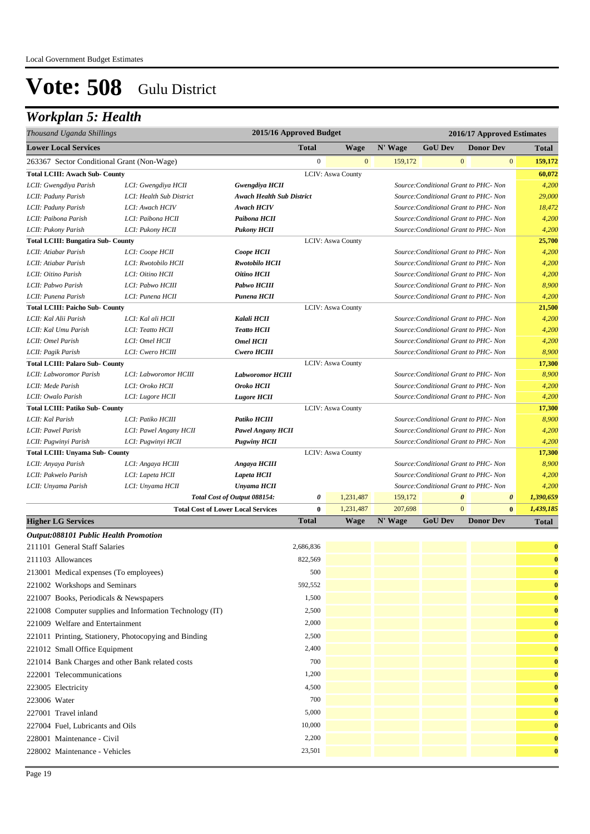### *Workplan 5: Health*

| Thousand Uganda Shillings                             |                                                          | 2015/16 Approved Budget          |                  |                          |         |                | 2016/17 Approved Estimates            |                                    |
|-------------------------------------------------------|----------------------------------------------------------|----------------------------------|------------------|--------------------------|---------|----------------|---------------------------------------|------------------------------------|
| <b>Lower Local Services</b>                           |                                                          |                                  | <b>Total</b>     | <b>Wage</b>              | N' Wage | <b>GoU Dev</b> | <b>Donor Dev</b>                      | <b>Total</b>                       |
| 263367 Sector Conditional Grant (Non-Wage)            |                                                          |                                  | $\boldsymbol{0}$ | $\mathbf{0}$             | 159,172 |                | $\mathbf{0}$                          | $\bf{0}$<br>159,172                |
| <b>Total LCIII: Awach Sub- County</b>                 |                                                          |                                  |                  | <b>LCIV: Aswa County</b> |         |                |                                       | 60,072                             |
| LCII: Gwengdiya Parish                                | LCI: Gwengdiya HCII                                      | <b>Gwengdiya HCII</b>            |                  |                          |         |                | Source: Conditional Grant to PHC- Non | 4,200                              |
| LCII: Paduny Parish                                   | LCI: Health Sub District                                 | <b>Awach Health Sub District</b> |                  |                          |         |                | Source: Conditional Grant to PHC- Non | 29,000                             |
| LCII: Paduny Parish                                   | LCI: Awach HCIV                                          | <b>Awach HCIV</b>                |                  |                          |         |                | Source: Conditional Grant to PHC- Non | 18,472                             |
| LCII: Paibona Parish                                  | LCI: Paibona HCII                                        | Paibona HCII                     |                  |                          |         |                | Source: Conditional Grant to PHC- Non | 4,200                              |
| LCII: Pukony Parish                                   | LCI: Pukony HCII                                         | <b>Pukony HCII</b>               |                  |                          |         |                | Source: Conditional Grant to PHC- Non | 4,200                              |
| <b>Total LCIII: Bungatira Sub- County</b>             |                                                          |                                  |                  | <b>LCIV: Aswa County</b> |         |                |                                       | 25,700                             |
| LCII: Atiabar Parish                                  | LCI: Coope HCII                                          | Coope HCII                       |                  |                          |         |                | Source: Conditional Grant to PHC- Non | 4,200                              |
| LCII: Atiabar Parish                                  | LCI: Rwotobilo HCII                                      | <b>Rwotobilo HCII</b>            |                  |                          |         |                | Source: Conditional Grant to PHC- Non | 4,200                              |
| LCII: Oitino Parish                                   | LCI: Oitino HCII                                         | Oitino HCII                      |                  |                          |         |                | Source: Conditional Grant to PHC- Non | 4,200                              |
| LCII: Pabwo Parish                                    | LCI: Pabwo HCIII                                         | Pabwo HCIII                      |                  |                          |         |                | Source: Conditional Grant to PHC- Non | 8,900                              |
| LCII: Punena Parish                                   | LCI: Punena HCII                                         | Punena HCII                      |                  |                          |         |                | Source: Conditional Grant to PHC- Non | 4,200                              |
| <b>Total LCIII: Paicho Sub- County</b>                |                                                          |                                  |                  | <b>LCIV: Aswa County</b> |         |                |                                       | 21,500                             |
| LCII: Kal Alii Parish                                 | LCI: Kal ali HCII                                        | Kalali HCII                      |                  |                          |         |                | Source: Conditional Grant to PHC- Non | 4,200                              |
| LCII: Kal Umu Parish                                  | LCI: Teatto HCII                                         | <b>Teatto HCII</b>               |                  |                          |         |                | Source: Conditional Grant to PHC- Non | 4,200                              |
| LCII: Omel Parish                                     | LCI: Omel HCII                                           | <b>Omel HCII</b>                 |                  |                          |         |                | Source: Conditional Grant to PHC- Non | 4,200                              |
| LCII: Pagik Parish                                    | LCI: Cwero HCIII                                         | Cwero HCIII                      |                  |                          |         |                | Source: Conditional Grant to PHC- Non | 8,900                              |
| <b>Total LCIII: Palaro Sub- County</b>                |                                                          |                                  |                  | <b>LCIV: Aswa County</b> |         |                |                                       | 17,300                             |
| LCII: Labworomor Parish                               | LCI: Labworomor HCIII                                    | <b>Labworomor HCIII</b>          |                  |                          |         |                | Source: Conditional Grant to PHC- Non | 8,900                              |
| LCII: Mede Parish                                     | LCI: Oroko HCII                                          | <b>Oroko HCII</b>                |                  |                          |         |                | Source: Conditional Grant to PHC- Non | 4,200                              |
| LCII: Owalo Parish                                    | LCI: Lugore HCII                                         | <b>Lugore HCII</b>               |                  |                          |         |                | Source: Conditional Grant to PHC- Non | 4,200                              |
| <b>Total LCIII: Patiko Sub- County</b>                |                                                          |                                  |                  | <b>LCIV: Aswa County</b> |         |                |                                       | 17,300                             |
| LCII: Kal Parish                                      | LCI: Patiko HCIII                                        | Patiko HCIII                     |                  |                          |         |                | Source: Conditional Grant to PHC- Non | 8,900                              |
| LCII: Pawel Parish                                    | LCI: Pawel Angany HCII                                   | <b>Pawel Angany HCII</b>         |                  |                          |         |                | Source: Conditional Grant to PHC- Non | 4,200                              |
| LCII: Pugwinyi Parish                                 | LCI: Pugwinyi HCII                                       | <b>Pugwiny HCII</b>              |                  |                          |         |                | Source: Conditional Grant to PHC- Non | 4,200                              |
| <b>Total LCIII: Unyama Sub- County</b>                |                                                          |                                  |                  | <b>LCIV: Aswa County</b> |         |                |                                       | 17,300                             |
| LCII: Anyaya Parish                                   | LCI: Angaya HCIII                                        | Angaya HCIII                     |                  |                          |         |                | Source: Conditional Grant to PHC- Non | 8,900                              |
| LCII: Pakwelo Parish                                  | LCI: Lapeta HCII                                         | Lapeta HCII                      |                  |                          |         |                | Source: Conditional Grant to PHC- Non | 4,200                              |
| LCII: Unyama Parish                                   | LCI: Unyama HCII                                         | Unyama HCII                      |                  |                          |         |                | Source: Conditional Grant to PHC- Non | 4,200                              |
|                                                       |                                                          | Total Cost of Output 088154:     | 0                | 1,231,487                | 159,172 |                | $\boldsymbol{\theta}$                 | $\boldsymbol{\theta}$<br>1,390,659 |
|                                                       | <b>Total Cost of Lower Local Services</b>                |                                  | $\bf{0}$         | 1,231,487                | 207,698 |                | $\Omega$                              | $\bf{0}$<br>1,439,185              |
| <b>Higher LG Services</b>                             |                                                          |                                  | Total            | <b>Wage</b>              | N' Wage | <b>GoU Dev</b> | <b>Donor Dev</b>                      | <b>Total</b>                       |
| <b>Output:088101 Public Health Promotion</b>          |                                                          |                                  |                  |                          |         |                |                                       |                                    |
| 211101 General Staff Salaries                         |                                                          |                                  | 2,686,836        |                          |         |                |                                       | $\bf{0}$                           |
| 211103 Allowances                                     |                                                          |                                  | 822,569          |                          |         |                |                                       | $\bf{0}$                           |
| 213001 Medical expenses (To employees)                |                                                          |                                  | 500              |                          |         |                |                                       | $\bf{0}$                           |
| 221002 Workshops and Seminars                         |                                                          |                                  | 592,552          |                          |         |                |                                       | $\bf{0}$                           |
| 221007 Books, Periodicals & Newspapers                |                                                          |                                  | 1,500            |                          |         |                |                                       | $\bf{0}$                           |
|                                                       | 221008 Computer supplies and Information Technology (IT) |                                  | 2,500            |                          |         |                |                                       | $\bf{0}$                           |
| 221009 Welfare and Entertainment                      |                                                          |                                  | 2,000            |                          |         |                |                                       | $\bf{0}$                           |
| 221011 Printing, Stationery, Photocopying and Binding |                                                          |                                  | 2,500            |                          |         |                |                                       | $\bf{0}$                           |
| 221012 Small Office Equipment                         |                                                          |                                  | 2,400            |                          |         |                |                                       | $\bf{0}$                           |
| 221014 Bank Charges and other Bank related costs      |                                                          |                                  | 700              |                          |         |                |                                       | $\bf{0}$                           |
| 222001 Telecommunications                             |                                                          |                                  | 1,200            |                          |         |                |                                       | $\bf{0}$                           |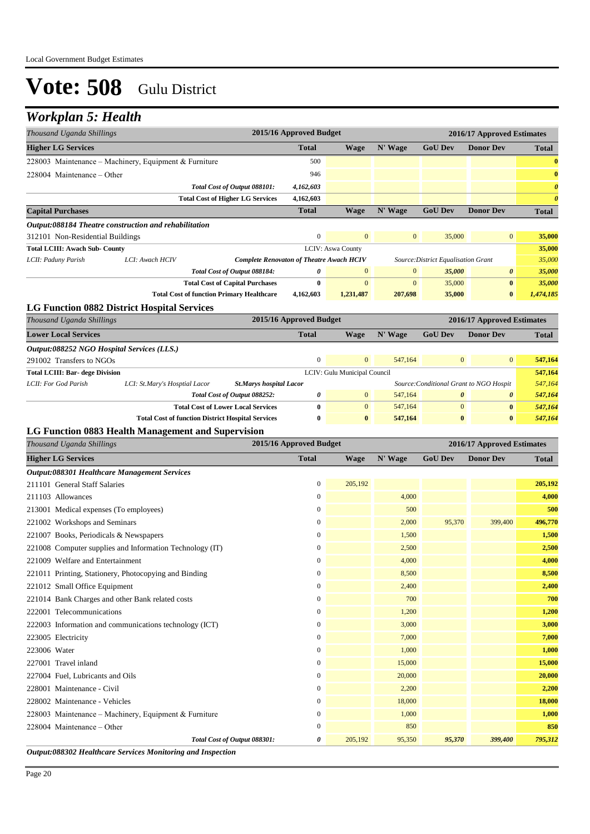## *Workplan 5: Health*

| <b>Total</b><br>N' Wage<br><b>GoU Dev</b><br><b>Donor Dev</b><br><b>Higher LG Services</b><br><b>Wage</b><br><b>Total</b><br>228003 Maintenance - Machinery, Equipment & Furniture<br>500<br>$\bf{0}$<br>946<br>228004 Maintenance – Other<br>$\bf{0}$<br>$\boldsymbol{\theta}$<br>Total Cost of Output 088101:<br>4,162,603<br><b>Total Cost of Higher LG Services</b><br>4,162,603<br>$\boldsymbol{\theta}$<br><b>Total</b><br>N' Wage<br><b>GoU Dev</b><br><b>Donor Dev</b><br><b>Capital Purchases</b><br><b>Wage</b><br><b>Total</b><br>Output:088184 Theatre construction and rehabilitation<br>$\mathbf{0}$<br>$\mathbf{0}$<br>$\boldsymbol{0}$<br>$\mathbf{0}$<br>35,000<br>35,000<br>312101 Non-Residential Buildings<br><b>LCIV: Aswa County</b><br><b>Total LCIII: Awach Sub- County</b><br>35,000<br>LCI: Awach HCIV<br>35,000<br>Source: District Equalisation Grant<br>LCII: Paduny Parish<br><b>Complete Renovaton of Theatre Awach HCIV</b><br>Total Cost of Output 088184:<br>0<br>$\mathbf{0}$<br>$\mathbf{0}$<br>35,000<br>$\boldsymbol{\theta}$<br>35,000<br>$\mathbf{0}$<br>$\mathbf{0}$<br><b>Total Cost of Capital Purchases</b><br>$\bf{0}$<br>35,000<br>$\bf{0}$<br>35,000<br><b>Total Cost of function Primary Healthcare</b><br>35,000<br>$\bf{0}$<br>4,162,603<br>1,231,487<br>207,698<br>1,474,185<br><b>LG Function 0882 District Hospital Services</b><br>2015/16 Approved Budget<br>Thousand Uganda Shillings<br>2016/17 Approved Estimates<br><b>Lower Local Services</b><br><b>Total</b><br>N' Wage<br><b>GoU Dev</b><br><b>Donor Dev</b><br>Wage<br><b>Total</b><br>Output:088252 NGO Hospital Services (LLS.)<br>$\mathbf{0}$<br>$\mathbf{0}$<br>547,164<br>$\mathbf{0}$<br>$\mathbf{0}$<br>291002 Transfers to NGOs<br>547,164<br>547,164<br><b>Total LCIII: Bar- dege Division</b><br>LCIV: Gulu Municipal Council<br>LCII: For God Parish<br>547,164<br>LCI: St.Mary's Hosptial Lacor<br><b>St.Marys hospital Lacor</b><br>Source: Conditional Grant to NGO Hospit<br>0<br>$\mathbf{0}$<br>0<br>Total Cost of Output 088252:<br>547,164<br>0<br>547,164<br>$\bf{0}$<br>$\mathbf{0}$<br>$\boldsymbol{0}$<br><b>Total Cost of Lower Local Services</b><br>547,164<br>$\bf{0}$<br>547,164<br><b>Total Cost of function District Hospital Services</b><br>$\bf{0}$<br>$\bf{0}$<br>547,164<br>$\bf{0}$<br>$\bf{0}$<br>547,164<br>LG Function 0883 Health Management and Supervision<br>2015/16 Approved Budget<br>Thousand Uganda Shillings<br>2016/17 Approved Estimates<br>N' Wage<br><b>GoU Dev</b><br><b>Donor Dev</b><br><b>Higher LG Services</b><br><b>Total</b><br>Wage<br><b>Total</b><br>Output:088301 Healthcare Management Services<br>$\boldsymbol{0}$<br>205,192<br>211101 General Staff Salaries<br>205,192<br>4,000<br>4,000<br>211103 Allowances<br>$\boldsymbol{0}$<br>500<br>$\boldsymbol{0}$<br>500<br>213001 Medical expenses (To employees)<br>399,400<br>$\boldsymbol{0}$<br>2,000<br>95,370<br>496,770<br>221002 Workshops and Seminars<br>$\mathbf{0}$<br>1,500<br>1,500<br>221007 Books, Periodicals & Newspapers<br>$\boldsymbol{0}$<br>2,500<br>2,500<br>221008 Computer supplies and Information Technology (IT)<br>$\boldsymbol{0}$<br>4,000<br>4,000<br>221009 Welfare and Entertainment<br>$\boldsymbol{0}$<br>8,500<br>8,500<br>221011 Printing, Stationery, Photocopying and Binding<br>$\boldsymbol{0}$<br>2,400<br>2,400<br>221012 Small Office Equipment<br>700<br>700<br>$\boldsymbol{0}$<br>221014 Bank Charges and other Bank related costs<br>$\boldsymbol{0}$<br>1,200<br>222001 Telecommunications<br>1,200<br>$\boldsymbol{0}$<br>3,000<br>3,000<br>222003 Information and communications technology (ICT)<br>$\boldsymbol{0}$<br>7,000<br>7,000<br>223005 Electricity<br>223006 Water<br>$\boldsymbol{0}$<br>1,000<br>1,000<br>15,000<br>15,000<br>227001 Travel inland<br>$\boldsymbol{0}$<br>20,000<br>$\boldsymbol{0}$<br>20,000<br>227004 Fuel, Lubricants and Oils<br>$\boldsymbol{0}$<br>2,200<br>2,200<br>228001 Maintenance - Civil<br>$\boldsymbol{0}$<br>18,000<br>228002 Maintenance - Vehicles<br>18,000<br>$\boldsymbol{0}$<br>1,000<br>1,000<br>228003 Maintenance - Machinery, Equipment & Furniture<br>850<br>850<br>$228004$ Maintenance – Other<br>$\boldsymbol{0}$<br>205,192<br>399,400<br>Total Cost of Output 088301:<br>0<br>95,350<br>95,370<br>795,312 | Thousand Uganda Shillings | 2015/16 Approved Budget |  |  | 2016/17 Approved Estimates |  |
|----------------------------------------------------------------------------------------------------------------------------------------------------------------------------------------------------------------------------------------------------------------------------------------------------------------------------------------------------------------------------------------------------------------------------------------------------------------------------------------------------------------------------------------------------------------------------------------------------------------------------------------------------------------------------------------------------------------------------------------------------------------------------------------------------------------------------------------------------------------------------------------------------------------------------------------------------------------------------------------------------------------------------------------------------------------------------------------------------------------------------------------------------------------------------------------------------------------------------------------------------------------------------------------------------------------------------------------------------------------------------------------------------------------------------------------------------------------------------------------------------------------------------------------------------------------------------------------------------------------------------------------------------------------------------------------------------------------------------------------------------------------------------------------------------------------------------------------------------------------------------------------------------------------------------------------------------------------------------------------------------------------------------------------------------------------------------------------------------------------------------------------------------------------------------------------------------------------------------------------------------------------------------------------------------------------------------------------------------------------------------------------------------------------------------------------------------------------------------------------------------------------------------------------------------------------------------------------------------------------------------------------------------------------------------------------------------------------------------------------------------------------------------------------------------------------------------------------------------------------------------------------------------------------------------------------------------------------------------------------------------------------------------------------------------------------------------------------------------------------------------------------------------------------------------------------------------------------------------------------------------------------------------------------------------------------------------------------------------------------------------------------------------------------------------------------------------------------------------------------------------------------------------------------------------------------------------------------------------------------------------------------------------------------------------------------------------------------------------------------------------------------------------------------------------------------------------------------------------------------------------------------------------------------------------------------------------------------------------------------------------------------------------------------------------------------------------------------------------------------------------------------------------------------------------------------------------------------------------------------------------------------------------------------------------------------------------------------------------------------|---------------------------|-------------------------|--|--|----------------------------|--|
|                                                                                                                                                                                                                                                                                                                                                                                                                                                                                                                                                                                                                                                                                                                                                                                                                                                                                                                                                                                                                                                                                                                                                                                                                                                                                                                                                                                                                                                                                                                                                                                                                                                                                                                                                                                                                                                                                                                                                                                                                                                                                                                                                                                                                                                                                                                                                                                                                                                                                                                                                                                                                                                                                                                                                                                                                                                                                                                                                                                                                                                                                                                                                                                                                                                                                                                                                                                                                                                                                                                                                                                                                                                                                                                                                                                                                                                                                                                                                                                                                                                                                                                                                                                                                                                                                                                                                                |                           |                         |  |  |                            |  |
|                                                                                                                                                                                                                                                                                                                                                                                                                                                                                                                                                                                                                                                                                                                                                                                                                                                                                                                                                                                                                                                                                                                                                                                                                                                                                                                                                                                                                                                                                                                                                                                                                                                                                                                                                                                                                                                                                                                                                                                                                                                                                                                                                                                                                                                                                                                                                                                                                                                                                                                                                                                                                                                                                                                                                                                                                                                                                                                                                                                                                                                                                                                                                                                                                                                                                                                                                                                                                                                                                                                                                                                                                                                                                                                                                                                                                                                                                                                                                                                                                                                                                                                                                                                                                                                                                                                                                                |                           |                         |  |  |                            |  |
|                                                                                                                                                                                                                                                                                                                                                                                                                                                                                                                                                                                                                                                                                                                                                                                                                                                                                                                                                                                                                                                                                                                                                                                                                                                                                                                                                                                                                                                                                                                                                                                                                                                                                                                                                                                                                                                                                                                                                                                                                                                                                                                                                                                                                                                                                                                                                                                                                                                                                                                                                                                                                                                                                                                                                                                                                                                                                                                                                                                                                                                                                                                                                                                                                                                                                                                                                                                                                                                                                                                                                                                                                                                                                                                                                                                                                                                                                                                                                                                                                                                                                                                                                                                                                                                                                                                                                                |                           |                         |  |  |                            |  |
|                                                                                                                                                                                                                                                                                                                                                                                                                                                                                                                                                                                                                                                                                                                                                                                                                                                                                                                                                                                                                                                                                                                                                                                                                                                                                                                                                                                                                                                                                                                                                                                                                                                                                                                                                                                                                                                                                                                                                                                                                                                                                                                                                                                                                                                                                                                                                                                                                                                                                                                                                                                                                                                                                                                                                                                                                                                                                                                                                                                                                                                                                                                                                                                                                                                                                                                                                                                                                                                                                                                                                                                                                                                                                                                                                                                                                                                                                                                                                                                                                                                                                                                                                                                                                                                                                                                                                                |                           |                         |  |  |                            |  |
|                                                                                                                                                                                                                                                                                                                                                                                                                                                                                                                                                                                                                                                                                                                                                                                                                                                                                                                                                                                                                                                                                                                                                                                                                                                                                                                                                                                                                                                                                                                                                                                                                                                                                                                                                                                                                                                                                                                                                                                                                                                                                                                                                                                                                                                                                                                                                                                                                                                                                                                                                                                                                                                                                                                                                                                                                                                                                                                                                                                                                                                                                                                                                                                                                                                                                                                                                                                                                                                                                                                                                                                                                                                                                                                                                                                                                                                                                                                                                                                                                                                                                                                                                                                                                                                                                                                                                                |                           |                         |  |  |                            |  |
|                                                                                                                                                                                                                                                                                                                                                                                                                                                                                                                                                                                                                                                                                                                                                                                                                                                                                                                                                                                                                                                                                                                                                                                                                                                                                                                                                                                                                                                                                                                                                                                                                                                                                                                                                                                                                                                                                                                                                                                                                                                                                                                                                                                                                                                                                                                                                                                                                                                                                                                                                                                                                                                                                                                                                                                                                                                                                                                                                                                                                                                                                                                                                                                                                                                                                                                                                                                                                                                                                                                                                                                                                                                                                                                                                                                                                                                                                                                                                                                                                                                                                                                                                                                                                                                                                                                                                                |                           |                         |  |  |                            |  |
|                                                                                                                                                                                                                                                                                                                                                                                                                                                                                                                                                                                                                                                                                                                                                                                                                                                                                                                                                                                                                                                                                                                                                                                                                                                                                                                                                                                                                                                                                                                                                                                                                                                                                                                                                                                                                                                                                                                                                                                                                                                                                                                                                                                                                                                                                                                                                                                                                                                                                                                                                                                                                                                                                                                                                                                                                                                                                                                                                                                                                                                                                                                                                                                                                                                                                                                                                                                                                                                                                                                                                                                                                                                                                                                                                                                                                                                                                                                                                                                                                                                                                                                                                                                                                                                                                                                                                                |                           |                         |  |  |                            |  |
|                                                                                                                                                                                                                                                                                                                                                                                                                                                                                                                                                                                                                                                                                                                                                                                                                                                                                                                                                                                                                                                                                                                                                                                                                                                                                                                                                                                                                                                                                                                                                                                                                                                                                                                                                                                                                                                                                                                                                                                                                                                                                                                                                                                                                                                                                                                                                                                                                                                                                                                                                                                                                                                                                                                                                                                                                                                                                                                                                                                                                                                                                                                                                                                                                                                                                                                                                                                                                                                                                                                                                                                                                                                                                                                                                                                                                                                                                                                                                                                                                                                                                                                                                                                                                                                                                                                                                                |                           |                         |  |  |                            |  |
|                                                                                                                                                                                                                                                                                                                                                                                                                                                                                                                                                                                                                                                                                                                                                                                                                                                                                                                                                                                                                                                                                                                                                                                                                                                                                                                                                                                                                                                                                                                                                                                                                                                                                                                                                                                                                                                                                                                                                                                                                                                                                                                                                                                                                                                                                                                                                                                                                                                                                                                                                                                                                                                                                                                                                                                                                                                                                                                                                                                                                                                                                                                                                                                                                                                                                                                                                                                                                                                                                                                                                                                                                                                                                                                                                                                                                                                                                                                                                                                                                                                                                                                                                                                                                                                                                                                                                                |                           |                         |  |  |                            |  |
|                                                                                                                                                                                                                                                                                                                                                                                                                                                                                                                                                                                                                                                                                                                                                                                                                                                                                                                                                                                                                                                                                                                                                                                                                                                                                                                                                                                                                                                                                                                                                                                                                                                                                                                                                                                                                                                                                                                                                                                                                                                                                                                                                                                                                                                                                                                                                                                                                                                                                                                                                                                                                                                                                                                                                                                                                                                                                                                                                                                                                                                                                                                                                                                                                                                                                                                                                                                                                                                                                                                                                                                                                                                                                                                                                                                                                                                                                                                                                                                                                                                                                                                                                                                                                                                                                                                                                                |                           |                         |  |  |                            |  |
|                                                                                                                                                                                                                                                                                                                                                                                                                                                                                                                                                                                                                                                                                                                                                                                                                                                                                                                                                                                                                                                                                                                                                                                                                                                                                                                                                                                                                                                                                                                                                                                                                                                                                                                                                                                                                                                                                                                                                                                                                                                                                                                                                                                                                                                                                                                                                                                                                                                                                                                                                                                                                                                                                                                                                                                                                                                                                                                                                                                                                                                                                                                                                                                                                                                                                                                                                                                                                                                                                                                                                                                                                                                                                                                                                                                                                                                                                                                                                                                                                                                                                                                                                                                                                                                                                                                                                                |                           |                         |  |  |                            |  |
|                                                                                                                                                                                                                                                                                                                                                                                                                                                                                                                                                                                                                                                                                                                                                                                                                                                                                                                                                                                                                                                                                                                                                                                                                                                                                                                                                                                                                                                                                                                                                                                                                                                                                                                                                                                                                                                                                                                                                                                                                                                                                                                                                                                                                                                                                                                                                                                                                                                                                                                                                                                                                                                                                                                                                                                                                                                                                                                                                                                                                                                                                                                                                                                                                                                                                                                                                                                                                                                                                                                                                                                                                                                                                                                                                                                                                                                                                                                                                                                                                                                                                                                                                                                                                                                                                                                                                                |                           |                         |  |  |                            |  |
|                                                                                                                                                                                                                                                                                                                                                                                                                                                                                                                                                                                                                                                                                                                                                                                                                                                                                                                                                                                                                                                                                                                                                                                                                                                                                                                                                                                                                                                                                                                                                                                                                                                                                                                                                                                                                                                                                                                                                                                                                                                                                                                                                                                                                                                                                                                                                                                                                                                                                                                                                                                                                                                                                                                                                                                                                                                                                                                                                                                                                                                                                                                                                                                                                                                                                                                                                                                                                                                                                                                                                                                                                                                                                                                                                                                                                                                                                                                                                                                                                                                                                                                                                                                                                                                                                                                                                                |                           |                         |  |  |                            |  |
|                                                                                                                                                                                                                                                                                                                                                                                                                                                                                                                                                                                                                                                                                                                                                                                                                                                                                                                                                                                                                                                                                                                                                                                                                                                                                                                                                                                                                                                                                                                                                                                                                                                                                                                                                                                                                                                                                                                                                                                                                                                                                                                                                                                                                                                                                                                                                                                                                                                                                                                                                                                                                                                                                                                                                                                                                                                                                                                                                                                                                                                                                                                                                                                                                                                                                                                                                                                                                                                                                                                                                                                                                                                                                                                                                                                                                                                                                                                                                                                                                                                                                                                                                                                                                                                                                                                                                                |                           |                         |  |  |                            |  |
|                                                                                                                                                                                                                                                                                                                                                                                                                                                                                                                                                                                                                                                                                                                                                                                                                                                                                                                                                                                                                                                                                                                                                                                                                                                                                                                                                                                                                                                                                                                                                                                                                                                                                                                                                                                                                                                                                                                                                                                                                                                                                                                                                                                                                                                                                                                                                                                                                                                                                                                                                                                                                                                                                                                                                                                                                                                                                                                                                                                                                                                                                                                                                                                                                                                                                                                                                                                                                                                                                                                                                                                                                                                                                                                                                                                                                                                                                                                                                                                                                                                                                                                                                                                                                                                                                                                                                                |                           |                         |  |  |                            |  |
|                                                                                                                                                                                                                                                                                                                                                                                                                                                                                                                                                                                                                                                                                                                                                                                                                                                                                                                                                                                                                                                                                                                                                                                                                                                                                                                                                                                                                                                                                                                                                                                                                                                                                                                                                                                                                                                                                                                                                                                                                                                                                                                                                                                                                                                                                                                                                                                                                                                                                                                                                                                                                                                                                                                                                                                                                                                                                                                                                                                                                                                                                                                                                                                                                                                                                                                                                                                                                                                                                                                                                                                                                                                                                                                                                                                                                                                                                                                                                                                                                                                                                                                                                                                                                                                                                                                                                                |                           |                         |  |  |                            |  |
|                                                                                                                                                                                                                                                                                                                                                                                                                                                                                                                                                                                                                                                                                                                                                                                                                                                                                                                                                                                                                                                                                                                                                                                                                                                                                                                                                                                                                                                                                                                                                                                                                                                                                                                                                                                                                                                                                                                                                                                                                                                                                                                                                                                                                                                                                                                                                                                                                                                                                                                                                                                                                                                                                                                                                                                                                                                                                                                                                                                                                                                                                                                                                                                                                                                                                                                                                                                                                                                                                                                                                                                                                                                                                                                                                                                                                                                                                                                                                                                                                                                                                                                                                                                                                                                                                                                                                                |                           |                         |  |  |                            |  |
|                                                                                                                                                                                                                                                                                                                                                                                                                                                                                                                                                                                                                                                                                                                                                                                                                                                                                                                                                                                                                                                                                                                                                                                                                                                                                                                                                                                                                                                                                                                                                                                                                                                                                                                                                                                                                                                                                                                                                                                                                                                                                                                                                                                                                                                                                                                                                                                                                                                                                                                                                                                                                                                                                                                                                                                                                                                                                                                                                                                                                                                                                                                                                                                                                                                                                                                                                                                                                                                                                                                                                                                                                                                                                                                                                                                                                                                                                                                                                                                                                                                                                                                                                                                                                                                                                                                                                                |                           |                         |  |  |                            |  |
|                                                                                                                                                                                                                                                                                                                                                                                                                                                                                                                                                                                                                                                                                                                                                                                                                                                                                                                                                                                                                                                                                                                                                                                                                                                                                                                                                                                                                                                                                                                                                                                                                                                                                                                                                                                                                                                                                                                                                                                                                                                                                                                                                                                                                                                                                                                                                                                                                                                                                                                                                                                                                                                                                                                                                                                                                                                                                                                                                                                                                                                                                                                                                                                                                                                                                                                                                                                                                                                                                                                                                                                                                                                                                                                                                                                                                                                                                                                                                                                                                                                                                                                                                                                                                                                                                                                                                                |                           |                         |  |  |                            |  |
|                                                                                                                                                                                                                                                                                                                                                                                                                                                                                                                                                                                                                                                                                                                                                                                                                                                                                                                                                                                                                                                                                                                                                                                                                                                                                                                                                                                                                                                                                                                                                                                                                                                                                                                                                                                                                                                                                                                                                                                                                                                                                                                                                                                                                                                                                                                                                                                                                                                                                                                                                                                                                                                                                                                                                                                                                                                                                                                                                                                                                                                                                                                                                                                                                                                                                                                                                                                                                                                                                                                                                                                                                                                                                                                                                                                                                                                                                                                                                                                                                                                                                                                                                                                                                                                                                                                                                                |                           |                         |  |  |                            |  |
|                                                                                                                                                                                                                                                                                                                                                                                                                                                                                                                                                                                                                                                                                                                                                                                                                                                                                                                                                                                                                                                                                                                                                                                                                                                                                                                                                                                                                                                                                                                                                                                                                                                                                                                                                                                                                                                                                                                                                                                                                                                                                                                                                                                                                                                                                                                                                                                                                                                                                                                                                                                                                                                                                                                                                                                                                                                                                                                                                                                                                                                                                                                                                                                                                                                                                                                                                                                                                                                                                                                                                                                                                                                                                                                                                                                                                                                                                                                                                                                                                                                                                                                                                                                                                                                                                                                                                                |                           |                         |  |  |                            |  |
|                                                                                                                                                                                                                                                                                                                                                                                                                                                                                                                                                                                                                                                                                                                                                                                                                                                                                                                                                                                                                                                                                                                                                                                                                                                                                                                                                                                                                                                                                                                                                                                                                                                                                                                                                                                                                                                                                                                                                                                                                                                                                                                                                                                                                                                                                                                                                                                                                                                                                                                                                                                                                                                                                                                                                                                                                                                                                                                                                                                                                                                                                                                                                                                                                                                                                                                                                                                                                                                                                                                                                                                                                                                                                                                                                                                                                                                                                                                                                                                                                                                                                                                                                                                                                                                                                                                                                                |                           |                         |  |  |                            |  |
|                                                                                                                                                                                                                                                                                                                                                                                                                                                                                                                                                                                                                                                                                                                                                                                                                                                                                                                                                                                                                                                                                                                                                                                                                                                                                                                                                                                                                                                                                                                                                                                                                                                                                                                                                                                                                                                                                                                                                                                                                                                                                                                                                                                                                                                                                                                                                                                                                                                                                                                                                                                                                                                                                                                                                                                                                                                                                                                                                                                                                                                                                                                                                                                                                                                                                                                                                                                                                                                                                                                                                                                                                                                                                                                                                                                                                                                                                                                                                                                                                                                                                                                                                                                                                                                                                                                                                                |                           |                         |  |  |                            |  |
|                                                                                                                                                                                                                                                                                                                                                                                                                                                                                                                                                                                                                                                                                                                                                                                                                                                                                                                                                                                                                                                                                                                                                                                                                                                                                                                                                                                                                                                                                                                                                                                                                                                                                                                                                                                                                                                                                                                                                                                                                                                                                                                                                                                                                                                                                                                                                                                                                                                                                                                                                                                                                                                                                                                                                                                                                                                                                                                                                                                                                                                                                                                                                                                                                                                                                                                                                                                                                                                                                                                                                                                                                                                                                                                                                                                                                                                                                                                                                                                                                                                                                                                                                                                                                                                                                                                                                                |                           |                         |  |  |                            |  |
|                                                                                                                                                                                                                                                                                                                                                                                                                                                                                                                                                                                                                                                                                                                                                                                                                                                                                                                                                                                                                                                                                                                                                                                                                                                                                                                                                                                                                                                                                                                                                                                                                                                                                                                                                                                                                                                                                                                                                                                                                                                                                                                                                                                                                                                                                                                                                                                                                                                                                                                                                                                                                                                                                                                                                                                                                                                                                                                                                                                                                                                                                                                                                                                                                                                                                                                                                                                                                                                                                                                                                                                                                                                                                                                                                                                                                                                                                                                                                                                                                                                                                                                                                                                                                                                                                                                                                                |                           |                         |  |  |                            |  |
|                                                                                                                                                                                                                                                                                                                                                                                                                                                                                                                                                                                                                                                                                                                                                                                                                                                                                                                                                                                                                                                                                                                                                                                                                                                                                                                                                                                                                                                                                                                                                                                                                                                                                                                                                                                                                                                                                                                                                                                                                                                                                                                                                                                                                                                                                                                                                                                                                                                                                                                                                                                                                                                                                                                                                                                                                                                                                                                                                                                                                                                                                                                                                                                                                                                                                                                                                                                                                                                                                                                                                                                                                                                                                                                                                                                                                                                                                                                                                                                                                                                                                                                                                                                                                                                                                                                                                                |                           |                         |  |  |                            |  |
|                                                                                                                                                                                                                                                                                                                                                                                                                                                                                                                                                                                                                                                                                                                                                                                                                                                                                                                                                                                                                                                                                                                                                                                                                                                                                                                                                                                                                                                                                                                                                                                                                                                                                                                                                                                                                                                                                                                                                                                                                                                                                                                                                                                                                                                                                                                                                                                                                                                                                                                                                                                                                                                                                                                                                                                                                                                                                                                                                                                                                                                                                                                                                                                                                                                                                                                                                                                                                                                                                                                                                                                                                                                                                                                                                                                                                                                                                                                                                                                                                                                                                                                                                                                                                                                                                                                                                                |                           |                         |  |  |                            |  |
|                                                                                                                                                                                                                                                                                                                                                                                                                                                                                                                                                                                                                                                                                                                                                                                                                                                                                                                                                                                                                                                                                                                                                                                                                                                                                                                                                                                                                                                                                                                                                                                                                                                                                                                                                                                                                                                                                                                                                                                                                                                                                                                                                                                                                                                                                                                                                                                                                                                                                                                                                                                                                                                                                                                                                                                                                                                                                                                                                                                                                                                                                                                                                                                                                                                                                                                                                                                                                                                                                                                                                                                                                                                                                                                                                                                                                                                                                                                                                                                                                                                                                                                                                                                                                                                                                                                                                                |                           |                         |  |  |                            |  |
|                                                                                                                                                                                                                                                                                                                                                                                                                                                                                                                                                                                                                                                                                                                                                                                                                                                                                                                                                                                                                                                                                                                                                                                                                                                                                                                                                                                                                                                                                                                                                                                                                                                                                                                                                                                                                                                                                                                                                                                                                                                                                                                                                                                                                                                                                                                                                                                                                                                                                                                                                                                                                                                                                                                                                                                                                                                                                                                                                                                                                                                                                                                                                                                                                                                                                                                                                                                                                                                                                                                                                                                                                                                                                                                                                                                                                                                                                                                                                                                                                                                                                                                                                                                                                                                                                                                                                                |                           |                         |  |  |                            |  |
|                                                                                                                                                                                                                                                                                                                                                                                                                                                                                                                                                                                                                                                                                                                                                                                                                                                                                                                                                                                                                                                                                                                                                                                                                                                                                                                                                                                                                                                                                                                                                                                                                                                                                                                                                                                                                                                                                                                                                                                                                                                                                                                                                                                                                                                                                                                                                                                                                                                                                                                                                                                                                                                                                                                                                                                                                                                                                                                                                                                                                                                                                                                                                                                                                                                                                                                                                                                                                                                                                                                                                                                                                                                                                                                                                                                                                                                                                                                                                                                                                                                                                                                                                                                                                                                                                                                                                                |                           |                         |  |  |                            |  |
|                                                                                                                                                                                                                                                                                                                                                                                                                                                                                                                                                                                                                                                                                                                                                                                                                                                                                                                                                                                                                                                                                                                                                                                                                                                                                                                                                                                                                                                                                                                                                                                                                                                                                                                                                                                                                                                                                                                                                                                                                                                                                                                                                                                                                                                                                                                                                                                                                                                                                                                                                                                                                                                                                                                                                                                                                                                                                                                                                                                                                                                                                                                                                                                                                                                                                                                                                                                                                                                                                                                                                                                                                                                                                                                                                                                                                                                                                                                                                                                                                                                                                                                                                                                                                                                                                                                                                                |                           |                         |  |  |                            |  |
|                                                                                                                                                                                                                                                                                                                                                                                                                                                                                                                                                                                                                                                                                                                                                                                                                                                                                                                                                                                                                                                                                                                                                                                                                                                                                                                                                                                                                                                                                                                                                                                                                                                                                                                                                                                                                                                                                                                                                                                                                                                                                                                                                                                                                                                                                                                                                                                                                                                                                                                                                                                                                                                                                                                                                                                                                                                                                                                                                                                                                                                                                                                                                                                                                                                                                                                                                                                                                                                                                                                                                                                                                                                                                                                                                                                                                                                                                                                                                                                                                                                                                                                                                                                                                                                                                                                                                                |                           |                         |  |  |                            |  |
|                                                                                                                                                                                                                                                                                                                                                                                                                                                                                                                                                                                                                                                                                                                                                                                                                                                                                                                                                                                                                                                                                                                                                                                                                                                                                                                                                                                                                                                                                                                                                                                                                                                                                                                                                                                                                                                                                                                                                                                                                                                                                                                                                                                                                                                                                                                                                                                                                                                                                                                                                                                                                                                                                                                                                                                                                                                                                                                                                                                                                                                                                                                                                                                                                                                                                                                                                                                                                                                                                                                                                                                                                                                                                                                                                                                                                                                                                                                                                                                                                                                                                                                                                                                                                                                                                                                                                                |                           |                         |  |  |                            |  |
|                                                                                                                                                                                                                                                                                                                                                                                                                                                                                                                                                                                                                                                                                                                                                                                                                                                                                                                                                                                                                                                                                                                                                                                                                                                                                                                                                                                                                                                                                                                                                                                                                                                                                                                                                                                                                                                                                                                                                                                                                                                                                                                                                                                                                                                                                                                                                                                                                                                                                                                                                                                                                                                                                                                                                                                                                                                                                                                                                                                                                                                                                                                                                                                                                                                                                                                                                                                                                                                                                                                                                                                                                                                                                                                                                                                                                                                                                                                                                                                                                                                                                                                                                                                                                                                                                                                                                                |                           |                         |  |  |                            |  |
|                                                                                                                                                                                                                                                                                                                                                                                                                                                                                                                                                                                                                                                                                                                                                                                                                                                                                                                                                                                                                                                                                                                                                                                                                                                                                                                                                                                                                                                                                                                                                                                                                                                                                                                                                                                                                                                                                                                                                                                                                                                                                                                                                                                                                                                                                                                                                                                                                                                                                                                                                                                                                                                                                                                                                                                                                                                                                                                                                                                                                                                                                                                                                                                                                                                                                                                                                                                                                                                                                                                                                                                                                                                                                                                                                                                                                                                                                                                                                                                                                                                                                                                                                                                                                                                                                                                                                                |                           |                         |  |  |                            |  |
|                                                                                                                                                                                                                                                                                                                                                                                                                                                                                                                                                                                                                                                                                                                                                                                                                                                                                                                                                                                                                                                                                                                                                                                                                                                                                                                                                                                                                                                                                                                                                                                                                                                                                                                                                                                                                                                                                                                                                                                                                                                                                                                                                                                                                                                                                                                                                                                                                                                                                                                                                                                                                                                                                                                                                                                                                                                                                                                                                                                                                                                                                                                                                                                                                                                                                                                                                                                                                                                                                                                                                                                                                                                                                                                                                                                                                                                                                                                                                                                                                                                                                                                                                                                                                                                                                                                                                                |                           |                         |  |  |                            |  |
|                                                                                                                                                                                                                                                                                                                                                                                                                                                                                                                                                                                                                                                                                                                                                                                                                                                                                                                                                                                                                                                                                                                                                                                                                                                                                                                                                                                                                                                                                                                                                                                                                                                                                                                                                                                                                                                                                                                                                                                                                                                                                                                                                                                                                                                                                                                                                                                                                                                                                                                                                                                                                                                                                                                                                                                                                                                                                                                                                                                                                                                                                                                                                                                                                                                                                                                                                                                                                                                                                                                                                                                                                                                                                                                                                                                                                                                                                                                                                                                                                                                                                                                                                                                                                                                                                                                                                                |                           |                         |  |  |                            |  |
|                                                                                                                                                                                                                                                                                                                                                                                                                                                                                                                                                                                                                                                                                                                                                                                                                                                                                                                                                                                                                                                                                                                                                                                                                                                                                                                                                                                                                                                                                                                                                                                                                                                                                                                                                                                                                                                                                                                                                                                                                                                                                                                                                                                                                                                                                                                                                                                                                                                                                                                                                                                                                                                                                                                                                                                                                                                                                                                                                                                                                                                                                                                                                                                                                                                                                                                                                                                                                                                                                                                                                                                                                                                                                                                                                                                                                                                                                                                                                                                                                                                                                                                                                                                                                                                                                                                                                                |                           |                         |  |  |                            |  |
|                                                                                                                                                                                                                                                                                                                                                                                                                                                                                                                                                                                                                                                                                                                                                                                                                                                                                                                                                                                                                                                                                                                                                                                                                                                                                                                                                                                                                                                                                                                                                                                                                                                                                                                                                                                                                                                                                                                                                                                                                                                                                                                                                                                                                                                                                                                                                                                                                                                                                                                                                                                                                                                                                                                                                                                                                                                                                                                                                                                                                                                                                                                                                                                                                                                                                                                                                                                                                                                                                                                                                                                                                                                                                                                                                                                                                                                                                                                                                                                                                                                                                                                                                                                                                                                                                                                                                                |                           |                         |  |  |                            |  |
|                                                                                                                                                                                                                                                                                                                                                                                                                                                                                                                                                                                                                                                                                                                                                                                                                                                                                                                                                                                                                                                                                                                                                                                                                                                                                                                                                                                                                                                                                                                                                                                                                                                                                                                                                                                                                                                                                                                                                                                                                                                                                                                                                                                                                                                                                                                                                                                                                                                                                                                                                                                                                                                                                                                                                                                                                                                                                                                                                                                                                                                                                                                                                                                                                                                                                                                                                                                                                                                                                                                                                                                                                                                                                                                                                                                                                                                                                                                                                                                                                                                                                                                                                                                                                                                                                                                                                                |                           |                         |  |  |                            |  |
|                                                                                                                                                                                                                                                                                                                                                                                                                                                                                                                                                                                                                                                                                                                                                                                                                                                                                                                                                                                                                                                                                                                                                                                                                                                                                                                                                                                                                                                                                                                                                                                                                                                                                                                                                                                                                                                                                                                                                                                                                                                                                                                                                                                                                                                                                                                                                                                                                                                                                                                                                                                                                                                                                                                                                                                                                                                                                                                                                                                                                                                                                                                                                                                                                                                                                                                                                                                                                                                                                                                                                                                                                                                                                                                                                                                                                                                                                                                                                                                                                                                                                                                                                                                                                                                                                                                                                                |                           |                         |  |  |                            |  |
|                                                                                                                                                                                                                                                                                                                                                                                                                                                                                                                                                                                                                                                                                                                                                                                                                                                                                                                                                                                                                                                                                                                                                                                                                                                                                                                                                                                                                                                                                                                                                                                                                                                                                                                                                                                                                                                                                                                                                                                                                                                                                                                                                                                                                                                                                                                                                                                                                                                                                                                                                                                                                                                                                                                                                                                                                                                                                                                                                                                                                                                                                                                                                                                                                                                                                                                                                                                                                                                                                                                                                                                                                                                                                                                                                                                                                                                                                                                                                                                                                                                                                                                                                                                                                                                                                                                                                                |                           |                         |  |  |                            |  |
|                                                                                                                                                                                                                                                                                                                                                                                                                                                                                                                                                                                                                                                                                                                                                                                                                                                                                                                                                                                                                                                                                                                                                                                                                                                                                                                                                                                                                                                                                                                                                                                                                                                                                                                                                                                                                                                                                                                                                                                                                                                                                                                                                                                                                                                                                                                                                                                                                                                                                                                                                                                                                                                                                                                                                                                                                                                                                                                                                                                                                                                                                                                                                                                                                                                                                                                                                                                                                                                                                                                                                                                                                                                                                                                                                                                                                                                                                                                                                                                                                                                                                                                                                                                                                                                                                                                                                                |                           |                         |  |  |                            |  |
|                                                                                                                                                                                                                                                                                                                                                                                                                                                                                                                                                                                                                                                                                                                                                                                                                                                                                                                                                                                                                                                                                                                                                                                                                                                                                                                                                                                                                                                                                                                                                                                                                                                                                                                                                                                                                                                                                                                                                                                                                                                                                                                                                                                                                                                                                                                                                                                                                                                                                                                                                                                                                                                                                                                                                                                                                                                                                                                                                                                                                                                                                                                                                                                                                                                                                                                                                                                                                                                                                                                                                                                                                                                                                                                                                                                                                                                                                                                                                                                                                                                                                                                                                                                                                                                                                                                                                                |                           |                         |  |  |                            |  |
|                                                                                                                                                                                                                                                                                                                                                                                                                                                                                                                                                                                                                                                                                                                                                                                                                                                                                                                                                                                                                                                                                                                                                                                                                                                                                                                                                                                                                                                                                                                                                                                                                                                                                                                                                                                                                                                                                                                                                                                                                                                                                                                                                                                                                                                                                                                                                                                                                                                                                                                                                                                                                                                                                                                                                                                                                                                                                                                                                                                                                                                                                                                                                                                                                                                                                                                                                                                                                                                                                                                                                                                                                                                                                                                                                                                                                                                                                                                                                                                                                                                                                                                                                                                                                                                                                                                                                                |                           |                         |  |  |                            |  |
|                                                                                                                                                                                                                                                                                                                                                                                                                                                                                                                                                                                                                                                                                                                                                                                                                                                                                                                                                                                                                                                                                                                                                                                                                                                                                                                                                                                                                                                                                                                                                                                                                                                                                                                                                                                                                                                                                                                                                                                                                                                                                                                                                                                                                                                                                                                                                                                                                                                                                                                                                                                                                                                                                                                                                                                                                                                                                                                                                                                                                                                                                                                                                                                                                                                                                                                                                                                                                                                                                                                                                                                                                                                                                                                                                                                                                                                                                                                                                                                                                                                                                                                                                                                                                                                                                                                                                                |                           |                         |  |  |                            |  |
|                                                                                                                                                                                                                                                                                                                                                                                                                                                                                                                                                                                                                                                                                                                                                                                                                                                                                                                                                                                                                                                                                                                                                                                                                                                                                                                                                                                                                                                                                                                                                                                                                                                                                                                                                                                                                                                                                                                                                                                                                                                                                                                                                                                                                                                                                                                                                                                                                                                                                                                                                                                                                                                                                                                                                                                                                                                                                                                                                                                                                                                                                                                                                                                                                                                                                                                                                                                                                                                                                                                                                                                                                                                                                                                                                                                                                                                                                                                                                                                                                                                                                                                                                                                                                                                                                                                                                                |                           |                         |  |  |                            |  |

*Output:088302 Healthcare Services Monitoring and Inspection*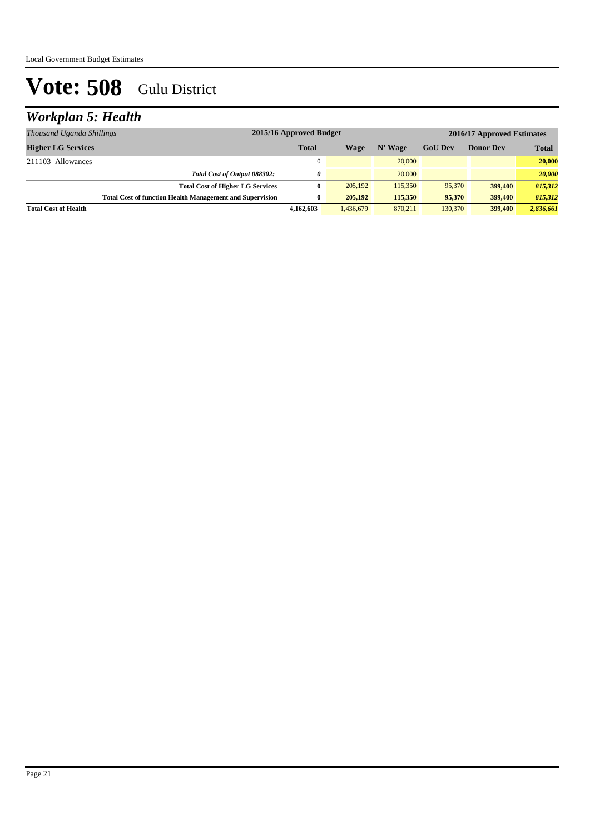## *Workplan 5: Health*

| Thousand Uganda Shillings                                       | 2015/16 Approved Budget |           |         |                | 2016/17 Approved Estimates |              |
|-----------------------------------------------------------------|-------------------------|-----------|---------|----------------|----------------------------|--------------|
| <b>Higher LG Services</b>                                       | <b>Total</b>            | Wage      | N' Wage | <b>GoU</b> Dev | <b>Donor Dev</b>           | <b>Total</b> |
| 211103 Allowances                                               | $\Omega$                |           | 20,000  |                |                            | 20,000       |
| Total Cost of Output 088302:                                    | 0                       |           | 20,000  |                |                            | 20,000       |
| <b>Total Cost of Higher LG Services</b>                         | $\mathbf{0}$            | 205,192   | 115,350 | 95,370         | <b>399,400</b>             | 815,312      |
| <b>Total Cost of function Health Management and Supervision</b> | 0                       | 205,192   | 115,350 | 95,370         | 399,400                    | 815,312      |
| <b>Total Cost of Health</b>                                     | 4.162.603               | 1,436,679 | 870,211 | 130.370        | 399,400                    | 2,836,661    |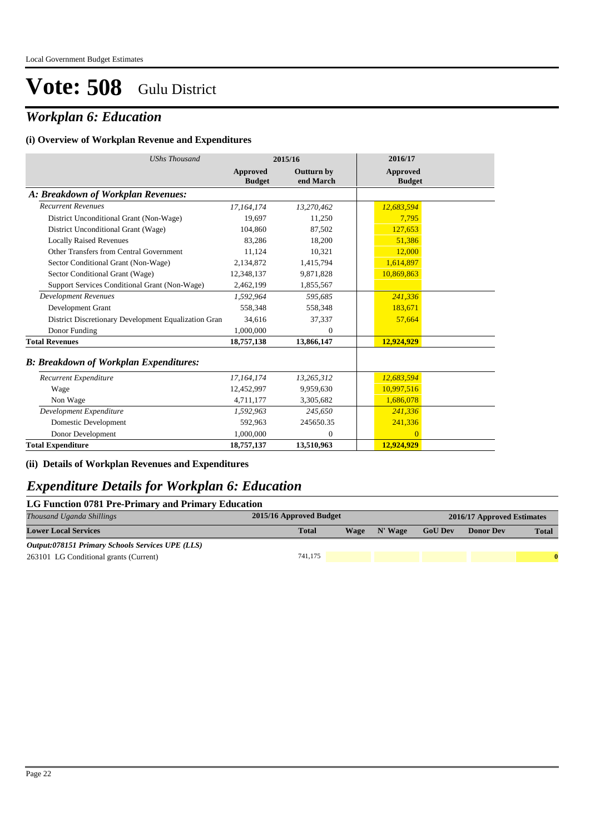## *Workplan 6: Education*

#### **(i) Overview of Workplan Revenue and Expenditures**

| <b>UShs Thousand</b>                                 |                           | 2015/16                        | 2016/17                   |
|------------------------------------------------------|---------------------------|--------------------------------|---------------------------|
|                                                      | Approved<br><b>Budget</b> | <b>Outturn by</b><br>end March | Approved<br><b>Budget</b> |
| A: Breakdown of Workplan Revenues:                   |                           |                                |                           |
| <b>Recurrent Revenues</b>                            | 17,164,174                | 13,270,462                     | 12,683,594                |
| District Unconditional Grant (Non-Wage)              | 19,697                    | 11,250                         | 7,795                     |
| District Unconditional Grant (Wage)                  | 104,860                   | 87,502                         | 127,653                   |
| <b>Locally Raised Revenues</b>                       | 83,286                    | 18,200                         | 51.386                    |
| Other Transfers from Central Government              | 11,124                    | 10,321                         | 12,000                    |
| Sector Conditional Grant (Non-Wage)                  | 2,134,872                 | 1,415,794                      | 1,614,897                 |
| Sector Conditional Grant (Wage)                      | 12,348,137                | 9,871,828                      | 10,869,863                |
| Support Services Conditional Grant (Non-Wage)        | 2,462,199                 | 1,855,567                      |                           |
| <b>Development Revenues</b>                          | 1.592.964                 | 595.685                        | 241.336                   |
| Development Grant                                    | 558,348                   | 558,348                        | 183,671                   |
| District Discretionary Development Equalization Gran | 34,616                    | 37,337                         | 57,664                    |
| Donor Funding                                        | 1,000,000                 | 0                              |                           |
| <b>Total Revenues</b>                                | 18,757,138                | 13,866,147                     | 12,924,929                |
| <b>B: Breakdown of Workplan Expenditures:</b>        |                           |                                |                           |
| Recurrent Expenditure                                | 17, 164, 174              | 13,265,312                     | 12,683,594                |
| Wage                                                 | 12,452,997                | 9,959,630                      | 10,997,516                |
| Non Wage                                             | 4,711,177                 | 3,305,682                      | 1,686,078                 |
| Development Expenditure                              | 1,592,963                 | 245,650                        | 241,336                   |
| Domestic Development                                 | 592,963                   | 245650.35                      | 241,336                   |
| Donor Development                                    | 1,000,000                 | 0                              | $\Omega$                  |
| <b>Total Expenditure</b>                             | 18,757,137                | 13,510,963                     | 12,924,929                |

### **(ii) Details of Workplan Revenues and Expenditures**

### *Expenditure Details for Workplan 6: Education*

| LG Function 0781 Pre-Primary and Primary Education |                                                       |             |         |                |                  |              |  |  |  |  |
|----------------------------------------------------|-------------------------------------------------------|-------------|---------|----------------|------------------|--------------|--|--|--|--|
| Thousand Uganda Shillings                          | 2015/16 Approved Budget<br>2016/17 Approved Estimates |             |         |                |                  |              |  |  |  |  |
| <b>Lower Local Services</b>                        | <b>Total</b>                                          | <b>Wage</b> | N' Wage | <b>GoU Dev</b> | <b>Donor Dev</b> | <b>Total</b> |  |  |  |  |
| Output:078151 Primary Schools Services UPE (LLS)   |                                                       |             |         |                |                  |              |  |  |  |  |
| 263101 LG Conditional grants (Current)             | 741.175                                               |             |         |                |                  |              |  |  |  |  |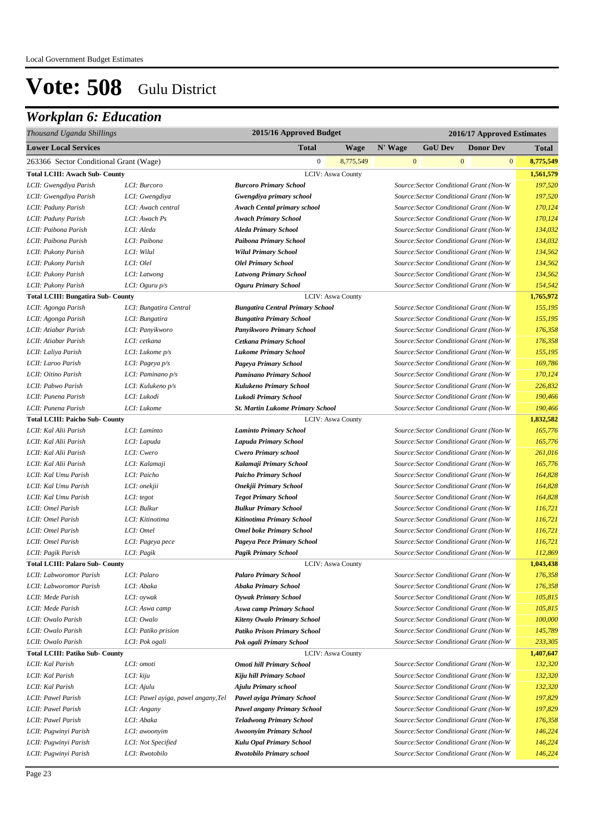## *Workplan 6: Education*

| Thousand Uganda Shillings                 |                                     | 2015/16 Approved Budget                 |                          |         | 2016/17 Approved Estimates |                                         |                           |  |
|-------------------------------------------|-------------------------------------|-----------------------------------------|--------------------------|---------|----------------------------|-----------------------------------------|---------------------------|--|
| <b>Lower Local Services</b>               |                                     | Total                                   | <b>Wage</b>              | N' Wage | <b>GoU Dev</b>             | <b>Donor Dev</b>                        | <b>Total</b>              |  |
| 263366 Sector Conditional Grant (Wage)    |                                     | $\boldsymbol{0}$                        | 8,775,549                |         | $\mathbf{0}$               | $\mathbf{0}$                            | $\mathbf{0}$<br>8,775,549 |  |
| <b>Total LCIII: Awach Sub- County</b>     |                                     |                                         | <b>LCIV: Aswa County</b> |         |                            |                                         | 1,561,579                 |  |
| LCII: Gwengdiya Parish                    | LCI: Burcoro                        | <b>Burcoro Primary School</b>           |                          |         |                            | Source: Sector Conditional Grant (Non-W | 197,520                   |  |
| LCII: Gwengdiya Parish                    | LCI: Gwengdiya                      | Gwengdiya primary school                |                          |         |                            | Source: Sector Conditional Grant (Non-W | 197,520                   |  |
| LCII: Paduny Parish                       | LCI: Awach central                  | <b>Awach Cental primary school</b>      |                          |         |                            | Source: Sector Conditional Grant (Non-W | 170,124                   |  |
| LCII: Paduny Parish                       | LCI: Awach Ps                       | <b>Awach Primary School</b>             |                          |         |                            | Source: Sector Conditional Grant (Non-W | 170,124                   |  |
| LCII: Paibona Parish                      | LCI: Aleda                          | <b>Aleda Primary School</b>             |                          |         |                            | Source: Sector Conditional Grant (Non-W | 134,032                   |  |
| LCII: Paibona Parish                      | LCI: Paibona                        | Paibona Primary School                  |                          |         |                            | Source: Sector Conditional Grant (Non-W | 134,032                   |  |
| LCII: Pukony Parish                       | LCI: Wilul                          | <b>Wilul Primary School</b>             |                          |         |                            | Source: Sector Conditional Grant (Non-W | 134,562                   |  |
| LCII: Pukony Parish                       | LCI: Olel                           | <b>Olel Primary School</b>              |                          |         |                            | Source: Sector Conditional Grant (Non-W | 134,562                   |  |
| LCII: Pukony Parish                       | LCI: Latwong                        | <b>Latwong Primary School</b>           |                          |         |                            | Source: Sector Conditional Grant (Non-W | 134,562                   |  |
| LCII: Pukony Parish                       | LCI: Oguru $p/s$                    | <b>Oguru Primary School</b>             |                          |         |                            | Source: Sector Conditional Grant (Non-W | 154,542                   |  |
| <b>Total LCIII: Bungatira Sub- County</b> |                                     |                                         | LCIV: Aswa County        |         |                            |                                         | 1,765,972                 |  |
| LCII: Agonga Parish                       | LCI: Bungatira Central              | <b>Bungatira Central Primary School</b> |                          |         |                            | Source: Sector Conditional Grant (Non-W | 155,195                   |  |
| LCII: Agonga Parish                       | LCI: Bungatira                      | <b>Bungatira Primary School</b>         |                          |         |                            | Source: Sector Conditional Grant (Non-W | 155,195                   |  |
| LCII: Atiabar Parish                      | LCI: Panyikworo                     | Panyikworo Primary School               |                          |         |                            | Source: Sector Conditional Grant (Non-W | 176,358                   |  |
| LCII: Atiabar Parish                      | LCI: cetkana                        | Cetkana Primary School                  |                          |         |                            | Source: Sector Conditional Grant (Non-W | 176,358                   |  |
| LCII: Laliya Parish                       | LCI: Lukome $p/s$                   | <b>Lukome Primary School</b>            |                          |         |                            | Source: Sector Conditional Grant (Non-W | 155,195                   |  |
| LCII: Laroo Parish                        | LCI: Pageya p/s                     | Pageya Primary School                   |                          |         |                            | Source: Sector Conditional Grant (Non-W | 169,786                   |  |
| LCII: Oitino Parish                       | LCI: Paminano p/s                   | <b>Paminano Primary School</b>          |                          |         |                            | Source: Sector Conditional Grant (Non-W | 170,124                   |  |
| LCII: Pabwo Parish                        | LCI: Kulukeno p/s                   | Kulukeno Primary School                 |                          |         |                            | Source: Sector Conditional Grant (Non-W | 226,832                   |  |
| LCII: Punena Parish                       | LCI: Lukodi                         | Lukodi Primary School                   |                          |         |                            | Source: Sector Conditional Grant (Non-W | 190,466                   |  |
| LCII: Punena Parish                       | LCI: Lukome                         | <b>St. Martin Lukome Primary School</b> |                          |         |                            | Source: Sector Conditional Grant (Non-W | 190,466                   |  |
| <b>Total LCIII: Paicho Sub- County</b>    |                                     |                                         | <b>LCIV: Aswa County</b> |         |                            |                                         | 1,832,582                 |  |
| LCII: Kal Alii Parish                     | LCI: Laminto                        | <b>Laminto Primary School</b>           |                          |         |                            | Source: Sector Conditional Grant (Non-W | 165,776                   |  |
| LCII: Kal Alii Parish                     | LCI: Lapuda                         | <b>Lapuda Primary School</b>            |                          |         |                            | Source: Sector Conditional Grant (Non-W | 165,776                   |  |
| LCII: Kal Alii Parish                     | LCI: Cwero                          | <b>Cwero Primary school</b>             |                          |         |                            | Source: Sector Conditional Grant (Non-W | 261,016                   |  |
| LCII: Kal Alii Parish                     | LCI: Kalamaji                       | Kalamaji Primary School                 |                          |         |                            | Source: Sector Conditional Grant (Non-W | 165,776                   |  |
| LCII: Kal Umu Parish                      | LCI: Paicho                         | <b>Paicho Primary School</b>            |                          |         |                            | Source: Sector Conditional Grant (Non-W | 164,828                   |  |
| LCII: Kal Umu Parish                      | LCI: onekjii                        | Onekjii Primary School                  |                          |         |                            | Source: Sector Conditional Grant (Non-W | 164,828                   |  |
| LCII: Kal Umu Parish                      | LCI: tegot                          | <b>Tegot Primary School</b>             |                          |         |                            | Source: Sector Conditional Grant (Non-W | 164,828                   |  |
| LCII: Omel Parish                         | LCI: Bulkur                         | <b>Bulkur Primary School</b>            |                          |         |                            | Source: Sector Conditional Grant (Non-W | 116,721                   |  |
| LCII: Omel Parish                         | LCI: Kitinotima                     | Kitinotima Primary School               |                          |         |                            | Source: Sector Conditional Grant (Non-W | 116,721                   |  |
| LCII: Omel Parish                         | LCI: Omel                           | <b>Omel boke Primary School</b>         |                          |         |                            | Source: Sector Conditional Grant (Non-W | 116,721                   |  |
| LCII: Omel Parish                         | LCI: Pageya pece                    | Pageya Pece Primary School              |                          |         |                            | Source: Sector Conditional Grant (Non-W | 116,721                   |  |
| LCII: Pagik Parish                        | LCI: Pagik                          | Pagik Primary School                    |                          |         |                            | Source: Sector Conditional Grant (Non-W | 112,869                   |  |
| <b>Total LCIII: Palaro Sub- County</b>    |                                     |                                         | LCIV: Aswa County        |         |                            |                                         | 1,043,438                 |  |
| LCII: Labworomor Parish                   | LCI: Palaro                         | <b>Palaro Primary School</b>            |                          |         |                            | Source: Sector Conditional Grant (Non-W | 176,358                   |  |
| LCII: Labworomor Parish                   | LCI: Abaka                          | <b>Abaka Primary School</b>             |                          |         |                            | Source: Sector Conditional Grant (Non-W | 176,358                   |  |
| LCII: Mede Parish                         | LCI: oywak                          | <b>Oywak Primary School</b>             |                          |         |                            | Source: Sector Conditional Grant (Non-W | 105,815                   |  |
| LCII: Mede Parish                         | LCI: Aswa camp                      | Aswa camp Primary School                |                          |         |                            | Source: Sector Conditional Grant (Non-W | 105,815                   |  |
| LCII: Owalo Parish                        | LCI: Owalo                          | <b>Kiteny Owalo Primary School</b>      |                          |         |                            | Source: Sector Conditional Grant (Non-W | 100,000                   |  |
| LCII: Owalo Parish                        | LCI: Patiko prision                 | <b>Patiko Prison Primary School</b>     |                          |         |                            | Source: Sector Conditional Grant (Non-W | 145,789                   |  |
| LCII: Owalo Parish                        | LCI: Pok ogali                      | Pok ogali Primary School                |                          |         |                            | Source: Sector Conditional Grant (Non-W | 233,305                   |  |
| <b>Total LCIII: Patiko Sub- County</b>    |                                     |                                         | <b>LCIV: Aswa County</b> |         |                            |                                         | 1,407,647                 |  |
| LCII: Kal Parish                          | LCI: omoti                          | <b>Omoti hill Primary School</b>        |                          |         |                            | Source: Sector Conditional Grant (Non-W | 132,320                   |  |
| LCII: Kal Parish                          | LCI: kiju                           | Kiju hill Primary School                |                          |         |                            | Source: Sector Conditional Grant (Non-W | 132,320                   |  |
| LCII: Kal Parish                          | LCI: Ajulu                          | <b>Ajulu Primary school</b>             |                          |         |                            | Source: Sector Conditional Grant (Non-W | 132,320                   |  |
| LCII: Pawel Parish                        | LCI: Pawel ayiga, pawel angany, Tel | Pawel ayiga Primary School              |                          |         |                            | Source: Sector Conditional Grant (Non-W | 197,829                   |  |
| LCII: Pawel Parish                        | LCI: Angany                         | <b>Pawel angany Primary School</b>      |                          |         |                            | Source: Sector Conditional Grant (Non-W | 197,829                   |  |
| LCII: Pawel Parish                        | LCI: Abaka                          | <b>Teladwong Primary School</b>         |                          |         |                            | Source: Sector Conditional Grant (Non-W | 176,358                   |  |
| LCII: Pugwinyi Parish                     | LCI: awoonyim                       | <b>Awoonyim Primary School</b>          |                          |         |                            | Source: Sector Conditional Grant (Non-W | 146,224                   |  |
| LCII: Pugwinyi Parish                     | LCI: Not Specified                  | Kulu Opal Primary School                |                          |         |                            | Source: Sector Conditional Grant (Non-W | 146,224                   |  |
| LCII: Pugwinyi Parish                     | LCI: Rwotobilo                      | <b>Rwotobilo Primary school</b>         |                          |         |                            | Source: Sector Conditional Grant (Non-W | 146,224                   |  |
|                                           |                                     |                                         |                          |         |                            |                                         |                           |  |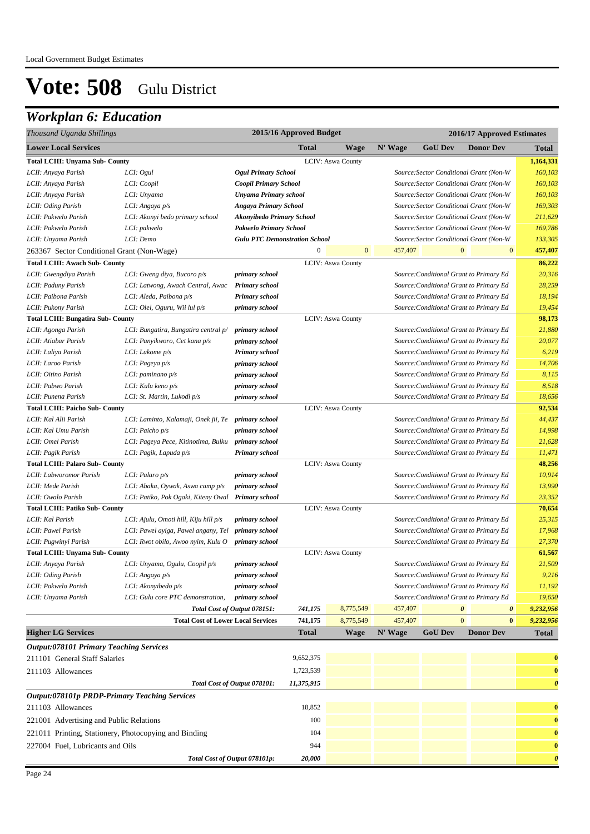## *Workplan 6: Education*

| Thousand Uganda Shillings                             |                                                     |                                      | 2015/16 Approved Budget |                          |         | 2016/17 Approved Estimates |                                            |                       |
|-------------------------------------------------------|-----------------------------------------------------|--------------------------------------|-------------------------|--------------------------|---------|----------------------------|--------------------------------------------|-----------------------|
| <b>Lower Local Services</b>                           |                                                     |                                      | <b>Total</b>            | <b>Wage</b>              | N' Wage | <b>GoU Dev</b>             | <b>Donor Dev</b>                           | <b>Total</b>          |
| <b>Total LCIII: Unyama Sub- County</b>                |                                                     |                                      |                         | <b>LCIV: Aswa County</b> |         |                            |                                            | 1,164,331             |
| LCII: Anyaya Parish                                   | LCI: Ogul                                           | <b>Ogul Primary School</b>           |                         |                          |         |                            | Source: Sector Conditional Grant (Non-W    | 160,103               |
| LCII: Anyaya Parish                                   | LCI: Coopil                                         | Coopil Primary School                |                         |                          |         |                            | Source: Sector Conditional Grant (Non-W    | 160,103               |
| LCII: Anyaya Parish                                   | LCI: Unyama                                         | <b>Unyama Primary school</b>         |                         |                          |         |                            | Source: Sector Conditional Grant (Non-W    | 160,103               |
| LCII: Oding Parish                                    | LCI: Angaya p/s                                     | <b>Angaya Primary School</b>         |                         |                          |         |                            | Source: Sector Conditional Grant (Non-W    | 169,303               |
| LCII: Pakwelo Parish                                  | LCI: Akonyi bedo primary school                     | <b>Akonyibedo Primary School</b>     |                         |                          |         |                            | Source: Sector Conditional Grant (Non-W    | 211,629               |
| LCII: Pakwelo Parish                                  | LCI: pakwelo                                        | Pakwelo Primary School               |                         |                          |         |                            | Source: Sector Conditional Grant (Non-W    | 169,786               |
| LCII: Unyama Parish                                   | LCI: Demo                                           | <b>Gulu PTC Demonstration School</b> |                         |                          |         |                            | Source: Sector Conditional Grant (Non-W    | 133,305               |
| 263367 Sector Conditional Grant (Non-Wage)            |                                                     |                                      | $\mathbf{0}$            | $\mathbf{0}$             | 457,407 |                            | $\mathbf{0}$<br>$\mathbf{0}$               | 457,407               |
| <b>Total LCIII: Awach Sub- County</b>                 |                                                     |                                      |                         | <b>LCIV: Aswa County</b> |         |                            |                                            | 86,222                |
| LCII: Gwengdiya Parish                                | LCI: Gweng diya, Bucoro p/s                         | primary school                       |                         |                          |         |                            | Source: Conditional Grant to Primary Ed    | 20,316                |
| LCII: Paduny Parish                                   | LCI: Latwong, Awach Central, Awac                   | Primary school                       |                         |                          |         |                            | Source: Conditional Grant to Primary Ed    | 28,259                |
| LCII: Paibona Parish                                  | LCI: Aleda, Paibona p/s                             | Primary school                       |                         |                          |         |                            | Source: Conditional Grant to Primary Ed    | 18,194                |
| LCII: Pukony Parish                                   | LCI: Olel, Oguru, Wii lul p/s                       | primary school                       |                         |                          |         |                            | Source: Conditional Grant to Primary Ed    | 19,454                |
| <b>Total LCIII: Bungatira Sub- County</b>             |                                                     |                                      |                         | <b>LCIV: Aswa County</b> |         |                            |                                            | 98,173                |
| LCII: Agonga Parish                                   | LCI: Bungatira, Bungatira central p/                | primary school                       |                         |                          |         |                            | Source: Conditional Grant to Primary Ed    | 21,880                |
| LCII: Atiabar Parish                                  | LCI: Panyikworo, Cet kana p/s                       | primary school                       |                         |                          |         |                            | Source: Conditional Grant to Primary Ed    | 20,077                |
| LCII: Laliya Parish                                   | LCI: Lukome p/s                                     | <b>Primary school</b>                |                         |                          |         |                            | Source: Conditional Grant to Primary Ed    | 6,219                 |
| LCII: Laroo Parish                                    | LCI: Pageya p/s                                     | primary school                       |                         |                          |         |                            | Source: Conditional Grant to Primary Ed    | 14,706                |
| LCII: Oitino Parish                                   | LCI: paminano $p/s$                                 | primary school                       |                         |                          |         |                            | Source: Conditional Grant to Primary Ed    | 8,115                 |
| LCII: Pabwo Parish                                    | LCI: Kulu keno p/s                                  | primary school                       |                         |                          |         |                            | Source: Conditional Grant to Primary Ed    | 8,518                 |
| LCII: Punena Parish                                   | LCI: St. Martin, Lukodi p/s                         | primary school                       |                         |                          |         |                            | Source: Conditional Grant to Primary Ed    | 18,656                |
| <b>Total LCIII: Paicho Sub- County</b>                |                                                     |                                      |                         | LCIV: Aswa County        |         |                            |                                            | 92,534                |
| LCII: Kal Alii Parish                                 | LCI: Laminto, Kalamaji, Onek jii, Te primary school |                                      |                         |                          |         |                            | Source: Conditional Grant to Primary Ed    | 44,437                |
| LCII: Kal Umu Parish                                  | LCI: Paicho $p/s$                                   | primary school                       |                         |                          |         |                            | Source: Conditional Grant to Primary Ed    | 14,998                |
| LCII: Omel Parish                                     | LCI: Pageya Pece, Kitinotima, Bulku primary school  |                                      |                         |                          |         |                            | Source: Conditional Grant to Primary Ed    | 21,628                |
| LCII: Pagik Parish                                    | LCI: Pagik, Lapuda p/s                              | Primary school                       |                         |                          |         |                            | Source: Conditional Grant to Primary Ed    | 11,471                |
| <b>Total LCIII: Palaro Sub- County</b>                |                                                     |                                      |                         | <b>LCIV: Aswa County</b> |         |                            |                                            | 48,256                |
| LCII: Labworomor Parish                               | LCI: Palaro $p/s$                                   | primary school                       |                         |                          |         |                            | Source: Conditional Grant to Primary Ed    | 10,914                |
| LCII: Mede Parish                                     | LCI: Abaka, Oywak, Aswa camp p/s                    | primary school                       |                         |                          |         |                            | Source: Conditional Grant to Primary Ed    | 13,990                |
| LCII: Owalo Parish                                    | LCI: Patiko, Pok Ogaki, Kiteny Owal Primary school  |                                      |                         |                          |         |                            | Source: Conditional Grant to Primary Ed    | 23,352                |
| <b>Total LCIII: Patiko Sub- County</b>                |                                                     |                                      |                         | LCIV: Aswa County        |         |                            |                                            | 70,654                |
| LCII: Kal Parish                                      | LCI: Ajulu, Omoti hill, Kiju hill p/s               | primary school                       |                         |                          |         |                            | Source: Conditional Grant to Primary Ed    | 25,315                |
| LCII: Pawel Parish                                    | LCI: Pawel ayiga, Pawel angany, Tel                 | primary school                       |                         |                          |         |                            | Source: Conditional Grant to Primary Ed    | 17,968                |
| LCII: Pugwinyi Parish                                 | LCI: Rwot obilo, Awoo nyim, Kulu O                  | primary school                       |                         |                          |         |                            | Source: Conditional Grant to Primary Ed    | 27,370                |
| <b>Total LCIII: Unyama Sub- County</b>                |                                                     |                                      |                         | LCIV: Aswa County        |         |                            |                                            | 61,567                |
| LCII: Anyaya Parish                                   | LCI: Unyama, Ogulu, Coopil p/s                      | primary school                       |                         |                          |         |                            | Source: Conditional Grant to Primary Ed    | 21,509                |
| LCII: Oding Parish                                    | LCI: Angaya p/s                                     | primary school                       |                         |                          |         |                            | Source: Conditional Grant to Primary Ed    | 9,216                 |
| LCII: Pakwelo Parish                                  | LCI: Akonyibedo p/s                                 | primary school                       |                         |                          |         |                            | Source: Conditional Grant to Primary Ed    | 11,192                |
| LCII: Unyama Parish                                   | LCI: Gulu core PTC demonstration,                   | primary school                       |                         |                          |         |                            | Source: Conditional Grant to Primary Ed    | 19,650                |
|                                                       |                                                     | Total Cost of Output 078151:         | 741,175                 | 8,775,549                | 457,407 |                            | $\boldsymbol{\theta}$<br>0<br>$\mathbf{0}$ | 9,232,956             |
|                                                       | <b>Total Cost of Lower Local Services</b>           |                                      | 741,175                 | 8,775,549                | 457,407 |                            | $\bf{0}$<br><b>Donor Dev</b>               | 9,232,956             |
| <b>Higher LG Services</b>                             |                                                     |                                      | <b>Total</b>            | <b>Wage</b>              | N' Wage | <b>GoU Dev</b>             |                                            | <b>Total</b>          |
| <b>Output:078101 Primary Teaching Services</b>        |                                                     |                                      |                         |                          |         |                            |                                            |                       |
| 211101 General Staff Salaries                         |                                                     |                                      | 9,652,375               |                          |         |                            |                                            | $\bf{0}$              |
| 211103 Allowances                                     |                                                     |                                      | 1,723,539               |                          |         |                            |                                            | $\bf{0}$              |
|                                                       |                                                     | Total Cost of Output 078101:         | 11,375,915              |                          |         |                            |                                            | $\boldsymbol{\theta}$ |
| <b>Output:078101p PRDP-Primary Teaching Services</b>  |                                                     |                                      |                         |                          |         |                            |                                            |                       |
| 211103 Allowances                                     |                                                     |                                      | 18,852                  |                          |         |                            |                                            | $\bf{0}$              |
| 221001 Advertising and Public Relations               |                                                     |                                      | 100                     |                          |         |                            |                                            | $\bf{0}$              |
| 221011 Printing, Stationery, Photocopying and Binding |                                                     |                                      | 104                     |                          |         |                            |                                            | $\bf{0}$              |
| 227004 Fuel, Lubricants and Oils                      |                                                     |                                      | 944                     |                          |         |                            |                                            | $\bf{0}$              |
|                                                       |                                                     | Total Cost of Output 078101p:        | 20,000                  |                          |         |                            |                                            | $\boldsymbol{\theta}$ |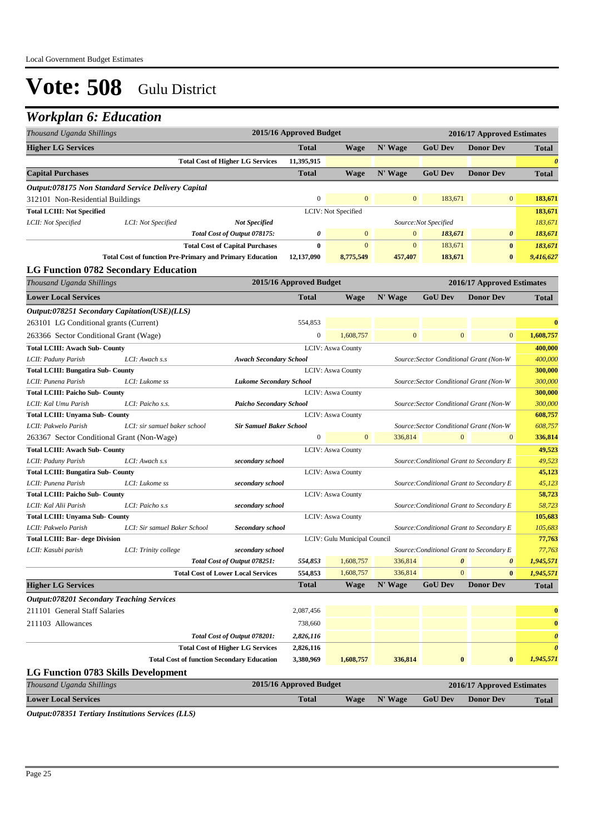### *Workplan 6: Education*

| <b>Higher LG Services</b><br><b>Total</b><br>N' Wage<br><b>GoU Dev</b><br><b>Donor Dev</b><br><b>Wage</b><br><b>Total</b><br>11,395,915<br>$\boldsymbol{\theta}$<br><b>Total Cost of Higher LG Services</b><br><b>Total</b><br><b>GoU Dev</b><br><b>Donor Dev</b><br><b>Capital Purchases</b><br><b>Wage</b><br>N' Wage<br><b>Total</b><br>Output:078175 Non Standard Service Delivery Capital<br>$\boldsymbol{0}$<br>$\mathbf{0}$<br>$\overline{0}$<br>$\mathbf{0}$<br>183,671<br>183,671<br>312101 Non-Residential Buildings<br><b>Total LCIII: Not Specified</b><br>LCIV: Not Specified<br>183,671<br><b>Not Specified</b><br>183,671<br>LCII: Not Specified<br>LCI: Not Specified<br>Source:Not Specified<br>Total Cost of Output 078175:<br>0<br>$\mathbf{0}$<br>$\mathbf{0}$<br>183,671<br>$\boldsymbol{\theta}$<br>183,671<br><b>Total Cost of Capital Purchases</b><br>0<br>$\mathbf{0}$<br>$\mathbf{0}$<br>183,671<br>$\bf{0}$<br>183,671<br><b>Total Cost of function Pre-Primary and Primary Education</b><br>183,671<br>$\bf{0}$<br>12,137,090<br>8,775,549<br>457,407<br>9,416,627<br><b>LG Function 0782 Secondary Education</b><br>2015/16 Approved Budget<br>2016/17 Approved Estimates<br>Thousand Uganda Shillings<br><b>Lower Local Services</b><br><b>Total</b><br>N' Wage<br><b>GoU Dev</b><br><b>Donor Dev</b><br><b>Wage</b><br><b>Total</b><br>Output:078251 Secondary Capitation(USE)(LLS)<br>554,853<br>263101 LG Conditional grants (Current)<br>$\bf{0}$<br>$\overline{0}$<br>$\mathbf{0}$<br>$\boldsymbol{0}$<br>1,608,757<br>$\mathbf{0}$<br>1,608,757<br>263366 Sector Conditional Grant (Wage)<br>LCIV: Aswa County<br><b>Total LCIII: Awach Sub- County</b><br>400,000<br>400,000<br>LCII: Paduny Parish<br>LCI: Awach s.s<br>Source: Sector Conditional Grant (Non-W<br><b>Awach Secondary School</b><br><b>Total LCIII: Bungatira Sub- County</b><br>LCIV: Aswa County<br>300,000<br>300,000<br>LCII: Punena Parish<br>LCI: Lukome ss<br><b>Lukome Secondary School</b><br>Source: Sector Conditional Grant (Non-W<br><b>LCIV: Aswa County</b><br><b>Total LCIII: Paicho Sub- County</b><br>300,000<br>300,000<br>LCII: Kal Umu Parish<br>LCI: Paicho s.s.<br><b>Paicho Secondary School</b><br>Source: Sector Conditional Grant (Non-W<br><b>Total LCIII: Unyama Sub- County</b><br><b>LCIV: Aswa County</b><br>608,757<br><b>Sir Samuel Baker School</b><br>608,757<br>LCII: Pakwelo Parish<br>LCI: sir samuel baker school<br>Source: Sector Conditional Grant (Non-W<br>$\boldsymbol{0}$<br>$\mathbf{0}$<br>336,814<br>$\mathbf{0}$<br>$\mathbf{0}$<br>336,814<br>263367 Sector Conditional Grant (Non-Wage)<br>LCIV: Aswa County<br><b>Total LCIII: Awach Sub- County</b><br>49,523<br>49,523<br>LCII: Paduny Parish<br>LCI: Awach s.s<br>Source: Conditional Grant to Secondary E<br>secondary school<br>45,123<br><b>Total LCIII: Bungatira Sub- County</b><br><b>LCIV: Aswa County</b><br>45,123<br>LCII: Punena Parish<br>LCI: Lukome ss<br>secondary school<br>Source: Conditional Grant to Secondary E<br>LCIV: Aswa County<br>58,723<br><b>Total LCIII: Paicho Sub- County</b><br>LCI: Paicho s.s<br>58,723<br>LCII: Kal Alii Parish<br>Source: Conditional Grant to Secondary E<br>secondary school<br>LCIV: Aswa County<br>105,683<br><b>Total LCIII: Unyama Sub- County</b><br>LCI: Sir samuel Baker School<br>105,683<br>LCII: Pakwelo Parish<br><b>Secondary school</b><br>Source: Conditional Grant to Secondary E<br>LCIV: Gulu Municipal Council<br>77,763<br><b>Total LCIII: Bar- dege Division</b><br>77,763<br>LCII: Kasubi parish<br>LCI: Trinity college<br>secondary school<br>Source: Conditional Grant to Secondary E<br>Total Cost of Output 078251:<br>$\boldsymbol{\theta}$<br>1,945,571<br>554,853<br>1,608,757<br>336,814<br>$\boldsymbol{\theta}$<br>$\overline{0}$<br>336,814<br>554,853<br>1,608,757<br>$\bf{0}$<br>1,945,571<br><b>Total Cost of Lower Local Services</b><br><b>GoU Dev</b><br><b>Donor Dev</b><br><b>Total</b><br><b>Wage</b><br>N' Wage<br><b>Higher LG Services</b><br><b>Total</b><br><b>Output:078201 Secondary Teaching Services</b><br>211101 General Staff Salaries<br>2,087,456<br>$\bf{0}$<br>738,660<br>211103 Allowances<br>$\bf{0}$<br>2,826,116<br>Total Cost of Output 078201:<br>$\boldsymbol{\theta}$<br><b>Total Cost of Higher LG Services</b><br>2,826,116<br>$\boldsymbol{\theta}$<br>$\pmb{0}$<br><b>Total Cost of function Secondary Education</b><br>3,380,969<br>1,608,757<br>336,814<br>$\bf{0}$<br>1,945,571<br>LG Function 0783 Skills Development<br>2015/16 Approved Budget<br>Thousand Uganda Shillings<br>2016/17 Approved Estimates<br><b>Lower Local Services</b><br><b>Total</b><br>N' Wage<br><b>GoU Dev</b><br><b>Donor Dev</b><br>Wage<br><b>Total</b> | Thousand Uganda Shillings |  | 2015/16 Approved Budget |  | 2016/17 Approved Estimates |  |
|--------------------------------------------------------------------------------------------------------------------------------------------------------------------------------------------------------------------------------------------------------------------------------------------------------------------------------------------------------------------------------------------------------------------------------------------------------------------------------------------------------------------------------------------------------------------------------------------------------------------------------------------------------------------------------------------------------------------------------------------------------------------------------------------------------------------------------------------------------------------------------------------------------------------------------------------------------------------------------------------------------------------------------------------------------------------------------------------------------------------------------------------------------------------------------------------------------------------------------------------------------------------------------------------------------------------------------------------------------------------------------------------------------------------------------------------------------------------------------------------------------------------------------------------------------------------------------------------------------------------------------------------------------------------------------------------------------------------------------------------------------------------------------------------------------------------------------------------------------------------------------------------------------------------------------------------------------------------------------------------------------------------------------------------------------------------------------------------------------------------------------------------------------------------------------------------------------------------------------------------------------------------------------------------------------------------------------------------------------------------------------------------------------------------------------------------------------------------------------------------------------------------------------------------------------------------------------------------------------------------------------------------------------------------------------------------------------------------------------------------------------------------------------------------------------------------------------------------------------------------------------------------------------------------------------------------------------------------------------------------------------------------------------------------------------------------------------------------------------------------------------------------------------------------------------------------------------------------------------------------------------------------------------------------------------------------------------------------------------------------------------------------------------------------------------------------------------------------------------------------------------------------------------------------------------------------------------------------------------------------------------------------------------------------------------------------------------------------------------------------------------------------------------------------------------------------------------------------------------------------------------------------------------------------------------------------------------------------------------------------------------------------------------------------------------------------------------------------------------------------------------------------------------------------------------------------------------------------------------------------------------------------------------------------------------------------------------------------------------------------------------------------------------------------------------------------------------------------------------------------------------------------------------------------------------------------------------------------------------------------------------------------------------------------------------------------------------------------------------------------------------------------------------------|---------------------------|--|-------------------------|--|----------------------------|--|
|                                                                                                                                                                                                                                                                                                                                                                                                                                                                                                                                                                                                                                                                                                                                                                                                                                                                                                                                                                                                                                                                                                                                                                                                                                                                                                                                                                                                                                                                                                                                                                                                                                                                                                                                                                                                                                                                                                                                                                                                                                                                                                                                                                                                                                                                                                                                                                                                                                                                                                                                                                                                                                                                                                                                                                                                                                                                                                                                                                                                                                                                                                                                                                                                                                                                                                                                                                                                                                                                                                                                                                                                                                                                                                                                                                                                                                                                                                                                                                                                                                                                                                                                                                                                                                                                                                                                                                                                                                                                                                                                                                                                                                                                                                                                                                                      |                           |  |                         |  |                            |  |
|                                                                                                                                                                                                                                                                                                                                                                                                                                                                                                                                                                                                                                                                                                                                                                                                                                                                                                                                                                                                                                                                                                                                                                                                                                                                                                                                                                                                                                                                                                                                                                                                                                                                                                                                                                                                                                                                                                                                                                                                                                                                                                                                                                                                                                                                                                                                                                                                                                                                                                                                                                                                                                                                                                                                                                                                                                                                                                                                                                                                                                                                                                                                                                                                                                                                                                                                                                                                                                                                                                                                                                                                                                                                                                                                                                                                                                                                                                                                                                                                                                                                                                                                                                                                                                                                                                                                                                                                                                                                                                                                                                                                                                                                                                                                                                                      |                           |  |                         |  |                            |  |
|                                                                                                                                                                                                                                                                                                                                                                                                                                                                                                                                                                                                                                                                                                                                                                                                                                                                                                                                                                                                                                                                                                                                                                                                                                                                                                                                                                                                                                                                                                                                                                                                                                                                                                                                                                                                                                                                                                                                                                                                                                                                                                                                                                                                                                                                                                                                                                                                                                                                                                                                                                                                                                                                                                                                                                                                                                                                                                                                                                                                                                                                                                                                                                                                                                                                                                                                                                                                                                                                                                                                                                                                                                                                                                                                                                                                                                                                                                                                                                                                                                                                                                                                                                                                                                                                                                                                                                                                                                                                                                                                                                                                                                                                                                                                                                                      |                           |  |                         |  |                            |  |
|                                                                                                                                                                                                                                                                                                                                                                                                                                                                                                                                                                                                                                                                                                                                                                                                                                                                                                                                                                                                                                                                                                                                                                                                                                                                                                                                                                                                                                                                                                                                                                                                                                                                                                                                                                                                                                                                                                                                                                                                                                                                                                                                                                                                                                                                                                                                                                                                                                                                                                                                                                                                                                                                                                                                                                                                                                                                                                                                                                                                                                                                                                                                                                                                                                                                                                                                                                                                                                                                                                                                                                                                                                                                                                                                                                                                                                                                                                                                                                                                                                                                                                                                                                                                                                                                                                                                                                                                                                                                                                                                                                                                                                                                                                                                                                                      |                           |  |                         |  |                            |  |
|                                                                                                                                                                                                                                                                                                                                                                                                                                                                                                                                                                                                                                                                                                                                                                                                                                                                                                                                                                                                                                                                                                                                                                                                                                                                                                                                                                                                                                                                                                                                                                                                                                                                                                                                                                                                                                                                                                                                                                                                                                                                                                                                                                                                                                                                                                                                                                                                                                                                                                                                                                                                                                                                                                                                                                                                                                                                                                                                                                                                                                                                                                                                                                                                                                                                                                                                                                                                                                                                                                                                                                                                                                                                                                                                                                                                                                                                                                                                                                                                                                                                                                                                                                                                                                                                                                                                                                                                                                                                                                                                                                                                                                                                                                                                                                                      |                           |  |                         |  |                            |  |
|                                                                                                                                                                                                                                                                                                                                                                                                                                                                                                                                                                                                                                                                                                                                                                                                                                                                                                                                                                                                                                                                                                                                                                                                                                                                                                                                                                                                                                                                                                                                                                                                                                                                                                                                                                                                                                                                                                                                                                                                                                                                                                                                                                                                                                                                                                                                                                                                                                                                                                                                                                                                                                                                                                                                                                                                                                                                                                                                                                                                                                                                                                                                                                                                                                                                                                                                                                                                                                                                                                                                                                                                                                                                                                                                                                                                                                                                                                                                                                                                                                                                                                                                                                                                                                                                                                                                                                                                                                                                                                                                                                                                                                                                                                                                                                                      |                           |  |                         |  |                            |  |
|                                                                                                                                                                                                                                                                                                                                                                                                                                                                                                                                                                                                                                                                                                                                                                                                                                                                                                                                                                                                                                                                                                                                                                                                                                                                                                                                                                                                                                                                                                                                                                                                                                                                                                                                                                                                                                                                                                                                                                                                                                                                                                                                                                                                                                                                                                                                                                                                                                                                                                                                                                                                                                                                                                                                                                                                                                                                                                                                                                                                                                                                                                                                                                                                                                                                                                                                                                                                                                                                                                                                                                                                                                                                                                                                                                                                                                                                                                                                                                                                                                                                                                                                                                                                                                                                                                                                                                                                                                                                                                                                                                                                                                                                                                                                                                                      |                           |  |                         |  |                            |  |
|                                                                                                                                                                                                                                                                                                                                                                                                                                                                                                                                                                                                                                                                                                                                                                                                                                                                                                                                                                                                                                                                                                                                                                                                                                                                                                                                                                                                                                                                                                                                                                                                                                                                                                                                                                                                                                                                                                                                                                                                                                                                                                                                                                                                                                                                                                                                                                                                                                                                                                                                                                                                                                                                                                                                                                                                                                                                                                                                                                                                                                                                                                                                                                                                                                                                                                                                                                                                                                                                                                                                                                                                                                                                                                                                                                                                                                                                                                                                                                                                                                                                                                                                                                                                                                                                                                                                                                                                                                                                                                                                                                                                                                                                                                                                                                                      |                           |  |                         |  |                            |  |
|                                                                                                                                                                                                                                                                                                                                                                                                                                                                                                                                                                                                                                                                                                                                                                                                                                                                                                                                                                                                                                                                                                                                                                                                                                                                                                                                                                                                                                                                                                                                                                                                                                                                                                                                                                                                                                                                                                                                                                                                                                                                                                                                                                                                                                                                                                                                                                                                                                                                                                                                                                                                                                                                                                                                                                                                                                                                                                                                                                                                                                                                                                                                                                                                                                                                                                                                                                                                                                                                                                                                                                                                                                                                                                                                                                                                                                                                                                                                                                                                                                                                                                                                                                                                                                                                                                                                                                                                                                                                                                                                                                                                                                                                                                                                                                                      |                           |  |                         |  |                            |  |
|                                                                                                                                                                                                                                                                                                                                                                                                                                                                                                                                                                                                                                                                                                                                                                                                                                                                                                                                                                                                                                                                                                                                                                                                                                                                                                                                                                                                                                                                                                                                                                                                                                                                                                                                                                                                                                                                                                                                                                                                                                                                                                                                                                                                                                                                                                                                                                                                                                                                                                                                                                                                                                                                                                                                                                                                                                                                                                                                                                                                                                                                                                                                                                                                                                                                                                                                                                                                                                                                                                                                                                                                                                                                                                                                                                                                                                                                                                                                                                                                                                                                                                                                                                                                                                                                                                                                                                                                                                                                                                                                                                                                                                                                                                                                                                                      |                           |  |                         |  |                            |  |
|                                                                                                                                                                                                                                                                                                                                                                                                                                                                                                                                                                                                                                                                                                                                                                                                                                                                                                                                                                                                                                                                                                                                                                                                                                                                                                                                                                                                                                                                                                                                                                                                                                                                                                                                                                                                                                                                                                                                                                                                                                                                                                                                                                                                                                                                                                                                                                                                                                                                                                                                                                                                                                                                                                                                                                                                                                                                                                                                                                                                                                                                                                                                                                                                                                                                                                                                                                                                                                                                                                                                                                                                                                                                                                                                                                                                                                                                                                                                                                                                                                                                                                                                                                                                                                                                                                                                                                                                                                                                                                                                                                                                                                                                                                                                                                                      |                           |  |                         |  |                            |  |
|                                                                                                                                                                                                                                                                                                                                                                                                                                                                                                                                                                                                                                                                                                                                                                                                                                                                                                                                                                                                                                                                                                                                                                                                                                                                                                                                                                                                                                                                                                                                                                                                                                                                                                                                                                                                                                                                                                                                                                                                                                                                                                                                                                                                                                                                                                                                                                                                                                                                                                                                                                                                                                                                                                                                                                                                                                                                                                                                                                                                                                                                                                                                                                                                                                                                                                                                                                                                                                                                                                                                                                                                                                                                                                                                                                                                                                                                                                                                                                                                                                                                                                                                                                                                                                                                                                                                                                                                                                                                                                                                                                                                                                                                                                                                                                                      |                           |  |                         |  |                            |  |
|                                                                                                                                                                                                                                                                                                                                                                                                                                                                                                                                                                                                                                                                                                                                                                                                                                                                                                                                                                                                                                                                                                                                                                                                                                                                                                                                                                                                                                                                                                                                                                                                                                                                                                                                                                                                                                                                                                                                                                                                                                                                                                                                                                                                                                                                                                                                                                                                                                                                                                                                                                                                                                                                                                                                                                                                                                                                                                                                                                                                                                                                                                                                                                                                                                                                                                                                                                                                                                                                                                                                                                                                                                                                                                                                                                                                                                                                                                                                                                                                                                                                                                                                                                                                                                                                                                                                                                                                                                                                                                                                                                                                                                                                                                                                                                                      |                           |  |                         |  |                            |  |
|                                                                                                                                                                                                                                                                                                                                                                                                                                                                                                                                                                                                                                                                                                                                                                                                                                                                                                                                                                                                                                                                                                                                                                                                                                                                                                                                                                                                                                                                                                                                                                                                                                                                                                                                                                                                                                                                                                                                                                                                                                                                                                                                                                                                                                                                                                                                                                                                                                                                                                                                                                                                                                                                                                                                                                                                                                                                                                                                                                                                                                                                                                                                                                                                                                                                                                                                                                                                                                                                                                                                                                                                                                                                                                                                                                                                                                                                                                                                                                                                                                                                                                                                                                                                                                                                                                                                                                                                                                                                                                                                                                                                                                                                                                                                                                                      |                           |  |                         |  |                            |  |
|                                                                                                                                                                                                                                                                                                                                                                                                                                                                                                                                                                                                                                                                                                                                                                                                                                                                                                                                                                                                                                                                                                                                                                                                                                                                                                                                                                                                                                                                                                                                                                                                                                                                                                                                                                                                                                                                                                                                                                                                                                                                                                                                                                                                                                                                                                                                                                                                                                                                                                                                                                                                                                                                                                                                                                                                                                                                                                                                                                                                                                                                                                                                                                                                                                                                                                                                                                                                                                                                                                                                                                                                                                                                                                                                                                                                                                                                                                                                                                                                                                                                                                                                                                                                                                                                                                                                                                                                                                                                                                                                                                                                                                                                                                                                                                                      |                           |  |                         |  |                            |  |
|                                                                                                                                                                                                                                                                                                                                                                                                                                                                                                                                                                                                                                                                                                                                                                                                                                                                                                                                                                                                                                                                                                                                                                                                                                                                                                                                                                                                                                                                                                                                                                                                                                                                                                                                                                                                                                                                                                                                                                                                                                                                                                                                                                                                                                                                                                                                                                                                                                                                                                                                                                                                                                                                                                                                                                                                                                                                                                                                                                                                                                                                                                                                                                                                                                                                                                                                                                                                                                                                                                                                                                                                                                                                                                                                                                                                                                                                                                                                                                                                                                                                                                                                                                                                                                                                                                                                                                                                                                                                                                                                                                                                                                                                                                                                                                                      |                           |  |                         |  |                            |  |
|                                                                                                                                                                                                                                                                                                                                                                                                                                                                                                                                                                                                                                                                                                                                                                                                                                                                                                                                                                                                                                                                                                                                                                                                                                                                                                                                                                                                                                                                                                                                                                                                                                                                                                                                                                                                                                                                                                                                                                                                                                                                                                                                                                                                                                                                                                                                                                                                                                                                                                                                                                                                                                                                                                                                                                                                                                                                                                                                                                                                                                                                                                                                                                                                                                                                                                                                                                                                                                                                                                                                                                                                                                                                                                                                                                                                                                                                                                                                                                                                                                                                                                                                                                                                                                                                                                                                                                                                                                                                                                                                                                                                                                                                                                                                                                                      |                           |  |                         |  |                            |  |
|                                                                                                                                                                                                                                                                                                                                                                                                                                                                                                                                                                                                                                                                                                                                                                                                                                                                                                                                                                                                                                                                                                                                                                                                                                                                                                                                                                                                                                                                                                                                                                                                                                                                                                                                                                                                                                                                                                                                                                                                                                                                                                                                                                                                                                                                                                                                                                                                                                                                                                                                                                                                                                                                                                                                                                                                                                                                                                                                                                                                                                                                                                                                                                                                                                                                                                                                                                                                                                                                                                                                                                                                                                                                                                                                                                                                                                                                                                                                                                                                                                                                                                                                                                                                                                                                                                                                                                                                                                                                                                                                                                                                                                                                                                                                                                                      |                           |  |                         |  |                            |  |
|                                                                                                                                                                                                                                                                                                                                                                                                                                                                                                                                                                                                                                                                                                                                                                                                                                                                                                                                                                                                                                                                                                                                                                                                                                                                                                                                                                                                                                                                                                                                                                                                                                                                                                                                                                                                                                                                                                                                                                                                                                                                                                                                                                                                                                                                                                                                                                                                                                                                                                                                                                                                                                                                                                                                                                                                                                                                                                                                                                                                                                                                                                                                                                                                                                                                                                                                                                                                                                                                                                                                                                                                                                                                                                                                                                                                                                                                                                                                                                                                                                                                                                                                                                                                                                                                                                                                                                                                                                                                                                                                                                                                                                                                                                                                                                                      |                           |  |                         |  |                            |  |
|                                                                                                                                                                                                                                                                                                                                                                                                                                                                                                                                                                                                                                                                                                                                                                                                                                                                                                                                                                                                                                                                                                                                                                                                                                                                                                                                                                                                                                                                                                                                                                                                                                                                                                                                                                                                                                                                                                                                                                                                                                                                                                                                                                                                                                                                                                                                                                                                                                                                                                                                                                                                                                                                                                                                                                                                                                                                                                                                                                                                                                                                                                                                                                                                                                                                                                                                                                                                                                                                                                                                                                                                                                                                                                                                                                                                                                                                                                                                                                                                                                                                                                                                                                                                                                                                                                                                                                                                                                                                                                                                                                                                                                                                                                                                                                                      |                           |  |                         |  |                            |  |
|                                                                                                                                                                                                                                                                                                                                                                                                                                                                                                                                                                                                                                                                                                                                                                                                                                                                                                                                                                                                                                                                                                                                                                                                                                                                                                                                                                                                                                                                                                                                                                                                                                                                                                                                                                                                                                                                                                                                                                                                                                                                                                                                                                                                                                                                                                                                                                                                                                                                                                                                                                                                                                                                                                                                                                                                                                                                                                                                                                                                                                                                                                                                                                                                                                                                                                                                                                                                                                                                                                                                                                                                                                                                                                                                                                                                                                                                                                                                                                                                                                                                                                                                                                                                                                                                                                                                                                                                                                                                                                                                                                                                                                                                                                                                                                                      |                           |  |                         |  |                            |  |
|                                                                                                                                                                                                                                                                                                                                                                                                                                                                                                                                                                                                                                                                                                                                                                                                                                                                                                                                                                                                                                                                                                                                                                                                                                                                                                                                                                                                                                                                                                                                                                                                                                                                                                                                                                                                                                                                                                                                                                                                                                                                                                                                                                                                                                                                                                                                                                                                                                                                                                                                                                                                                                                                                                                                                                                                                                                                                                                                                                                                                                                                                                                                                                                                                                                                                                                                                                                                                                                                                                                                                                                                                                                                                                                                                                                                                                                                                                                                                                                                                                                                                                                                                                                                                                                                                                                                                                                                                                                                                                                                                                                                                                                                                                                                                                                      |                           |  |                         |  |                            |  |
|                                                                                                                                                                                                                                                                                                                                                                                                                                                                                                                                                                                                                                                                                                                                                                                                                                                                                                                                                                                                                                                                                                                                                                                                                                                                                                                                                                                                                                                                                                                                                                                                                                                                                                                                                                                                                                                                                                                                                                                                                                                                                                                                                                                                                                                                                                                                                                                                                                                                                                                                                                                                                                                                                                                                                                                                                                                                                                                                                                                                                                                                                                                                                                                                                                                                                                                                                                                                                                                                                                                                                                                                                                                                                                                                                                                                                                                                                                                                                                                                                                                                                                                                                                                                                                                                                                                                                                                                                                                                                                                                                                                                                                                                                                                                                                                      |                           |  |                         |  |                            |  |
|                                                                                                                                                                                                                                                                                                                                                                                                                                                                                                                                                                                                                                                                                                                                                                                                                                                                                                                                                                                                                                                                                                                                                                                                                                                                                                                                                                                                                                                                                                                                                                                                                                                                                                                                                                                                                                                                                                                                                                                                                                                                                                                                                                                                                                                                                                                                                                                                                                                                                                                                                                                                                                                                                                                                                                                                                                                                                                                                                                                                                                                                                                                                                                                                                                                                                                                                                                                                                                                                                                                                                                                                                                                                                                                                                                                                                                                                                                                                                                                                                                                                                                                                                                                                                                                                                                                                                                                                                                                                                                                                                                                                                                                                                                                                                                                      |                           |  |                         |  |                            |  |
|                                                                                                                                                                                                                                                                                                                                                                                                                                                                                                                                                                                                                                                                                                                                                                                                                                                                                                                                                                                                                                                                                                                                                                                                                                                                                                                                                                                                                                                                                                                                                                                                                                                                                                                                                                                                                                                                                                                                                                                                                                                                                                                                                                                                                                                                                                                                                                                                                                                                                                                                                                                                                                                                                                                                                                                                                                                                                                                                                                                                                                                                                                                                                                                                                                                                                                                                                                                                                                                                                                                                                                                                                                                                                                                                                                                                                                                                                                                                                                                                                                                                                                                                                                                                                                                                                                                                                                                                                                                                                                                                                                                                                                                                                                                                                                                      |                           |  |                         |  |                            |  |
|                                                                                                                                                                                                                                                                                                                                                                                                                                                                                                                                                                                                                                                                                                                                                                                                                                                                                                                                                                                                                                                                                                                                                                                                                                                                                                                                                                                                                                                                                                                                                                                                                                                                                                                                                                                                                                                                                                                                                                                                                                                                                                                                                                                                                                                                                                                                                                                                                                                                                                                                                                                                                                                                                                                                                                                                                                                                                                                                                                                                                                                                                                                                                                                                                                                                                                                                                                                                                                                                                                                                                                                                                                                                                                                                                                                                                                                                                                                                                                                                                                                                                                                                                                                                                                                                                                                                                                                                                                                                                                                                                                                                                                                                                                                                                                                      |                           |  |                         |  |                            |  |
|                                                                                                                                                                                                                                                                                                                                                                                                                                                                                                                                                                                                                                                                                                                                                                                                                                                                                                                                                                                                                                                                                                                                                                                                                                                                                                                                                                                                                                                                                                                                                                                                                                                                                                                                                                                                                                                                                                                                                                                                                                                                                                                                                                                                                                                                                                                                                                                                                                                                                                                                                                                                                                                                                                                                                                                                                                                                                                                                                                                                                                                                                                                                                                                                                                                                                                                                                                                                                                                                                                                                                                                                                                                                                                                                                                                                                                                                                                                                                                                                                                                                                                                                                                                                                                                                                                                                                                                                                                                                                                                                                                                                                                                                                                                                                                                      |                           |  |                         |  |                            |  |
|                                                                                                                                                                                                                                                                                                                                                                                                                                                                                                                                                                                                                                                                                                                                                                                                                                                                                                                                                                                                                                                                                                                                                                                                                                                                                                                                                                                                                                                                                                                                                                                                                                                                                                                                                                                                                                                                                                                                                                                                                                                                                                                                                                                                                                                                                                                                                                                                                                                                                                                                                                                                                                                                                                                                                                                                                                                                                                                                                                                                                                                                                                                                                                                                                                                                                                                                                                                                                                                                                                                                                                                                                                                                                                                                                                                                                                                                                                                                                                                                                                                                                                                                                                                                                                                                                                                                                                                                                                                                                                                                                                                                                                                                                                                                                                                      |                           |  |                         |  |                            |  |
|                                                                                                                                                                                                                                                                                                                                                                                                                                                                                                                                                                                                                                                                                                                                                                                                                                                                                                                                                                                                                                                                                                                                                                                                                                                                                                                                                                                                                                                                                                                                                                                                                                                                                                                                                                                                                                                                                                                                                                                                                                                                                                                                                                                                                                                                                                                                                                                                                                                                                                                                                                                                                                                                                                                                                                                                                                                                                                                                                                                                                                                                                                                                                                                                                                                                                                                                                                                                                                                                                                                                                                                                                                                                                                                                                                                                                                                                                                                                                                                                                                                                                                                                                                                                                                                                                                                                                                                                                                                                                                                                                                                                                                                                                                                                                                                      |                           |  |                         |  |                            |  |
|                                                                                                                                                                                                                                                                                                                                                                                                                                                                                                                                                                                                                                                                                                                                                                                                                                                                                                                                                                                                                                                                                                                                                                                                                                                                                                                                                                                                                                                                                                                                                                                                                                                                                                                                                                                                                                                                                                                                                                                                                                                                                                                                                                                                                                                                                                                                                                                                                                                                                                                                                                                                                                                                                                                                                                                                                                                                                                                                                                                                                                                                                                                                                                                                                                                                                                                                                                                                                                                                                                                                                                                                                                                                                                                                                                                                                                                                                                                                                                                                                                                                                                                                                                                                                                                                                                                                                                                                                                                                                                                                                                                                                                                                                                                                                                                      |                           |  |                         |  |                            |  |
|                                                                                                                                                                                                                                                                                                                                                                                                                                                                                                                                                                                                                                                                                                                                                                                                                                                                                                                                                                                                                                                                                                                                                                                                                                                                                                                                                                                                                                                                                                                                                                                                                                                                                                                                                                                                                                                                                                                                                                                                                                                                                                                                                                                                                                                                                                                                                                                                                                                                                                                                                                                                                                                                                                                                                                                                                                                                                                                                                                                                                                                                                                                                                                                                                                                                                                                                                                                                                                                                                                                                                                                                                                                                                                                                                                                                                                                                                                                                                                                                                                                                                                                                                                                                                                                                                                                                                                                                                                                                                                                                                                                                                                                                                                                                                                                      |                           |  |                         |  |                            |  |
|                                                                                                                                                                                                                                                                                                                                                                                                                                                                                                                                                                                                                                                                                                                                                                                                                                                                                                                                                                                                                                                                                                                                                                                                                                                                                                                                                                                                                                                                                                                                                                                                                                                                                                                                                                                                                                                                                                                                                                                                                                                                                                                                                                                                                                                                                                                                                                                                                                                                                                                                                                                                                                                                                                                                                                                                                                                                                                                                                                                                                                                                                                                                                                                                                                                                                                                                                                                                                                                                                                                                                                                                                                                                                                                                                                                                                                                                                                                                                                                                                                                                                                                                                                                                                                                                                                                                                                                                                                                                                                                                                                                                                                                                                                                                                                                      |                           |  |                         |  |                            |  |
|                                                                                                                                                                                                                                                                                                                                                                                                                                                                                                                                                                                                                                                                                                                                                                                                                                                                                                                                                                                                                                                                                                                                                                                                                                                                                                                                                                                                                                                                                                                                                                                                                                                                                                                                                                                                                                                                                                                                                                                                                                                                                                                                                                                                                                                                                                                                                                                                                                                                                                                                                                                                                                                                                                                                                                                                                                                                                                                                                                                                                                                                                                                                                                                                                                                                                                                                                                                                                                                                                                                                                                                                                                                                                                                                                                                                                                                                                                                                                                                                                                                                                                                                                                                                                                                                                                                                                                                                                                                                                                                                                                                                                                                                                                                                                                                      |                           |  |                         |  |                            |  |
|                                                                                                                                                                                                                                                                                                                                                                                                                                                                                                                                                                                                                                                                                                                                                                                                                                                                                                                                                                                                                                                                                                                                                                                                                                                                                                                                                                                                                                                                                                                                                                                                                                                                                                                                                                                                                                                                                                                                                                                                                                                                                                                                                                                                                                                                                                                                                                                                                                                                                                                                                                                                                                                                                                                                                                                                                                                                                                                                                                                                                                                                                                                                                                                                                                                                                                                                                                                                                                                                                                                                                                                                                                                                                                                                                                                                                                                                                                                                                                                                                                                                                                                                                                                                                                                                                                                                                                                                                                                                                                                                                                                                                                                                                                                                                                                      |                           |  |                         |  |                            |  |
|                                                                                                                                                                                                                                                                                                                                                                                                                                                                                                                                                                                                                                                                                                                                                                                                                                                                                                                                                                                                                                                                                                                                                                                                                                                                                                                                                                                                                                                                                                                                                                                                                                                                                                                                                                                                                                                                                                                                                                                                                                                                                                                                                                                                                                                                                                                                                                                                                                                                                                                                                                                                                                                                                                                                                                                                                                                                                                                                                                                                                                                                                                                                                                                                                                                                                                                                                                                                                                                                                                                                                                                                                                                                                                                                                                                                                                                                                                                                                                                                                                                                                                                                                                                                                                                                                                                                                                                                                                                                                                                                                                                                                                                                                                                                                                                      |                           |  |                         |  |                            |  |
|                                                                                                                                                                                                                                                                                                                                                                                                                                                                                                                                                                                                                                                                                                                                                                                                                                                                                                                                                                                                                                                                                                                                                                                                                                                                                                                                                                                                                                                                                                                                                                                                                                                                                                                                                                                                                                                                                                                                                                                                                                                                                                                                                                                                                                                                                                                                                                                                                                                                                                                                                                                                                                                                                                                                                                                                                                                                                                                                                                                                                                                                                                                                                                                                                                                                                                                                                                                                                                                                                                                                                                                                                                                                                                                                                                                                                                                                                                                                                                                                                                                                                                                                                                                                                                                                                                                                                                                                                                                                                                                                                                                                                                                                                                                                                                                      |                           |  |                         |  |                            |  |
|                                                                                                                                                                                                                                                                                                                                                                                                                                                                                                                                                                                                                                                                                                                                                                                                                                                                                                                                                                                                                                                                                                                                                                                                                                                                                                                                                                                                                                                                                                                                                                                                                                                                                                                                                                                                                                                                                                                                                                                                                                                                                                                                                                                                                                                                                                                                                                                                                                                                                                                                                                                                                                                                                                                                                                                                                                                                                                                                                                                                                                                                                                                                                                                                                                                                                                                                                                                                                                                                                                                                                                                                                                                                                                                                                                                                                                                                                                                                                                                                                                                                                                                                                                                                                                                                                                                                                                                                                                                                                                                                                                                                                                                                                                                                                                                      |                           |  |                         |  |                            |  |
|                                                                                                                                                                                                                                                                                                                                                                                                                                                                                                                                                                                                                                                                                                                                                                                                                                                                                                                                                                                                                                                                                                                                                                                                                                                                                                                                                                                                                                                                                                                                                                                                                                                                                                                                                                                                                                                                                                                                                                                                                                                                                                                                                                                                                                                                                                                                                                                                                                                                                                                                                                                                                                                                                                                                                                                                                                                                                                                                                                                                                                                                                                                                                                                                                                                                                                                                                                                                                                                                                                                                                                                                                                                                                                                                                                                                                                                                                                                                                                                                                                                                                                                                                                                                                                                                                                                                                                                                                                                                                                                                                                                                                                                                                                                                                                                      |                           |  |                         |  |                            |  |
|                                                                                                                                                                                                                                                                                                                                                                                                                                                                                                                                                                                                                                                                                                                                                                                                                                                                                                                                                                                                                                                                                                                                                                                                                                                                                                                                                                                                                                                                                                                                                                                                                                                                                                                                                                                                                                                                                                                                                                                                                                                                                                                                                                                                                                                                                                                                                                                                                                                                                                                                                                                                                                                                                                                                                                                                                                                                                                                                                                                                                                                                                                                                                                                                                                                                                                                                                                                                                                                                                                                                                                                                                                                                                                                                                                                                                                                                                                                                                                                                                                                                                                                                                                                                                                                                                                                                                                                                                                                                                                                                                                                                                                                                                                                                                                                      |                           |  |                         |  |                            |  |
|                                                                                                                                                                                                                                                                                                                                                                                                                                                                                                                                                                                                                                                                                                                                                                                                                                                                                                                                                                                                                                                                                                                                                                                                                                                                                                                                                                                                                                                                                                                                                                                                                                                                                                                                                                                                                                                                                                                                                                                                                                                                                                                                                                                                                                                                                                                                                                                                                                                                                                                                                                                                                                                                                                                                                                                                                                                                                                                                                                                                                                                                                                                                                                                                                                                                                                                                                                                                                                                                                                                                                                                                                                                                                                                                                                                                                                                                                                                                                                                                                                                                                                                                                                                                                                                                                                                                                                                                                                                                                                                                                                                                                                                                                                                                                                                      |                           |  |                         |  |                            |  |
|                                                                                                                                                                                                                                                                                                                                                                                                                                                                                                                                                                                                                                                                                                                                                                                                                                                                                                                                                                                                                                                                                                                                                                                                                                                                                                                                                                                                                                                                                                                                                                                                                                                                                                                                                                                                                                                                                                                                                                                                                                                                                                                                                                                                                                                                                                                                                                                                                                                                                                                                                                                                                                                                                                                                                                                                                                                                                                                                                                                                                                                                                                                                                                                                                                                                                                                                                                                                                                                                                                                                                                                                                                                                                                                                                                                                                                                                                                                                                                                                                                                                                                                                                                                                                                                                                                                                                                                                                                                                                                                                                                                                                                                                                                                                                                                      |                           |  |                         |  |                            |  |
|                                                                                                                                                                                                                                                                                                                                                                                                                                                                                                                                                                                                                                                                                                                                                                                                                                                                                                                                                                                                                                                                                                                                                                                                                                                                                                                                                                                                                                                                                                                                                                                                                                                                                                                                                                                                                                                                                                                                                                                                                                                                                                                                                                                                                                                                                                                                                                                                                                                                                                                                                                                                                                                                                                                                                                                                                                                                                                                                                                                                                                                                                                                                                                                                                                                                                                                                                                                                                                                                                                                                                                                                                                                                                                                                                                                                                                                                                                                                                                                                                                                                                                                                                                                                                                                                                                                                                                                                                                                                                                                                                                                                                                                                                                                                                                                      |                           |  |                         |  |                            |  |
|                                                                                                                                                                                                                                                                                                                                                                                                                                                                                                                                                                                                                                                                                                                                                                                                                                                                                                                                                                                                                                                                                                                                                                                                                                                                                                                                                                                                                                                                                                                                                                                                                                                                                                                                                                                                                                                                                                                                                                                                                                                                                                                                                                                                                                                                                                                                                                                                                                                                                                                                                                                                                                                                                                                                                                                                                                                                                                                                                                                                                                                                                                                                                                                                                                                                                                                                                                                                                                                                                                                                                                                                                                                                                                                                                                                                                                                                                                                                                                                                                                                                                                                                                                                                                                                                                                                                                                                                                                                                                                                                                                                                                                                                                                                                                                                      |                           |  |                         |  |                            |  |
|                                                                                                                                                                                                                                                                                                                                                                                                                                                                                                                                                                                                                                                                                                                                                                                                                                                                                                                                                                                                                                                                                                                                                                                                                                                                                                                                                                                                                                                                                                                                                                                                                                                                                                                                                                                                                                                                                                                                                                                                                                                                                                                                                                                                                                                                                                                                                                                                                                                                                                                                                                                                                                                                                                                                                                                                                                                                                                                                                                                                                                                                                                                                                                                                                                                                                                                                                                                                                                                                                                                                                                                                                                                                                                                                                                                                                                                                                                                                                                                                                                                                                                                                                                                                                                                                                                                                                                                                                                                                                                                                                                                                                                                                                                                                                                                      |                           |  |                         |  |                            |  |
|                                                                                                                                                                                                                                                                                                                                                                                                                                                                                                                                                                                                                                                                                                                                                                                                                                                                                                                                                                                                                                                                                                                                                                                                                                                                                                                                                                                                                                                                                                                                                                                                                                                                                                                                                                                                                                                                                                                                                                                                                                                                                                                                                                                                                                                                                                                                                                                                                                                                                                                                                                                                                                                                                                                                                                                                                                                                                                                                                                                                                                                                                                                                                                                                                                                                                                                                                                                                                                                                                                                                                                                                                                                                                                                                                                                                                                                                                                                                                                                                                                                                                                                                                                                                                                                                                                                                                                                                                                                                                                                                                                                                                                                                                                                                                                                      |                           |  |                         |  |                            |  |
|                                                                                                                                                                                                                                                                                                                                                                                                                                                                                                                                                                                                                                                                                                                                                                                                                                                                                                                                                                                                                                                                                                                                                                                                                                                                                                                                                                                                                                                                                                                                                                                                                                                                                                                                                                                                                                                                                                                                                                                                                                                                                                                                                                                                                                                                                                                                                                                                                                                                                                                                                                                                                                                                                                                                                                                                                                                                                                                                                                                                                                                                                                                                                                                                                                                                                                                                                                                                                                                                                                                                                                                                                                                                                                                                                                                                                                                                                                                                                                                                                                                                                                                                                                                                                                                                                                                                                                                                                                                                                                                                                                                                                                                                                                                                                                                      |                           |  |                         |  |                            |  |
|                                                                                                                                                                                                                                                                                                                                                                                                                                                                                                                                                                                                                                                                                                                                                                                                                                                                                                                                                                                                                                                                                                                                                                                                                                                                                                                                                                                                                                                                                                                                                                                                                                                                                                                                                                                                                                                                                                                                                                                                                                                                                                                                                                                                                                                                                                                                                                                                                                                                                                                                                                                                                                                                                                                                                                                                                                                                                                                                                                                                                                                                                                                                                                                                                                                                                                                                                                                                                                                                                                                                                                                                                                                                                                                                                                                                                                                                                                                                                                                                                                                                                                                                                                                                                                                                                                                                                                                                                                                                                                                                                                                                                                                                                                                                                                                      |                           |  |                         |  |                            |  |

*Output:078351 Tertiary Institutions Services (LLS)*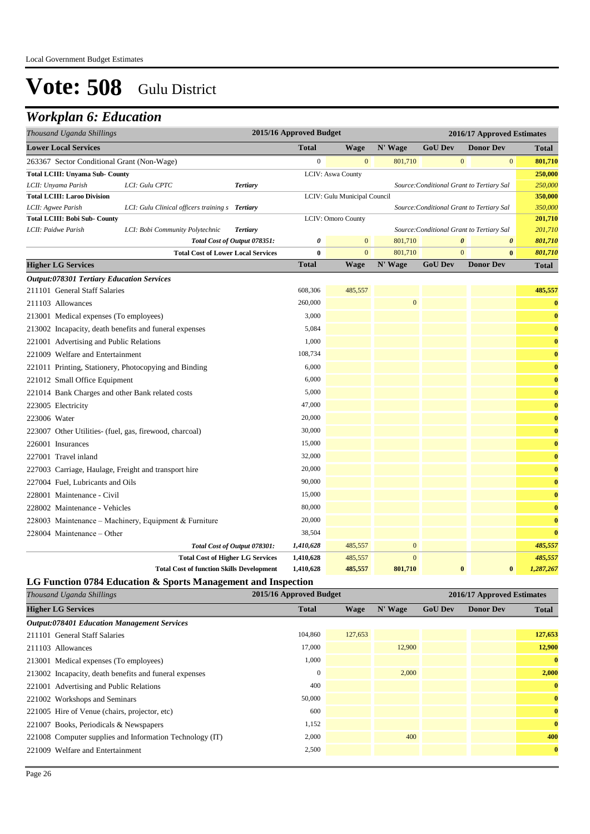## *Workplan 6: Education*

| Thousand Uganda Shillings                                                         |                                                       | 2015/16 Approved Budget |                          |                              |                    | 2016/17 Approved Estimates     |                                           |                         |  |
|-----------------------------------------------------------------------------------|-------------------------------------------------------|-------------------------|--------------------------|------------------------------|--------------------|--------------------------------|-------------------------------------------|-------------------------|--|
| <b>Lower Local Services</b>                                                       |                                                       |                         | <b>Total</b>             | <b>Wage</b>                  | N' Wage            | <b>GoU Dev</b>                 | <b>Donor Dev</b>                          | <b>Total</b>            |  |
| 263367 Sector Conditional Grant (Non-Wage)                                        |                                                       |                         | $\boldsymbol{0}$         | $\mathbf{0}$                 | 801,710            | $\mathbf{0}$                   | $\bf{0}$                                  | 801,710                 |  |
| <b>Total LCIII: Unyama Sub- County</b>                                            |                                                       |                         |                          | LCIV: Aswa County            |                    |                                |                                           | 250,000                 |  |
| LCII: Unyama Parish                                                               | LCI: Gulu CPTC                                        | <b>Tertiary</b>         |                          |                              |                    |                                | Source: Conditional Grant to Tertiary Sal | 250,000                 |  |
| <b>Total LCIII: Laroo Division</b>                                                |                                                       |                         |                          | LCIV: Gulu Municipal Council |                    |                                |                                           | 350,000                 |  |
| LCII: Agwee Parish                                                                | LCI: Gulu Clinical officers training s Tertiary       |                         |                          |                              |                    |                                | Source: Conditional Grant to Tertiary Sal | 350,000                 |  |
| <b>Total LCIII: Bobi Sub- County</b>                                              |                                                       |                         |                          | <b>LCIV: Omoro County</b>    |                    |                                |                                           | 201,710                 |  |
| LCII: Paidwe Parish                                                               | LCI: Bobi Community Polytechnic                       | <b>Tertiary</b>         |                          |                              |                    |                                | Source: Conditional Grant to Tertiary Sal | 201,710                 |  |
|                                                                                   | Total Cost of Output 078351:                          |                         | 0                        | $\mathbf{0}$                 | 801,710            | $\boldsymbol{\theta}$          | 0                                         | 801,710                 |  |
| <b>Higher LG Services</b>                                                         | <b>Total Cost of Lower Local Services</b>             |                         | $\bf{0}$<br><b>Total</b> | $\mathbf{0}$<br><b>Wage</b>  | 801,710<br>N' Wage | $\mathbf{0}$<br><b>GoU Dev</b> | $\bf{0}$<br><b>Donor Dev</b>              | 801,710<br><b>Total</b> |  |
|                                                                                   |                                                       |                         |                          |                              |                    |                                |                                           |                         |  |
| <b>Output:078301 Tertiary Education Services</b><br>211101 General Staff Salaries |                                                       |                         | 608,306                  | 485,557                      |                    |                                |                                           | 485,557                 |  |
| 211103 Allowances                                                                 |                                                       |                         | 260,000                  |                              | $\mathbf{0}$       |                                |                                           | $\bf{0}$                |  |
| 213001 Medical expenses (To employees)                                            |                                                       |                         | 3.000                    |                              |                    |                                |                                           | $\bf{0}$                |  |
| 213002 Incapacity, death benefits and funeral expenses                            |                                                       |                         | 5,084                    |                              |                    |                                |                                           | $\bf{0}$                |  |
| 221001 Advertising and Public Relations                                           |                                                       |                         | 1,000                    |                              |                    |                                |                                           | $\bf{0}$                |  |
| 221009 Welfare and Entertainment                                                  |                                                       |                         | 108,734                  |                              |                    |                                |                                           | $\bf{0}$                |  |
| 221011 Printing, Stationery, Photocopying and Binding                             |                                                       |                         | 6,000                    |                              |                    |                                |                                           | $\bf{0}$                |  |
| 221012 Small Office Equipment                                                     |                                                       |                         | 6,000                    |                              |                    |                                |                                           | $\bf{0}$                |  |
|                                                                                   |                                                       |                         | 5,000                    |                              |                    |                                |                                           |                         |  |
| 221014 Bank Charges and other Bank related costs                                  |                                                       |                         | 47,000                   |                              |                    |                                |                                           | $\bf{0}$                |  |
| 223005 Electricity                                                                |                                                       |                         |                          |                              |                    |                                |                                           | $\bf{0}$                |  |
| 223006 Water                                                                      |                                                       |                         | 20,000                   |                              |                    |                                |                                           | $\bf{0}$                |  |
| 223007 Other Utilities- (fuel, gas, firewood, charcoal)                           |                                                       |                         | 30,000                   |                              |                    |                                |                                           | $\bf{0}$                |  |
| 226001 Insurances                                                                 |                                                       |                         | 15,000                   |                              |                    |                                |                                           | $\bf{0}$                |  |
| 227001 Travel inland                                                              |                                                       |                         | 32,000                   |                              |                    |                                |                                           | $\bf{0}$                |  |
| 227003 Carriage, Haulage, Freight and transport hire                              |                                                       |                         | 20,000                   |                              |                    |                                |                                           | $\bf{0}$                |  |
| 227004 Fuel, Lubricants and Oils                                                  |                                                       |                         | 90,000                   |                              |                    |                                |                                           | $\bf{0}$                |  |
| 228001 Maintenance - Civil                                                        |                                                       |                         | 15,000                   |                              |                    |                                |                                           | $\bf{0}$                |  |
| 228002 Maintenance - Vehicles                                                     |                                                       |                         | 80,000                   |                              |                    |                                |                                           | $\bf{0}$                |  |
|                                                                                   | 228003 Maintenance - Machinery, Equipment & Furniture |                         | 20,000                   |                              |                    |                                |                                           | $\bf{0}$                |  |
| 228004 Maintenance - Other                                                        |                                                       |                         | 38,504                   |                              |                    |                                |                                           | $\bf{0}$                |  |
|                                                                                   | Total Cost of Output 078301:                          |                         | 1,410,628                | 485,557                      | $\mathbf{0}$       |                                |                                           | 485,557                 |  |
|                                                                                   | <b>Total Cost of Higher LG Services</b>               |                         | 1,410,628                | 485,557                      | $\overline{0}$     |                                |                                           | 485,557                 |  |
|                                                                                   | <b>Total Cost of function Skills Development</b>      |                         | 1,410,628                | 485,557                      | 801.710            | $\bf{0}$                       | $\bf{0}$                                  | 1,287,267               |  |

### **LG Function 0784 Education & Sports Management and Inspection**

| Thousand Uganda Shillings                                | 2015/16 Approved Budget |         |         |                | 2016/17 Approved Estimates |              |  |
|----------------------------------------------------------|-------------------------|---------|---------|----------------|----------------------------|--------------|--|
| <b>Higher LG Services</b>                                | <b>Total</b>            | Wage    | N' Wage | <b>GoU Dev</b> | <b>Donor Dev</b>           | <b>Total</b> |  |
| <b>Output:078401 Education Management Services</b>       |                         |         |         |                |                            |              |  |
| 211101 General Staff Salaries                            | 104,860                 | 127,653 |         |                |                            | 127,653      |  |
| 211103 Allowances                                        | 17,000                  |         | 12,900  |                |                            | 12,900       |  |
| 213001 Medical expenses (To employees)                   | 1,000                   |         |         |                |                            | $\bf{0}$     |  |
| 213002 Incapacity, death benefits and funeral expenses   | $\theta$                |         | 2,000   |                |                            | 2,000        |  |
| 221001 Advertising and Public Relations                  | 400                     |         |         |                |                            | $\bf{0}$     |  |
| 221002 Workshops and Seminars                            | 50,000                  |         |         |                |                            | $\bf{0}$     |  |
| 221005 Hire of Venue (chairs, projector, etc)            | 600                     |         |         |                |                            | $\bf{0}$     |  |
| 221007 Books, Periodicals & Newspapers                   | 1,152                   |         |         |                |                            | $\bf{0}$     |  |
| 221008 Computer supplies and Information Technology (IT) | 2,000                   |         | 400     |                |                            | 400          |  |
| 221009 Welfare and Entertainment                         | 2,500                   |         |         |                |                            | $\bf{0}$     |  |
|                                                          |                         |         |         |                |                            |              |  |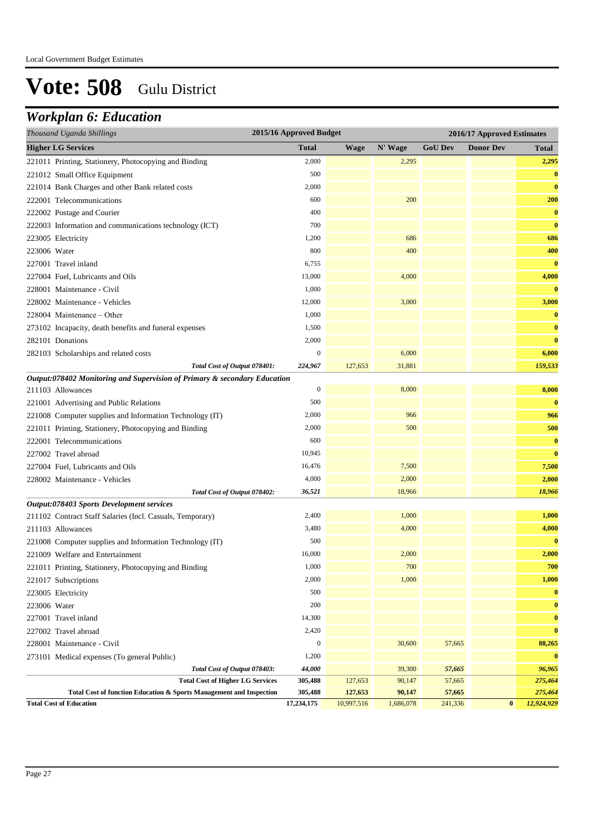## *Workplan 6: Education*

| Thousand Uganda Shillings                                                 | 2015/16 Approved Budget   |             |                  |                  | 2016/17 Approved Estimates |                   |
|---------------------------------------------------------------------------|---------------------------|-------------|------------------|------------------|----------------------------|-------------------|
| <b>Higher LG Services</b>                                                 | <b>Total</b>              | <b>Wage</b> | N' Wage          | <b>GoU Dev</b>   | <b>Donor Dev</b>           | <b>Total</b>      |
| 221011 Printing, Stationery, Photocopying and Binding                     | 2,000                     |             | 2,295            |                  |                            | 2,295             |
| 221012 Small Office Equipment                                             | 500                       |             |                  |                  |                            | $\bf{0}$          |
| 221014 Bank Charges and other Bank related costs                          | 2,000                     |             |                  |                  |                            | $\bf{0}$          |
| 222001 Telecommunications                                                 | 600                       |             | 200              |                  |                            | 200               |
| 222002 Postage and Courier                                                | 400                       |             |                  |                  |                            | $\bf{0}$          |
| 222003 Information and communications technology (ICT)                    | 700                       |             |                  |                  |                            | $\bf{0}$          |
| 223005 Electricity                                                        | 1,200                     |             | 686              |                  |                            | 686               |
| 223006 Water                                                              | 800                       |             | 400              |                  |                            | 400               |
| 227001 Travel inland                                                      | 6,755                     |             |                  |                  |                            | $\bf{0}$          |
| 227004 Fuel, Lubricants and Oils                                          | 13,000                    |             | 4,000            |                  |                            | 4,000             |
| 228001 Maintenance - Civil                                                | 1,000                     |             |                  |                  |                            | $\bf{0}$          |
| 228002 Maintenance - Vehicles                                             | 12,000                    |             | 3,000            |                  |                            | 3,000             |
| 228004 Maintenance – Other                                                | 1,000                     |             |                  |                  |                            | $\bf{0}$          |
| 273102 Incapacity, death benefits and funeral expenses                    | 1,500                     |             |                  |                  |                            | $\bf{0}$          |
| 282101 Donations                                                          | 2,000                     |             |                  |                  |                            | $\bf{0}$          |
| 282103 Scholarships and related costs                                     | $\boldsymbol{0}$          |             | 6,000            |                  |                            | 6,000             |
| Total Cost of Output 078401:                                              | 224,967                   | 127,653     | 31,881           |                  |                            | 159,533           |
| Output:078402 Monitoring and Supervision of Primary & secondary Education |                           |             |                  |                  |                            |                   |
| 211103 Allowances                                                         | $\boldsymbol{0}$          |             | 8,000            |                  |                            | 8,000             |
| 221001 Advertising and Public Relations                                   | 500                       |             |                  |                  |                            | $\bf{0}$          |
| 221008 Computer supplies and Information Technology (IT)                  | 2,000                     |             | 966              |                  |                            | 966               |
| 221011 Printing, Stationery, Photocopying and Binding                     | 2,000                     |             | 500              |                  |                            | 500               |
| 222001 Telecommunications                                                 | 600                       |             |                  |                  |                            | $\bf{0}$          |
| 227002 Travel abroad                                                      | 10,945                    |             |                  |                  |                            | $\bf{0}$          |
| 227004 Fuel, Lubricants and Oils                                          | 16,476                    |             | 7,500            |                  |                            | 7,500             |
| 228002 Maintenance - Vehicles                                             | 4,000                     |             | 2,000            |                  |                            | 2,000             |
| Total Cost of Output 078402:                                              | 36,521                    |             | 18,966           |                  |                            | 18,966            |
| Output:078403 Sports Development services                                 |                           |             |                  |                  |                            |                   |
| 211102 Contract Staff Salaries (Incl. Casuals, Temporary)                 | 2,400                     |             | 1,000            |                  |                            | 1,000             |
| 211103 Allowances                                                         | 3,480                     |             | 4,000            |                  |                            | 4,000             |
| 221008 Computer supplies and Information Technology (IT)                  | 500                       |             |                  |                  |                            | $\bf{0}$          |
| 221009 Welfare and Entertainment                                          | 16,000                    |             | 2,000            |                  |                            | 2,000             |
| 221011 Printing, Stationery, Photocopying and Binding                     | 1,000                     |             | 700              |                  |                            | 700               |
| 221017 Subscriptions                                                      | 2,000                     |             | 1,000            |                  |                            | 1,000             |
| 223005 Electricity                                                        | 500                       |             |                  |                  |                            | $\bf{0}$          |
| 223006 Water                                                              | 200                       |             |                  |                  |                            | $\bf{0}$          |
| 227001 Travel inland                                                      | 14,300                    |             |                  |                  |                            | $\bf{0}$          |
| 227002 Travel abroad                                                      | 2,420                     |             |                  |                  |                            | $\bf{0}$          |
| 228001 Maintenance - Civil                                                | $\boldsymbol{0}$<br>1,200 |             | 30,600           | 57,665           |                            | 88,265            |
| 273101 Medical expenses (To general Public)                               | 44,000                    |             |                  |                  |                            | $\bf{0}$          |
| Total Cost of Output 078403:<br><b>Total Cost of Higher LG Services</b>   | 305,488                   | 127,653     | 39,300<br>90,147 | 57,665<br>57,665 |                            | 96,965<br>275,464 |
| Total Cost of function Education & Sports Management and Inspection       | 305,488                   | 127,653     | 90,147           | 57,665           |                            | 275,464           |
| <b>Total Cost of Education</b>                                            | 17,234,175                | 10,997,516  | 1,686,078        | 241,336          | $\bf{0}$                   | 12,924,929        |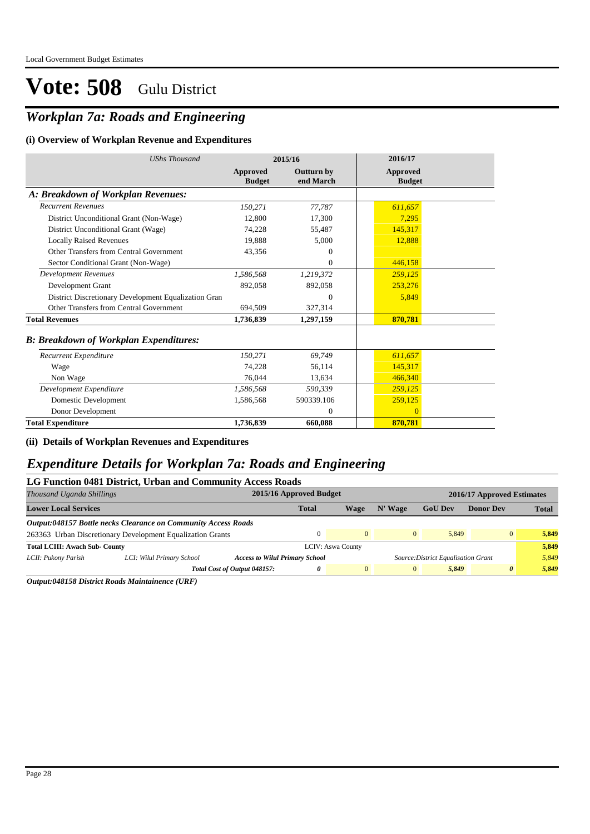### *Workplan 7a: Roads and Engineering*

#### **(i) Overview of Workplan Revenue and Expenditures**

| <b>UShs Thousand</b>                                 |                           | 2015/16                        | 2016/17                   |
|------------------------------------------------------|---------------------------|--------------------------------|---------------------------|
|                                                      | Approved<br><b>Budget</b> | <b>Outturn by</b><br>end March | Approved<br><b>Budget</b> |
| A: Breakdown of Workplan Revenues:                   |                           |                                |                           |
| <b>Recurrent Revenues</b>                            | 150,271                   | 77,787                         | 611,657                   |
| District Unconditional Grant (Non-Wage)              | 12,800                    | 17,300                         | 7,295                     |
| District Unconditional Grant (Wage)                  | 74,228                    | 55,487                         | 145,317                   |
| <b>Locally Raised Revenues</b>                       | 19,888                    | 5,000                          | 12,888                    |
| Other Transfers from Central Government              | 43,356                    | $\Omega$                       |                           |
| Sector Conditional Grant (Non-Wage)                  |                           | $\mathbf{0}$                   | 446,158                   |
| <b>Development Revenues</b>                          | 1,586,568                 | 1,219,372                      | 259.125                   |
| Development Grant                                    | 892,058                   | 892,058                        | 253,276                   |
| District Discretionary Development Equalization Gran |                           | $\Omega$                       | 5,849                     |
| Other Transfers from Central Government              | 694,509                   | 327,314                        |                           |
| <b>Total Revenues</b>                                | 1,736,839                 | 1,297,159                      | 870,781                   |
| <b>B: Breakdown of Workplan Expenditures:</b>        |                           |                                |                           |
| Recurrent Expenditure                                | 150,271                   | 69.749                         | 611,657                   |
| Wage                                                 | 74.228                    | 56,114                         | 145,317                   |
| Non Wage                                             | 76,044                    | 13,634                         | 466,340                   |
| Development Expenditure                              | 1,586,568                 | 590,339                        | 259,125                   |
| Domestic Development                                 | 1,586,568                 | 590339.106                     | 259,125                   |
| Donor Development                                    |                           | $\theta$                       | $\Omega$                  |
| <b>Total Expenditure</b>                             | 1.736.839                 | 660.088                        | 870.781                   |

**(ii) Details of Workplan Revenues and Expenditures**

### *Expenditure Details for Workplan 7a: Roads and Engineering*

### **LG Function 0481 District, Urban and Community Access Roads**

| Thousand Uganda Shillings             |                                                                |                                       | 2015/16 Approved Budget  |                |              |                                     | 2016/17 Approved Estimates |              |
|---------------------------------------|----------------------------------------------------------------|---------------------------------------|--------------------------|----------------|--------------|-------------------------------------|----------------------------|--------------|
| <b>Lower Local Services</b>           |                                                                |                                       | <b>Total</b>             | Wage           | N' Wage      | <b>GoU</b> Dev                      | <b>Donor Dev</b>           | <b>Total</b> |
|                                       | Output:048157 Bottle necks Clearance on Community Access Roads |                                       |                          |                |              |                                     |                            |              |
|                                       | 263363 Urban Discretionary Development Equalization Grants     |                                       |                          | $\Omega$       | $\mathbf{0}$ | 5.849                               | $\overline{0}$             | 5.849        |
| <b>Total LCIII: Awach Sub- County</b> |                                                                |                                       | <b>LCIV: Aswa County</b> |                |              |                                     |                            | 5.849        |
| LCII: Pukony Parish                   | LCI: Wilul Primary School                                      | <b>Access to Wilul Primary School</b> |                          |                |              | Source: District Equalisation Grant |                            | 5.849        |
|                                       |                                                                | Total Cost of Output 048157:          | $\theta$                 | $\overline{0}$ | $\mathbf{0}$ | 5.849                               | $\theta$                   | 5,849        |

*Output:048158 District Roads Maintainence (URF)*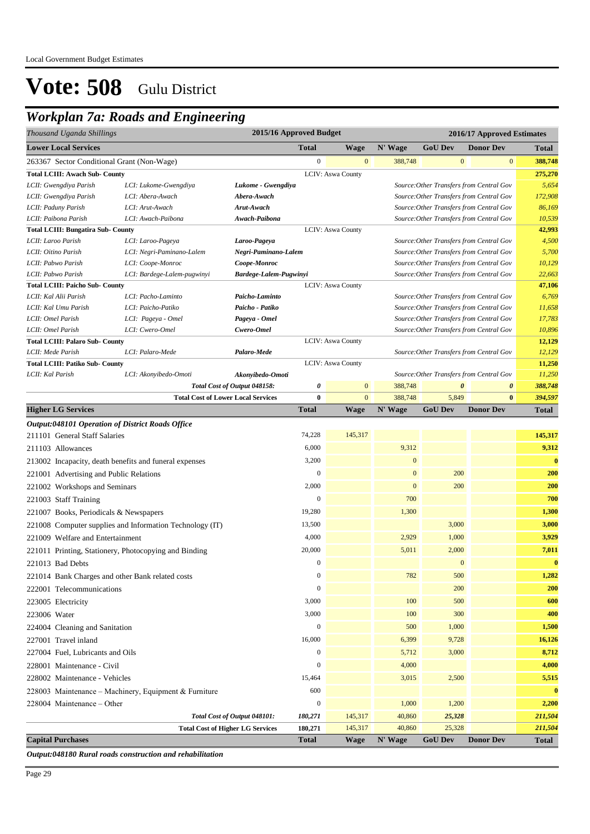## *Workplan 7a: Roads and Engineering*

| Thousand Uganda Shillings                               |                                                          |                                           | 2015/16 Approved Budget |                          |              |                       | 2016/17 Approved Estimates               |              |
|---------------------------------------------------------|----------------------------------------------------------|-------------------------------------------|-------------------------|--------------------------|--------------|-----------------------|------------------------------------------|--------------|
| <b>Lower Local Services</b>                             |                                                          |                                           | <b>Total</b>            | <b>Wage</b>              | N' Wage      | <b>GoU Dev</b>        | <b>Donor Dev</b>                         | <b>Total</b> |
| 263367 Sector Conditional Grant (Non-Wage)              |                                                          |                                           | $\mathbf{0}$            | $\mathbf{0}$             | 388,748      | $\mathbf{0}$          | $\mathbf{0}$                             | 388,748      |
| <b>Total LCIII: Awach Sub- County</b>                   |                                                          |                                           |                         | LCIV: Aswa County        |              |                       |                                          | 275,270      |
| LCII: Gwengdiya Parish                                  | LCI: Lukome-Gwengdiya                                    | Lukome - Gwengdiya                        |                         |                          |              |                       | Source: Other Transfers from Central Gov | 5,654        |
| LCII: Gwengdiya Parish                                  | LCI: Abera-Awach                                         | Abera-Awach                               |                         |                          |              |                       | Source: Other Transfers from Central Gov | 172,908      |
| LCII: Paduny Parish                                     | LCI: Arut-Awach                                          | Arut-Awach                                |                         |                          |              |                       | Source: Other Transfers from Central Gov | 86,169       |
| LCII: Paibona Parish                                    | LCI: Awach-Paibona                                       | Awach-Paibona                             |                         |                          |              |                       | Source: Other Transfers from Central Gov | 10,539       |
| <b>Total LCIII: Bungatira Sub- County</b>               |                                                          |                                           |                         | <b>LCIV: Aswa County</b> |              |                       |                                          | 42,993       |
| LCII: Laroo Parish                                      | LCI: Laroo-Pageya                                        | Laroo-Pageya                              |                         |                          |              |                       | Source: Other Transfers from Central Gov | 4,500        |
| LCII: Oitino Parish                                     | LCI: Negri-Paminano-Lalem                                | Negri-Paminano-Lalem                      |                         |                          |              |                       | Source: Other Transfers from Central Gov | 5,700        |
| LCII: Pabwo Parish                                      | LCI: Coope-Monroc                                        | Coope-Monroc                              |                         |                          |              |                       | Source: Other Transfers from Central Gov | 10,129       |
| LCII: Pabwo Parish                                      | LCI: Bardege-Lalem-pugwinyi                              | Bardege-Lalem-Pugwinyi                    |                         |                          |              |                       | Source: Other Transfers from Central Gov | 22,663       |
| <b>Total LCIII: Paicho Sub- County</b>                  |                                                          |                                           |                         | LCIV: Aswa County        |              |                       |                                          | 47,106       |
| LCII: Kal Alii Parish                                   | LCI: Pacho-Laminto                                       | Paicho-Laminto                            |                         |                          |              |                       | Source: Other Transfers from Central Gov | 6,769        |
| LCII: Kal Umu Parish                                    | LCI: Paicho-Patiko                                       | Paicho - Patiko                           |                         |                          |              |                       | Source: Other Transfers from Central Gov | 11,658       |
| LCII: Omel Parish                                       | LCI: Pageya - Omel                                       | Pageya - Omel                             |                         |                          |              |                       | Source: Other Transfers from Central Gov | 17,783       |
| LCII: Omel Parish                                       | LCI: Cwero-Omel                                          | Cwero-Omel                                |                         |                          |              |                       | Source: Other Transfers from Central Gov | 10,896       |
| <b>Total LCIII: Palaro Sub- County</b>                  |                                                          |                                           |                         | LCIV: Aswa County        |              |                       |                                          | 12,129       |
| LCII: Mede Parish                                       | LCI: Palaro-Mede                                         | Palaro-Mede                               |                         |                          |              |                       | Source: Other Transfers from Central Gov | 12,129       |
| <b>Total LCIII: Patiko Sub- County</b>                  |                                                          |                                           |                         | LCIV: Aswa County        |              |                       |                                          | 11,250       |
| LCII: Kal Parish                                        | LCI: Akonyibedo-Omoti                                    | Akonyibedo-Omoti                          |                         |                          |              |                       | Source: Other Transfers from Central Gov | 11,250       |
|                                                         |                                                          | Total Cost of Output 048158:              | 0                       | $\mathbf{0}$             | 388,748      | $\boldsymbol{\theta}$ | $\boldsymbol{\theta}$                    | 388,748      |
|                                                         |                                                          | <b>Total Cost of Lower Local Services</b> | $\bf{0}$                | $\overline{0}$           | 388,748      | 5,849                 | $\bf{0}$                                 | 394,597      |
| <b>Higher LG Services</b>                               |                                                          |                                           | <b>Total</b>            | <b>Wage</b>              | N' Wage      | <b>GoU Dev</b>        | <b>Donor Dev</b>                         | <b>Total</b> |
| <b>Output:048101 Operation of District Roads Office</b> |                                                          |                                           |                         |                          |              |                       |                                          |              |
| 211101 General Staff Salaries                           |                                                          |                                           | 74,228                  | 145,317                  |              |                       |                                          | 145,317      |
| 211103 Allowances                                       |                                                          |                                           | 6,000                   |                          | 9,312        |                       |                                          | 9,312        |
| 213002 Incapacity, death benefits and funeral expenses  |                                                          |                                           | 3,200                   |                          | $\mathbf{0}$ |                       |                                          | $\bf{0}$     |
| 221001 Advertising and Public Relations                 |                                                          |                                           | $\mathbf{0}$            |                          | $\mathbf{0}$ | 200                   |                                          | 200          |
| 221002 Workshops and Seminars                           |                                                          |                                           | 2,000                   |                          | $\mathbf{0}$ | 200                   |                                          | 200          |
| 221003 Staff Training                                   |                                                          |                                           | $\mathbf{0}$            |                          | 700          |                       |                                          | 700          |
|                                                         |                                                          |                                           |                         |                          |              |                       |                                          |              |
| 221007 Books, Periodicals & Newspapers                  |                                                          |                                           | 19,280                  |                          | 1,300        |                       |                                          | 1,300        |
|                                                         | 221008 Computer supplies and Information Technology (IT) |                                           | 13,500                  |                          |              | 3,000                 |                                          | 3,000        |
| 221009 Welfare and Entertainment                        |                                                          |                                           | 4,000                   |                          | 2,929        | 1,000                 |                                          | 3,929        |
| 221011 Printing, Stationery, Photocopying and Binding   |                                                          |                                           | 20,000                  |                          | 5,011        | 2,000                 |                                          | 7,011        |
| 221013 Bad Debts                                        |                                                          |                                           | $\boldsymbol{0}$        |                          |              | $\boldsymbol{0}$      |                                          | $\bf{0}$     |
| 221014 Bank Charges and other Bank related costs        |                                                          |                                           | $\boldsymbol{0}$        |                          | 782          | 500                   |                                          | 1,282        |
| 222001 Telecommunications                               |                                                          |                                           | $\boldsymbol{0}$        |                          |              | 200                   |                                          | 200          |
| 223005 Electricity                                      |                                                          |                                           | 3,000                   |                          | 100          | 500                   |                                          | 600          |
| 223006 Water                                            |                                                          |                                           | 3,000                   |                          | 100          | 300                   |                                          | 400          |
|                                                         |                                                          |                                           | $\boldsymbol{0}$        |                          |              |                       |                                          |              |
| 224004 Cleaning and Sanitation                          |                                                          |                                           |                         |                          | 500          | 1,000                 |                                          | 1,500        |
| 227001 Travel inland                                    |                                                          |                                           | 16,000                  |                          | 6,399        | 9,728                 |                                          | 16,126       |
| 227004 Fuel, Lubricants and Oils                        |                                                          |                                           | $\boldsymbol{0}$        |                          | 5,712        | 3,000                 |                                          | 8,712        |
| 228001 Maintenance - Civil                              |                                                          |                                           | $\boldsymbol{0}$        |                          | 4,000        |                       |                                          | 4,000        |
| 228002 Maintenance - Vehicles                           |                                                          |                                           | 15,464                  |                          | 3,015        | 2,500                 |                                          | 5,515        |
|                                                         | 228003 Maintenance - Machinery, Equipment & Furniture    |                                           | 600                     |                          |              |                       |                                          | $\bf{0}$     |
| 228004 Maintenance - Other                              |                                                          |                                           | $\boldsymbol{0}$        |                          | 1,000        | 1,200                 |                                          | 2,200        |
|                                                         |                                                          | Total Cost of Output 048101:              | 180,271                 | 145,317                  | 40,860       | 25,328                |                                          | 211,504      |
|                                                         |                                                          | <b>Total Cost of Higher LG Services</b>   | 180,271                 | 145,317                  | 40,860       | 25,328                |                                          | 211,504      |
| <b>Capital Purchases</b>                                |                                                          |                                           | <b>Total</b>            | <b>Wage</b>              | N' Wage      | <b>GoU Dev</b>        | <b>Donor Dev</b>                         | Total        |

*Output:048180 Rural roads construction and rehabilitation*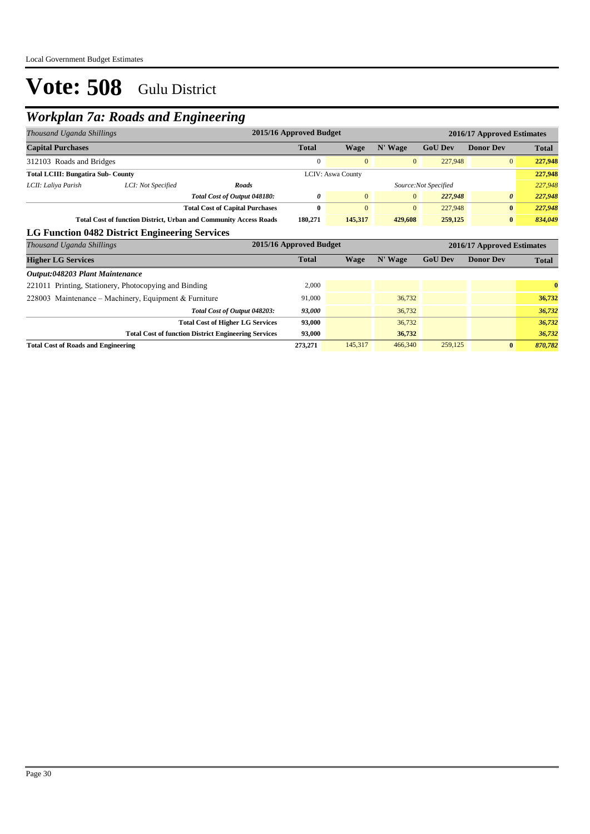### *Workplan 7a: Roads and Engineering*

| Thousand Uganda Shillings                                                |                                                       |                                                             | 2015/16 Approved Budget |                          |                | 2016/17 Approved Estimates |                            |              |  |
|--------------------------------------------------------------------------|-------------------------------------------------------|-------------------------------------------------------------|-------------------------|--------------------------|----------------|----------------------------|----------------------------|--------------|--|
| <b>Capital Purchases</b>                                                 |                                                       |                                                             | <b>Total</b>            | <b>Wage</b>              | N' Wage        | <b>GoU Dev</b>             | <b>Donor Dev</b>           | <b>Total</b> |  |
| 312103 Roads and Bridges                                                 |                                                       |                                                             | $\overline{0}$          | $\mathbf{0}$             | $\mathbf{0}$   | 227,948                    | $\overline{0}$             | 227,948      |  |
| <b>Total LCIII: Bungatira Sub- County</b>                                |                                                       |                                                             |                         | <b>LCIV: Aswa County</b> |                |                            |                            | 227,948      |  |
| LCII: Laliya Parish                                                      | LCI: Not Specified                                    | Roads                                                       |                         |                          |                | Source: Not Specified      |                            | 227,948      |  |
|                                                                          |                                                       | Total Cost of Output 048180:                                | 0                       | $\overline{0}$           | $\overline{0}$ | 227,948                    | $\theta$                   | 227,948      |  |
|                                                                          |                                                       | <b>Total Cost of Capital Purchases</b>                      | $\bf{0}$                | $\mathbf{0}$             | $\mathbf{0}$   | 227,948                    | $\bf{0}$                   | 227,948      |  |
| <b>Total Cost of function District, Urban and Community Access Roads</b> |                                                       | 180,271                                                     | 145,317                 | 429,608                  | 259,125        | $\bf{0}$                   | 834,049                    |              |  |
|                                                                          | LG Function 0482 District Engineering Services        |                                                             |                         |                          |                |                            |                            |              |  |
| Thousand Uganda Shillings                                                |                                                       |                                                             | 2015/16 Approved Budget |                          |                |                            | 2016/17 Approved Estimates |              |  |
| <b>Higher LG Services</b>                                                |                                                       |                                                             | <b>Total</b>            | Wage                     | N' Wage        | <b>GoU Dev</b>             | <b>Donor Dev</b>           | <b>Total</b> |  |
| Output:048203 Plant Maintenance                                          |                                                       |                                                             |                         |                          |                |                            |                            |              |  |
|                                                                          | 221011 Printing, Stationery, Photocopying and Binding |                                                             | 2,000                   |                          |                |                            |                            | $\bf{0}$     |  |
|                                                                          | 228003 Maintenance – Machinery, Equipment & Furniture |                                                             | 91,000                  |                          | 36,732         |                            |                            | 36,732       |  |
|                                                                          |                                                       | Total Cost of Output 048203:                                | 93,000                  |                          | 36,732         |                            |                            | 36,732       |  |
|                                                                          |                                                       | <b>Total Cost of Higher LG Services</b>                     | 93,000                  |                          | 36,732         |                            |                            | 36,732       |  |
|                                                                          |                                                       | <b>Total Cost of function District Engineering Services</b> | 93,000                  |                          | 36,732         |                            |                            | 36,732       |  |
| <b>Total Cost of Roads and Engineering</b>                               |                                                       |                                                             | 273,271                 | 145,317                  | 466,340        | 259,125                    | $\bf{0}$                   | 870,782      |  |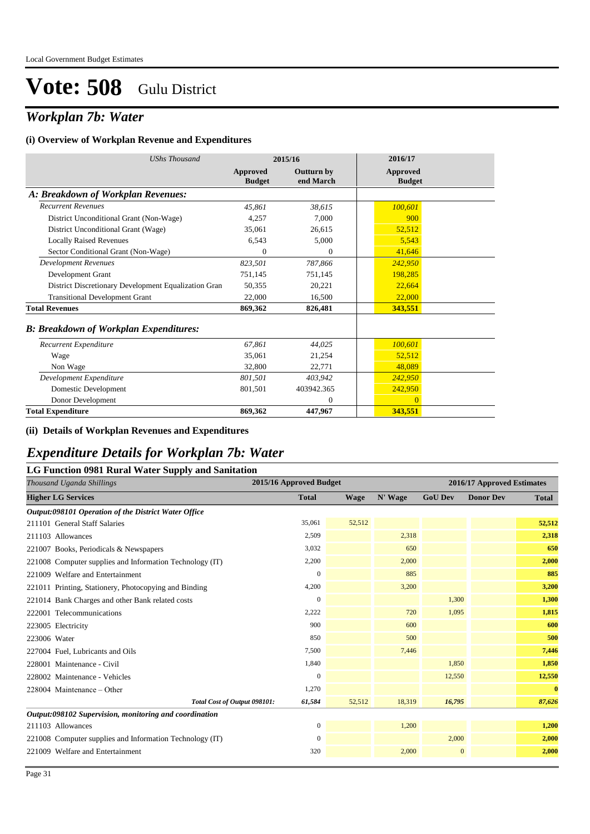## *Workplan 7b: Water*

#### **(i) Overview of Workplan Revenue and Expenditures**

| <b>UShs Thousand</b>                                 |                           | 2015/16                        | 2016/17                   |
|------------------------------------------------------|---------------------------|--------------------------------|---------------------------|
|                                                      | Approved<br><b>Budget</b> | <b>Outturn by</b><br>end March | Approved<br><b>Budget</b> |
| A: Breakdown of Workplan Revenues:                   |                           |                                |                           |
| <b>Recurrent Revenues</b>                            | 45,861                    | 38,615                         | 100,601                   |
| District Unconditional Grant (Non-Wage)              | 4,257                     | 7,000                          | 900                       |
| District Unconditional Grant (Wage)                  | 35,061                    | 26,615                         | 52,512                    |
| <b>Locally Raised Revenues</b>                       | 6,543                     | 5,000                          | 5,543                     |
| Sector Conditional Grant (Non-Wage)                  | $\mathbf{0}$              | $\theta$                       | 41,646                    |
| <b>Development Revenues</b>                          | 823,501                   | 787,866                        | 242,950                   |
| Development Grant                                    | 751,145                   | 751,145                        | 198,285                   |
| District Discretionary Development Equalization Gran | 50,355                    | 20,221                         | 22,664                    |
| <b>Transitional Development Grant</b>                | 22,000                    | 16,500                         | 22,000                    |
| <b>Total Revenues</b>                                | 869,362                   | 826,481                        | 343,551                   |
| <b>B: Breakdown of Workplan Expenditures:</b>        |                           |                                |                           |
| Recurrent Expenditure                                | 67,861                    | 44,025                         | 100,601                   |
| Wage                                                 | 35.061                    | 21,254                         | 52,512                    |
| Non Wage                                             | 32,800                    | 22,771                         | 48.089                    |
| Development Expenditure                              | 801,501                   | 403.942                        | 242,950                   |
| Domestic Development                                 | 801,501                   | 403942.365                     | 242,950                   |
| Donor Development                                    |                           | $\overline{0}$                 | $\overline{0}$            |
| <b>Total Expenditure</b>                             | 869,362                   | 447,967                        | 343,551                   |

#### **(ii) Details of Workplan Revenues and Expenditures**

### *Expenditure Details for Workplan 7b: Water*

### **LG Function 0981 Rural Water Supply and Sanitation** *Thousand Uganda Shillings* **2015/16 Approved Budget 2016/17 Approved Estimates Higher LG Services Total Wage N' Wage GoU Dev Donor Dev Total** *Output:098101 Operation of the District Water Office* 211101 General Staff Salaries 35,061 52,512 **52,512** 211103 Allowances 2,509 2,318 **2,318** 221007 Books, Periodicals & Newspapers 3,032 650 **650** 221008 Computer supplies and Information Technology (IT) 2,200 2,000 **2,000** 221009 Welfare and Entertainment 0 885 **885** 221011 Printing, Stationery, Photocopying and Binding **4,200** 4,200 3,200 3,200 3,200 3,200 3,200 3,200 3,200 3,200 221014 Bank Charges and other Bank related costs 0 1,300 **1,300** 222001 Telecommunications **1,815 1,815 1,095 1,095 1,095 1,095 1,095 1,095** 223005 Electricity 900 600 **600** 223006 Water 850 500 **500** 227004 Fuel, Lubricants and Oils 7,500 7,446 **7,446** 228001 Maintenance - Civil 1,840 1,850 **1,850** 228002 Maintenance - Vehicles 0 12,550 **12,550** 228004 Maintenance – Other 1,270 **0** *Total Cost of Output 098101:* 61,584 52,512 18,319 16,795 87,626 *Output:098102 Supervision, monitoring and coordination* 211103 Allowances 0 1,200 **1,200** 221008 Computer supplies and Information Technology (IT) 0 2,000 **2,000 2,000** 2,000 221009 Welfare and Entertainment 320 2,000 0 **2,000**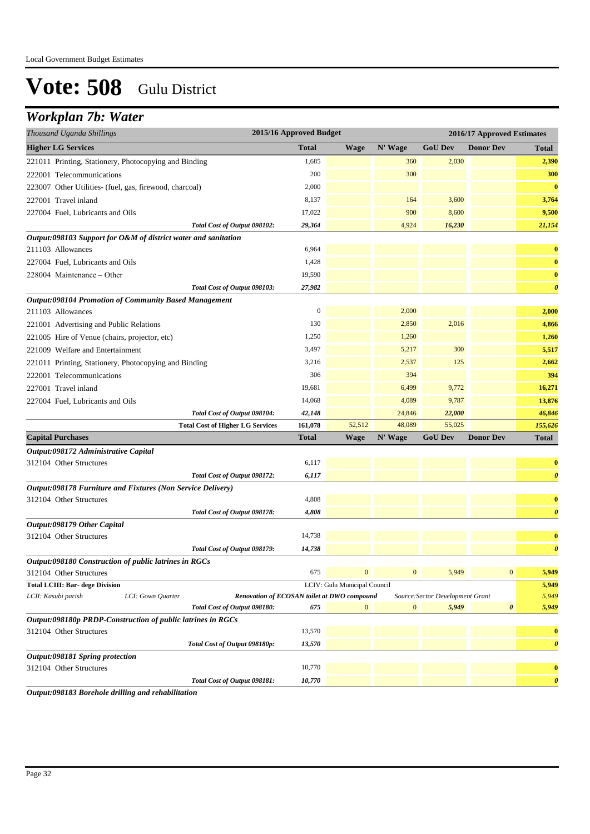## *Workplan 7b: Water*

| Thousand Uganda Shillings                                                          | 2015/16 Approved Budget                     |                              |                  |                                  | 2016/17 Approved Estimates |                       |  |  |
|------------------------------------------------------------------------------------|---------------------------------------------|------------------------------|------------------|----------------------------------|----------------------------|-----------------------|--|--|
| <b>Higher LG Services</b>                                                          | <b>Total</b>                                | <b>Wage</b>                  | N' Wage          | <b>GoU Dev</b>                   | <b>Donor Dev</b>           | <b>Total</b>          |  |  |
| 221011 Printing, Stationery, Photocopying and Binding                              | 1,685                                       |                              | 360              | 2,030                            |                            | 2,390                 |  |  |
| 222001 Telecommunications                                                          | 200                                         |                              | 300              |                                  |                            | 300                   |  |  |
| 223007 Other Utilities- (fuel, gas, firewood, charcoal)                            | 2,000                                       |                              |                  |                                  |                            | $\bf{0}$              |  |  |
| 227001 Travel inland                                                               | 8,137                                       |                              | 164              | 3,600                            |                            | 3,764                 |  |  |
| 227004 Fuel, Lubricants and Oils                                                   | 17,022                                      |                              | 900              | 8,600                            |                            | 9,500                 |  |  |
| Total Cost of Output 098102:                                                       | 29,364                                      |                              | 4,924            | 16,230                           |                            | 21,154                |  |  |
| Output:098103 Support for O&M of district water and sanitation                     |                                             |                              |                  |                                  |                            |                       |  |  |
| 211103 Allowances                                                                  | 6,964                                       |                              |                  |                                  |                            | $\bf{0}$              |  |  |
| 227004 Fuel, Lubricants and Oils                                                   | 1,428                                       |                              |                  |                                  |                            | $\bf{0}$              |  |  |
| 228004 Maintenance – Other                                                         | 19,590                                      |                              |                  |                                  |                            | $\bf{0}$              |  |  |
| Total Cost of Output 098103:                                                       | 27,982                                      |                              |                  |                                  |                            | $\boldsymbol{\theta}$ |  |  |
| <b>Output:098104 Promotion of Community Based Management</b>                       |                                             |                              |                  |                                  |                            |                       |  |  |
| 211103 Allowances                                                                  | $\mathbf{0}$                                |                              | 2,000            |                                  |                            | 2,000                 |  |  |
| 221001 Advertising and Public Relations                                            | 130                                         |                              | 2,850            | 2,016                            |                            | 4,866                 |  |  |
| 221005 Hire of Venue (chairs, projector, etc)                                      | 1,250                                       |                              | 1,260            |                                  |                            | 1,260                 |  |  |
| 221009 Welfare and Entertainment                                                   | 3,497                                       |                              | 5,217            | 300                              |                            | 5,517                 |  |  |
| 221011 Printing, Stationery, Photocopying and Binding                              | 3,216                                       |                              | 2,537            | 125                              |                            | 2,662                 |  |  |
| 222001 Telecommunications                                                          | 306                                         |                              | 394              |                                  |                            | 394                   |  |  |
| 227001 Travel inland                                                               | 19,681                                      |                              | 6,499            | 9,772                            |                            | 16,271                |  |  |
| 227004 Fuel, Lubricants and Oils                                                   | 14,068                                      |                              | 4,089            | 9,787                            |                            | 13,876                |  |  |
| Total Cost of Output 098104:                                                       | 42,148                                      |                              | 24,846           | 22,000                           |                            | 46,846                |  |  |
| <b>Total Cost of Higher LG Services</b>                                            | 161,078                                     | 52,512                       | 48,089           | 55,025                           |                            | 155,626               |  |  |
| <b>Capital Purchases</b>                                                           | <b>Total</b>                                | <b>Wage</b>                  | N' Wage          | <b>GoU Dev</b>                   | <b>Donor Dev</b>           | <b>Total</b>          |  |  |
| Output:098172 Administrative Capital                                               |                                             |                              |                  |                                  |                            |                       |  |  |
| 312104 Other Structures                                                            | 6,117                                       |                              |                  |                                  |                            | $\bf{0}$              |  |  |
| Total Cost of Output 098172:                                                       | 6,117                                       |                              |                  |                                  |                            | $\boldsymbol{\theta}$ |  |  |
| Output:098178 Furniture and Fixtures (Non Service Delivery)                        |                                             |                              |                  |                                  |                            |                       |  |  |
| 312104 Other Structures                                                            | 4,808                                       |                              |                  |                                  |                            | $\bf{0}$              |  |  |
| Total Cost of Output 098178:                                                       | 4,808                                       |                              |                  |                                  |                            | $\boldsymbol{\theta}$ |  |  |
| Output:098179 Other Capital                                                        |                                             |                              |                  |                                  |                            |                       |  |  |
| 312104 Other Structures                                                            | 14,738                                      |                              |                  |                                  |                            | $\bf{0}$              |  |  |
| Total Cost of Output 098179:                                                       | 14,738                                      |                              |                  |                                  |                            | $\boldsymbol{\theta}$ |  |  |
| Output:098180 Construction of public latrines in RGCs                              |                                             |                              |                  |                                  |                            |                       |  |  |
| 312104 Other Structures                                                            | 675                                         | $\mathbf{0}$                 | $\mathbf{0}$     | 5,949                            | $\mathbf{0}$               | 5,949                 |  |  |
| <b>Total LCIII: Bar- dege Division</b><br>LCII: Kasubi parish<br>LCI: Gown Quarter | Renovation of ECOSAN toilet at DWO compound | LCIV: Gulu Municipal Council |                  | Source: Sector Development Grant |                            | 5,949<br>5,949        |  |  |
| Total Cost of Output 098180:                                                       | 675                                         | $\mathbf{0}$                 | $\boldsymbol{0}$ | 5,949                            | $\pmb{\theta}$             | 5,949                 |  |  |
| Output:098180p PRDP-Construction of public latrines in RGCs                        |                                             |                              |                  |                                  |                            |                       |  |  |
| 312104 Other Structures                                                            | 13,570                                      |                              |                  |                                  |                            | $\bf{0}$              |  |  |
| Total Cost of Output 098180p:                                                      | 13,570                                      |                              |                  |                                  |                            | $\boldsymbol{\theta}$ |  |  |
| Output:098181 Spring protection                                                    |                                             |                              |                  |                                  |                            |                       |  |  |
| 312104 Other Structures                                                            | 10,770                                      |                              |                  |                                  |                            | $\bf{0}$              |  |  |
| Total Cost of Output 098181:                                                       | 10,770                                      |                              |                  |                                  |                            | $\boldsymbol{\theta}$ |  |  |

*Output:098183 Borehole drilling and rehabilitation*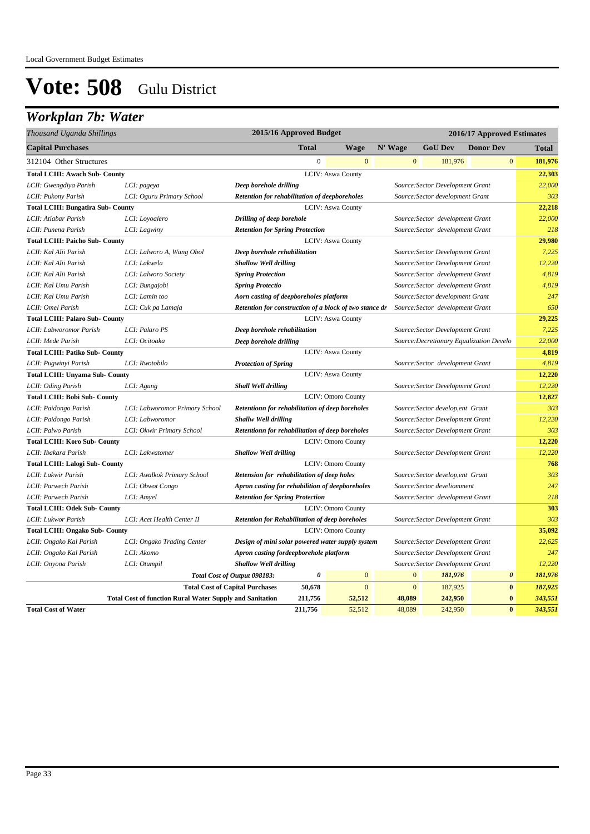## *Workplan 7b: Water*

| Thousand Uganda Shillings                 |                                                                 |                                                        | 2015/16 Approved Budget |                           |              |                                   | 2016/17 Approved Estimates               |              |
|-------------------------------------------|-----------------------------------------------------------------|--------------------------------------------------------|-------------------------|---------------------------|--------------|-----------------------------------|------------------------------------------|--------------|
| <b>Capital Purchases</b>                  |                                                                 |                                                        | <b>Total</b>            | <b>Wage</b>               | N' Wage      | <b>GoU Dev</b>                    | <b>Donor Dev</b>                         | <b>Total</b> |
| 312104 Other Structures                   |                                                                 |                                                        | $\overline{0}$          | $\mathbf{0}$              | $\mathbf{0}$ | 181,976                           | $\mathbf{0}$                             | 181,976      |
| <b>Total LCIII: Awach Sub- County</b>     |                                                                 |                                                        |                         | LCIV: Aswa County         |              |                                   |                                          | 22,303       |
| LCII: Gwengdiya Parish                    | LCI: pageya                                                     | Deep borehole drilling                                 |                         |                           |              | Source: Sector Development Grant  |                                          | 22,000       |
| LCII: Pukony Parish                       | LCI: Oguru Primary School                                       | Retention for rehabilitation of deepboreholes          |                         |                           |              | Source: Sector development Grant  |                                          | 303          |
| <b>Total LCIII: Bungatira Sub- County</b> |                                                                 |                                                        |                         | LCIV: Aswa County         |              |                                   |                                          | 22,218       |
| LCII: Atiabar Parish                      | LCI: Loyoalero                                                  | Drilling of deep borehole                              |                         |                           |              | Source: Sector development Grant  |                                          | 22,000       |
| LCII: Punena Parish                       | LCI: Lagwiny                                                    | <b>Retention for Spring Protection</b>                 |                         |                           |              | Source: Sector development Grant  |                                          | 218          |
| <b>Total LCIII: Paicho Sub- County</b>    |                                                                 |                                                        |                         | <b>LCIV: Aswa County</b>  |              |                                   |                                          | 29,980       |
| LCII: Kal Alii Parish                     | LCI: Lalworo A, Wang Obol                                       | Deep borehole rehabilitation                           |                         |                           |              | Source: Sector Development Grant  |                                          | 7,225        |
| LCII: Kal Alii Parish                     | LCI: Lakwela                                                    | <b>Shallow Well drilling</b>                           |                         |                           |              | Source: Sector Development Grant  |                                          | 12,220       |
| LCII: Kal Alii Parish                     | LCI: Lalworo Society                                            | <b>Spring Protection</b>                               |                         |                           |              | Source: Sector development Grant  |                                          | 4,819        |
| LCII: Kal Umu Parish                      | LCI: Bungajobi                                                  | <b>Spring Protectio</b>                                |                         |                           |              | Source: Sector development Grant  |                                          | 4,819        |
| LCII: Kal Umu Parish                      | LCI: Lamin too                                                  | Aorn casting of deepboreholes platform                 |                         |                           |              | Source: Sector development Grant  |                                          | 247          |
| LCII: Omel Parish                         | LCI: Cuk pa Lamaja                                              | Retention for construction of a block of two stance dr |                         |                           |              | Source: Sector development Grant  |                                          | 650          |
| <b>Total LCIII: Palaro Sub- County</b>    |                                                                 |                                                        |                         | <b>LCIV: Aswa County</b>  |              |                                   |                                          | 29,225       |
| LCII: Labworomor Parish                   | LCI: Palaro PS                                                  | Deep borehole rehabilitation                           |                         |                           |              | Source: Sector Development Grant  |                                          | 7,225        |
| LCII: Mede Parish                         | LCI: Ocitoaka                                                   | Deep borehole drilling                                 |                         |                           |              |                                   | Source: Decretionary Equalization Develo | 22,000       |
| <b>Total LCIII: Patiko Sub- County</b>    |                                                                 |                                                        |                         | <b>LCIV: Aswa County</b>  |              |                                   |                                          | 4,819        |
| LCII: Pugwinyi Parish                     | LCI: Rwotobilo                                                  | <b>Protection of Spring</b>                            |                         |                           |              | Source: Sector development Grant  |                                          | 4,819        |
| <b>Total LCIII: Unyama Sub- County</b>    |                                                                 |                                                        |                         | LCIV: Aswa County         |              |                                   |                                          | 12,220       |
| LCII: Oding Parish                        | LCI: Agung                                                      | <b>Shall Well drilling</b>                             |                         |                           |              | Source: Sector Development Grant  |                                          | 12,220       |
| <b>Total LCIII: Bobi Sub- County</b>      |                                                                 |                                                        |                         | <b>LCIV: Omoro County</b> |              |                                   |                                          | 12,827       |
| LCII: Paidongo Parish                     | LCI: Labworomor Primary School                                  | Retentionn for rehabilitation of deep boreholes        |                         |                           |              | Source: Sector develop, ent Grant |                                          | 303          |
| LCII: Paidongo Parish                     | LCI: Labworomor                                                 | Shallw Well drilling                                   |                         |                           |              | Source: Sector Development Grant  |                                          | 12,220       |
| LCII: Palwo Parish                        | LCI: Okwir Primary School                                       | Retentionn for rehabilitation of deep boreholes        |                         |                           |              | Source: Sector Development Grant  |                                          | 303          |
| <b>Total LCIII: Koro Sub- County</b>      |                                                                 |                                                        |                         | <b>LCIV: Omoro County</b> |              |                                   |                                          | 12,220       |
| LCII: Ibakara Parish                      | LCI: Lakwatomer                                                 | <b>Shallow Well drilling</b>                           |                         |                           |              | Source: Sector Development Grant  |                                          | 12,220       |
| <b>Total LCIII: Lalogi Sub- County</b>    |                                                                 |                                                        |                         | <b>LCIV: Omoro County</b> |              |                                   |                                          | 768          |
| LCII: Lukwir Parish                       | LCI: Awalkok Primary School                                     | Retension for rehabilitation of deep holes             |                         |                           |              | Source: Sector develop, ent Grant |                                          | 303          |
| LCII: Parwech Parish                      | LCI: Obwot Congo                                                | Apron casting for rehabilition of deepboreholes        |                         |                           |              | Source: Sector develiomment       |                                          | 247          |
| LCII: Parwech Parish                      | LCI: Amyel                                                      | <b>Retention for Spring Protection</b>                 |                         |                           |              | Source: Sector development Grant  |                                          | 218          |
| <b>Total LCIII: Odek Sub- County</b>      |                                                                 |                                                        |                         | <b>LCIV: Omoro County</b> |              |                                   |                                          | 303          |
| LCII: Lukwor Parish                       | LCI: Acet Health Center II                                      | <b>Retention for Rehabilitation of deep boreholes</b>  |                         |                           |              | Source: Sector Development Grant  |                                          | 303          |
| <b>Total LCIII: Ongako Sub- County</b>    |                                                                 |                                                        |                         | <b>LCIV: Omoro County</b> |              |                                   |                                          | 35,092       |
| LCII: Ongako Kal Parish                   | LCI: Ongako Trading Center                                      | Design of mini solar powered water supply system       |                         |                           |              | Source: Sector Development Grant  |                                          | 22,625       |
| LCII: Ongako Kal Parish                   | LCI: Akomo                                                      | Apron casting fordeepborehole platform                 |                         |                           |              | Source: Sector Development Grant  |                                          | 247          |
| LCII: Onyona Parish                       | LCI: Otumpil                                                    | <b>Shallow Well drilling</b>                           |                         |                           |              | Source: Sector Development Grant  |                                          | 12,220       |
|                                           |                                                                 | Total Cost of Output 098183:                           | 0                       | $\mathbf{0}$              | $\mathbf{0}$ | 181,976                           | $\boldsymbol{\theta}$                    | 181,976      |
|                                           |                                                                 | <b>Total Cost of Capital Purchases</b>                 | 50,678                  | $\overline{0}$            | $\mathbf{0}$ | 187,925                           | $\bf{0}$                                 | 187,925      |
|                                           | <b>Total Cost of function Rural Water Supply and Sanitation</b> |                                                        | 211,756                 | 52,512                    | 48,089       | 242,950                           | $\bf{0}$                                 | 343,551      |
| <b>Total Cost of Water</b>                |                                                                 |                                                        | 211,756                 | 52,512                    | 48,089       | 242,950                           | $\mathbf{0}$                             | 343,551      |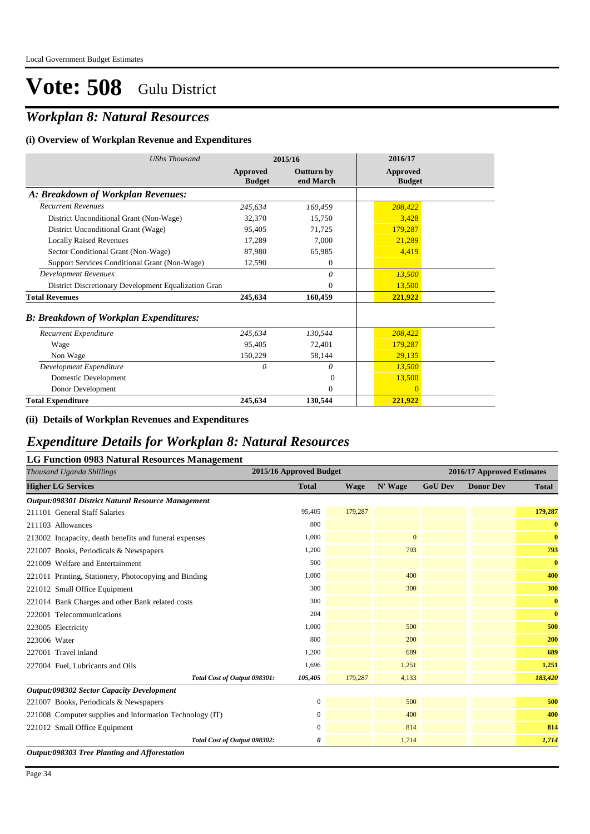## *Workplan 8: Natural Resources*

#### **(i) Overview of Workplan Revenue and Expenditures**

| <b>UShs Thousand</b>                                 |                           | 2015/16                        | 2016/17                          |  |
|------------------------------------------------------|---------------------------|--------------------------------|----------------------------------|--|
|                                                      | Approved<br><b>Budget</b> | <b>Outturn by</b><br>end March | <b>Approved</b><br><b>Budget</b> |  |
| A: Breakdown of Workplan Revenues:                   |                           |                                |                                  |  |
| <b>Recurrent Revenues</b>                            | 245,634                   | 160,459                        | 208,422                          |  |
| District Unconditional Grant (Non-Wage)              | 32,370                    | 15,750                         | 3,428                            |  |
| District Unconditional Grant (Wage)                  | 95,405                    | 71,725                         | 179,287                          |  |
| <b>Locally Raised Revenues</b>                       | 17,289                    | 7,000                          | 21,289                           |  |
| Sector Conditional Grant (Non-Wage)                  | 87,980                    | 65,985                         | 4,419                            |  |
| Support Services Conditional Grant (Non-Wage)        | 12,590                    | $\theta$                       |                                  |  |
| <b>Development Revenues</b>                          |                           | $\theta$                       | 13,500                           |  |
| District Discretionary Development Equalization Gran |                           | $\overline{0}$                 | 13,500                           |  |
| <b>Total Revenues</b>                                | 245,634                   | 160,459                        | 221,922                          |  |
| <b>B: Breakdown of Workplan Expenditures:</b>        |                           |                                |                                  |  |
| Recurrent Expenditure                                | 245,634                   | 130,544                        | 208,422                          |  |
| Wage                                                 | 95,405                    | 72,401                         | 179,287                          |  |
| Non Wage                                             | 150,229                   | 58,144                         | 29,135                           |  |
| Development Expenditure                              | $\theta$                  | 0                              | 13,500                           |  |
| Domestic Development                                 |                           | $\Omega$                       | 13,500                           |  |
| Donor Development                                    |                           | $\theta$                       | $\Omega$                         |  |
| <b>Total Expenditure</b>                             | 245,634                   | 130,544                        | 221,922                          |  |

### **(ii) Details of Workplan Revenues and Expenditures**

### *Expenditure Details for Workplan 8: Natural Resources*

### **LG Function 0983 Natural Resources Management**

| Thousand Uganda Shillings                                | 2015/16 Approved Budget |             |              |                | 2016/17 Approved Estimates |              |
|----------------------------------------------------------|-------------------------|-------------|--------------|----------------|----------------------------|--------------|
| <b>Higher LG Services</b>                                | <b>Total</b>            | <b>Wage</b> | N' Wage      | <b>GoU Dev</b> | <b>Donor Dev</b>           | <b>Total</b> |
| Output:098301 District Natural Resource Management       |                         |             |              |                |                            |              |
| 211101 General Staff Salaries                            | 95,405                  | 179,287     |              |                |                            | 179,287      |
| 211103 Allowances                                        | 800                     |             |              |                |                            | $\bf{0}$     |
| 213002 Incapacity, death benefits and funeral expenses   | 1,000                   |             | $\mathbf{0}$ |                |                            | $\bf{0}$     |
| 221007 Books, Periodicals & Newspapers                   | 1,200                   |             | 793          |                |                            | 793          |
| 221009 Welfare and Entertainment                         | 500                     |             |              |                |                            | $\bf{0}$     |
| 221011 Printing, Stationery, Photocopying and Binding    | 1,000                   |             | 400          |                |                            | 400          |
| 221012 Small Office Equipment                            | 300                     |             | 300          |                |                            | 300          |
| 221014 Bank Charges and other Bank related costs         | 300                     |             |              |                |                            | $\bf{0}$     |
| 222001 Telecommunications                                | 204                     |             |              |                |                            | $\bf{0}$     |
| 223005 Electricity                                       | 1,000                   |             | 500          |                |                            | 500          |
| 223006 Water                                             | 800                     |             | 200          |                |                            | 200          |
| 227001 Travel inland                                     | 1,200                   |             | 689          |                |                            | 689          |
| 227004 Fuel, Lubricants and Oils                         | 1,696                   |             | 1,251        |                |                            | 1,251        |
| Total Cost of Output 098301:                             | 105,405                 | 179,287     | 4,133        |                |                            | 183,420      |
| Output:098302 Sector Capacity Development                |                         |             |              |                |                            |              |
| 221007 Books, Periodicals & Newspapers                   | $\mathbf{0}$            |             | 500          |                |                            | 500          |
| 221008 Computer supplies and Information Technology (IT) | 0                       |             | 400          |                |                            | 400          |
| 221012 Small Office Equipment                            | $\Omega$                |             | 814          |                |                            | 814          |
| Total Cost of Output 098302:                             | 0                       |             | 1,714        |                |                            | 1,714        |
| Output:098303 Tree Planting and Afforestation            |                         |             |              |                |                            |              |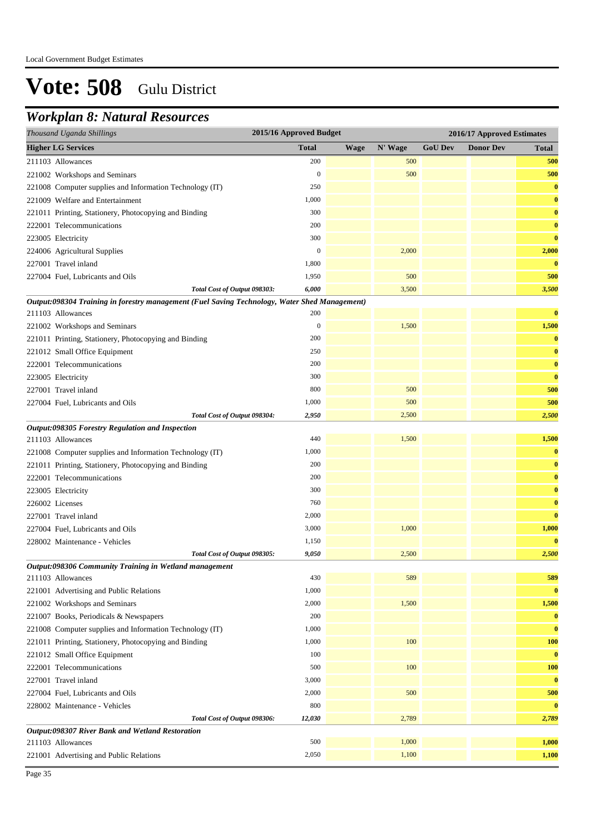### *Workplan 8: Natural Resources*

| Thousand Uganda Shillings                                                                     | 2015/16 Approved Budget |             |         |                | 2016/17 Approved Estimates |              |
|-----------------------------------------------------------------------------------------------|-------------------------|-------------|---------|----------------|----------------------------|--------------|
| <b>Higher LG Services</b>                                                                     | <b>Total</b>            | <b>Wage</b> | N' Wage | <b>GoU Dev</b> | <b>Donor Dev</b>           | <b>Total</b> |
| 211103 Allowances                                                                             | 200                     |             | 500     |                |                            | 500          |
| 221002 Workshops and Seminars                                                                 | $\boldsymbol{0}$        |             | 500     |                |                            | 500          |
| 221008 Computer supplies and Information Technology (IT)                                      | 250                     |             |         |                |                            | $\bf{0}$     |
| 221009 Welfare and Entertainment                                                              | 1,000                   |             |         |                |                            | $\bf{0}$     |
| 221011 Printing, Stationery, Photocopying and Binding                                         | 300                     |             |         |                |                            | $\bf{0}$     |
| 222001 Telecommunications                                                                     | 200                     |             |         |                |                            | $\bf{0}$     |
| 223005 Electricity                                                                            | 300                     |             |         |                |                            | $\bf{0}$     |
| 224006 Agricultural Supplies                                                                  | $\boldsymbol{0}$        |             | 2,000   |                |                            | 2,000        |
| 227001 Travel inland                                                                          | 1,800                   |             |         |                |                            | $\bf{0}$     |
| 227004 Fuel, Lubricants and Oils                                                              | 1,950                   |             | 500     |                |                            | 500          |
| Total Cost of Output 098303:                                                                  | 6,000                   |             | 3,500   |                |                            | 3,500        |
| Output:098304 Training in forestry management (Fuel Saving Technology, Water Shed Management) |                         |             |         |                |                            |              |
| 211103 Allowances                                                                             | 200                     |             |         |                |                            | $\bf{0}$     |
| 221002 Workshops and Seminars                                                                 | $\boldsymbol{0}$        |             | 1,500   |                |                            | 1,500        |
| 221011 Printing, Stationery, Photocopying and Binding                                         | 200                     |             |         |                |                            | $\bf{0}$     |
| 221012 Small Office Equipment                                                                 | 250                     |             |         |                |                            | $\bf{0}$     |
| 222001 Telecommunications                                                                     | 200                     |             |         |                |                            | $\bf{0}$     |
| 223005 Electricity                                                                            | 300                     |             |         |                |                            | $\bf{0}$     |
| 227001 Travel inland                                                                          | 800                     |             | 500     |                |                            | 500          |
| 227004 Fuel, Lubricants and Oils                                                              | 1,000                   |             | 500     |                |                            | 500          |
| Total Cost of Output 098304:                                                                  | 2,950                   |             | 2,500   |                |                            | 2,500        |
| Output:098305 Forestry Regulation and Inspection                                              |                         |             |         |                |                            |              |
| 211103 Allowances                                                                             | 440                     |             | 1,500   |                |                            | 1,500        |
| 221008 Computer supplies and Information Technology (IT)                                      | 1,000                   |             |         |                |                            | $\bf{0}$     |
| 221011 Printing, Stationery, Photocopying and Binding                                         | 200                     |             |         |                |                            | $\bf{0}$     |
| 222001 Telecommunications                                                                     | 200                     |             |         |                |                            | $\bf{0}$     |
| 223005 Electricity                                                                            | 300                     |             |         |                |                            | $\bf{0}$     |
| 226002 Licenses                                                                               | 760                     |             |         |                |                            | $\bf{0}$     |
| 227001 Travel inland                                                                          | 2,000                   |             |         |                |                            | $\bf{0}$     |
| 227004 Fuel, Lubricants and Oils                                                              | 3,000                   |             | 1,000   |                |                            | 1,000        |
| 228002 Maintenance - Vehicles                                                                 | 1,150                   |             |         |                |                            | $\bf{0}$     |
| Total Cost of Output 098305:                                                                  | 9,050                   |             | 2,500   |                |                            | 2,500        |
| Output:098306 Community Training in Wetland management<br>211103 Allowances                   | 430                     |             | 589     |                |                            | 589          |
| 221001 Advertising and Public Relations                                                       | 1,000                   |             |         |                |                            | $\bf{0}$     |
| 221002 Workshops and Seminars                                                                 | 2,000                   |             | 1,500   |                |                            | 1,500        |
| 221007 Books, Periodicals & Newspapers                                                        | 200                     |             |         |                |                            | $\bf{0}$     |
| 221008 Computer supplies and Information Technology (IT)                                      | 1,000                   |             |         |                |                            | $\bf{0}$     |
| 221011 Printing, Stationery, Photocopying and Binding                                         | 1,000                   |             | 100     |                |                            | <b>100</b>   |
| 221012 Small Office Equipment                                                                 | 100                     |             |         |                |                            | $\bf{0}$     |
| 222001 Telecommunications                                                                     | 500                     |             | 100     |                |                            | <b>100</b>   |
| 227001 Travel inland                                                                          | 3,000                   |             |         |                |                            | $\bf{0}$     |
| 227004 Fuel, Lubricants and Oils                                                              | 2,000                   |             | 500     |                |                            | 500          |
| 228002 Maintenance - Vehicles                                                                 | 800                     |             |         |                |                            | $\bf{0}$     |
| Total Cost of Output 098306:                                                                  | 12,030                  |             | 2,789   |                |                            | 2,789        |
| Output:098307 River Bank and Wetland Restoration                                              |                         |             |         |                |                            |              |
| 211103 Allowances                                                                             | 500                     |             | 1,000   |                |                            | 1,000        |
| 221001 Advertising and Public Relations                                                       | 2,050                   |             | 1,100   |                |                            | 1,100        |
|                                                                                               |                         |             |         |                |                            |              |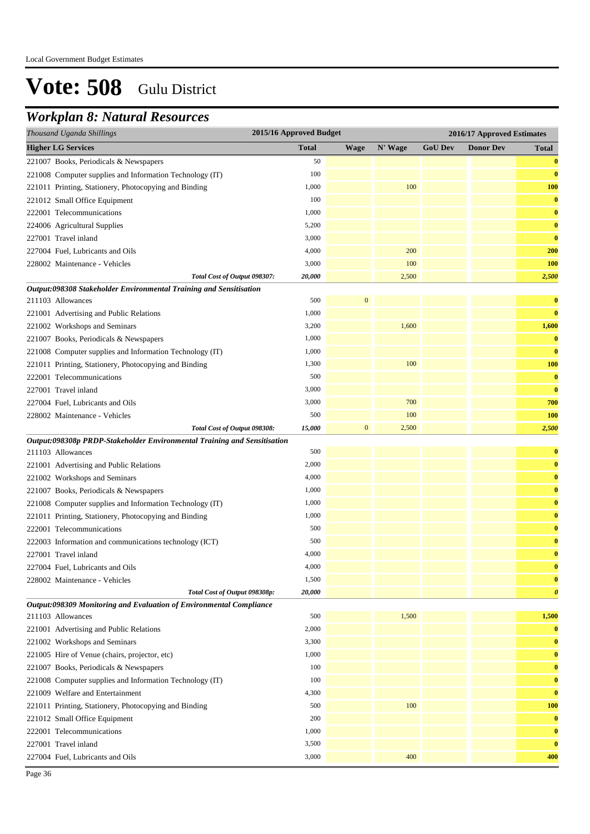### *Workplan 8: Natural Resources*

| Thousand Uganda Shillings                                                | 2015/16 Approved Budget |                  |         |                | 2016/17 Approved Estimates |                       |
|--------------------------------------------------------------------------|-------------------------|------------------|---------|----------------|----------------------------|-----------------------|
| <b>Higher LG Services</b>                                                | <b>Total</b>            | <b>Wage</b>      | N' Wage | <b>GoU Dev</b> | <b>Donor Dev</b>           | <b>Total</b>          |
| 221007 Books, Periodicals & Newspapers                                   | 50                      |                  |         |                |                            | $\bf{0}$              |
| 221008 Computer supplies and Information Technology (IT)                 | 100                     |                  |         |                |                            | $\bf{0}$              |
| 221011 Printing, Stationery, Photocopying and Binding                    | 1,000                   |                  | 100     |                |                            | <b>100</b>            |
| 221012 Small Office Equipment                                            | 100                     |                  |         |                |                            | $\bf{0}$              |
| 222001 Telecommunications                                                | 1,000                   |                  |         |                |                            | $\bf{0}$              |
| 224006 Agricultural Supplies                                             | 5,200                   |                  |         |                |                            | $\bf{0}$              |
| 227001 Travel inland                                                     | 3,000                   |                  |         |                |                            | $\bf{0}$              |
| 227004 Fuel, Lubricants and Oils                                         | 4,000                   |                  | 200     |                |                            | 200                   |
| 228002 Maintenance - Vehicles                                            | 3,000                   |                  | 100     |                |                            | <b>100</b>            |
| Total Cost of Output 098307:                                             | 20,000                  |                  | 2,500   |                |                            | 2,500                 |
| Output:098308 Stakeholder Environmental Training and Sensitisation       |                         |                  |         |                |                            |                       |
| 211103 Allowances                                                        | 500                     | 0                |         |                |                            | $\bf{0}$              |
| 221001 Advertising and Public Relations                                  | 1,000                   |                  |         |                |                            | $\bf{0}$              |
| 221002 Workshops and Seminars                                            | 3,200                   |                  | 1,600   |                |                            | 1,600                 |
| 221007 Books, Periodicals & Newspapers                                   | 1,000                   |                  |         |                |                            | $\bf{0}$              |
| 221008 Computer supplies and Information Technology (IT)                 | 1,000                   |                  |         |                |                            | $\bf{0}$              |
| 221011 Printing, Stationery, Photocopying and Binding                    | 1,300                   |                  | 100     |                |                            | 100                   |
| 222001 Telecommunications                                                | 500                     |                  |         |                |                            | $\bf{0}$              |
| 227001 Travel inland                                                     | 3,000                   |                  |         |                |                            | $\bf{0}$              |
| 227004 Fuel, Lubricants and Oils                                         | 3,000                   |                  | 700     |                |                            | 700                   |
| 228002 Maintenance - Vehicles                                            | 500                     |                  | 100     |                |                            | <b>100</b>            |
| Total Cost of Output 098308:                                             | 15,000                  | $\boldsymbol{0}$ | 2,500   |                |                            | 2,500                 |
| Output:098308p PRDP-Stakeholder Environmental Training and Sensitisation |                         |                  |         |                |                            |                       |
| 211103 Allowances                                                        | 500                     |                  |         |                |                            | $\bf{0}$              |
| 221001 Advertising and Public Relations                                  | 2,000                   |                  |         |                |                            | $\bf{0}$              |
| 221002 Workshops and Seminars                                            | 4,000                   |                  |         |                |                            | $\bf{0}$              |
| 221007 Books, Periodicals & Newspapers                                   | 1,000                   |                  |         |                |                            | $\bf{0}$              |
| 221008 Computer supplies and Information Technology (IT)                 | 1,000                   |                  |         |                |                            | $\bf{0}$              |
| 221011 Printing, Stationery, Photocopying and Binding                    | 1,000                   |                  |         |                |                            | $\bf{0}$              |
| 222001 Telecommunications                                                | 500                     |                  |         |                |                            | $\bf{0}$              |
| 222003 Information and communications technology (ICT)                   | 500                     |                  |         |                |                            | $\bf{0}$              |
| 227001 Travel inland                                                     | 4,000                   |                  |         |                |                            | $\bf{0}$              |
| 227004 Fuel, Lubricants and Oils                                         | 4,000                   |                  |         |                |                            | $\bf{0}$              |
| 228002 Maintenance - Vehicles                                            | 1,500                   |                  |         |                |                            | $\bf{0}$              |
| Total Cost of Output 098308p:                                            | 20,000                  |                  |         |                |                            | $\boldsymbol{\theta}$ |
| Output:098309 Monitoring and Evaluation of Environmental Compliance      |                         |                  |         |                |                            |                       |
| 211103 Allowances                                                        | 500                     |                  | 1,500   |                |                            | 1,500                 |
| 221001 Advertising and Public Relations                                  | 2,000                   |                  |         |                |                            | $\bf{0}$              |
| 221002 Workshops and Seminars                                            | 3,300                   |                  |         |                |                            | $\bf{0}$              |
| 221005 Hire of Venue (chairs, projector, etc)                            | 1,000                   |                  |         |                |                            | $\bf{0}$              |
| 221007 Books, Periodicals & Newspapers                                   | 100                     |                  |         |                |                            | $\bf{0}$              |
| 221008 Computer supplies and Information Technology (IT)                 | 100                     |                  |         |                |                            | $\bf{0}$              |
| 221009 Welfare and Entertainment                                         | 4,300                   |                  |         |                |                            | $\bf{0}$              |
| 221011 Printing, Stationery, Photocopying and Binding                    | 500                     |                  | 100     |                |                            | <b>100</b>            |
| 221012 Small Office Equipment                                            | 200                     |                  |         |                |                            | $\bf{0}$              |
| 222001 Telecommunications                                                | 1,000                   |                  |         |                |                            | $\bf{0}$              |
| 227001 Travel inland                                                     | 3,500                   |                  |         |                |                            | $\bf{0}$              |
| 227004 Fuel, Lubricants and Oils                                         | 3,000                   |                  | 400     |                |                            | 400                   |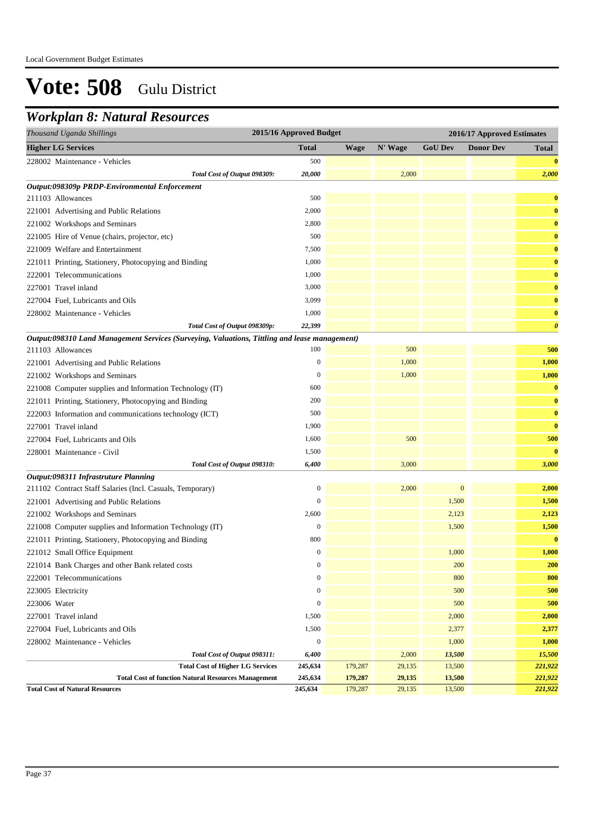### *Workplan 8: Natural Resources*

| Thousand Uganda Shillings                                                                     | 2015/16 Approved Budget |             |         |                  | 2016/17 Approved Estimates |                       |
|-----------------------------------------------------------------------------------------------|-------------------------|-------------|---------|------------------|----------------------------|-----------------------|
| <b>Higher LG Services</b>                                                                     | Total                   | <b>Wage</b> | N' Wage | <b>GoU Dev</b>   | <b>Donor Dev</b>           | <b>Total</b>          |
| 228002 Maintenance - Vehicles                                                                 | 500                     |             |         |                  |                            | $\bf{0}$              |
| Total Cost of Output 098309:                                                                  | 20,000                  |             | 2,000   |                  |                            | 2,000                 |
| Output:098309p PRDP-Environmental Enforcement                                                 |                         |             |         |                  |                            |                       |
| 211103 Allowances                                                                             | 500                     |             |         |                  |                            | $\bf{0}$              |
| 221001 Advertising and Public Relations                                                       | 2,000                   |             |         |                  |                            | $\bf{0}$              |
| 221002 Workshops and Seminars                                                                 | 2,800                   |             |         |                  |                            | $\bf{0}$              |
| 221005 Hire of Venue (chairs, projector, etc)                                                 | 500                     |             |         |                  |                            | $\bf{0}$              |
| 221009 Welfare and Entertainment                                                              | 7,500                   |             |         |                  |                            | $\bf{0}$              |
| 221011 Printing, Stationery, Photocopying and Binding                                         | 1,000                   |             |         |                  |                            | $\bf{0}$              |
| 222001 Telecommunications                                                                     | 1,000                   |             |         |                  |                            | $\bf{0}$              |
| 227001 Travel inland                                                                          | 3,000                   |             |         |                  |                            | $\bf{0}$              |
| 227004 Fuel, Lubricants and Oils                                                              | 3,099                   |             |         |                  |                            | $\bf{0}$              |
| 228002 Maintenance - Vehicles                                                                 | 1,000                   |             |         |                  |                            | $\bf{0}$              |
| Total Cost of Output 098309p:                                                                 | 22,399                  |             |         |                  |                            | $\boldsymbol{\theta}$ |
| Output:098310 Land Management Services (Surveying, Valuations, Tittling and lease management) |                         |             |         |                  |                            |                       |
| 211103 Allowances                                                                             | 100                     |             | 500     |                  |                            | 500                   |
| 221001 Advertising and Public Relations                                                       | $\boldsymbol{0}$        |             | 1,000   |                  |                            | 1,000                 |
| 221002 Workshops and Seminars                                                                 | $\boldsymbol{0}$        |             | 1,000   |                  |                            | 1,000                 |
| 221008 Computer supplies and Information Technology (IT)                                      | 600                     |             |         |                  |                            | $\bf{0}$              |
| 221011 Printing, Stationery, Photocopying and Binding                                         | 200                     |             |         |                  |                            | $\bf{0}$              |
| 222003 Information and communications technology (ICT)                                        | 500                     |             |         |                  |                            | $\bf{0}$              |
| 227001 Travel inland                                                                          | 1,900                   |             |         |                  |                            | $\bf{0}$              |
| 227004 Fuel, Lubricants and Oils                                                              | 1,600                   |             | 500     |                  |                            | 500                   |
| 228001 Maintenance - Civil                                                                    | 1,500                   |             |         |                  |                            | $\bf{0}$              |
| Total Cost of Output 098310:                                                                  | 6,400                   |             | 3,000   |                  |                            | 3,000                 |
| Output:098311 Infrastruture Planning                                                          |                         |             |         |                  |                            |                       |
| 211102 Contract Staff Salaries (Incl. Casuals, Temporary)                                     | $\boldsymbol{0}$        |             | 2,000   | $\boldsymbol{0}$ |                            | 2,000                 |
| 221001 Advertising and Public Relations                                                       | $\mathbf{0}$            |             |         | 1,500            |                            | 1,500                 |
| 221002 Workshops and Seminars                                                                 | 2,600                   |             |         | 2,123            |                            | 2,123                 |
| 221008 Computer supplies and Information Technology (IT)                                      | $\boldsymbol{0}$        |             |         | 1,500            |                            | 1,500                 |
| 221011 Printing, Stationery, Photocopying and Binding                                         | 800                     |             |         |                  |                            | $\bf{0}$              |
| 221012 Small Office Equipment                                                                 | $\boldsymbol{0}$        |             |         | 1,000            |                            | 1,000                 |
| 221014 Bank Charges and other Bank related costs                                              | $\mathbf{0}$            |             |         | 200              |                            | 200                   |
| 222001 Telecommunications                                                                     | $\boldsymbol{0}$        |             |         | 800              |                            | 800                   |
| 223005 Electricity                                                                            | $\boldsymbol{0}$        |             |         | 500              |                            | 500                   |
| 223006 Water                                                                                  | $\boldsymbol{0}$        |             |         | 500              |                            | 500                   |
| 227001 Travel inland                                                                          | 1,500                   |             |         | 2,000            |                            | 2,000                 |
| 227004 Fuel, Lubricants and Oils                                                              | 1,500                   |             |         | 2,377            |                            | 2,377                 |
| 228002 Maintenance - Vehicles                                                                 | $\boldsymbol{0}$        |             |         | 1,000            |                            | 1,000                 |
| Total Cost of Output 098311:                                                                  | 6,400                   |             | 2,000   | 13,500           |                            | 15,500                |
| <b>Total Cost of Higher LG Services</b>                                                       | 245,634                 | 179,287     | 29,135  | 13,500           |                            | 221,922               |
| <b>Total Cost of function Natural Resources Management</b>                                    | 245,634                 | 179,287     | 29,135  | 13,500           |                            | 221,922               |
| <b>Total Cost of Natural Resources</b>                                                        | 245,634                 | 179,287     | 29,135  | 13,500           |                            | 221,922               |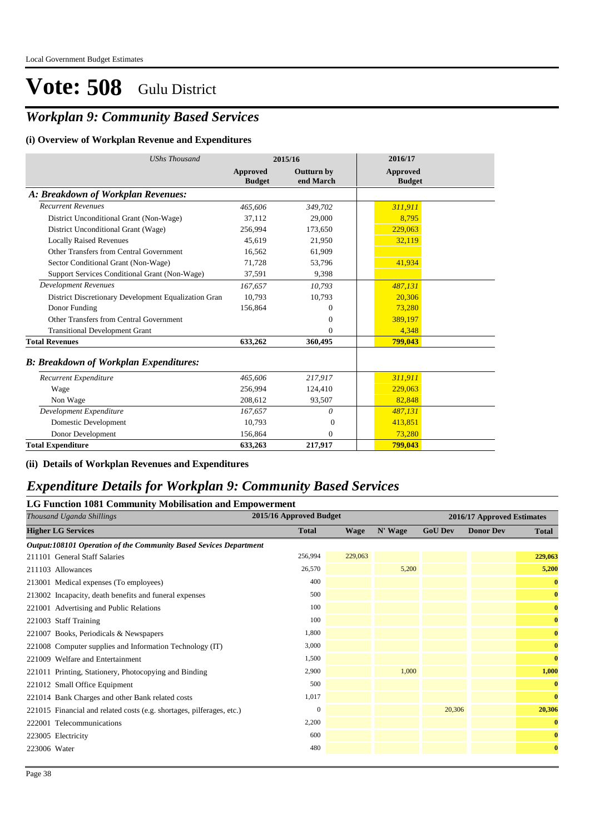### *Workplan 9: Community Based Services*

#### **(i) Overview of Workplan Revenue and Expenditures**

| <b>UShs Thousand</b>                                 |                           | 2015/16                        | 2016/17                          |
|------------------------------------------------------|---------------------------|--------------------------------|----------------------------------|
|                                                      | Approved<br><b>Budget</b> | <b>Outturn by</b><br>end March | <b>Approved</b><br><b>Budget</b> |
| A: Breakdown of Workplan Revenues:                   |                           |                                |                                  |
| <b>Recurrent Revenues</b>                            | 465,606                   | 349,702                        | 311,911                          |
| District Unconditional Grant (Non-Wage)              | 37.112                    | 29,000                         | 8.795                            |
| District Unconditional Grant (Wage)                  | 256.994                   | 173,650                        | 229,063                          |
| <b>Locally Raised Revenues</b>                       | 45.619                    | 21,950                         | 32,119                           |
| Other Transfers from Central Government              | 16,562                    | 61,909                         |                                  |
| Sector Conditional Grant (Non-Wage)                  | 71,728                    | 53,796                         | 41,934                           |
| Support Services Conditional Grant (Non-Wage)        | 37,591                    | 9,398                          |                                  |
| <b>Development Revenues</b>                          | 167,657                   | 10,793                         | 487,131                          |
| District Discretionary Development Equalization Gran | 10.793                    | 10,793                         | 20,306                           |
| Donor Funding                                        | 156,864                   | $\Omega$                       | 73,280                           |
| Other Transfers from Central Government              |                           | $\mathbf{0}$                   | 389,197                          |
| <b>Transitional Development Grant</b>                |                           | $\Omega$                       | 4,348                            |
| <b>Total Revenues</b>                                | 633,262                   | 360,495                        | 799,043                          |
| <b>B: Breakdown of Workplan Expenditures:</b>        |                           |                                |                                  |
| Recurrent Expenditure                                | 465,606                   | 217,917                        | 311,911                          |
| Wage                                                 | 256,994                   | 124,410                        | 229,063                          |
| Non Wage                                             | 208,612                   | 93,507                         | 82,848                           |
| Development Expenditure                              | 167,657                   | $\theta$                       | 487.131                          |
| Domestic Development                                 | 10.793                    | $\theta$                       | 413,851                          |
| Donor Development                                    | 156.864                   | $\Omega$                       | 73,280                           |
| <b>Total Expenditure</b>                             | 633,263                   | 217,917                        | 799,043                          |

#### **(ii) Details of Workplan Revenues and Expenditures**

### *Expenditure Details for Workplan 9: Community Based Services*

| <b>LG Function 1081 Community Mobilisation and Empowerment</b>        |                         |             |         |                |                            |              |  |
|-----------------------------------------------------------------------|-------------------------|-------------|---------|----------------|----------------------------|--------------|--|
| Thousand Uganda Shillings                                             | 2015/16 Approved Budget |             |         |                | 2016/17 Approved Estimates |              |  |
| <b>Higher LG Services</b>                                             | <b>Total</b>            | <b>Wage</b> | N' Wage | <b>GoU Dev</b> | <b>Donor Dev</b>           | <b>Total</b> |  |
| Output:108101 Operation of the Community Based Sevices Department     |                         |             |         |                |                            |              |  |
| 211101 General Staff Salaries                                         | 256,994                 | 229,063     |         |                |                            | 229,063      |  |
| 211103 Allowances                                                     | 26,570                  |             | 5,200   |                |                            | 5,200        |  |
| 213001 Medical expenses (To employees)                                | 400                     |             |         |                |                            | $\bf{0}$     |  |
| 213002 Incapacity, death benefits and funeral expenses                | 500                     |             |         |                |                            | $\bf{0}$     |  |
| 221001 Advertising and Public Relations                               | 100                     |             |         |                |                            | $\bf{0}$     |  |
| 221003 Staff Training                                                 | 100                     |             |         |                |                            | $\bf{0}$     |  |
| 221007 Books, Periodicals & Newspapers                                | 1,800                   |             |         |                |                            | $\bf{0}$     |  |
| 221008 Computer supplies and Information Technology (IT)              | 3,000                   |             |         |                |                            | $\bf{0}$     |  |
| 221009 Welfare and Entertainment                                      | 1,500                   |             |         |                |                            | $\bf{0}$     |  |
| 221011 Printing, Stationery, Photocopying and Binding                 | 2,900                   |             | 1,000   |                |                            | 1,000        |  |
| 221012 Small Office Equipment                                         | 500                     |             |         |                |                            | $\bf{0}$     |  |
| 221014 Bank Charges and other Bank related costs                      | 1,017                   |             |         |                |                            | $\bf{0}$     |  |
| 221015 Financial and related costs (e.g. shortages, pilferages, etc.) | $\Omega$                |             |         | 20,306         |                            | 20,306       |  |
| 222001 Telecommunications                                             | 2,200                   |             |         |                |                            | $\bf{0}$     |  |
| 223005 Electricity                                                    | 600                     |             |         |                |                            | $\bf{0}$     |  |
| 223006 Water                                                          | 480                     |             |         |                |                            | $\bf{0}$     |  |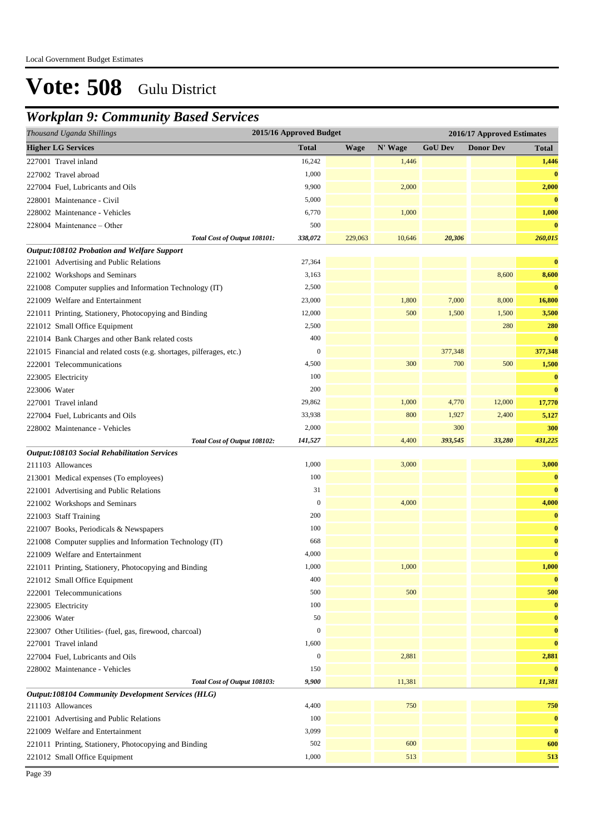### *Workplan 9: Community Based Services*

| 2015/16 Approved Budget<br>Thousand Uganda Shillings                  |                  |             |         |                | 2016/17 Approved Estimates |              |  |
|-----------------------------------------------------------------------|------------------|-------------|---------|----------------|----------------------------|--------------|--|
| <b>Higher LG Services</b>                                             | <b>Total</b>     | <b>Wage</b> | N' Wage | <b>GoU Dev</b> | <b>Donor Dev</b>           | <b>Total</b> |  |
| 227001 Travel inland                                                  | 16,242           |             | 1,446   |                |                            | 1,446        |  |
| 227002 Travel abroad                                                  | 1,000            |             |         |                |                            | $\bf{0}$     |  |
| 227004 Fuel, Lubricants and Oils                                      | 9,900            |             | 2,000   |                |                            | 2,000        |  |
| 228001 Maintenance - Civil                                            | 5,000            |             |         |                |                            | $\bf{0}$     |  |
| 228002 Maintenance - Vehicles                                         | 6,770            |             | 1,000   |                |                            | 1,000        |  |
| 228004 Maintenance - Other                                            | 500              |             |         |                |                            | $\bf{0}$     |  |
| Total Cost of Output 108101:                                          | 338,072          | 229,063     | 10,646  | 20,306         |                            | 260,015      |  |
| Output:108102 Probation and Welfare Support                           |                  |             |         |                |                            |              |  |
| 221001 Advertising and Public Relations                               | 27,364           |             |         |                |                            | $\bf{0}$     |  |
| 221002 Workshops and Seminars                                         | 3,163            |             |         |                | 8,600                      | 8,600        |  |
| 221008 Computer supplies and Information Technology (IT)              | 2,500            |             |         |                |                            | $\bf{0}$     |  |
| 221009 Welfare and Entertainment                                      | 23,000           |             | 1,800   | 7,000          | 8,000                      | 16,800       |  |
| 221011 Printing, Stationery, Photocopying and Binding                 | 12,000           |             | 500     | 1,500          | 1,500                      | 3,500        |  |
| 221012 Small Office Equipment                                         | 2,500            |             |         |                | 280                        | 280          |  |
| 221014 Bank Charges and other Bank related costs                      | 400              |             |         |                |                            | $\bf{0}$     |  |
| 221015 Financial and related costs (e.g. shortages, pilferages, etc.) | $\boldsymbol{0}$ |             |         | 377,348        |                            | 377,348      |  |
| 222001 Telecommunications                                             | 4,500            |             | 300     | 700            | 500                        | 1,500        |  |
| 223005 Electricity                                                    | 100              |             |         |                |                            | $\bf{0}$     |  |
| 223006 Water                                                          | 200              |             |         |                |                            | $\bf{0}$     |  |
| 227001 Travel inland                                                  | 29,862           |             | 1,000   | 4,770          | 12,000                     | 17,770       |  |
| 227004 Fuel, Lubricants and Oils                                      | 33,938           |             | 800     | 1,927          | 2,400                      | 5,127        |  |
| 228002 Maintenance - Vehicles                                         | 2,000            |             |         | 300            |                            | 300          |  |
| Total Cost of Output 108102:                                          | 141,527          |             | 4,400   | 393,545        | 33,280                     | 431,225      |  |
| <b>Output:108103 Social Rehabilitation Services</b>                   |                  |             |         |                |                            |              |  |
| 211103 Allowances                                                     | 1,000            |             | 3,000   |                |                            | 3,000        |  |
| 213001 Medical expenses (To employees)                                | 100              |             |         |                |                            | $\bf{0}$     |  |
| 221001 Advertising and Public Relations                               | 31               |             |         |                |                            | $\bf{0}$     |  |
| 221002 Workshops and Seminars                                         | $\boldsymbol{0}$ |             | 4,000   |                |                            | 4,000        |  |
| 221003 Staff Training                                                 | 200              |             |         |                |                            | $\bf{0}$     |  |
| 221007 Books, Periodicals & Newspapers                                | 100              |             |         |                |                            | $\bf{0}$     |  |
| 221008 Computer supplies and Information Technology (IT)              | 668              |             |         |                |                            | $\bf{0}$     |  |
| 221009 Welfare and Entertainment                                      | 4,000            |             |         |                |                            | $\bf{0}$     |  |
| 221011 Printing, Stationery, Photocopying and Binding                 | 1,000            |             | 1,000   |                |                            | 1,000        |  |
| 221012 Small Office Equipment                                         | 400              |             |         |                |                            | $\bf{0}$     |  |
| 222001 Telecommunications                                             | 500              |             | 500     |                |                            | 500          |  |
| 223005 Electricity                                                    | 100              |             |         |                |                            | $\bf{0}$     |  |
| 223006 Water                                                          | 50               |             |         |                |                            | $\bf{0}$     |  |
| 223007 Other Utilities- (fuel, gas, firewood, charcoal)               | $\boldsymbol{0}$ |             |         |                |                            | $\bf{0}$     |  |
| 227001 Travel inland                                                  | 1,600            |             |         |                |                            | $\bf{0}$     |  |
| 227004 Fuel, Lubricants and Oils                                      | $\boldsymbol{0}$ |             | 2,881   |                |                            | 2,881        |  |
| 228002 Maintenance - Vehicles                                         | 150              |             |         |                |                            | $\bf{0}$     |  |
| Total Cost of Output 108103:                                          | 9,900            |             | 11,381  |                |                            | 11,381       |  |
| <b>Output:108104 Community Development Services (HLG)</b>             |                  |             |         |                |                            |              |  |
| 211103 Allowances                                                     | 4,400            |             | 750     |                |                            | 750          |  |
| 221001 Advertising and Public Relations                               | 100              |             |         |                |                            | $\bf{0}$     |  |
| 221009 Welfare and Entertainment                                      | 3,099            |             |         |                |                            | $\bf{0}$     |  |
| 221011 Printing, Stationery, Photocopying and Binding                 | 502              |             | 600     |                |                            | 600          |  |
| 221012 Small Office Equipment                                         | 1,000            |             | 513     |                |                            | 513          |  |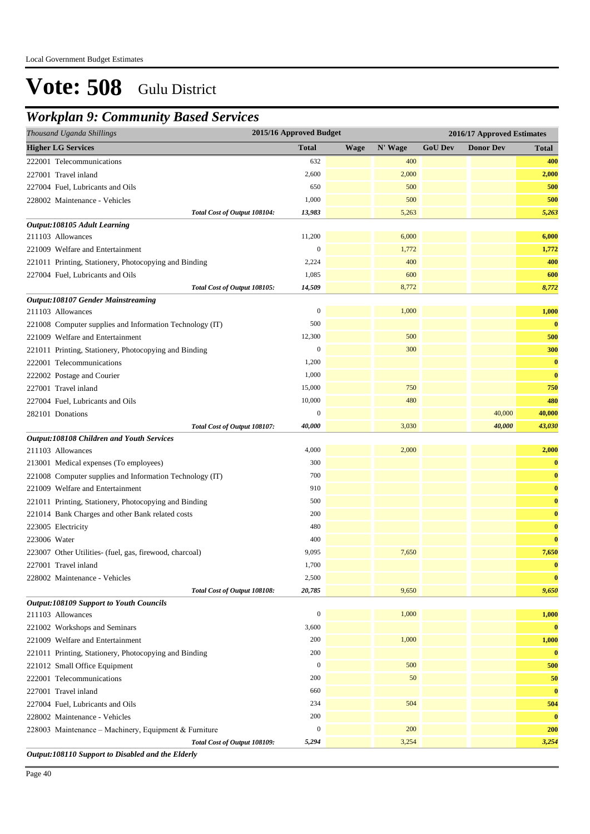### *Workplan 9: Community Based Services*

| <b>Higher LG Services</b><br><b>Total</b><br>N' Wage<br><b>GoU Dev</b><br><b>Donor Dev</b><br><b>Wage</b><br><b>Total</b><br>632<br>400<br>400<br>222001 Telecommunications<br>2,600<br>2,000<br>227001 Travel inland<br>2,000<br>500<br>500<br>227004 Fuel, Lubricants and Oils<br>650<br>1,000<br>500<br>500<br>228002 Maintenance - Vehicles<br>Total Cost of Output 108104:<br>5,263<br>5,263<br>13,983<br>Output:108105 Adult Learning<br>6,000<br>11,200<br>6,000<br>211103 Allowances<br>$\boldsymbol{0}$<br>1,772<br>1,772<br>221009 Welfare and Entertainment<br>400<br>400<br>2,224<br>221011 Printing, Stationery, Photocopying and Binding<br>600<br>1,085<br>600<br>227004 Fuel, Lubricants and Oils<br>14,509<br>8,772<br>8,772<br>Total Cost of Output 108105:<br><b>Output:108107 Gender Mainstreaming</b><br>$\boldsymbol{0}$<br>1,000<br>1,000<br>211103 Allowances<br>500<br>$\bf{0}$<br>221008 Computer supplies and Information Technology (IT)<br>12,300<br>500<br>500<br>221009 Welfare and Entertainment<br>$\boldsymbol{0}$<br>300<br>300<br>221011 Printing, Stationery, Photocopying and Binding<br>1,200<br>$\bf{0}$<br>222001 Telecommunications<br>1,000<br>$\bf{0}$<br>222002 Postage and Courier<br>227001 Travel inland<br>15,000<br>750<br>750<br>10,000<br>480<br>480<br>227004 Fuel, Lubricants and Oils<br>$\boldsymbol{0}$<br>40,000<br>40,000<br>282101 Donations<br>40,000<br>43,030<br>40,000<br>3,030<br>Total Cost of Output 108107:<br>Output:108108 Children and Youth Services<br>211103 Allowances<br>4,000<br>2,000<br>2,000<br>300<br>$\bf{0}$<br>213001 Medical expenses (To employees)<br>700<br>$\bf{0}$<br>221008 Computer supplies and Information Technology (IT)<br>910<br>$\bf{0}$<br>221009 Welfare and Entertainment<br>500<br>221011 Printing, Stationery, Photocopying and Binding<br>$\bf{0}$<br>200<br>$\bf{0}$<br>221014 Bank Charges and other Bank related costs<br>480<br>$\bf{0}$<br>223005 Electricity<br>$\bf{0}$<br>223006 Water<br>400<br>9,095<br>7,650<br>7,650<br>223007 Other Utilities- (fuel, gas, firewood, charcoal)<br>1,700<br>$\bf{0}$<br>227001 Travel inland<br>2,500<br>$\bf{0}$<br>228002 Maintenance - Vehicles<br>9,650<br>Total Cost of Output 108108:<br>20,785<br>9,650<br><b>Output:108109 Support to Youth Councils</b><br>$\boldsymbol{0}$<br>1,000<br>1,000<br>211103 Allowances<br>3,600<br>221002 Workshops and Seminars<br>$\bf{0}$<br>200<br>1,000<br>1,000<br>221009 Welfare and Entertainment<br>200<br>$\bf{0}$<br>221011 Printing, Stationery, Photocopying and Binding<br>$\boldsymbol{0}$<br>500<br>500<br>221012 Small Office Equipment<br>$50\,$<br>222001 Telecommunications<br>200<br>50<br>227001 Travel inland<br>660<br>$\bf{0}$<br>234<br>504<br>504<br>227004 Fuel, Lubricants and Oils<br>228002 Maintenance - Vehicles<br>200<br>$\bf{0}$<br>$\boldsymbol{0}$<br>200<br>200<br>228003 Maintenance - Machinery, Equipment & Furniture<br>Total Cost of Output 108109:<br>5,294<br>3,254<br>3,254<br>Output:108110 Support to Disabled and the Elderly | Thousand Uganda Shillings | 2015/16 Approved Budget |  |  |  | 2016/17 Approved Estimates |  |  |  |  |
|---------------------------------------------------------------------------------------------------------------------------------------------------------------------------------------------------------------------------------------------------------------------------------------------------------------------------------------------------------------------------------------------------------------------------------------------------------------------------------------------------------------------------------------------------------------------------------------------------------------------------------------------------------------------------------------------------------------------------------------------------------------------------------------------------------------------------------------------------------------------------------------------------------------------------------------------------------------------------------------------------------------------------------------------------------------------------------------------------------------------------------------------------------------------------------------------------------------------------------------------------------------------------------------------------------------------------------------------------------------------------------------------------------------------------------------------------------------------------------------------------------------------------------------------------------------------------------------------------------------------------------------------------------------------------------------------------------------------------------------------------------------------------------------------------------------------------------------------------------------------------------------------------------------------------------------------------------------------------------------------------------------------------------------------------------------------------------------------------------------------------------------------------------------------------------------------------------------------------------------------------------------------------------------------------------------------------------------------------------------------------------------------------------------------------------------------------------------------------------------------------------------------------------------------------------------------------------------------------------------------------------------------------------------------------------------------------------------------------------------------------------------------------------------------------------------------------------------------------------------------------------------------------------------------------------------------------------------------------------------------------------------------------------------------------------------------------|---------------------------|-------------------------|--|--|--|----------------------------|--|--|--|--|
|                                                                                                                                                                                                                                                                                                                                                                                                                                                                                                                                                                                                                                                                                                                                                                                                                                                                                                                                                                                                                                                                                                                                                                                                                                                                                                                                                                                                                                                                                                                                                                                                                                                                                                                                                                                                                                                                                                                                                                                                                                                                                                                                                                                                                                                                                                                                                                                                                                                                                                                                                                                                                                                                                                                                                                                                                                                                                                                                                                                                                                                                           |                           |                         |  |  |  |                            |  |  |  |  |
|                                                                                                                                                                                                                                                                                                                                                                                                                                                                                                                                                                                                                                                                                                                                                                                                                                                                                                                                                                                                                                                                                                                                                                                                                                                                                                                                                                                                                                                                                                                                                                                                                                                                                                                                                                                                                                                                                                                                                                                                                                                                                                                                                                                                                                                                                                                                                                                                                                                                                                                                                                                                                                                                                                                                                                                                                                                                                                                                                                                                                                                                           |                           |                         |  |  |  |                            |  |  |  |  |
|                                                                                                                                                                                                                                                                                                                                                                                                                                                                                                                                                                                                                                                                                                                                                                                                                                                                                                                                                                                                                                                                                                                                                                                                                                                                                                                                                                                                                                                                                                                                                                                                                                                                                                                                                                                                                                                                                                                                                                                                                                                                                                                                                                                                                                                                                                                                                                                                                                                                                                                                                                                                                                                                                                                                                                                                                                                                                                                                                                                                                                                                           |                           |                         |  |  |  |                            |  |  |  |  |
|                                                                                                                                                                                                                                                                                                                                                                                                                                                                                                                                                                                                                                                                                                                                                                                                                                                                                                                                                                                                                                                                                                                                                                                                                                                                                                                                                                                                                                                                                                                                                                                                                                                                                                                                                                                                                                                                                                                                                                                                                                                                                                                                                                                                                                                                                                                                                                                                                                                                                                                                                                                                                                                                                                                                                                                                                                                                                                                                                                                                                                                                           |                           |                         |  |  |  |                            |  |  |  |  |
|                                                                                                                                                                                                                                                                                                                                                                                                                                                                                                                                                                                                                                                                                                                                                                                                                                                                                                                                                                                                                                                                                                                                                                                                                                                                                                                                                                                                                                                                                                                                                                                                                                                                                                                                                                                                                                                                                                                                                                                                                                                                                                                                                                                                                                                                                                                                                                                                                                                                                                                                                                                                                                                                                                                                                                                                                                                                                                                                                                                                                                                                           |                           |                         |  |  |  |                            |  |  |  |  |
|                                                                                                                                                                                                                                                                                                                                                                                                                                                                                                                                                                                                                                                                                                                                                                                                                                                                                                                                                                                                                                                                                                                                                                                                                                                                                                                                                                                                                                                                                                                                                                                                                                                                                                                                                                                                                                                                                                                                                                                                                                                                                                                                                                                                                                                                                                                                                                                                                                                                                                                                                                                                                                                                                                                                                                                                                                                                                                                                                                                                                                                                           |                           |                         |  |  |  |                            |  |  |  |  |
|                                                                                                                                                                                                                                                                                                                                                                                                                                                                                                                                                                                                                                                                                                                                                                                                                                                                                                                                                                                                                                                                                                                                                                                                                                                                                                                                                                                                                                                                                                                                                                                                                                                                                                                                                                                                                                                                                                                                                                                                                                                                                                                                                                                                                                                                                                                                                                                                                                                                                                                                                                                                                                                                                                                                                                                                                                                                                                                                                                                                                                                                           |                           |                         |  |  |  |                            |  |  |  |  |
|                                                                                                                                                                                                                                                                                                                                                                                                                                                                                                                                                                                                                                                                                                                                                                                                                                                                                                                                                                                                                                                                                                                                                                                                                                                                                                                                                                                                                                                                                                                                                                                                                                                                                                                                                                                                                                                                                                                                                                                                                                                                                                                                                                                                                                                                                                                                                                                                                                                                                                                                                                                                                                                                                                                                                                                                                                                                                                                                                                                                                                                                           |                           |                         |  |  |  |                            |  |  |  |  |
|                                                                                                                                                                                                                                                                                                                                                                                                                                                                                                                                                                                                                                                                                                                                                                                                                                                                                                                                                                                                                                                                                                                                                                                                                                                                                                                                                                                                                                                                                                                                                                                                                                                                                                                                                                                                                                                                                                                                                                                                                                                                                                                                                                                                                                                                                                                                                                                                                                                                                                                                                                                                                                                                                                                                                                                                                                                                                                                                                                                                                                                                           |                           |                         |  |  |  |                            |  |  |  |  |
|                                                                                                                                                                                                                                                                                                                                                                                                                                                                                                                                                                                                                                                                                                                                                                                                                                                                                                                                                                                                                                                                                                                                                                                                                                                                                                                                                                                                                                                                                                                                                                                                                                                                                                                                                                                                                                                                                                                                                                                                                                                                                                                                                                                                                                                                                                                                                                                                                                                                                                                                                                                                                                                                                                                                                                                                                                                                                                                                                                                                                                                                           |                           |                         |  |  |  |                            |  |  |  |  |
|                                                                                                                                                                                                                                                                                                                                                                                                                                                                                                                                                                                                                                                                                                                                                                                                                                                                                                                                                                                                                                                                                                                                                                                                                                                                                                                                                                                                                                                                                                                                                                                                                                                                                                                                                                                                                                                                                                                                                                                                                                                                                                                                                                                                                                                                                                                                                                                                                                                                                                                                                                                                                                                                                                                                                                                                                                                                                                                                                                                                                                                                           |                           |                         |  |  |  |                            |  |  |  |  |
|                                                                                                                                                                                                                                                                                                                                                                                                                                                                                                                                                                                                                                                                                                                                                                                                                                                                                                                                                                                                                                                                                                                                                                                                                                                                                                                                                                                                                                                                                                                                                                                                                                                                                                                                                                                                                                                                                                                                                                                                                                                                                                                                                                                                                                                                                                                                                                                                                                                                                                                                                                                                                                                                                                                                                                                                                                                                                                                                                                                                                                                                           |                           |                         |  |  |  |                            |  |  |  |  |
|                                                                                                                                                                                                                                                                                                                                                                                                                                                                                                                                                                                                                                                                                                                                                                                                                                                                                                                                                                                                                                                                                                                                                                                                                                                                                                                                                                                                                                                                                                                                                                                                                                                                                                                                                                                                                                                                                                                                                                                                                                                                                                                                                                                                                                                                                                                                                                                                                                                                                                                                                                                                                                                                                                                                                                                                                                                                                                                                                                                                                                                                           |                           |                         |  |  |  |                            |  |  |  |  |
|                                                                                                                                                                                                                                                                                                                                                                                                                                                                                                                                                                                                                                                                                                                                                                                                                                                                                                                                                                                                                                                                                                                                                                                                                                                                                                                                                                                                                                                                                                                                                                                                                                                                                                                                                                                                                                                                                                                                                                                                                                                                                                                                                                                                                                                                                                                                                                                                                                                                                                                                                                                                                                                                                                                                                                                                                                                                                                                                                                                                                                                                           |                           |                         |  |  |  |                            |  |  |  |  |
|                                                                                                                                                                                                                                                                                                                                                                                                                                                                                                                                                                                                                                                                                                                                                                                                                                                                                                                                                                                                                                                                                                                                                                                                                                                                                                                                                                                                                                                                                                                                                                                                                                                                                                                                                                                                                                                                                                                                                                                                                                                                                                                                                                                                                                                                                                                                                                                                                                                                                                                                                                                                                                                                                                                                                                                                                                                                                                                                                                                                                                                                           |                           |                         |  |  |  |                            |  |  |  |  |
|                                                                                                                                                                                                                                                                                                                                                                                                                                                                                                                                                                                                                                                                                                                                                                                                                                                                                                                                                                                                                                                                                                                                                                                                                                                                                                                                                                                                                                                                                                                                                                                                                                                                                                                                                                                                                                                                                                                                                                                                                                                                                                                                                                                                                                                                                                                                                                                                                                                                                                                                                                                                                                                                                                                                                                                                                                                                                                                                                                                                                                                                           |                           |                         |  |  |  |                            |  |  |  |  |
|                                                                                                                                                                                                                                                                                                                                                                                                                                                                                                                                                                                                                                                                                                                                                                                                                                                                                                                                                                                                                                                                                                                                                                                                                                                                                                                                                                                                                                                                                                                                                                                                                                                                                                                                                                                                                                                                                                                                                                                                                                                                                                                                                                                                                                                                                                                                                                                                                                                                                                                                                                                                                                                                                                                                                                                                                                                                                                                                                                                                                                                                           |                           |                         |  |  |  |                            |  |  |  |  |
|                                                                                                                                                                                                                                                                                                                                                                                                                                                                                                                                                                                                                                                                                                                                                                                                                                                                                                                                                                                                                                                                                                                                                                                                                                                                                                                                                                                                                                                                                                                                                                                                                                                                                                                                                                                                                                                                                                                                                                                                                                                                                                                                                                                                                                                                                                                                                                                                                                                                                                                                                                                                                                                                                                                                                                                                                                                                                                                                                                                                                                                                           |                           |                         |  |  |  |                            |  |  |  |  |
|                                                                                                                                                                                                                                                                                                                                                                                                                                                                                                                                                                                                                                                                                                                                                                                                                                                                                                                                                                                                                                                                                                                                                                                                                                                                                                                                                                                                                                                                                                                                                                                                                                                                                                                                                                                                                                                                                                                                                                                                                                                                                                                                                                                                                                                                                                                                                                                                                                                                                                                                                                                                                                                                                                                                                                                                                                                                                                                                                                                                                                                                           |                           |                         |  |  |  |                            |  |  |  |  |
|                                                                                                                                                                                                                                                                                                                                                                                                                                                                                                                                                                                                                                                                                                                                                                                                                                                                                                                                                                                                                                                                                                                                                                                                                                                                                                                                                                                                                                                                                                                                                                                                                                                                                                                                                                                                                                                                                                                                                                                                                                                                                                                                                                                                                                                                                                                                                                                                                                                                                                                                                                                                                                                                                                                                                                                                                                                                                                                                                                                                                                                                           |                           |                         |  |  |  |                            |  |  |  |  |
|                                                                                                                                                                                                                                                                                                                                                                                                                                                                                                                                                                                                                                                                                                                                                                                                                                                                                                                                                                                                                                                                                                                                                                                                                                                                                                                                                                                                                                                                                                                                                                                                                                                                                                                                                                                                                                                                                                                                                                                                                                                                                                                                                                                                                                                                                                                                                                                                                                                                                                                                                                                                                                                                                                                                                                                                                                                                                                                                                                                                                                                                           |                           |                         |  |  |  |                            |  |  |  |  |
|                                                                                                                                                                                                                                                                                                                                                                                                                                                                                                                                                                                                                                                                                                                                                                                                                                                                                                                                                                                                                                                                                                                                                                                                                                                                                                                                                                                                                                                                                                                                                                                                                                                                                                                                                                                                                                                                                                                                                                                                                                                                                                                                                                                                                                                                                                                                                                                                                                                                                                                                                                                                                                                                                                                                                                                                                                                                                                                                                                                                                                                                           |                           |                         |  |  |  |                            |  |  |  |  |
|                                                                                                                                                                                                                                                                                                                                                                                                                                                                                                                                                                                                                                                                                                                                                                                                                                                                                                                                                                                                                                                                                                                                                                                                                                                                                                                                                                                                                                                                                                                                                                                                                                                                                                                                                                                                                                                                                                                                                                                                                                                                                                                                                                                                                                                                                                                                                                                                                                                                                                                                                                                                                                                                                                                                                                                                                                                                                                                                                                                                                                                                           |                           |                         |  |  |  |                            |  |  |  |  |
|                                                                                                                                                                                                                                                                                                                                                                                                                                                                                                                                                                                                                                                                                                                                                                                                                                                                                                                                                                                                                                                                                                                                                                                                                                                                                                                                                                                                                                                                                                                                                                                                                                                                                                                                                                                                                                                                                                                                                                                                                                                                                                                                                                                                                                                                                                                                                                                                                                                                                                                                                                                                                                                                                                                                                                                                                                                                                                                                                                                                                                                                           |                           |                         |  |  |  |                            |  |  |  |  |
|                                                                                                                                                                                                                                                                                                                                                                                                                                                                                                                                                                                                                                                                                                                                                                                                                                                                                                                                                                                                                                                                                                                                                                                                                                                                                                                                                                                                                                                                                                                                                                                                                                                                                                                                                                                                                                                                                                                                                                                                                                                                                                                                                                                                                                                                                                                                                                                                                                                                                                                                                                                                                                                                                                                                                                                                                                                                                                                                                                                                                                                                           |                           |                         |  |  |  |                            |  |  |  |  |
|                                                                                                                                                                                                                                                                                                                                                                                                                                                                                                                                                                                                                                                                                                                                                                                                                                                                                                                                                                                                                                                                                                                                                                                                                                                                                                                                                                                                                                                                                                                                                                                                                                                                                                                                                                                                                                                                                                                                                                                                                                                                                                                                                                                                                                                                                                                                                                                                                                                                                                                                                                                                                                                                                                                                                                                                                                                                                                                                                                                                                                                                           |                           |                         |  |  |  |                            |  |  |  |  |
|                                                                                                                                                                                                                                                                                                                                                                                                                                                                                                                                                                                                                                                                                                                                                                                                                                                                                                                                                                                                                                                                                                                                                                                                                                                                                                                                                                                                                                                                                                                                                                                                                                                                                                                                                                                                                                                                                                                                                                                                                                                                                                                                                                                                                                                                                                                                                                                                                                                                                                                                                                                                                                                                                                                                                                                                                                                                                                                                                                                                                                                                           |                           |                         |  |  |  |                            |  |  |  |  |
|                                                                                                                                                                                                                                                                                                                                                                                                                                                                                                                                                                                                                                                                                                                                                                                                                                                                                                                                                                                                                                                                                                                                                                                                                                                                                                                                                                                                                                                                                                                                                                                                                                                                                                                                                                                                                                                                                                                                                                                                                                                                                                                                                                                                                                                                                                                                                                                                                                                                                                                                                                                                                                                                                                                                                                                                                                                                                                                                                                                                                                                                           |                           |                         |  |  |  |                            |  |  |  |  |
|                                                                                                                                                                                                                                                                                                                                                                                                                                                                                                                                                                                                                                                                                                                                                                                                                                                                                                                                                                                                                                                                                                                                                                                                                                                                                                                                                                                                                                                                                                                                                                                                                                                                                                                                                                                                                                                                                                                                                                                                                                                                                                                                                                                                                                                                                                                                                                                                                                                                                                                                                                                                                                                                                                                                                                                                                                                                                                                                                                                                                                                                           |                           |                         |  |  |  |                            |  |  |  |  |
|                                                                                                                                                                                                                                                                                                                                                                                                                                                                                                                                                                                                                                                                                                                                                                                                                                                                                                                                                                                                                                                                                                                                                                                                                                                                                                                                                                                                                                                                                                                                                                                                                                                                                                                                                                                                                                                                                                                                                                                                                                                                                                                                                                                                                                                                                                                                                                                                                                                                                                                                                                                                                                                                                                                                                                                                                                                                                                                                                                                                                                                                           |                           |                         |  |  |  |                            |  |  |  |  |
|                                                                                                                                                                                                                                                                                                                                                                                                                                                                                                                                                                                                                                                                                                                                                                                                                                                                                                                                                                                                                                                                                                                                                                                                                                                                                                                                                                                                                                                                                                                                                                                                                                                                                                                                                                                                                                                                                                                                                                                                                                                                                                                                                                                                                                                                                                                                                                                                                                                                                                                                                                                                                                                                                                                                                                                                                                                                                                                                                                                                                                                                           |                           |                         |  |  |  |                            |  |  |  |  |
|                                                                                                                                                                                                                                                                                                                                                                                                                                                                                                                                                                                                                                                                                                                                                                                                                                                                                                                                                                                                                                                                                                                                                                                                                                                                                                                                                                                                                                                                                                                                                                                                                                                                                                                                                                                                                                                                                                                                                                                                                                                                                                                                                                                                                                                                                                                                                                                                                                                                                                                                                                                                                                                                                                                                                                                                                                                                                                                                                                                                                                                                           |                           |                         |  |  |  |                            |  |  |  |  |
|                                                                                                                                                                                                                                                                                                                                                                                                                                                                                                                                                                                                                                                                                                                                                                                                                                                                                                                                                                                                                                                                                                                                                                                                                                                                                                                                                                                                                                                                                                                                                                                                                                                                                                                                                                                                                                                                                                                                                                                                                                                                                                                                                                                                                                                                                                                                                                                                                                                                                                                                                                                                                                                                                                                                                                                                                                                                                                                                                                                                                                                                           |                           |                         |  |  |  |                            |  |  |  |  |
|                                                                                                                                                                                                                                                                                                                                                                                                                                                                                                                                                                                                                                                                                                                                                                                                                                                                                                                                                                                                                                                                                                                                                                                                                                                                                                                                                                                                                                                                                                                                                                                                                                                                                                                                                                                                                                                                                                                                                                                                                                                                                                                                                                                                                                                                                                                                                                                                                                                                                                                                                                                                                                                                                                                                                                                                                                                                                                                                                                                                                                                                           |                           |                         |  |  |  |                            |  |  |  |  |
|                                                                                                                                                                                                                                                                                                                                                                                                                                                                                                                                                                                                                                                                                                                                                                                                                                                                                                                                                                                                                                                                                                                                                                                                                                                                                                                                                                                                                                                                                                                                                                                                                                                                                                                                                                                                                                                                                                                                                                                                                                                                                                                                                                                                                                                                                                                                                                                                                                                                                                                                                                                                                                                                                                                                                                                                                                                                                                                                                                                                                                                                           |                           |                         |  |  |  |                            |  |  |  |  |
|                                                                                                                                                                                                                                                                                                                                                                                                                                                                                                                                                                                                                                                                                                                                                                                                                                                                                                                                                                                                                                                                                                                                                                                                                                                                                                                                                                                                                                                                                                                                                                                                                                                                                                                                                                                                                                                                                                                                                                                                                                                                                                                                                                                                                                                                                                                                                                                                                                                                                                                                                                                                                                                                                                                                                                                                                                                                                                                                                                                                                                                                           |                           |                         |  |  |  |                            |  |  |  |  |
|                                                                                                                                                                                                                                                                                                                                                                                                                                                                                                                                                                                                                                                                                                                                                                                                                                                                                                                                                                                                                                                                                                                                                                                                                                                                                                                                                                                                                                                                                                                                                                                                                                                                                                                                                                                                                                                                                                                                                                                                                                                                                                                                                                                                                                                                                                                                                                                                                                                                                                                                                                                                                                                                                                                                                                                                                                                                                                                                                                                                                                                                           |                           |                         |  |  |  |                            |  |  |  |  |
|                                                                                                                                                                                                                                                                                                                                                                                                                                                                                                                                                                                                                                                                                                                                                                                                                                                                                                                                                                                                                                                                                                                                                                                                                                                                                                                                                                                                                                                                                                                                                                                                                                                                                                                                                                                                                                                                                                                                                                                                                                                                                                                                                                                                                                                                                                                                                                                                                                                                                                                                                                                                                                                                                                                                                                                                                                                                                                                                                                                                                                                                           |                           |                         |  |  |  |                            |  |  |  |  |
|                                                                                                                                                                                                                                                                                                                                                                                                                                                                                                                                                                                                                                                                                                                                                                                                                                                                                                                                                                                                                                                                                                                                                                                                                                                                                                                                                                                                                                                                                                                                                                                                                                                                                                                                                                                                                                                                                                                                                                                                                                                                                                                                                                                                                                                                                                                                                                                                                                                                                                                                                                                                                                                                                                                                                                                                                                                                                                                                                                                                                                                                           |                           |                         |  |  |  |                            |  |  |  |  |
|                                                                                                                                                                                                                                                                                                                                                                                                                                                                                                                                                                                                                                                                                                                                                                                                                                                                                                                                                                                                                                                                                                                                                                                                                                                                                                                                                                                                                                                                                                                                                                                                                                                                                                                                                                                                                                                                                                                                                                                                                                                                                                                                                                                                                                                                                                                                                                                                                                                                                                                                                                                                                                                                                                                                                                                                                                                                                                                                                                                                                                                                           |                           |                         |  |  |  |                            |  |  |  |  |
|                                                                                                                                                                                                                                                                                                                                                                                                                                                                                                                                                                                                                                                                                                                                                                                                                                                                                                                                                                                                                                                                                                                                                                                                                                                                                                                                                                                                                                                                                                                                                                                                                                                                                                                                                                                                                                                                                                                                                                                                                                                                                                                                                                                                                                                                                                                                                                                                                                                                                                                                                                                                                                                                                                                                                                                                                                                                                                                                                                                                                                                                           |                           |                         |  |  |  |                            |  |  |  |  |
|                                                                                                                                                                                                                                                                                                                                                                                                                                                                                                                                                                                                                                                                                                                                                                                                                                                                                                                                                                                                                                                                                                                                                                                                                                                                                                                                                                                                                                                                                                                                                                                                                                                                                                                                                                                                                                                                                                                                                                                                                                                                                                                                                                                                                                                                                                                                                                                                                                                                                                                                                                                                                                                                                                                                                                                                                                                                                                                                                                                                                                                                           |                           |                         |  |  |  |                            |  |  |  |  |
|                                                                                                                                                                                                                                                                                                                                                                                                                                                                                                                                                                                                                                                                                                                                                                                                                                                                                                                                                                                                                                                                                                                                                                                                                                                                                                                                                                                                                                                                                                                                                                                                                                                                                                                                                                                                                                                                                                                                                                                                                                                                                                                                                                                                                                                                                                                                                                                                                                                                                                                                                                                                                                                                                                                                                                                                                                                                                                                                                                                                                                                                           |                           |                         |  |  |  |                            |  |  |  |  |
|                                                                                                                                                                                                                                                                                                                                                                                                                                                                                                                                                                                                                                                                                                                                                                                                                                                                                                                                                                                                                                                                                                                                                                                                                                                                                                                                                                                                                                                                                                                                                                                                                                                                                                                                                                                                                                                                                                                                                                                                                                                                                                                                                                                                                                                                                                                                                                                                                                                                                                                                                                                                                                                                                                                                                                                                                                                                                                                                                                                                                                                                           |                           |                         |  |  |  |                            |  |  |  |  |
|                                                                                                                                                                                                                                                                                                                                                                                                                                                                                                                                                                                                                                                                                                                                                                                                                                                                                                                                                                                                                                                                                                                                                                                                                                                                                                                                                                                                                                                                                                                                                                                                                                                                                                                                                                                                                                                                                                                                                                                                                                                                                                                                                                                                                                                                                                                                                                                                                                                                                                                                                                                                                                                                                                                                                                                                                                                                                                                                                                                                                                                                           |                           |                         |  |  |  |                            |  |  |  |  |
|                                                                                                                                                                                                                                                                                                                                                                                                                                                                                                                                                                                                                                                                                                                                                                                                                                                                                                                                                                                                                                                                                                                                                                                                                                                                                                                                                                                                                                                                                                                                                                                                                                                                                                                                                                                                                                                                                                                                                                                                                                                                                                                                                                                                                                                                                                                                                                                                                                                                                                                                                                                                                                                                                                                                                                                                                                                                                                                                                                                                                                                                           |                           |                         |  |  |  |                            |  |  |  |  |
|                                                                                                                                                                                                                                                                                                                                                                                                                                                                                                                                                                                                                                                                                                                                                                                                                                                                                                                                                                                                                                                                                                                                                                                                                                                                                                                                                                                                                                                                                                                                                                                                                                                                                                                                                                                                                                                                                                                                                                                                                                                                                                                                                                                                                                                                                                                                                                                                                                                                                                                                                                                                                                                                                                                                                                                                                                                                                                                                                                                                                                                                           |                           |                         |  |  |  |                            |  |  |  |  |
|                                                                                                                                                                                                                                                                                                                                                                                                                                                                                                                                                                                                                                                                                                                                                                                                                                                                                                                                                                                                                                                                                                                                                                                                                                                                                                                                                                                                                                                                                                                                                                                                                                                                                                                                                                                                                                                                                                                                                                                                                                                                                                                                                                                                                                                                                                                                                                                                                                                                                                                                                                                                                                                                                                                                                                                                                                                                                                                                                                                                                                                                           |                           |                         |  |  |  |                            |  |  |  |  |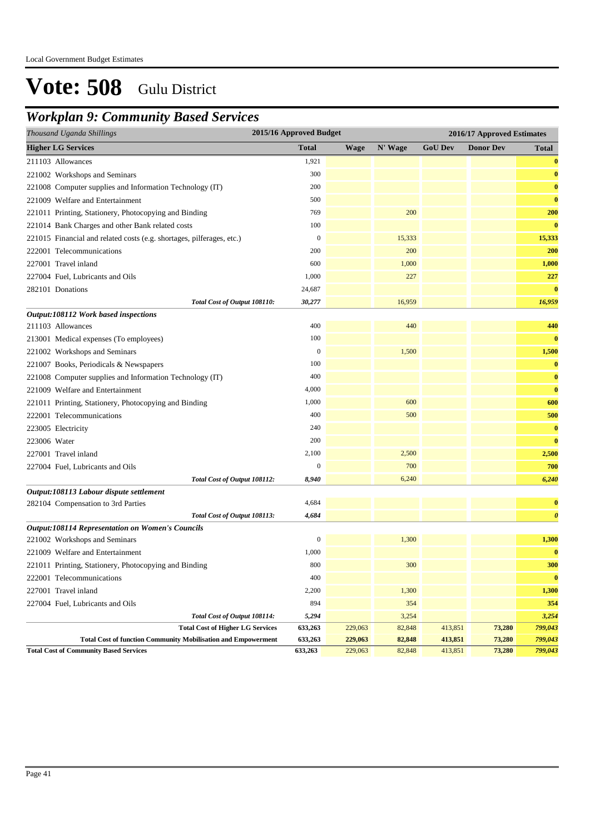### *Workplan 9: Community Based Services*

| Thousand Uganda Shillings                                             | 2015/16 Approved Budget |             |         | 2016/17 Approved Estimates |                  |                       |  |  |
|-----------------------------------------------------------------------|-------------------------|-------------|---------|----------------------------|------------------|-----------------------|--|--|
| <b>Higher LG Services</b>                                             | <b>Total</b>            | <b>Wage</b> | N' Wage | <b>GoU Dev</b>             | <b>Donor Dev</b> | Total                 |  |  |
| 211103 Allowances                                                     | 1,921                   |             |         |                            |                  | $\bf{0}$              |  |  |
| 221002 Workshops and Seminars                                         | 300                     |             |         |                            |                  | $\bf{0}$              |  |  |
| 221008 Computer supplies and Information Technology (IT)              | 200                     |             |         |                            |                  | $\bf{0}$              |  |  |
| 221009 Welfare and Entertainment                                      | 500                     |             |         |                            |                  | $\bf{0}$              |  |  |
| 221011 Printing, Stationery, Photocopying and Binding                 | 769                     |             | 200     |                            |                  | 200                   |  |  |
| 221014 Bank Charges and other Bank related costs                      | 100                     |             |         |                            |                  | $\bf{0}$              |  |  |
| 221015 Financial and related costs (e.g. shortages, pilferages, etc.) | $\boldsymbol{0}$        |             | 15,333  |                            |                  | 15,333                |  |  |
| 222001 Telecommunications                                             | 200                     |             | 200     |                            |                  | 200                   |  |  |
| 227001 Travel inland                                                  | 600                     |             | 1,000   |                            |                  | 1,000                 |  |  |
| 227004 Fuel, Lubricants and Oils                                      | 1,000                   |             | 227     |                            |                  | 227                   |  |  |
| 282101 Donations                                                      | 24,687                  |             |         |                            |                  | $\bf{0}$              |  |  |
| Total Cost of Output 108110:                                          | 30,277                  |             | 16,959  |                            |                  | 16,959                |  |  |
| Output:108112 Work based inspections                                  |                         |             |         |                            |                  |                       |  |  |
| 211103 Allowances                                                     | 400                     |             | 440     |                            |                  | 440                   |  |  |
| 213001 Medical expenses (To employees)                                | 100                     |             |         |                            |                  | $\bf{0}$              |  |  |
| 221002 Workshops and Seminars                                         | $\boldsymbol{0}$        |             | 1,500   |                            |                  | 1,500                 |  |  |
| 221007 Books, Periodicals & Newspapers                                | 100                     |             |         |                            |                  | $\bf{0}$              |  |  |
| 221008 Computer supplies and Information Technology (IT)              | 400                     |             |         |                            |                  | $\bf{0}$              |  |  |
| 221009 Welfare and Entertainment                                      | 4,000                   |             |         |                            |                  | $\bf{0}$              |  |  |
| 221011 Printing, Stationery, Photocopying and Binding                 | 1,000                   |             | 600     |                            |                  | 600                   |  |  |
| 222001 Telecommunications                                             | 400                     |             | 500     |                            |                  | 500                   |  |  |
| 223005 Electricity                                                    | 240                     |             |         |                            |                  | $\bf{0}$              |  |  |
| 223006 Water                                                          | 200                     |             |         |                            |                  | $\bf{0}$              |  |  |
| 227001 Travel inland                                                  | 2,100                   |             | 2,500   |                            |                  | 2,500                 |  |  |
| 227004 Fuel, Lubricants and Oils                                      | 0                       |             | 700     |                            |                  | 700                   |  |  |
| Total Cost of Output 108112:                                          | 8,940                   |             | 6,240   |                            |                  | 6,240                 |  |  |
| Output:108113 Labour dispute settlement                               |                         |             |         |                            |                  |                       |  |  |
| 282104 Compensation to 3rd Parties                                    | 4,684                   |             |         |                            |                  | $\bf{0}$              |  |  |
| Total Cost of Output 108113:                                          | 4,684                   |             |         |                            |                  | $\boldsymbol{\theta}$ |  |  |
| <b>Output:108114 Representation on Women's Councils</b>               |                         |             |         |                            |                  |                       |  |  |
| 221002 Workshops and Seminars                                         | $\overline{0}$          |             | 1,300   |                            |                  | 1,300                 |  |  |
| 221009 Welfare and Entertainment                                      | 1,000                   |             |         |                            |                  | $\bf{0}$              |  |  |
| 221011 Printing, Stationery, Photocopying and Binding                 | 800                     |             | 300     |                            |                  | 300                   |  |  |
| 222001 Telecommunications                                             | 400                     |             |         |                            |                  | $\bf{0}$              |  |  |
| 227001 Travel inland                                                  | 2,200                   |             | 1,300   |                            |                  | 1,300                 |  |  |
| 227004 Fuel, Lubricants and Oils                                      | 894                     |             | 354     |                            |                  | 354                   |  |  |
| Total Cost of Output 108114:                                          | 5,294                   |             | 3,254   |                            |                  | 3,254                 |  |  |
| <b>Total Cost of Higher LG Services</b>                               | 633,263                 | 229,063     | 82,848  | 413,851                    | 73,280           | 799,043               |  |  |
| <b>Total Cost of function Community Mobilisation and Empowerment</b>  | 633,263                 | 229,063     | 82,848  | 413,851                    | 73,280           | 799,043               |  |  |
| <b>Total Cost of Community Based Services</b>                         | 633,263                 | 229,063     | 82,848  | 413,851                    | 73,280           | 799,043               |  |  |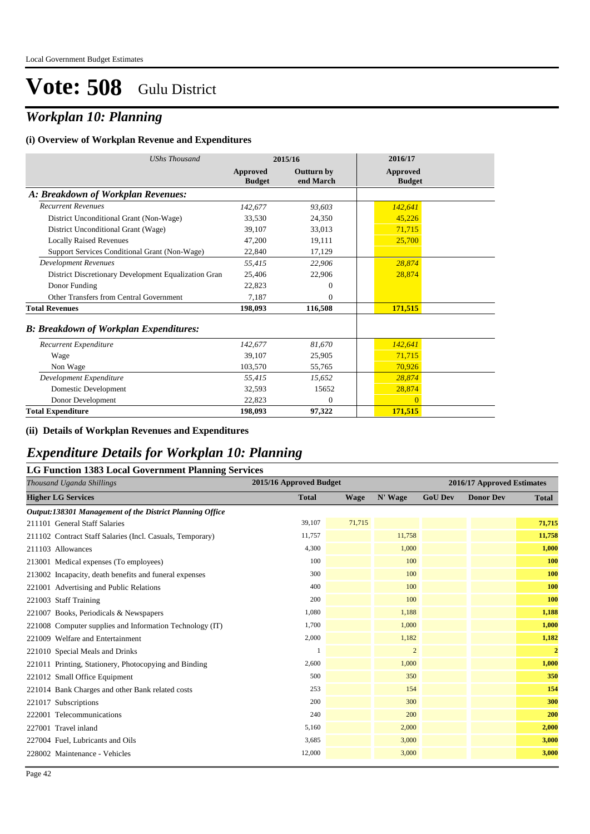### *Workplan 10: Planning*

#### **(i) Overview of Workplan Revenue and Expenditures**

| <b>UShs Thousand</b>                                 | 2015/16                   |                                | 2016/17                          |
|------------------------------------------------------|---------------------------|--------------------------------|----------------------------------|
|                                                      | Approved<br><b>Budget</b> | <b>Outturn by</b><br>end March | <b>Approved</b><br><b>Budget</b> |
| A: Breakdown of Workplan Revenues:                   |                           |                                |                                  |
| <b>Recurrent Revenues</b>                            | 142,677                   | 93,603                         | 142,641                          |
| District Unconditional Grant (Non-Wage)              | 33,530                    | 24,350                         | 45,226                           |
| District Unconditional Grant (Wage)                  | 39,107                    | 33,013                         | 71,715                           |
| <b>Locally Raised Revenues</b>                       | 47,200                    | 19,111                         | 25,700                           |
| Support Services Conditional Grant (Non-Wage)        | 22,840                    | 17,129                         |                                  |
| <b>Development Revenues</b>                          | 55.415                    | 22,906                         | 28,874                           |
| District Discretionary Development Equalization Gran | 25,406                    | 22,906                         | 28,874                           |
| Donor Funding                                        | 22,823                    | 0                              |                                  |
| Other Transfers from Central Government              | 7.187                     | $\theta$                       |                                  |
| <b>Total Revenues</b>                                | 198,093                   | 116,508                        | 171,515                          |
| <b>B: Breakdown of Workplan Expenditures:</b>        |                           |                                |                                  |
| Recurrent Expenditure                                | 142,677                   | 81.670                         | 142,641                          |
| Wage                                                 | 39,107                    | 25,905                         | 71,715                           |
| Non Wage                                             | 103,570                   | 55,765                         | 70,926                           |
| Development Expenditure                              | 55,415                    | 15,652                         | 28,874                           |
| Domestic Development                                 | 32,593                    | 15652                          | 28,874                           |
| Donor Development                                    | 22,823                    | $\theta$                       | $\Omega$                         |
| <b>Total Expenditure</b>                             | 198,093                   | 97,322                         | 171,515                          |

#### **(ii) Details of Workplan Revenues and Expenditures**

### *Expenditure Details for Workplan 10: Planning*

| <b>LG Function 1383 Local Government Planning Services</b> |                         |             |                |                            |                  |                |  |  |  |
|------------------------------------------------------------|-------------------------|-------------|----------------|----------------------------|------------------|----------------|--|--|--|
| Thousand Uganda Shillings                                  | 2015/16 Approved Budget |             |                | 2016/17 Approved Estimates |                  |                |  |  |  |
| <b>Higher LG Services</b>                                  | <b>Total</b>            | <b>Wage</b> | N' Wage        | <b>GoU Dev</b>             | <b>Donor Dev</b> | <b>Total</b>   |  |  |  |
| Output:138301 Management of the District Planning Office   |                         |             |                |                            |                  |                |  |  |  |
| 211101 General Staff Salaries                              | 39,107                  | 71,715      |                |                            |                  | 71,715         |  |  |  |
| 211102 Contract Staff Salaries (Incl. Casuals, Temporary)  | 11,757                  |             | 11,758         |                            |                  | 11,758         |  |  |  |
| 211103 Allowances                                          | 4,300                   |             | 1,000          |                            |                  | 1,000          |  |  |  |
| 213001 Medical expenses (To employees)                     | 100                     |             | 100            |                            |                  | 100            |  |  |  |
| 213002 Incapacity, death benefits and funeral expenses     | 300                     |             | 100            |                            |                  | 100            |  |  |  |
| 221001 Advertising and Public Relations                    | 400                     |             | 100            |                            |                  | 100            |  |  |  |
| 221003 Staff Training                                      | 200                     |             | 100            |                            |                  | 100            |  |  |  |
| 221007 Books, Periodicals & Newspapers                     | 1,080                   |             | 1,188          |                            |                  | 1,188          |  |  |  |
| 221008 Computer supplies and Information Technology (IT)   | 1,700                   |             | 1,000          |                            |                  | 1,000          |  |  |  |
| 221009 Welfare and Entertainment                           | 2,000                   |             | 1,182          |                            |                  | 1,182          |  |  |  |
| 221010 Special Meals and Drinks                            |                         |             | $\overline{2}$ |                            |                  | $\overline{2}$ |  |  |  |
| 221011 Printing, Stationery, Photocopying and Binding      | 2,600                   |             | 1,000          |                            |                  | 1,000          |  |  |  |
| 221012 Small Office Equipment                              | 500                     |             | 350            |                            |                  | 350            |  |  |  |
| 221014 Bank Charges and other Bank related costs           | 253                     |             | 154            |                            |                  | 154            |  |  |  |
| 221017 Subscriptions                                       | 200                     |             | 300            |                            |                  | 300            |  |  |  |
| 222001 Telecommunications                                  | 240                     |             | 200            |                            |                  | 200            |  |  |  |
| 227001 Travel inland                                       | 5,160                   |             | 2,000          |                            |                  | 2,000          |  |  |  |
| 227004 Fuel, Lubricants and Oils                           | 3,685                   |             | 3,000          |                            |                  | 3,000          |  |  |  |
| 228002 Maintenance - Vehicles                              | 12,000                  |             | 3,000          |                            |                  | 3,000          |  |  |  |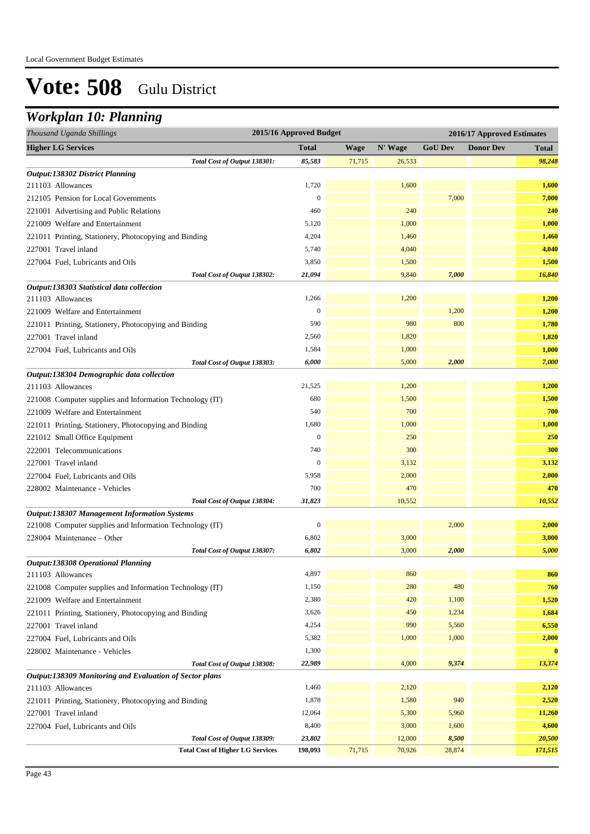## *Workplan 10: Planning*

| Thousand Uganda Shillings                                | 2015/16 Approved Budget |             |         | 2016/17 Approved Estimates |                  |          |
|----------------------------------------------------------|-------------------------|-------------|---------|----------------------------|------------------|----------|
| <b>Higher LG Services</b>                                | <b>Total</b>            | <b>Wage</b> | N' Wage | <b>GoU Dev</b>             | <b>Donor Dev</b> | Total    |
| Total Cost of Output 138301:                             | 85,583                  | 71,715      | 26,533  |                            |                  | 98,248   |
| Output:138302 District Planning                          |                         |             |         |                            |                  |          |
| 211103 Allowances                                        | 1,720                   |             | 1,600   |                            |                  | 1,600    |
| 212105 Pension for Local Governments                     | $\boldsymbol{0}$        |             |         | 7,000                      |                  | 7,000    |
| 221001 Advertising and Public Relations                  | 460                     |             | 240     |                            |                  | 240      |
| 221009 Welfare and Entertainment                         | 5,120                   |             | 1,000   |                            |                  | 1,000    |
| 221011 Printing, Stationery, Photocopying and Binding    | 4,204                   |             | 1,460   |                            |                  | 1,460    |
| 227001 Travel inland                                     | 5,740                   |             | 4,040   |                            |                  | 4,040    |
| 227004 Fuel, Lubricants and Oils                         | 3,850                   |             | 1,500   |                            |                  | 1,500    |
| Total Cost of Output 138302:                             | 21,094                  |             | 9,840   | 7,000                      |                  | 16,840   |
| Output:138303 Statistical data collection                |                         |             |         |                            |                  |          |
| 211103 Allowances                                        | 1,266                   |             | 1,200   |                            |                  | 1,200    |
| 221009 Welfare and Entertainment                         | $\boldsymbol{0}$        |             |         | 1,200                      |                  | 1,200    |
| 221011 Printing, Stationery, Photocopying and Binding    | 590                     |             | 980     | 800                        |                  | 1,780    |
| 227001 Travel inland                                     | 2,560                   |             | 1,820   |                            |                  | 1,820    |
| 227004 Fuel, Lubricants and Oils                         | 1,584                   |             | 1,000   |                            |                  | 1,000    |
| Total Cost of Output 138303:                             | 6,000                   |             | 5,000   | 2,000                      |                  | 7,000    |
| Output:138304 Demographic data collection                |                         |             |         |                            |                  |          |
| 211103 Allowances                                        | 21,525                  |             | 1,200   |                            |                  | 1,200    |
| 221008 Computer supplies and Information Technology (IT) | 680                     |             | 1,500   |                            |                  | 1,500    |
| 221009 Welfare and Entertainment                         | 540                     |             | 700     |                            |                  | 700      |
| 221011 Printing, Stationery, Photocopying and Binding    | 1,680                   |             | 1,000   |                            |                  | 1,000    |
| 221012 Small Office Equipment                            | $\boldsymbol{0}$        |             | 250     |                            |                  | 250      |
| 222001 Telecommunications                                | 740                     |             | 300     |                            |                  | 300      |
| 227001 Travel inland                                     | $\Omega$                |             | 3,132   |                            |                  | 3,132    |
| 227004 Fuel, Lubricants and Oils                         | 5,958                   |             | 2,000   |                            |                  | 2,000    |
| 228002 Maintenance - Vehicles                            | 700                     |             | 470     |                            |                  | 470      |
| Total Cost of Output 138304:                             | 31,823                  |             | 10,552  |                            |                  | 10,552   |
| <b>Output:138307 Management Information Systems</b>      |                         |             |         |                            |                  |          |
| 221008 Computer supplies and Information Technology (IT) | $\boldsymbol{0}$        |             |         | 2,000                      |                  | 2,000    |
| 228004 Maintenance – Other                               | 6,802                   |             | 3,000   |                            |                  | 3,000    |
| Total Cost of Output 138307:                             | 6,802                   |             | 3,000   | 2,000                      |                  | 5,000    |
| <b>Output:138308 Operational Planning</b>                |                         |             |         |                            |                  |          |
| 211103 Allowances                                        | 4,897                   |             | 860     |                            |                  | 860      |
| 221008 Computer supplies and Information Technology (IT) | 1,150                   |             | 280     | 480                        |                  | 760      |
| 221009 Welfare and Entertainment                         | 2,380                   |             | 420     | 1,100                      |                  | 1,520    |
| 221011 Printing, Stationery, Photocopying and Binding    | 3,626                   |             | 450     | 1,234                      |                  | 1,684    |
| 227001 Travel inland                                     | 4,254                   |             | 990     | 5,560                      |                  | 6,550    |
| 227004 Fuel, Lubricants and Oils                         | 5,382                   |             | 1,000   | 1,000                      |                  | 2,000    |
| 228002 Maintenance - Vehicles                            | 1,300                   |             |         |                            |                  | $\bf{0}$ |
| Total Cost of Output 138308:                             | 22,989                  |             | 4,000   | 9,374                      |                  | 13,374   |
| Output:138309 Monitoring and Evaluation of Sector plans  |                         |             |         |                            |                  |          |
| 211103 Allowances                                        | 1,460                   |             | 2,120   |                            |                  | 2,120    |
| 221011 Printing, Stationery, Photocopying and Binding    | 1,878                   |             | 1,580   | 940                        |                  | 2,520    |
| 227001 Travel inland                                     | 12,064                  |             | 5,300   | 5,960                      |                  | 11,260   |
| 227004 Fuel, Lubricants and Oils                         | 8,400                   |             | 3,000   | 1,600                      |                  | 4,600    |
| Total Cost of Output 138309:                             | 23,802                  |             | 12,000  | 8,500                      |                  | 20,500   |
| <b>Total Cost of Higher LG Services</b>                  | 198,093                 | 71,715      | 70,926  | 28,874                     |                  | 171,515  |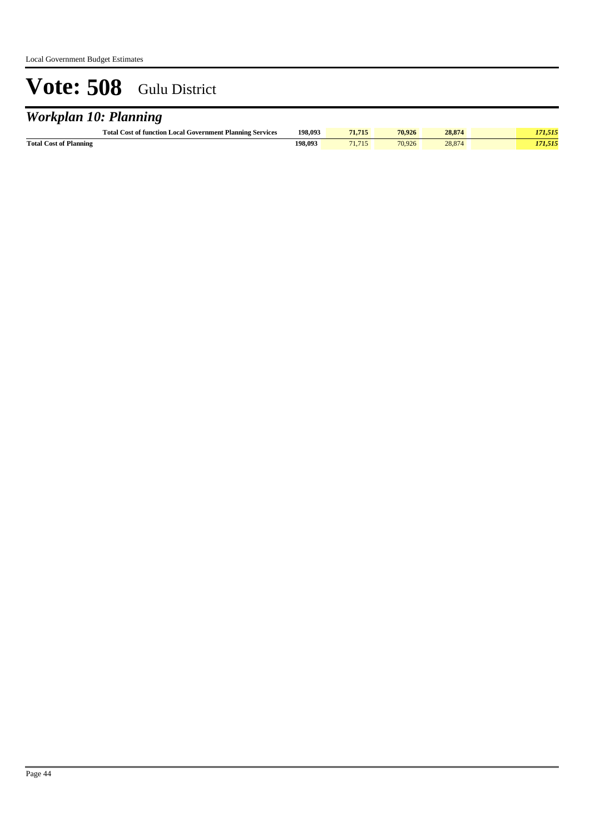## *Workplan 10: Planning*

|                               | <b>Total Cost of function Local Government Planning Services</b> | 198.093 | 1.715 | 70.926 | 28.874  |  |
|-------------------------------|------------------------------------------------------------------|---------|-------|--------|---------|--|
| <b>Total Cost of Planning</b> |                                                                  | 198,093 |       | 70.926 | $-0.01$ |  |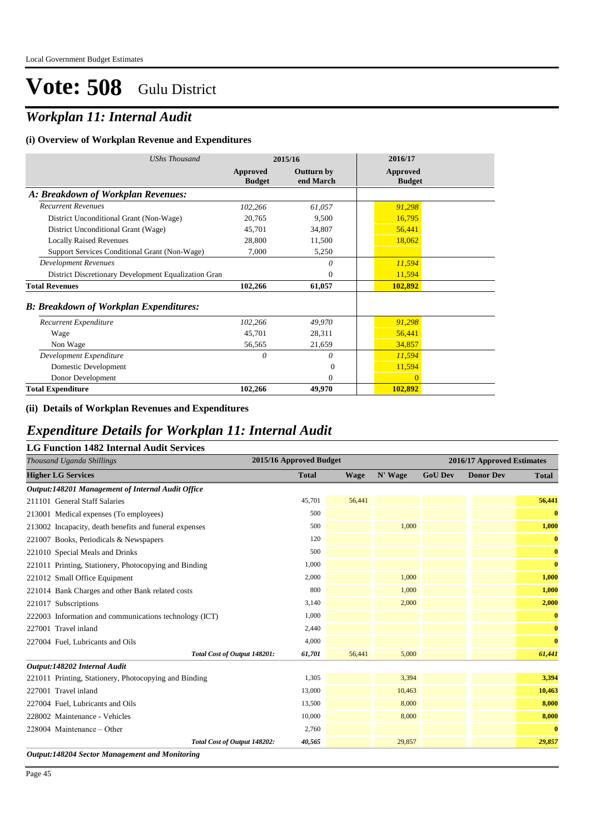## *Workplan 11: Internal Audit*

### **(i) Overview of Workplan Revenue and Expenditures**

| <b>UShs Thousand</b>                                 | 2015/16                   |                                | 2016/17                   |
|------------------------------------------------------|---------------------------|--------------------------------|---------------------------|
|                                                      | Approved<br><b>Budget</b> | <b>Outturn by</b><br>end March | Approved<br><b>Budget</b> |
| A: Breakdown of Workplan Revenues:                   |                           |                                |                           |
| <b>Recurrent Revenues</b>                            | 102,266                   | 61,057                         | 91,298                    |
| District Unconditional Grant (Non-Wage)              | 20,765                    | 9,500                          | 16,795                    |
| District Unconditional Grant (Wage)                  | 45,701                    | 34,807                         | 56,441                    |
| <b>Locally Raised Revenues</b>                       | 28,800                    | 11,500                         | 18,062                    |
| Support Services Conditional Grant (Non-Wage)        | 7,000                     | 5,250                          |                           |
| <b>Development Revenues</b>                          |                           | 0                              | 11,594                    |
| District Discretionary Development Equalization Gran |                           | $\Omega$                       | 11,594                    |
| <b>Total Revenues</b>                                | 102,266                   | 61,057                         | 102,892                   |
| <b>B: Breakdown of Workplan Expenditures:</b>        |                           |                                |                           |
| Recurrent Expenditure                                | 102,266                   | 49,970                         | 91,298                    |
| Wage                                                 | 45,701                    | 28,311                         | 56,441                    |
| Non Wage                                             | 56,565                    | 21,659                         | 34,857                    |
| Development Expenditure                              | $\theta$                  | 0                              | 11,594                    |
| Domestic Development                                 |                           | $\theta$                       | 11,594                    |
| Donor Development                                    |                           | $\mathbf{0}$                   | $\Omega$                  |
| <b>Total Expenditure</b>                             | 102,266                   | 49,970                         | 102,892                   |

### **(ii) Details of Workplan Revenues and Expenditures**

### *Expenditure Details for Workplan 11: Internal Audit*

| Thousand Uganda Shillings                              | 2015/16 Approved Budget |        |         | 2016/17 Approved Estimates |                  |              |  |
|--------------------------------------------------------|-------------------------|--------|---------|----------------------------|------------------|--------------|--|
| <b>Higher LG Services</b>                              | <b>Total</b>            | Wage   | N' Wage | <b>GoU Dev</b>             | <b>Donor Dev</b> | <b>Total</b> |  |
| Output:148201 Management of Internal Audit Office      |                         |        |         |                            |                  |              |  |
| 211101 General Staff Salaries                          | 45,701                  | 56,441 |         |                            |                  | 56,441       |  |
| 213001 Medical expenses (To employees)                 | 500                     |        |         |                            |                  | $\bf{0}$     |  |
| 213002 Incapacity, death benefits and funeral expenses | 500                     |        | 1.000   |                            |                  | 1,000        |  |
| 221007 Books, Periodicals & Newspapers                 | 120                     |        |         |                            |                  | $\bf{0}$     |  |
| 221010 Special Meals and Drinks                        | 500                     |        |         |                            |                  | $\bf{0}$     |  |
| 221011 Printing, Stationery, Photocopying and Binding  | 1,000                   |        |         |                            |                  | $\bf{0}$     |  |
| 221012 Small Office Equipment                          | 2,000                   |        | 1,000   |                            |                  | 1,000        |  |
| 221014 Bank Charges and other Bank related costs       | 800                     |        | 1,000   |                            |                  | 1,000        |  |
| 221017 Subscriptions                                   | 3,140                   |        | 2,000   |                            |                  | 2,000        |  |
| 222003 Information and communications technology (ICT) | 1,000                   |        |         |                            |                  | $\bf{0}$     |  |
| 227001 Travel inland                                   | 2,440                   |        |         |                            |                  | $\bf{0}$     |  |
| 227004 Fuel, Lubricants and Oils                       | 4,000                   |        |         |                            |                  | $\bf{0}$     |  |
| Total Cost of Output 148201:                           | 61,701                  | 56,441 | 5,000   |                            |                  | 61,441       |  |
| Output:148202 Internal Audit                           |                         |        |         |                            |                  |              |  |
| 221011 Printing, Stationery, Photocopying and Binding  | 1,305                   |        | 3,394   |                            |                  | 3,394        |  |
| 227001 Travel inland                                   | 13,000                  |        | 10,463  |                            |                  | 10,463       |  |
| 227004 Fuel, Lubricants and Oils                       | 13,500                  |        | 8,000   |                            |                  | 8,000        |  |
| 228002 Maintenance - Vehicles                          | 10,000                  |        | 8,000   |                            |                  | 8,000        |  |
| 228004 Maintenance – Other                             | 2,760                   |        |         |                            |                  | $\bf{0}$     |  |
| Total Cost of Output 148202:                           | 40,565                  |        | 29,857  |                            |                  | 29,857       |  |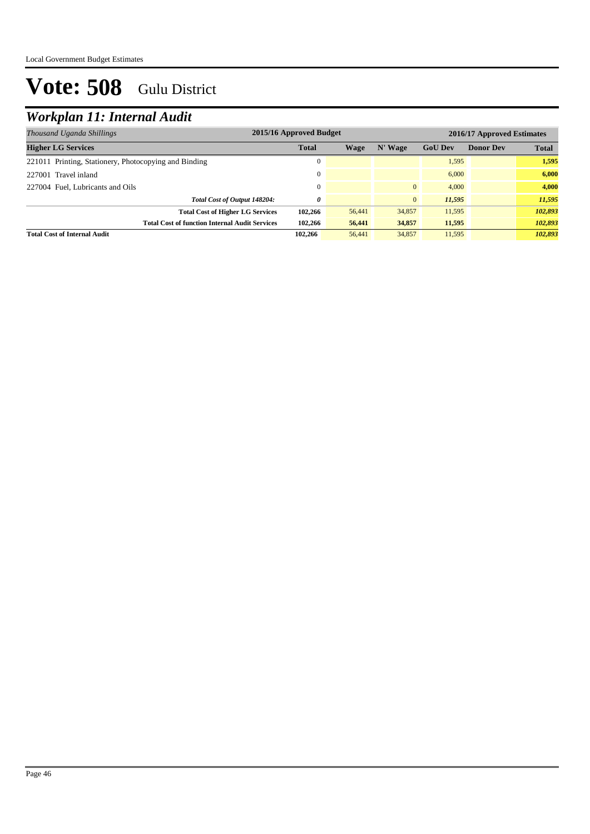## *Workplan 11: Internal Audit*

| 2015/16 Approved Budget<br>Thousand Uganda Shillings  |              |        | 2016/17 Approved Estimates |                |                  |              |
|-------------------------------------------------------|--------------|--------|----------------------------|----------------|------------------|--------------|
| <b>Higher LG Services</b>                             | <b>Total</b> | Wage   | N' Wage                    | <b>GoU Dev</b> | <b>Donor Dev</b> | <b>Total</b> |
| 221011 Printing, Stationery, Photocopying and Binding |              |        |                            | 1,595          |                  | 1,595        |
| 227001 Travel inland                                  |              |        |                            | 6,000          |                  | 6.000        |
| 227004 Fuel, Lubricants and Oils                      |              |        | $\mathbf{0}$               | 4,000          |                  | 4.000        |
| Total Cost of Output 148204:                          | 0            |        | $\mathbf{0}$               | 11,595         |                  | 11,595       |
| <b>Total Cost of Higher LG Services</b>               | 102,266      | 56,441 | 34,857                     | 11,595         |                  | 102,893      |
| <b>Total Cost of function Internal Audit Services</b> | 102,266      | 56,441 | 34,857                     | 11,595         |                  | 102,893      |
| <b>Total Cost of Internal Audit</b>                   | 102.266      | 56,441 | 34,857                     | 11.595         |                  | 102.893      |